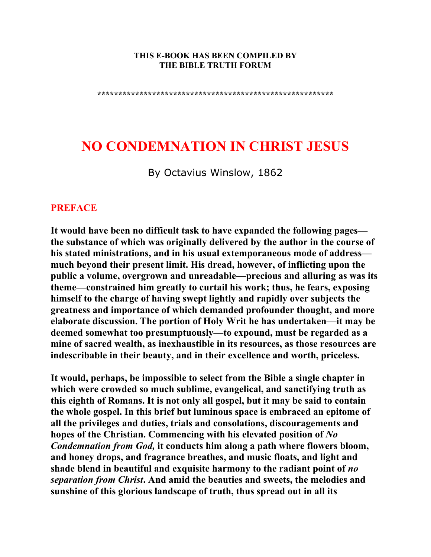#### **THIS E-BOOK HAS BEEN COMPILED BY THE BIBLE TRUTH FORUM**

**\*\*\*\*\*\*\*\*\*\*\*\*\*\*\*\*\*\*\*\*\*\*\*\*\*\*\*\*\*\*\*\*\*\*\*\*\*\*\*\*\*\*\*\*\*\*\*\*\*\*\*\*\*\*\*\*** 

# **NO CONDEMNATION IN CHRIST JESUS**

By Octavius Winslow, 1862

#### **PREFACE**

**It would have been no difficult task to have expanded the following pages the substance of which was originally delivered by the author in the course of his stated ministrations, and in his usual extemporaneous mode of address much beyond their present limit. His dread, however, of inflicting upon the public a volume, overgrown and unreadable—precious and alluring as was its theme—constrained him greatly to curtail his work; thus, he fears, exposing himself to the charge of having swept lightly and rapidly over subjects the greatness and importance of which demanded profounder thought, and more elaborate discussion. The portion of Holy Writ he has undertaken—it may be deemed somewhat too presumptuously—to expound, must be regarded as a mine of sacred wealth, as inexhaustible in its resources, as those resources are indescribable in their beauty, and in their excellence and worth, priceless.** 

**It would, perhaps, be impossible to select from the Bible a single chapter in which were crowded so much sublime, evangelical, and sanctifying truth as this eighth of Romans. It is not only all gospel, but it may be said to contain the whole gospel. In this brief but luminous space is embraced an epitome of all the privileges and duties, trials and consolations, discouragements and hopes of the Christian. Commencing with his elevated position of** *No Condemnation from God,* **it conducts him along a path where flowers bloom, and honey drops, and fragrance breathes, and music floats, and light and shade blend in beautiful and exquisite harmony to the radiant point of** *no separation from Christ***. And amid the beauties and sweets, the melodies and sunshine of this glorious landscape of truth, thus spread out in all its**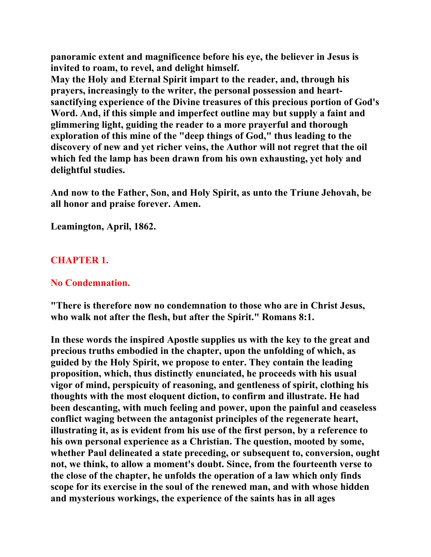**panoramic extent and magnificence before his eye, the believer in Jesus is invited to roam, to revel, and delight himself.** 

**May the Holy and Eternal Spirit impart to the reader, and, through his prayers, increasingly to the writer, the personal possession and heartsanctifying experience of the Divine treasures of this precious portion of God's Word. And, if this simple and imperfect outline may but supply a faint and glimmering light, guiding the reader to a more prayerful and thorough exploration of this mine of the "deep things of God," thus leading to the discovery of new and yet richer veins, the Author will not regret that the oil which fed the lamp has been drawn from his own exhausting, yet holy and delightful studies.** 

**And now to the Father, Son, and Holy Spirit, as unto the Triune Jehovah, be all honor and praise forever. Amen.** 

**Leamington, April, 1862.** 

### **CHAPTER 1.**

#### **No Condemnation.**

**"There is therefore now no condemnation to those who are in Christ Jesus, who walk not after the flesh, but after the Spirit." Romans 8:1.** 

**In these words the inspired Apostle supplies us with the key to the great and precious truths embodied in the chapter, upon the unfolding of which, as guided by the Holy Spirit, we propose to enter. They contain the leading proposition, which, thus distinctly enunciated, he proceeds with his usual vigor of mind, perspicuity of reasoning, and gentleness of spirit, clothing his thoughts with the most eloquent diction, to confirm and illustrate. He had been descanting, with much feeling and power, upon the painful and ceaseless conflict waging between the antagonist principles of the regenerate heart, illustrating it, as is evident from his use of the first person, by a reference to his own personal experience as a Christian. The question, mooted by some, whether Paul delineated a state preceding, or subsequent to, conversion, ought not, we think, to allow a moment's doubt. Since, from the fourteenth verse to the close of the chapter, he unfolds the operation of a law which only finds scope for its exercise in the soul of the renewed man, and with whose hidden and mysterious workings, the experience of the saints has in all ages**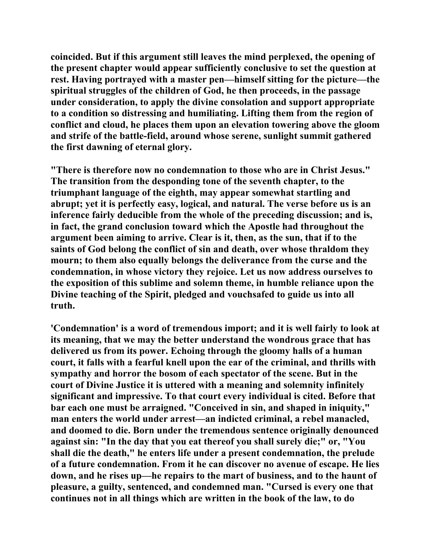**coincided. But if this argument still leaves the mind perplexed, the opening of the present chapter would appear sufficiently conclusive to set the question at rest. Having portrayed with a master pen—himself sitting for the picture—the spiritual struggles of the children of God, he then proceeds, in the passage under consideration, to apply the divine consolation and support appropriate to a condition so distressing and humiliating. Lifting them from the region of conflict and cloud, he places them upon an elevation towering above the gloom and strife of the battle-field, around whose serene, sunlight summit gathered the first dawning of eternal glory.** 

**"There is therefore now no condemnation to those who are in Christ Jesus." The transition from the desponding tone of the seventh chapter, to the triumphant language of the eighth, may appear somewhat startling and abrupt; yet it is perfectly easy, logical, and natural. The verse before us is an inference fairly deducible from the whole of the preceding discussion; and is, in fact, the grand conclusion toward which the Apostle had throughout the argument been aiming to arrive. Clear is it, then, as the sun, that if to the saints of God belong the conflict of sin and death, over whose thraldom they mourn; to them also equally belongs the deliverance from the curse and the condemnation, in whose victory they rejoice. Let us now address ourselves to the exposition of this sublime and solemn theme, in humble reliance upon the Divine teaching of the Spirit, pledged and vouchsafed to guide us into all truth.** 

**'Condemnation' is a word of tremendous import; and it is well fairly to look at its meaning, that we may the better understand the wondrous grace that has delivered us from its power. Echoing through the gloomy halls of a human court, it falls with a fearful knell upon the ear of the criminal, and thrills with sympathy and horror the bosom of each spectator of the scene. But in the court of Divine Justice it is uttered with a meaning and solemnity infinitely significant and impressive. To that court every individual is cited. Before that bar each one must be arraigned. "Conceived in sin, and shaped in iniquity," man enters the world under arrest—an indicted criminal, a rebel manacled, and doomed to die. Born under the tremendous sentence originally denounced against sin: "In the day that you eat thereof you shall surely die;" or, "You shall die the death," he enters life under a present condemnation, the prelude of a future condemnation. From it he can discover no avenue of escape. He lies down, and he rises up—he repairs to the mart of business, and to the haunt of pleasure, a guilty, sentenced, and condemned man. "Cursed is every one that continues not in all things which are written in the book of the law, to do**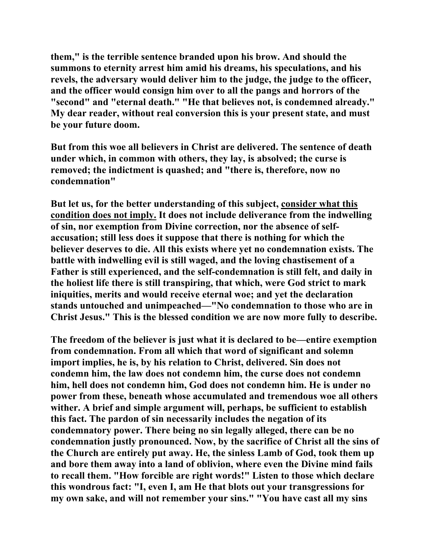**them," is the terrible sentence branded upon his brow. And should the summons to eternity arrest him amid his dreams, his speculations, and his revels, the adversary would deliver him to the judge, the judge to the officer, and the officer would consign him over to all the pangs and horrors of the "second" and "eternal death." "He that believes not, is condemned already." My dear reader, without real conversion this is your present state, and must be your future doom.** 

**But from this woe all believers in Christ are delivered. The sentence of death under which, in common with others, they lay, is absolved; the curse is removed; the indictment is quashed; and "there is, therefore, now no condemnation"** 

**But let us, for the better understanding of this subject, consider what this condition does not imply. It does not include deliverance from the indwelling of sin, nor exemption from Divine correction, nor the absence of selfaccusation; still less does it suppose that there is nothing for which the believer deserves to die. All this exists where yet no condemnation exists. The battle with indwelling evil is still waged, and the loving chastisement of a Father is still experienced, and the self-condemnation is still felt, and daily in the holiest life there is still transpiring, that which, were God strict to mark iniquities, merits and would receive eternal woe; and yet the declaration stands untouched and unimpeached—"No condemnation to those who are in Christ Jesus." This is the blessed condition we are now more fully to describe.** 

**The freedom of the believer is just what it is declared to be—entire exemption from condemnation. From all which that word of significant and solemn import implies, he is, by his relation to Christ, delivered. Sin does not condemn him, the law does not condemn him, the curse does not condemn him, hell does not condemn him, God does not condemn him. He is under no power from these, beneath whose accumulated and tremendous woe all others wither. A brief and simple argument will, perhaps, be sufficient to establish this fact. The pardon of sin necessarily includes the negation of its condemnatory power. There being no sin legally alleged, there can be no condemnation justly pronounced. Now, by the sacrifice of Christ all the sins of the Church are entirely put away. He, the sinless Lamb of God, took them up and bore them away into a land of oblivion, where even the Divine mind fails to recall them. "How forcible are right words!" Listen to those which declare this wondrous fact: "I, even I, am He that blots out your transgressions for my own sake, and will not remember your sins." "You have cast all my sins**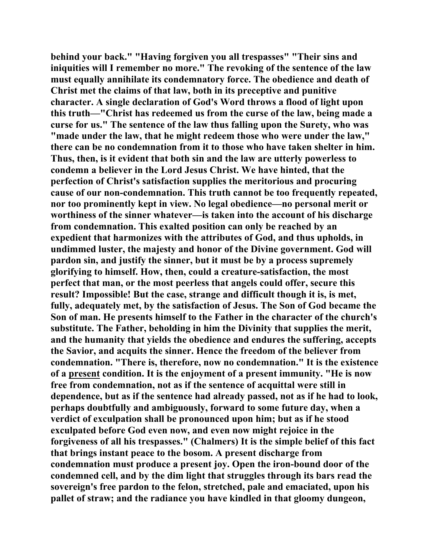**behind your back." "Having forgiven you all trespasses" "Their sins and iniquities will I remember no more." The revoking of the sentence of the law must equally annihilate its condemnatory force. The obedience and death of Christ met the claims of that law, both in its preceptive and punitive character. A single declaration of God's Word throws a flood of light upon this truth—"Christ has redeemed us from the curse of the law, being made a curse for us." The sentence of the law thus falling upon the Surety, who was "made under the law, that he might redeem those who were under the law," there can be no condemnation from it to those who have taken shelter in him. Thus, then, is it evident that both sin and the law are utterly powerless to condemn a believer in the Lord Jesus Christ. We have hinted, that the perfection of Christ's satisfaction supplies the meritorious and procuring cause of our non-condemnation. This truth cannot be too frequently repeated, nor too prominently kept in view. No legal obedience—no personal merit or worthiness of the sinner whatever—is taken into the account of his discharge from condemnation. This exalted position can only be reached by an expedient that harmonizes with the attributes of God, and thus upholds, in undimmed luster, the majesty and honor of the Divine government. God will pardon sin, and justify the sinner, but it must be by a process supremely glorifying to himself. How, then, could a creature-satisfaction, the most perfect that man, or the most peerless that angels could offer, secure this result? Impossible! But the case, strange and difficult though it is, is met, fully, adequately met, by the satisfaction of Jesus. The Son of God became the Son of man. He presents himself to the Father in the character of the church's substitute. The Father, beholding in him the Divinity that supplies the merit, and the humanity that yields the obedience and endures the suffering, accepts the Savior, and acquits the sinner. Hence the freedom of the believer from condemnation. "There is, therefore, now no condemnation." It is the existence of a present condition. It is the enjoyment of a present immunity. "He is now free from condemnation, not as if the sentence of acquittal were still in dependence, but as if the sentence had already passed, not as if he had to look, perhaps doubtfully and ambiguously, forward to some future day, when a verdict of exculpation shall be pronounced upon him; but as if he stood exculpated before God even now, and even now might rejoice in the forgiveness of all his trespasses." (Chalmers) It is the simple belief of this fact that brings instant peace to the bosom. A present discharge from condemnation must produce a present joy. Open the iron-bound door of the condemned cell, and by the dim light that struggles through its bars read the sovereign's free pardon to the felon, stretched, pale and emaciated, upon his pallet of straw; and the radiance you have kindled in that gloomy dungeon,**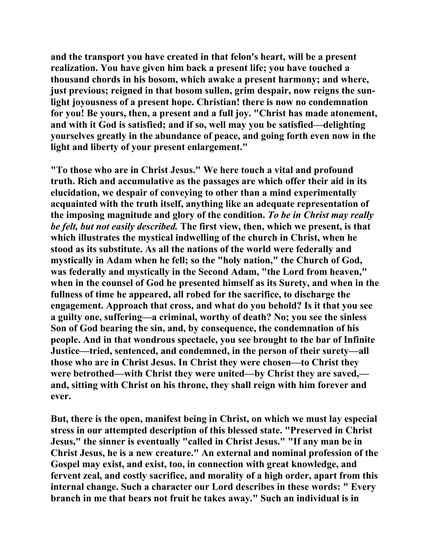**and the transport you have created in that felon's heart, will be a present realization. You have given him back a present life; you have touched a thousand chords in his bosom, which awake a present harmony; and where, just previous; reigned in that bosom sullen, grim despair, now reigns the sunlight joyousness of a present hope. Christian! there is now no condemnation for you! Be yours, then, a present and a full joy. "Christ has made atonement, and with it God is satisfied; and if so, well may you be satisfied—delighting yourselves greatly in the abundance of peace, and going forth even now in the light and liberty of your present enlargement."** 

**"To those who are in Christ Jesus." We here touch a vital and profound truth. Rich and accumulative as the passages are which offer their aid in its elucidation, we despair of conveying to other than a mind experimentally acquainted with the truth itself, anything like an adequate representation of the imposing magnitude and glory of the condition.** *To be in Christ may really be felt, but not easily described.* **The first view, then, which we present, is that which illustrates the mystical indwelling of the church in Christ, when he stood as its substitute. As all the nations of the world were federally and mystically in Adam when he fell; so the "holy nation," the Church of God, was federally and mystically in the Second Adam, "the Lord from heaven," when in the counsel of God he presented himself as its Surety, and when in the fullness of time he appeared, all robed for the sacrifice, to discharge the engagement. Approach that cross, and what do you behold? Is it that you see a guilty one, suffering—a criminal, worthy of death? No; you see the sinless Son of God bearing the sin, and, by consequence, the condemnation of his people. And in that wondrous spectacle, you see brought to the bar of Infinite Justice—tried, sentenced, and condemned, in the person of their surety—all those who are in Christ Jesus. In Christ they were chosen—to Christ they were betrothed—with Christ they were united—by Christ they are saved, and, sitting with Christ on his throne, they shall reign with him forever and ever.** 

**But, there is the open, manifest being in Christ, on which we must lay especial stress in our attempted description of this blessed state. "Preserved in Christ Jesus," the sinner is eventually "called in Christ Jesus." "If any man be in Christ Jesus, he is a new creature." An external and nominal profession of the Gospel may exist, and exist, too, in connection with great knowledge, and fervent zeal, and costly sacrifice, and morality of a high order, apart from this internal change. Such a character our Lord describes in these words: " Every branch in me that bears not fruit he takes away." Such an individual is in**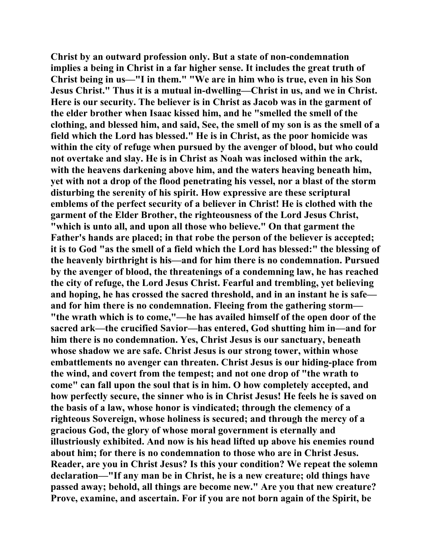**Christ by an outward profession only. But a state of non-condemnation implies a being in Christ in a far higher sense. It includes the great truth of Christ being in us—"I in them." "We are in him who is true, even in his Son Jesus Christ." Thus it is a mutual in-dwelling—Christ in us, and we in Christ. Here is our security. The believer is in Christ as Jacob was in the garment of the elder brother when Isaac kissed him, and he "smelled the smell of the clothing, and blessed him, and said, See, the smell of my son is as the smell of a field which the Lord has blessed." He is in Christ, as the poor homicide was within the city of refuge when pursued by the avenger of blood, but who could not overtake and slay. He is in Christ as Noah was inclosed within the ark, with the heavens darkening above him, and the waters heaving beneath him, yet with not a drop of the flood penetrating his vessel, nor a blast of the storm disturbing the serenity of his spirit. How expressive are these scriptural emblems of the perfect security of a believer in Christ! He is clothed with the garment of the Elder Brother, the righteousness of the Lord Jesus Christ, "which is unto all, and upon all those who believe." On that garment the Father's hands are placed; in that robe the person of the believer is accepted; it is to God "as the smell of a field which the Lord has blessed:" the blessing of the heavenly birthright is his—and for him there is no condemnation. Pursued by the avenger of blood, the threatenings of a condemning law, he has reached the city of refuge, the Lord Jesus Christ. Fearful and trembling, yet believing and hoping, he has crossed the sacred threshold, and in an instant he is safe and for him there is no condemnation. Fleeing from the gathering storm— "the wrath which is to come,"—he has availed himself of the open door of the sacred ark—the crucified Savior—has entered, God shutting him in—and for him there is no condemnation. Yes, Christ Jesus is our sanctuary, beneath whose shadow we are safe. Christ Jesus is our strong tower, within whose embattlements no avenger can threaten. Christ Jesus is our hiding-place from the wind, and covert from the tempest; and not one drop of "the wrath to come" can fall upon the soul that is in him. O how completely accepted, and how perfectly secure, the sinner who is in Christ Jesus! He feels he is saved on the basis of a law, whose honor is vindicated; through the clemency of a righteous Sovereign, whose holiness is secured; and through the mercy of a gracious God, the glory of whose moral government is eternally and illustriously exhibited. And now is his head lifted up above his enemies round about him; for there is no condemnation to those who are in Christ Jesus. Reader, are you in Christ Jesus? Is this your condition? We repeat the solemn declaration—"If any man be in Christ, he is a new creature; old things have passed away; behold, all things are become new." Are you that new creature? Prove, examine, and ascertain. For if you are not born again of the Spirit, be**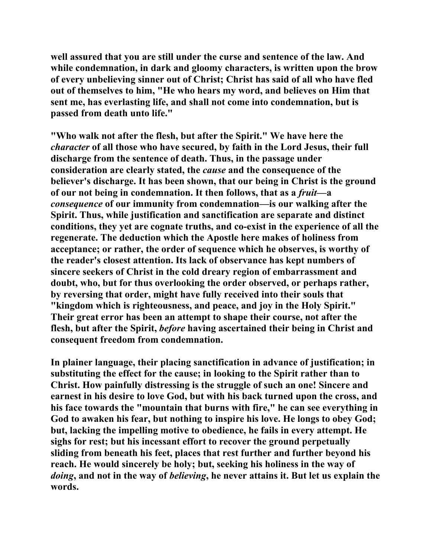**well assured that you are still under the curse and sentence of the law. And while condemnation, in dark and gloomy characters, is written upon the brow of every unbelieving sinner out of Christ; Christ has said of all who have fled out of themselves to him, "He who hears my word, and believes on Him that sent me, has everlasting life, and shall not come into condemnation, but is passed from death unto life."** 

**"Who walk not after the flesh, but after the Spirit." We have here the**  *character* **of all those who have secured, by faith in the Lord Jesus, their full discharge from the sentence of death. Thus, in the passage under consideration are clearly stated, the** *cause* **and the consequence of the believer's discharge. It has been shown, that our being in Christ is the ground of our not being in condemnation. It then follows, that as a** *fruit***—a**  *consequence* **of our immunity from condemnation—is our walking after the Spirit. Thus, while justification and sanctification are separate and distinct conditions, they yet are cognate truths, and co-exist in the experience of all the regenerate. The deduction which the Apostle here makes of holiness from acceptance; or rather, the order of sequence which he observes, is worthy of the reader's closest attention. Its lack of observance has kept numbers of sincere seekers of Christ in the cold dreary region of embarrassment and doubt, who, but for thus overlooking the order observed, or perhaps rather, by reversing that order, might have fully received into their souls that "kingdom which is righteousness, and peace, and joy in the Holy Spirit." Their great error has been an attempt to shape their course, not after the flesh, but after the Spirit,** *before* **having ascertained their being in Christ and consequent freedom from condemnation.** 

**In plainer language, their placing sanctification in advance of justification; in substituting the effect for the cause; in looking to the Spirit rather than to Christ. How painfully distressing is the struggle of such an one! Sincere and earnest in his desire to love God, but with his back turned upon the cross, and his face towards the "mountain that burns with fire," he can see everything in God to awaken his fear, but nothing to inspire his love. He longs to obey God; but, lacking the impelling motive to obedience, he fails in every attempt. He sighs for rest; but his incessant effort to recover the ground perpetually sliding from beneath his feet, places that rest further and further beyond his reach. He would sincerely be holy; but, seeking his holiness in the way of**  *doing***, and not in the way of** *believing***, he never attains it. But let us explain the words.**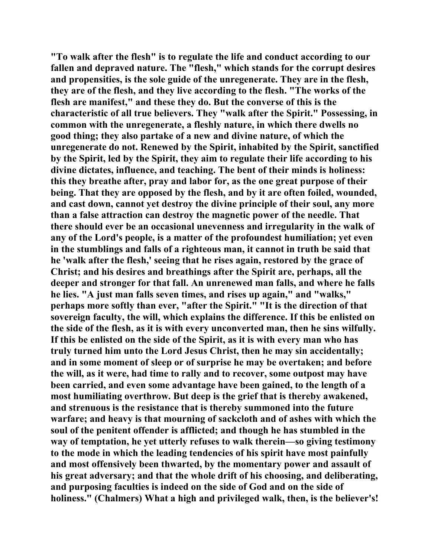**"To walk after the flesh" is to regulate the life and conduct according to our fallen and depraved nature. The "flesh," which stands for the corrupt desires and propensities, is the sole guide of the unregenerate. They are in the flesh, they are of the flesh, and they live according to the flesh. "The works of the flesh are manifest," and these they do. But the converse of this is the characteristic of all true believers. They "walk after the Spirit." Possessing, in common with the unregenerate, a fleshly nature, in which there dwells no good thing; they also partake of a new and divine nature, of which the unregenerate do not. Renewed by the Spirit, inhabited by the Spirit, sanctified by the Spirit, led by the Spirit, they aim to regulate their life according to his divine dictates, influence, and teaching. The bent of their minds is holiness: this they breathe after, pray and labor for, as the one great purpose of their being. That they are opposed by the flesh, and by it are often foiled, wounded, and cast down, cannot yet destroy the divine principle of their soul, any more than a false attraction can destroy the magnetic power of the needle. That there should ever be an occasional unevenness and irregularity in the walk of any of the Lord's people, is a matter of the profoundest humiliation; yet even in the stumblings and falls of a righteous man, it cannot in truth be said that he 'walk after the flesh,' seeing that he rises again, restored by the grace of Christ; and his desires and breathings after the Spirit are, perhaps, all the deeper and stronger for that fall. An unrenewed man falls, and where he falls he lies. "A just man falls seven times, and rises up again," and "walks," perhaps more softly than ever, "after the Spirit." "It is the direction of that sovereign faculty, the will, which explains the difference. If this be enlisted on the side of the flesh, as it is with every unconverted man, then he sins wilfully. If this be enlisted on the side of the Spirit, as it is with every man who has truly turned him unto the Lord Jesus Christ, then he may sin accidentally; and in some moment of sleep or of surprise he may be overtaken; and before the will, as it were, had time to rally and to recover, some outpost may have been carried, and even some advantage have been gained, to the length of a most humiliating overthrow. But deep is the grief that is thereby awakened, and strenuous is the resistance that is thereby summoned into the future warfare; and heavy is that mourning of sackcloth and of ashes with which the soul of the penitent offender is afflicted; and though he has stumbled in the way of temptation, he yet utterly refuses to walk therein—so giving testimony to the mode in which the leading tendencies of his spirit have most painfully and most offensively been thwarted, by the momentary power and assault of his great adversary; and that the whole drift of his choosing, and deliberating, and purposing faculties is indeed on the side of God and on the side of holiness." (Chalmers) What a high and privileged walk, then, is the believer's!**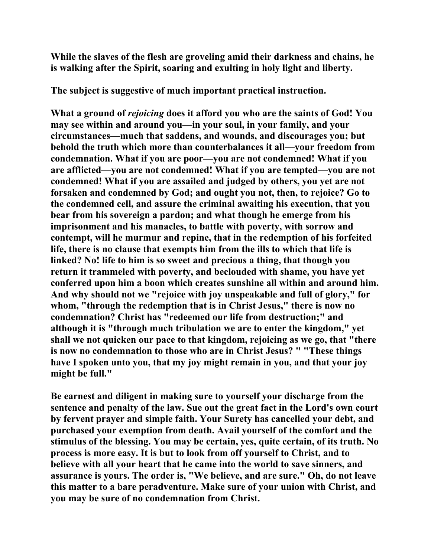**While the slaves of the flesh are groveling amid their darkness and chains, he is walking after the Spirit, soaring and exulting in holy light and liberty.** 

**The subject is suggestive of much important practical instruction.** 

**What a ground of** *rejoicing* **does it afford you who are the saints of God! You may see within and around you—in your soul, in your family, and your circumstances—much that saddens, and wounds, and discourages you; but behold the truth which more than counterbalances it all—your freedom from condemnation. What if you are poor—you are not condemned! What if you are afflicted—you are not condemned! What if you are tempted—you are not condemned! What if you are assailed and judged by others, you yet are not forsaken and condemned by God; and ought you not, then, to rejoice? Go to the condemned cell, and assure the criminal awaiting his execution, that you bear from his sovereign a pardon; and what though he emerge from his imprisonment and his manacles, to battle with poverty, with sorrow and contempt, will he murmur and repine, that in the redemption of his forfeited life, there is no clause that exempts him from the ills to which that life is linked? No! life to him is so sweet and precious a thing, that though you return it trammeled with poverty, and beclouded with shame, you have yet conferred upon him a boon which creates sunshine all within and around him. And why should not we "rejoice with joy unspeakable and full of glory," for whom, "through the redemption that is in Christ Jesus," there is now no condemnation? Christ has "redeemed our life from destruction;" and although it is "through much tribulation we are to enter the kingdom," yet shall we not quicken our pace to that kingdom, rejoicing as we go, that "there is now no condemnation to those who are in Christ Jesus? " "These things have I spoken unto you, that my joy might remain in you, and that your joy might be full."** 

**Be earnest and diligent in making sure to yourself your discharge from the sentence and penalty of the law. Sue out the great fact in the Lord's own court by fervent prayer and simple faith. Your Surety has cancelled your debt, and purchased your exemption from death. Avail yourself of the comfort and the stimulus of the blessing. You may be certain, yes, quite certain, of its truth. No process is more easy. It is but to look from off yourself to Christ, and to believe with all your heart that he came into the world to save sinners, and assurance is yours. The order is, "We believe, and are sure." Oh, do not leave this matter to a bare peradventure. Make sure of your union with Christ, and you may be sure of no condemnation from Christ.**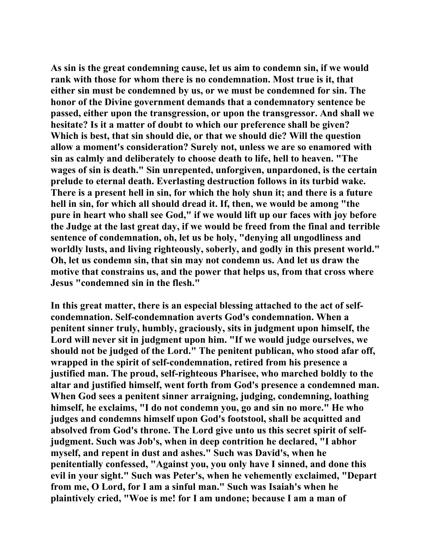**As sin is the great condemning cause, let us aim to condemn sin, if we would rank with those for whom there is no condemnation. Most true is it, that either sin must be condemned by us, or we must be condemned for sin. The honor of the Divine government demands that a condemnatory sentence be passed, either upon the transgression, or upon the transgressor. And shall we hesitate? Is it a matter of doubt to which our preference shall be given? Which is best, that sin should die, or that we should die? Will the question allow a moment's consideration? Surely not, unless we are so enamored with sin as calmly and deliberately to choose death to life, hell to heaven. "The wages of sin is death." Sin unrepented, unforgiven, unpardoned, is the certain prelude to eternal death. Everlasting destruction follows in its turbid wake. There is a present hell in sin, for which the holy shun it; and there is a future hell in sin, for which all should dread it. If, then, we would be among "the pure in heart who shall see God," if we would lift up our faces with joy before the Judge at the last great day, if we would be freed from the final and terrible sentence of condemnation, oh, let us be holy, "denying all ungodliness and worldly lusts, and living righteously, soberly, and godly in this present world." Oh, let us condemn sin, that sin may not condemn us. And let us draw the motive that constrains us, and the power that helps us, from that cross where Jesus "condemned sin in the flesh."** 

**In this great matter, there is an especial blessing attached to the act of selfcondemnation. Self-condemnation averts God's condemnation. When a penitent sinner truly, humbly, graciously, sits in judgment upon himself, the Lord will never sit in judgment upon him. "If we would judge ourselves, we should not be judged of the Lord." The penitent publican, who stood afar off, wrapped in the spirit of self-condemnation, retired from his presence a justified man. The proud, self-righteous Pharisee, who marched boldly to the altar and justified himself, went forth from God's presence a condemned man. When God sees a penitent sinner arraigning, judging, condemning, loathing himself, he exclaims, "I do not condemn you, go and sin no more." He who judges and condemns himself upon God's footstool, shall be acquitted and absolved from God's throne. The Lord give unto us this secret spirit of selfjudgment. Such was Job's, when in deep contrition he declared, "I abhor myself, and repent in dust and ashes." Such was David's, when he penitentially confessed, "Against you, you only have I sinned, and done this evil in your sight." Such was Peter's, when he vehemently exclaimed, "Depart from me, O Lord, for I am a sinful man." Such was Isaiah's when he plaintively cried, "Woe is me! for I am undone; because I am a man of**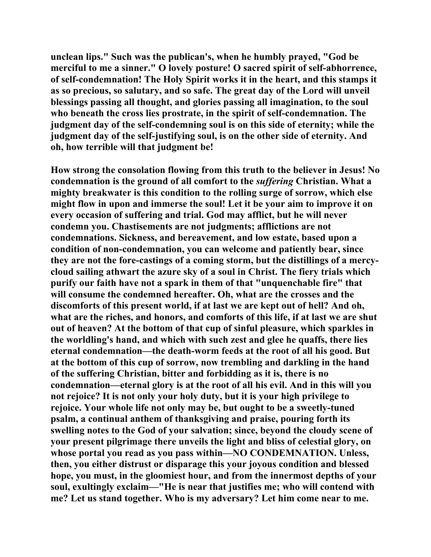**unclean lips." Such was the publican's, when he humbly prayed, "God be merciful to me a sinner." O lovely posture! O sacred spirit of self-abhorrence, of self-condemnation! The Holy Spirit works it in the heart, and this stamps it as so precious, so salutary, and so safe. The great day of the Lord will unveil blessings passing all thought, and glories passing all imagination, to the soul who beneath the cross lies prostrate, in the spirit of self-condemnation. The judgment day of the self-condemning soul is on this side of eternity; while the judgment day of the self-justifying soul, is on the other side of eternity. And oh, how terrible will that judgment be!** 

**How strong the consolation flowing from this truth to the believer in Jesus! No condemnation is the ground of all comfort to the** *suffering* **Christian. What a mighty breakwater is this condition to the rolling surge of sorrow, which else might flow in upon and immerse the soul! Let it be your aim to improve it on every occasion of suffering and trial. God may afflict, but he will never condemn you. Chastisements are not judgments; afflictions are not condemnations. Sickness, and bereavement, and low estate, based upon a condition of non-condemnation, you can welcome and patiently bear, since they are not the fore-castings of a coming storm, but the distillings of a mercycloud sailing athwart the azure sky of a soul in Christ. The fiery trials which purify our faith have not a spark in them of that "unquenchable fire" that will consume the condemned hereafter. Oh, what are the crosses and the discomforts of this present world, if at last we are kept out of hell? And oh, what are the riches, and honors, and comforts of this life, if at last we are shut out of heaven? At the bottom of that cup of sinful pleasure, which sparkles in the worldling's hand, and which with such zest and glee he quaffs, there lies eternal condemnation—the death-worm feeds at the root of all his good. But at the bottom of this cup of sorrow, now trembling and darkling in the hand of the suffering Christian, bitter and forbidding as it is, there is no condemnation—eternal glory is at the root of all his evil. And in this will you not rejoice? It is not only your holy duty, but it is your high privilege to rejoice. Your whole life not only may be, but ought to be a sweetly-tuned psalm, a continual anthem of thanksgiving and praise, pouring forth its swelling notes to the God of your salvation; since, beyond the cloudy scene of your present pilgrimage there unveils the light and bliss of celestial glory, on whose portal you read as you pass within—NO CONDEMNATION. Unless, then, you either distrust or disparage this your joyous condition and blessed hope, you must, in the gloomiest hour, and from the innermost depths of your soul, exultingly exclaim—"He is near that justifies me; who will contend with me? Let us stand together. Who is my adversary? Let him come near to me.**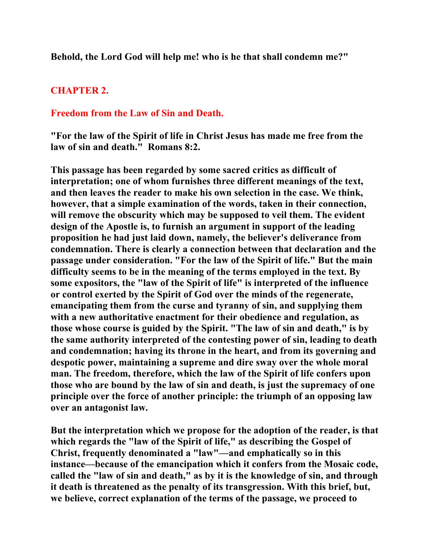**Behold, the Lord God will help me! who is he that shall condemn me?"** 

### **CHAPTER 2.**

### **Freedom from the Law of Sin and Death.**

**"For the law of the Spirit of life in Christ Jesus has made me free from the law of sin and death." Romans 8:2.** 

**This passage has been regarded by some sacred critics as difficult of interpretation; one of whom furnishes three different meanings of the text, and then leaves the reader to make his own selection in the case. We think, however, that a simple examination of the words, taken in their connection, will remove the obscurity which may be supposed to veil them. The evident design of the Apostle is, to furnish an argument in support of the leading proposition he had just laid down, namely, the believer's deliverance from condemnation. There is clearly a connection between that declaration and the passage under consideration. "For the law of the Spirit of life." But the main difficulty seems to be in the meaning of the terms employed in the text. By some expositors, the "law of the Spirit of life" is interpreted of the influence or control exerted by the Spirit of God over the minds of the regenerate, emancipating them from the curse and tyranny of sin, and supplying them with a new authoritative enactment for their obedience and regulation, as those whose course is guided by the Spirit. "The law of sin and death," is by the same authority interpreted of the contesting power of sin, leading to death and condemnation; having its throne in the heart, and from its governing and despotic power, maintaining a supreme and dire sway over the whole moral man. The freedom, therefore, which the law of the Spirit of life confers upon those who are bound by the law of sin and death, is just the supremacy of one principle over the force of another principle: the triumph of an opposing law over an antagonist law.** 

**But the interpretation which we propose for the adoption of the reader, is that which regards the "law of the Spirit of life," as describing the Gospel of Christ, frequently denominated a "law"—and emphatically so in this instance—because of the emancipation which it confers from the Mosaic code, called the "law of sin and death," as by it is the knowledge of sin, and through it death is threatened as the penalty of its transgression. With this brief, but, we believe, correct explanation of the terms of the passage, we proceed to**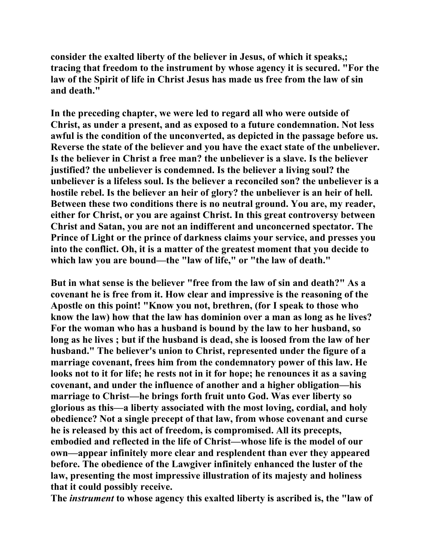**consider the exalted liberty of the believer in Jesus, of which it speaks,; tracing that freedom to the instrument by whose agency it is secured. "For the law of the Spirit of life in Christ Jesus has made us free from the law of sin and death."** 

**In the preceding chapter, we were led to regard all who were outside of Christ, as under a present, and as exposed to a future condemnation. Not less awful is the condition of the unconverted, as depicted in the passage before us. Reverse the state of the believer and you have the exact state of the unbeliever. Is the believer in Christ a free man? the unbeliever is a slave. Is the believer justified? the unbeliever is condemned. Is the believer a living soul? the unbeliever is a lifeless soul. Is the believer a reconciled son? the unbeliever is a hostile rebel. Is the believer an heir of glory? the unbeliever is an heir of hell. Between these two conditions there is no neutral ground. You are, my reader, either for Christ, or you are against Christ. In this great controversy between Christ and Satan, you are not an indifferent and unconcerned spectator. The Prince of Light or the prince of darkness claims your service, and presses you into the conflict. Oh, it is a matter of the greatest moment that you decide to which law you are bound—the "law of life," or "the law of death."** 

**But in what sense is the believer "free from the law of sin and death?" As a covenant he is free from it. How clear and impressive is the reasoning of the Apostle on this point! "Know you not, brethren, (for I speak to those who know the law) how that the law has dominion over a man as long as he lives? For the woman who has a husband is bound by the law to her husband, so long as he lives ; but if the husband is dead, she is loosed from the law of her husband." The believer's union to Christ, represented under the figure of a marriage covenant, frees him from the condemnatory power of this law. He looks not to it for life; he rests not in it for hope; he renounces it as a saving covenant, and under the influence of another and a higher obligation—his marriage to Christ—he brings forth fruit unto God. Was ever liberty so glorious as this—a liberty associated with the most loving, cordial, and holy obedience? Not a single precept of that law, from whose covenant and curse he is released by this act of freedom, is compromised. All its precepts, embodied and reflected in the life of Christ—whose life is the model of our own—appear infinitely more clear and resplendent than ever they appeared before. The obedience of the Lawgiver infinitely enhanced the luster of the law, presenting the most impressive illustration of its majesty and holiness that it could possibly receive.** 

**The** *instrument* **to whose agency this exalted liberty is ascribed is, the "law of**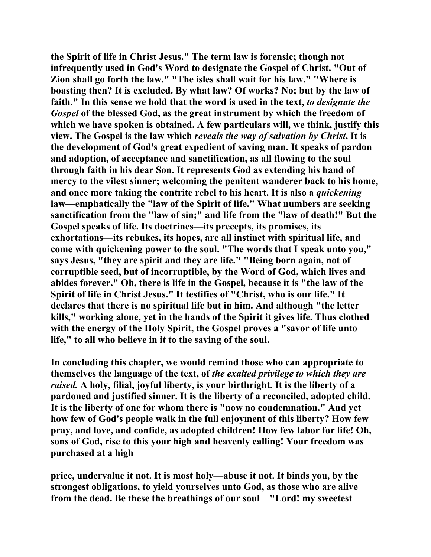**the Spirit of life in Christ Jesus." The term law is forensic; though not infrequently used in God's Word to designate the Gospel of Christ. "Out of Zion shall go forth the law." "The isles shall wait for his law." "Where is boasting then? It is excluded. By what law? Of works? No; but by the law of faith." In this sense we hold that the word is used in the text,** *to designate the Gospel* **of the blessed God, as the great instrument by which the freedom of which we have spoken is obtained. A few particulars will, we think, justify this view. The Gospel is the law which** *reveals the way of salvation by Christ***. It is the development of God's great expedient of saving man. It speaks of pardon and adoption, of acceptance and sanctification, as all flowing to the soul through faith in his dear Son. It represents God as extending his hand of mercy to the vilest sinner; welcoming the penitent wanderer back to his home, and once more taking the contrite rebel to his heart. It is also a** *quickening* **law—emphatically the "law of the Spirit of life." What numbers are seeking sanctification from the "law of sin;" and life from the "law of death!" But the Gospel speaks of life. Its doctrines—its precepts, its promises, its exhortations—its rebukes, its hopes, are all instinct with spiritual life, and come with quickening power to the soul. "The words that I speak unto you," says Jesus, "they are spirit and they are life." "Being born again, not of corruptible seed, but of incorruptible, by the Word of God, which lives and abides forever." Oh, there is life in the Gospel, because it is "the law of the Spirit of life in Christ Jesus." It testifies of "Christ, who is our life." It declares that there is no spiritual life but in him. And although "the letter kills," working alone, yet in the hands of the Spirit it gives life. Thus clothed with the energy of the Holy Spirit, the Gospel proves a "savor of life unto life," to all who believe in it to the saving of the soul.** 

**In concluding this chapter, we would remind those who can appropriate to themselves the language of the text, of** *the exalted privilege to which they are raised.* **A holy, filial, joyful liberty, is your birthright. It is the liberty of a pardoned and justified sinner. It is the liberty of a reconciled, adopted child. It is the liberty of one for whom there is "now no condemnation." And yet how few of God's people walk in the full enjoyment of this liberty? How few pray, and love, and confide, as adopted children! How few labor for life! Oh, sons of God, rise to this your high and heavenly calling! Your freedom was purchased at a high** 

**price, undervalue it not. It is most holy—abuse it not. It binds you, by the strongest obligations, to yield yourselves unto God, as those who are alive from the dead. Be these the breathings of our soul—"Lord! my sweetest**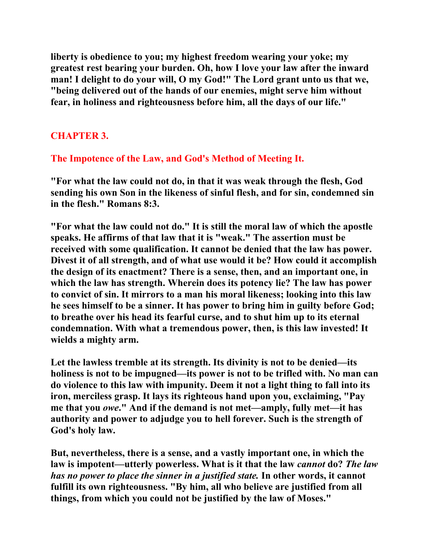**liberty is obedience to you; my highest freedom wearing your yoke; my greatest rest bearing your burden. Oh, how I love your law after the inward man! I delight to do your will, O my God!" The Lord grant unto us that we, "being delivered out of the hands of our enemies, might serve him without fear, in holiness and righteousness before him, all the days of our life."** 

## **CHAPTER 3.**

### **The Impotence of the Law, and God's Method of Meeting It.**

**"For what the law could not do, in that it was weak through the flesh, God sending his own Son in the likeness of sinful flesh, and for sin, condemned sin in the flesh." Romans 8:3.** 

**"For what the law could not do." It is still the moral law of which the apostle speaks. He affirms of that law that it is "weak." The assertion must be received with some qualification. It cannot be denied that the law has power. Divest it of all strength, and of what use would it be? How could it accomplish the design of its enactment? There is a sense, then, and an important one, in which the law has strength. Wherein does its potency lie? The law has power to convict of sin. It mirrors to a man his moral likeness; looking into this law he sees himself to be a sinner. It has power to bring him in guilty before God; to breathe over his head its fearful curse, and to shut him up to its eternal condemnation. With what a tremendous power, then, is this law invested! It wields a mighty arm.** 

**Let the lawless tremble at its strength. Its divinity is not to be denied—its holiness is not to be impugned—its power is not to be trifled with. No man can do violence to this law with impunity. Deem it not a light thing to fall into its iron, merciless grasp. It lays its righteous hand upon you, exclaiming, "Pay me that you** *owe***." And if the demand is not met—amply, fully met—it has authority and power to adjudge you to hell forever. Such is the strength of God's holy law.** 

**But, nevertheless, there is a sense, and a vastly important one, in which the law is impotent—utterly powerless. What is it that the law** *cannot* **do?** *The law has no power to place the sinner in a justified state.* **In other words, it cannot fulfill its own righteousness. "By him, all who believe are justified from all things, from which you could not be justified by the law of Moses."**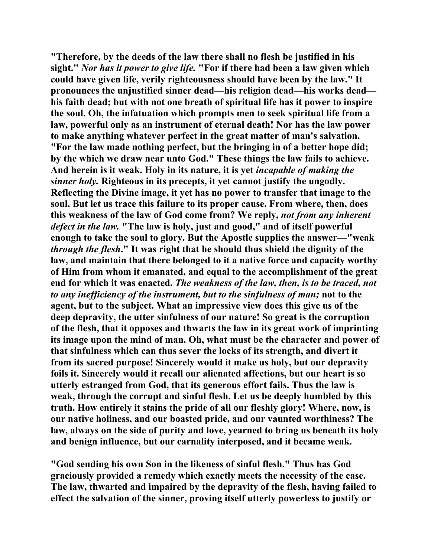**"Therefore, by the deeds of the law there shall no flesh be justified in his sight."** *Nor has it power to give life.* **"For if there had been a law given which could have given life, verily righteousness should have been by the law." It pronounces the unjustified sinner dead—his religion dead—his works dead his faith dead; but with not one breath of spiritual life has it power to inspire the soul. Oh, the infatuation which prompts men to seek spiritual life from a law, powerful only as an instrument of eternal death! Nor has the law power to make anything whatever perfect in the great matter of man's salvation. "For the law made nothing perfect, but the bringing in of a better hope did; by the which we draw near unto God." These things the law fails to achieve. And herein is it weak. Holy in its nature, it is yet** *incapable of making the sinner holy.* **Righteous in its precepts, it yet cannot justify the ungodly. Reflecting the Divine image, it yet has no power to transfer that image to the soul. But let us trace this failure to its proper cause. From where, then, does this weakness of the law of God come from? We reply,** *not from any inherent defect in the law.* **"The law is holy, just and good," and of itself powerful enough to take the soul to glory. But the Apostle supplies the answer—"weak**  *through the flesh***." It was right that he should thus shield the dignity of the law, and maintain that there belonged to it a native force and capacity worthy of Him from whom it emanated, and equal to the accomplishment of the great end for which it was enacted.** *The weakness of the law, then, is to be traced, not to any inefficiency of the instrument, but to the sinfulness of man;* **not to the agent, but to the subject. What an impressive view does this give us of the deep depravity, the utter sinfulness of our nature! So great is the corruption of the flesh, that it opposes and thwarts the law in its great work of imprinting its image upon the mind of man. Oh, what must be the character and power of that sinfulness which can thus sever the locks of its strength, and divert it from its sacred purpose! Sincerely would it make us holy, but our depravity foils it. Sincerely would it recall our alienated affections, but our heart is so utterly estranged from God, that its generous effort fails. Thus the law is weak, through the corrupt and sinful flesh. Let us be deeply humbled by this truth. How entirely it stains the pride of all our fleshly glory! Where, now, is our native holiness, and our boasted pride, and our vaunted worthiness? The law, always on the side of purity and love, yearned to bring us beneath its holy and benign influence, but our carnality interposed, and it became weak.** 

**"God sending his own Son in the likeness of sinful flesh." Thus has God graciously provided a remedy which exactly meets the necessity of the case. The law, thwarted and impaired by the depravity of the flesh, having failed to effect the salvation of the sinner, proving itself utterly powerless to justify or**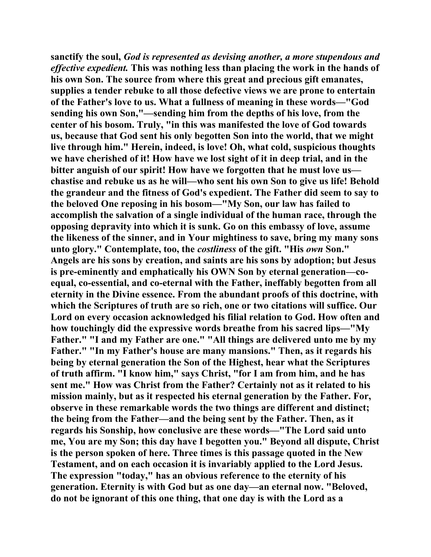**sanctify the soul,** *God is represented as devising another, a more stupendous and effective expedient.* **This was nothing less than placing the work in the hands of his own Son. The source from where this great and precious gift emanates, supplies a tender rebuke to all those defective views we are prone to entertain of the Father's love to us. What a fullness of meaning in these words—"God sending his own Son,"—sending him from the depths of his love, from the center of his bosom. Truly, "in this was manifested the love of God towards us, because that God sent his only begotten Son into the world, that we might live through him." Herein, indeed, is love! Oh, what cold, suspicious thoughts we have cherished of it! How have we lost sight of it in deep trial, and in the bitter anguish of our spirit! How have we forgotten that he must love us chastise and rebuke us as he will—who sent his own Son to give us life! Behold the grandeur and the fitness of God's expedient. The Father did seem to say to the beloved One reposing in his bosom—"My Son, our law has failed to accomplish the salvation of a single individual of the human race, through the opposing depravity into which it is sunk. Go on this embassy of love, assume the likeness of the sinner, and in Your mightiness to save, bring my many sons unto glory." Contemplate, too, the** *costliness* **of the gift. "His** *own* **Son." Angels are his sons by creation, and saints are his sons by adoption; but Jesus is pre-eminently and emphatically his OWN Son by eternal generation—coequal, co-essential, and co-eternal with the Father, ineffably begotten from all eternity in the Divine essence. From the abundant proofs of this doctrine, with which the Scriptures of truth are so rich, one or two citations will suffice. Our Lord on every occasion acknowledged his filial relation to God. How often and how touchingly did the expressive words breathe from his sacred lips—"My Father." "I and my Father are one." "All things are delivered unto me by my Father." "In my Father's house are many mansions." Then, as it regards his being by eternal generation the Son of the Highest, hear what the Scriptures of truth affirm. "I know him," says Christ, "for I am from him, and he has sent me." How was Christ from the Father? Certainly not as it related to his mission mainly, but as it respected his eternal generation by the Father. For, observe in these remarkable words the two things are different and distinct; the being from the Father—and the being sent by the Father. Then, as it regards his Sonship, how conclusive are these words—"The Lord said unto me, You are my Son; this day have I begotten you." Beyond all dispute, Christ is the person spoken of here. Three times is this passage quoted in the New Testament, and on each occasion it is invariably applied to the Lord Jesus. The expression "today," has an obvious reference to the eternity of his generation. Eternity is with God but as one day—an eternal now. "Beloved, do not be ignorant of this one thing, that one day is with the Lord as a**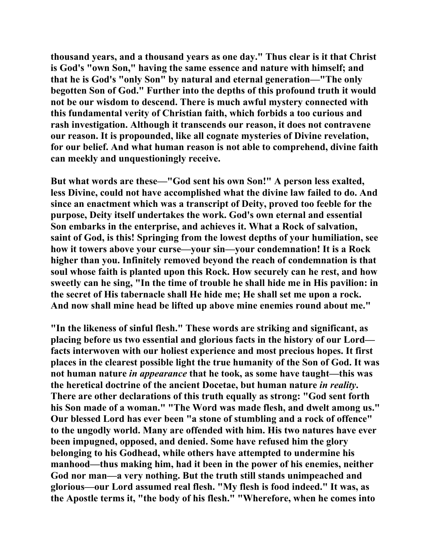**thousand years, and a thousand years as one day." Thus clear is it that Christ is God's "own Son," having the same essence and nature with himself; and that he is God's "only Son" by natural and eternal generation—"The only begotten Son of God." Further into the depths of this profound truth it would not be our wisdom to descend. There is much awful mystery connected with this fundamental verity of Christian faith, which forbids a too curious and rash investigation. Although it transcends our reason, it does not contravene our reason. It is propounded, like all cognate mysteries of Divine revelation, for our belief. And what human reason is not able to comprehend, divine faith can meekly and unquestioningly receive.** 

**But what words are these—"God sent his own Son!" A person less exalted, less Divine, could not have accomplished what the divine law failed to do. And since an enactment which was a transcript of Deity, proved too feeble for the purpose, Deity itself undertakes the work. God's own eternal and essential Son embarks in the enterprise, and achieves it. What a Rock of salvation, saint of God, is this! Springing from the lowest depths of your humiliation, see how it towers above your curse—your sin—your condemnation! It is a Rock higher than you. Infinitely removed beyond the reach of condemnation is that soul whose faith is planted upon this Rock. How securely can he rest, and how sweetly can he sing, "In the time of trouble he shall hide me in His pavilion: in the secret of His tabernacle shall He hide me; He shall set me upon a rock. And now shall mine head be lifted up above mine enemies round about me."** 

**"In the likeness of sinful flesh." These words are striking and significant, as placing before us two essential and glorious facts in the history of our Lord facts interwoven with our holiest experience and most precious hopes. It first places in the clearest possible light the true humanity of the Son of God. It was not human nature** *in appearance* **that he took, as some have taught—this was the heretical doctrine of the ancient Docetae, but human nature** *in reality***. There are other declarations of this truth equally as strong: "God sent forth his Son made of a woman." "The Word was made flesh, and dwelt among us." Our blessed Lord has ever been "a stone of stumbling and a rock of offence" to the ungodly world. Many are offended with him. His two natures have ever been impugned, opposed, and denied. Some have refused him the glory belonging to his Godhead, while others have attempted to undermine his manhood—thus making him, had it been in the power of his enemies, neither God nor man—a very nothing. But the truth still stands unimpeached and glorious—our Lord assumed real flesh. "My flesh is food indeed." It was, as the Apostle terms it, "the body of his flesh." "Wherefore, when he comes into**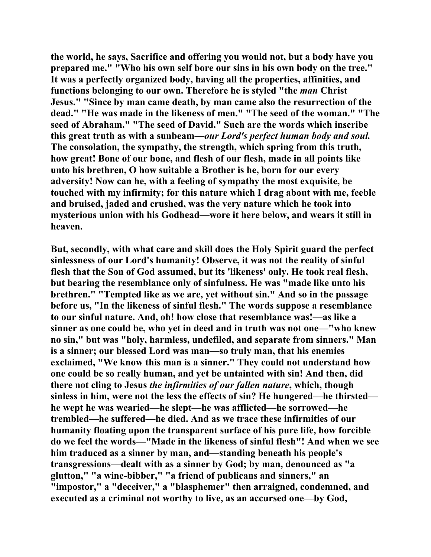**the world, he says, Sacrifice and offering you would not, but a body have you prepared me." "Who his own self bore our sins in his own body on the tree." It was a perfectly organized body, having all the properties, affinities, and functions belonging to our own. Therefore he is styled "the** *man* **Christ Jesus." "Since by man came death, by man came also the resurrection of the dead." "He was made in the likeness of men." "The seed of the woman." "The seed of Abraham." "The seed of David." Such are the words which inscribe this great truth as with a sunbeam—***our Lord's perfect human body and soul.*  **The consolation, the sympathy, the strength, which spring from this truth, how great! Bone of our bone, and flesh of our flesh, made in all points like unto his brethren, O how suitable a Brother is he, born for our every adversity! Now can he, with a feeling of sympathy the most exquisite, be touched with my infirmity; for this nature which I drag about with me, feeble and bruised, jaded and crushed, was the very nature which he took into mysterious union with his Godhead—wore it here below, and wears it still in heaven.** 

**But, secondly, with what care and skill does the Holy Spirit guard the perfect sinlessness of our Lord's humanity! Observe, it was not the reality of sinful flesh that the Son of God assumed, but its 'likeness' only. He took real flesh, but bearing the resemblance only of sinfulness. He was "made like unto his brethren." "Tempted like as we are, yet without sin." And so in the passage before us, "In the likeness of sinful flesh." The words suppose a resemblance to our sinful nature. And, oh! how close that resemblance was!—as like a sinner as one could be, who yet in deed and in truth was not one—"who knew no sin," but was "holy, harmless, undefiled, and separate from sinners." Man is a sinner; our blessed Lord was man—so truly man, that his enemies exclaimed, "We know this man is a sinner." They could not understand how one could be so really human, and yet be untainted with sin! And then, did there not cling to Jesus** *the infirmities of our fallen nature***, which, though sinless in him, were not the less the effects of sin? He hungered—he thirsted he wept he was wearied—he slept—he was afflicted—he sorrowed—he trembled—he suffered—he died. And as we trace these infirmities of our humanity floating upon the transparent surface of his pure life, how forcible do we feel the words—"Made in the likeness of sinful flesh"! And when we see him traduced as a sinner by man, and—standing beneath his people's transgressions—dealt with as a sinner by God; by man, denounced as "a glutton," "a wine-bibber," "a friend of publicans and sinners," an "impostor," a "deceiver," a "blasphemer" then arraigned, condemned, and executed as a criminal not worthy to live, as an accursed one—by God,**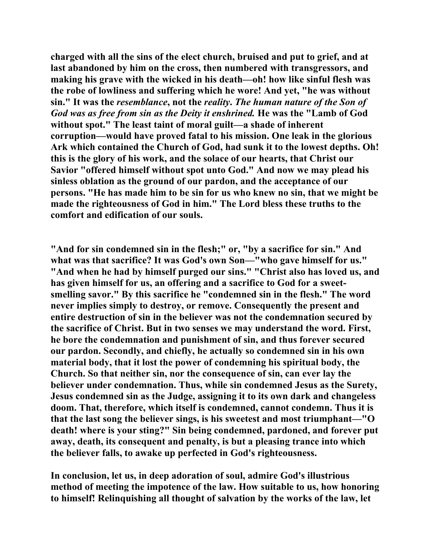**charged with all the sins of the elect church, bruised and put to grief, and at last abandoned by him on the cross, then numbered with transgressors, and making his grave with the wicked in his death—oh! how like sinful flesh was the robe of lowliness and suffering which he wore! And yet, "he was without sin." It was the** *resemblance***, not the** *reality***.** *The human nature of the Son of God was as free from sin as the Deity it enshrined.* **He was the "Lamb of God without spot." The least taint of moral guilt—a shade of inherent corruption—would have proved fatal to his mission. One leak in the glorious Ark which contained the Church of God, had sunk it to the lowest depths. Oh! this is the glory of his work, and the solace of our hearts, that Christ our Savior "offered himself without spot unto God." And now we may plead his sinless oblation as the ground of our pardon, and the acceptance of our persons. "He has made him to be sin for us who knew no sin, that we might be made the righteousness of God in him." The Lord bless these truths to the comfort and edification of our souls.** 

**"And for sin condemned sin in the flesh;" or, "by a sacrifice for sin." And what was that sacrifice? It was God's own Son—"who gave himself for us." "And when he had by himself purged our sins." "Christ also has loved us, and has given himself for us, an offering and a sacrifice to God for a sweetsmelling savor." By this sacrifice he "condemned sin in the flesh." The word never implies simply to destroy, or remove. Consequently the present and entire destruction of sin in the believer was not the condemnation secured by the sacrifice of Christ. But in two senses we may understand the word. First, he bore the condemnation and punishment of sin, and thus forever secured our pardon. Secondly, and chiefly, he actually so condemned sin in his own material body, that it lost the power of condemning his spiritual body, the Church. So that neither sin, nor the consequence of sin, can ever lay the believer under condemnation. Thus, while sin condemned Jesus as the Surety, Jesus condemned sin as the Judge, assigning it to its own dark and changeless doom. That, therefore, which itself is condemned, cannot condemn. Thus it is that the last song the believer sings, is his sweetest and most triumphant—"O death! where is your sting?" Sin being condemned, pardoned, and forever put away, death, its consequent and penalty, is but a pleasing trance into which the believer falls, to awake up perfected in God's righteousness.** 

**In conclusion, let us, in deep adoration of soul, admire God's illustrious method of meeting the impotence of the law. How suitable to us, how honoring to himself! Relinquishing all thought of salvation by the works of the law, let**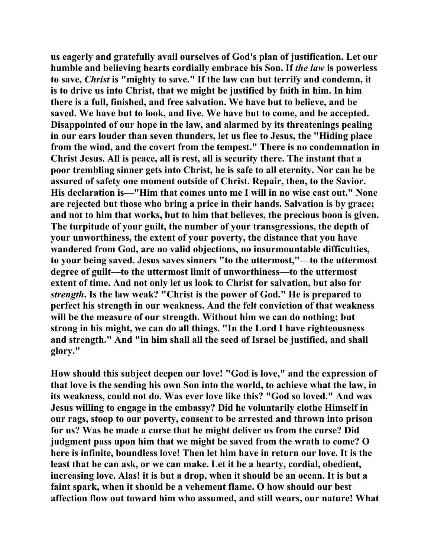**us eagerly and gratefully avail ourselves of God's plan of justification. Let our humble and believing hearts cordially embrace his Son. If** *the law* **is powerless to save,** *Christ* **is "mighty to save." If the law can but terrify and condemn, it is to drive us into Christ, that we might be justified by faith in him. In him there is a full, finished, and free salvation. We have but to believe, and be saved. We have but to look, and live. We have but to come, and be accepted. Disappointed of our hope in the law, and alarmed by its threatenings pealing in our ears louder than seven thunders, let us flee to Jesus, the "Hiding place from the wind, and the covert from the tempest." There is no condemnation in Christ Jesus. All is peace, all is rest, all is security there. The instant that a poor trembling sinner gets into Christ, he is safe to all eternity. Nor can he be assured of safety one moment outside of Christ. Repair, then, to the Savior. His declaration is—"Him that comes unto me I will in no wise cast out." None are rejected but those who bring a price in their hands. Salvation is by grace; and not to him that works, but to him that believes, the precious boon is given. The turpitude of your guilt, the number of your transgressions, the depth of your unworthiness, the extent of your poverty, the distance that you have wandered from God, are no valid objections, no insurmountable difficulties, to your being saved. Jesus saves sinners "to the uttermost,"—to the uttermost degree of guilt—to the uttermost limit of unworthiness—to the uttermost extent of time. And not only let us look to Christ for salvation, but also for**  *strength***. Is the law weak? "Christ is the power of God." He is prepared to perfect his strength in our weakness. And the felt conviction of that weakness will be the measure of our strength. Without him we can do nothing; but strong in his might, we can do all things. "In the Lord I have righteousness and strength." And "in him shall all the seed of Israel be justified, and shall glory."** 

**How should this subject deepen our love! "God is love," and the expression of that love is the sending his own Son into the world, to achieve what the law, in its weakness, could not do. Was ever love like this? "God so loved." And was Jesus willing to engage in the embassy? Did he voluntarily clothe Himself in our rags, stoop to our poverty, consent to be arrested and thrown into prison for us? Was he made a curse that he might deliver us from the curse? Did judgment pass upon him that we might be saved from the wrath to come? O here is infinite, boundless love! Then let him have in return our love. It is the least that he can ask, or we can make. Let it be a hearty, cordial, obedient, increasing love. Alas! it is but a drop, when it should be an ocean. It is but a faint spark, when it should be a vehement flame. O how should our best affection flow out toward him who assumed, and still wears, our nature! What**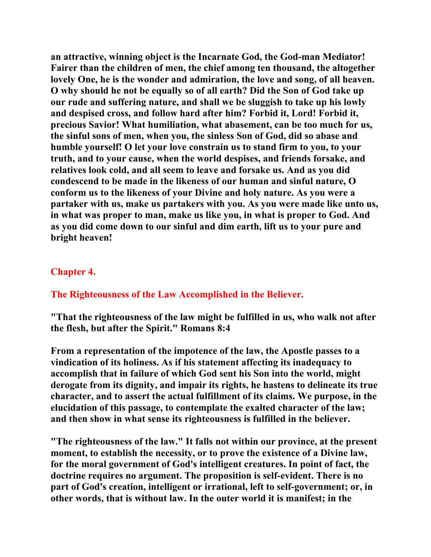**an attractive, winning object is the Incarnate God, the God-man Mediator! Fairer than the children of men, the chief among ten thousand, the altogether lovely One, he is the wonder and admiration, the love and song, of all heaven. O why should he not be equally so of all earth? Did the Son of God take up our rude and suffering nature, and shall we be sluggish to take up his lowly and despised cross, and follow hard after him? Forbid it, Lord! Forbid it, precious Savior! What humiliation, what abasement, can be too much for us, the sinful sons of men, when you, the sinless Son of God, did so abase and humble yourself! O let your love constrain us to stand firm to you, to your truth, and to your cause, when the world despises, and friends forsake, and relatives look cold, and all seem to leave and forsake us. And as you did condescend to be made in the likeness of our human and sinful nature, O conform us to the likeness of your Divine and holy nature. As you were a partaker with us, make us partakers with you. As you were made like unto us, in what was proper to man, make us like you, in what is proper to God. And as you did come down to our sinful and dim earth, lift us to your pure and bright heaven!** 

#### **Chapter 4.**

#### **The Righteousness of the Law Accomplished in the Believer.**

**"That the righteousness of the law might be fulfilled in us, who walk not after the flesh, but after the Spirit." Romans 8:4** 

**From a representation of the impotence of the law, the Apostle passes to a vindication of its holiness. As if his statement affecting its inadequacy to accomplish that in failure of which God sent his Son into the world, might derogate from its dignity, and impair its rights, he hastens to delineate its true character, and to assert the actual fulfillment of its claims. We purpose, in the elucidation of this passage, to contemplate the exalted character of the law; and then show in what sense its righteousness is fulfilled in the believer.** 

**"The righteousness of the law." It falls not within our province, at the present moment, to establish the necessity, or to prove the existence of a Divine law, for the moral government of God's intelligent creatures. In point of fact, the doctrine requires no argument. The proposition is self-evident. There is no part of God's creation, intelligent or irrational, left to self-government; or, in other words, that is without law. In the outer world it is manifest; in the**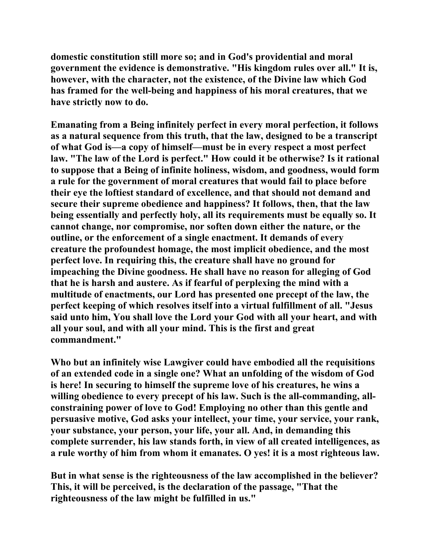**domestic constitution still more so; and in God's providential and moral government the evidence is demonstrative. "His kingdom rules over all." It is, however, with the character, not the existence, of the Divine law which God has framed for the well-being and happiness of his moral creatures, that we have strictly now to do.** 

**Emanating from a Being infinitely perfect in every moral perfection, it follows as a natural sequence from this truth, that the law, designed to be a transcript of what God is—a copy of himself—must be in every respect a most perfect law. "The law of the Lord is perfect." How could it be otherwise? Is it rational to suppose that a Being of infinite holiness, wisdom, and goodness, would form a rule for the government of moral creatures that would fail to place before their eye the loftiest standard of excellence, and that should not demand and secure their supreme obedience and happiness? It follows, then, that the law being essentially and perfectly holy, all its requirements must be equally so. It cannot change, nor compromise, nor soften down either the nature, or the outline, or the enforcement of a single enactment. It demands of every creature the profoundest homage, the most implicit obedience, and the most perfect love. In requiring this, the creature shall have no ground for impeaching the Divine goodness. He shall have no reason for alleging of God that he is harsh and austere. As if fearful of perplexing the mind with a multitude of enactments, our Lord has presented one precept of the law, the perfect keeping of which resolves itself into a virtual fulfillment of all. "Jesus said unto him, You shall love the Lord your God with all your heart, and with all your soul, and with all your mind. This is the first and great commandment."** 

**Who but an infinitely wise Lawgiver could have embodied all the requisitions of an extended code in a single one? What an unfolding of the wisdom of God is here! In securing to himself the supreme love of his creatures, he wins a willing obedience to every precept of his law. Such is the all-commanding, allconstraining power of love to God! Employing no other than this gentle and persuasive motive, God asks your intellect, your time, your service, your rank, your substance, your person, your life, your all. And, in demanding this complete surrender, his law stands forth, in view of all created intelligences, as a rule worthy of him from whom it emanates. O yes! it is a most righteous law.** 

**But in what sense is the righteousness of the law accomplished in the believer? This, it will be perceived, is the declaration of the passage, "That the righteousness of the law might be fulfilled in us."**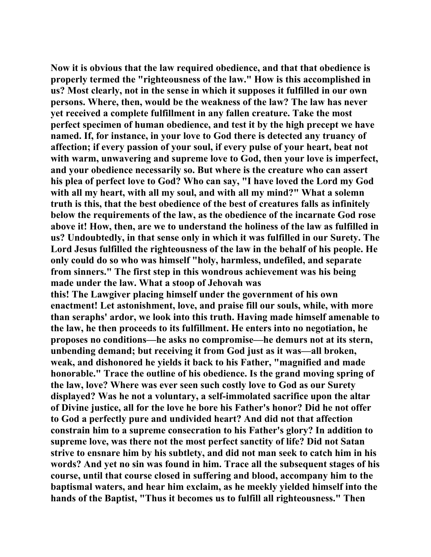**Now it is obvious that the law required obedience, and that that obedience is properly termed the "righteousness of the law." How is this accomplished in us? Most clearly, not in the sense in which it supposes it fulfilled in our own persons. Where, then, would be the weakness of the law? The law has never yet received a complete fulfillment in any fallen creature. Take the most perfect specimen of human obedience, and test it by the high precept we have named. If, for instance, in your love to God there is detected any truancy of affection; if every passion of your soul, if every pulse of your heart, beat not with warm, unwavering and supreme love to God, then your love is imperfect, and your obedience necessarily so. But where is the creature who can assert his plea of perfect love to God? Who can say, "I have loved the Lord my God with all my heart, with all my soul, and with all my mind?" What a solemn truth is this, that the best obedience of the best of creatures falls as infinitely below the requirements of the law, as the obedience of the incarnate God rose above it! How, then, are we to understand the holiness of the law as fulfilled in us? Undoubtedly, in that sense only in which it was fulfilled in our Surety. The Lord Jesus fulfilled the righteousness of the law in the behalf of his people. He only could do so who was himself "holy, harmless, undefiled, and separate from sinners." The first step in this wondrous achievement was his being made under the law. What a stoop of Jehovah was** 

**this! The Lawgiver placing himself under the government of his own enactment! Let astonishment, love, and praise fill our souls, while, with more than seraphs' ardor, we look into this truth. Having made himself amenable to the law, he then proceeds to its fulfillment. He enters into no negotiation, he proposes no conditions—he asks no compromise—he demurs not at its stern, unbending demand; but receiving it from God just as it was—all broken, weak, and dishonored he yields it back to his Father, "magnified and made honorable." Trace the outline of his obedience. Is the grand moving spring of the law, love? Where was ever seen such costly love to God as our Surety displayed? Was he not a voluntary, a self-immolated sacrifice upon the altar of Divine justice, all for the love he bore his Father's honor? Did he not offer to God a perfectly pure and undivided heart? And did not that affection constrain him to a supreme consecration to his Father's glory? In addition to supreme love, was there not the most perfect sanctity of life? Did not Satan strive to ensnare him by his subtlety, and did not man seek to catch him in his words? And yet no sin was found in him. Trace all the subsequent stages of his course, until that course closed in suffering and blood, accompany him to the baptismal waters, and hear him exclaim, as he meekly yielded himself into the hands of the Baptist, "Thus it becomes us to fulfill all righteousness." Then**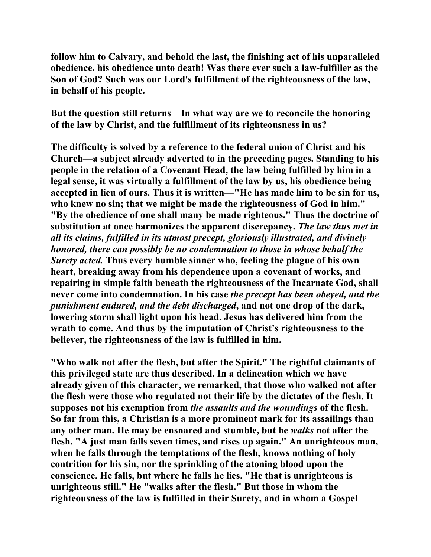**follow him to Calvary, and behold the last, the finishing act of his unparalleled obedience, his obedience unto death! Was there ever such a law-fulfiller as the Son of God? Such was our Lord's fulfillment of the righteousness of the law, in behalf of his people.** 

**But the question still returns—In what way are we to reconcile the honoring of the law by Christ, and the fulfillment of its righteousness in us?** 

**The difficulty is solved by a reference to the federal union of Christ and his Church—a subject already adverted to in the preceding pages. Standing to his people in the relation of a Covenant Head, the law being fulfilled by him in a legal sense, it was virtually a fulfillment of the law by us, his obedience being accepted in lieu of ours. Thus it is written—"He has made him to be sin for us, who knew no sin; that we might be made the righteousness of God in him." "By the obedience of one shall many be made righteous." Thus the doctrine of substitution at once harmonizes the apparent discrepancy.** *The law thus met in all its claims, fulfilled in its utmost precept, gloriously illustrated, and divinely honored, there can possibly be no condemnation to those in whose behalf the Surety acted.* **Thus every humble sinner who, feeling the plague of his own heart, breaking away from his dependence upon a covenant of works, and repairing in simple faith beneath the righteousness of the Incarnate God, shall never come into condemnation. In his case** *the precept has been obeyed, and the punishment endured, and the debt discharged***, and not one drop of the dark, lowering storm shall light upon his head. Jesus has delivered him from the wrath to come. And thus by the imputation of Christ's righteousness to the believer, the righteousness of the law is fulfilled in him.** 

**"Who walk not after the flesh, but after the Spirit." The rightful claimants of this privileged state are thus described. In a delineation which we have already given of this character, we remarked, that those who walked not after the flesh were those who regulated not their life by the dictates of the flesh. It supposes not his exemption from** *the assaults and the woundings* **of the flesh. So far from this, a Christian is a more prominent mark for its assailings than**  any other man. He may be ensnared and stumble, but he *walks* not after the **flesh. "A just man falls seven times, and rises up again." An unrighteous man, when he falls through the temptations of the flesh, knows nothing of holy contrition for his sin, nor the sprinkling of the atoning blood upon the conscience. He falls, but where he falls he lies. "He that is unrighteous is unrighteous still." He "walks after the flesh." But those in whom the righteousness of the law is fulfilled in their Surety, and in whom a Gospel**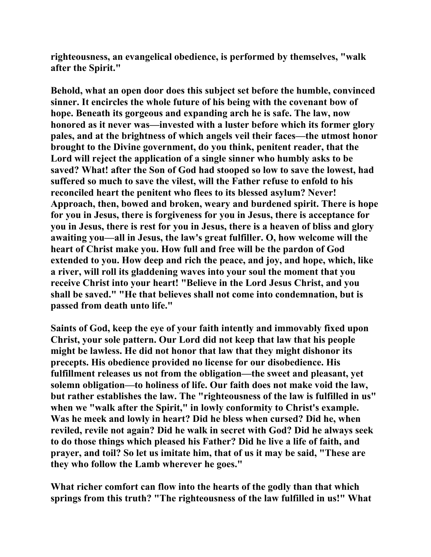**righteousness, an evangelical obedience, is performed by themselves, "walk after the Spirit."** 

**Behold, what an open door does this subject set before the humble, convinced sinner. It encircles the whole future of his being with the covenant bow of hope. Beneath its gorgeous and expanding arch he is safe. The law, now honored as it never was—invested with a luster before which its former glory pales, and at the brightness of which angels veil their faces—the utmost honor brought to the Divine government, do you think, penitent reader, that the Lord will reject the application of a single sinner who humbly asks to be saved? What! after the Son of God had stooped so low to save the lowest, had suffered so much to save the vilest, will the Father refuse to enfold to his reconciled heart the penitent who flees to its blessed asylum? Never! Approach, then, bowed and broken, weary and burdened spirit. There is hope for you in Jesus, there is forgiveness for you in Jesus, there is acceptance for you in Jesus, there is rest for you in Jesus, there is a heaven of bliss and glory awaiting you—all in Jesus, the law's great fulfiller. O, how welcome will the heart of Christ make you. How full and free will be the pardon of God extended to you. How deep and rich the peace, and joy, and hope, which, like a river, will roll its gladdening waves into your soul the moment that you receive Christ into your heart! "Believe in the Lord Jesus Christ, and you shall be saved." "He that believes shall not come into condemnation, but is passed from death unto life."** 

**Saints of God, keep the eye of your faith intently and immovably fixed upon Christ, your sole pattern. Our Lord did not keep that law that his people might be lawless. He did not honor that law that they might dishonor its precepts. His obedience provided no license for our disobedience. His fulfillment releases us not from the obligation—the sweet and pleasant, yet solemn obligation—to holiness of life. Our faith does not make void the law, but rather establishes the law. The "righteousness of the law is fulfilled in us" when we "walk after the Spirit," in lowly conformity to Christ's example. Was he meek and lowly in heart? Did he bless when cursed? Did he, when reviled, revile not again? Did he walk in secret with God? Did he always seek to do those things which pleased his Father? Did he live a life of faith, and prayer, and toil? So let us imitate him, that of us it may be said, "These are they who follow the Lamb wherever he goes."** 

**What richer comfort can flow into the hearts of the godly than that which springs from this truth? "The righteousness of the law fulfilled in us!" What**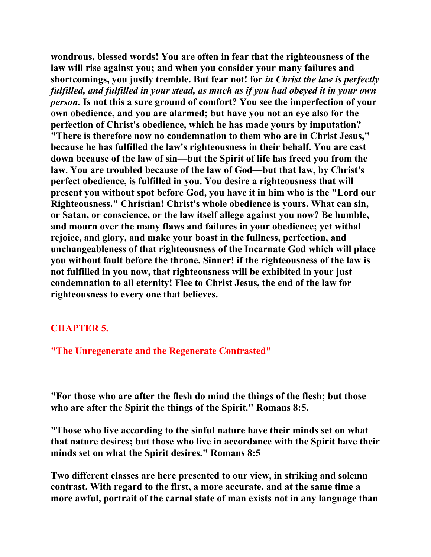**wondrous, blessed words! You are often in fear that the righteousness of the law will rise against you; and when you consider your many failures and shortcomings, you justly tremble. But fear not! for** *in Christ the law is perfectly fulfilled, and fulfilled in your stead, as much as if you had obeyed it in your own person.* **Is not this a sure ground of comfort? You see the imperfection of your own obedience, and you are alarmed; but have you not an eye also for the perfection of Christ's obedience, which he has made yours by imputation? "There is therefore now no condemnation to them who are in Christ Jesus," because he has fulfilled the law's righteousness in their behalf. You are cast down because of the law of sin—but the Spirit of life has freed you from the law. You are troubled because of the law of God—but that law, by Christ's perfect obedience, is fulfilled in you. You desire a righteousness that will present you without spot before God, you have it in him who is the "Lord our Righteousness." Christian! Christ's whole obedience is yours. What can sin, or Satan, or conscience, or the law itself allege against you now? Be humble, and mourn over the many flaws and failures in your obedience; yet withal rejoice, and glory, and make your boast in the fullness, perfection, and unchangeableness of that righteousness of the Incarnate God which will place you without fault before the throne. Sinner! if the righteousness of the law is not fulfilled in you now, that righteousness will be exhibited in your just condemnation to all eternity! Flee to Christ Jesus, the end of the law for righteousness to every one that believes.** 

#### **CHAPTER 5.**

**"The Unregenerate and the Regenerate Contrasted"**

**"For those who are after the flesh do mind the things of the flesh; but those who are after the Spirit the things of the Spirit." Romans 8:5.** 

**"Those who live according to the sinful nature have their minds set on what that nature desires; but those who live in accordance with the Spirit have their minds set on what the Spirit desires." Romans 8:5** 

**Two different classes are here presented to our view, in striking and solemn contrast. With regard to the first, a more accurate, and at the same time a more awful, portrait of the carnal state of man exists not in any language than**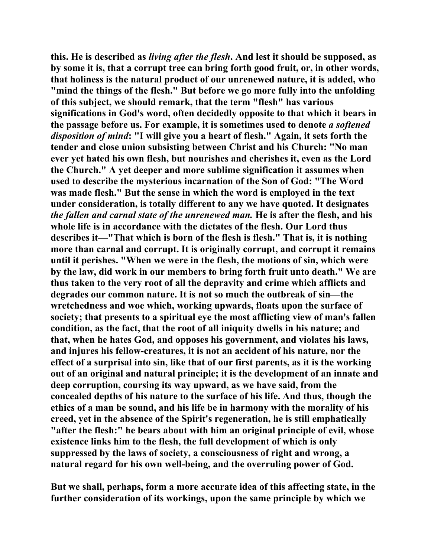**this. He is described as** *living after the flesh***. And lest it should be supposed, as by some it is, that a corrupt tree can bring forth good fruit, or, in other words, that holiness is the natural product of our unrenewed nature, it is added, who "mind the things of the flesh." But before we go more fully into the unfolding of this subject, we should remark, that the term "flesh" has various significations in God's word, often decidedly opposite to that which it bears in the passage before us. For example, it is sometimes used to denote** *a softened disposition of mind***: "I will give you a heart of flesh." Again, it sets forth the tender and close union subsisting between Christ and his Church: "No man ever yet hated his own flesh, but nourishes and cherishes it, even as the Lord the Church." A yet deeper and more sublime signification it assumes when used to describe the mysterious incarnation of the Son of God: "The Word was made flesh." But the sense in which the word is employed in the text under consideration, is totally different to any we have quoted. It designates**  *the fallen and carnal state of the unrenewed man.* **He is after the flesh, and his whole life is in accordance with the dictates of the flesh. Our Lord thus describes it—"That which is born of the flesh is flesh." That is, it is nothing more than carnal and corrupt. It is originally corrupt, and corrupt it remains until it perishes. "When we were in the flesh, the motions of sin, which were by the law, did work in our members to bring forth fruit unto death." We are thus taken to the very root of all the depravity and crime which afflicts and degrades our common nature. It is not so much the outbreak of sin—the wretchedness and woe which, working upwards, floats upon the surface of society; that presents to a spiritual eye the most afflicting view of man's fallen condition, as the fact, that the root of all iniquity dwells in his nature; and that, when he hates God, and opposes his government, and violates his laws, and injures his fellow-creatures, it is not an accident of his nature, nor the effect of a surprisal into sin, like that of our first parents, as it is the working out of an original and natural principle; it is the development of an innate and deep corruption, coursing its way upward, as we have said, from the concealed depths of his nature to the surface of his life. And thus, though the ethics of a man be sound, and his life be in harmony with the morality of his creed, yet in the absence of the Spirit's regeneration, he is still emphatically "after the flesh:" he bears about with him an original principle of evil, whose existence links him to the flesh, the full development of which is only suppressed by the laws of society, a consciousness of right and wrong, a natural regard for his own well-being, and the overruling power of God.** 

**But we shall, perhaps, form a more accurate idea of this affecting state, in the further consideration of its workings, upon the same principle by which we**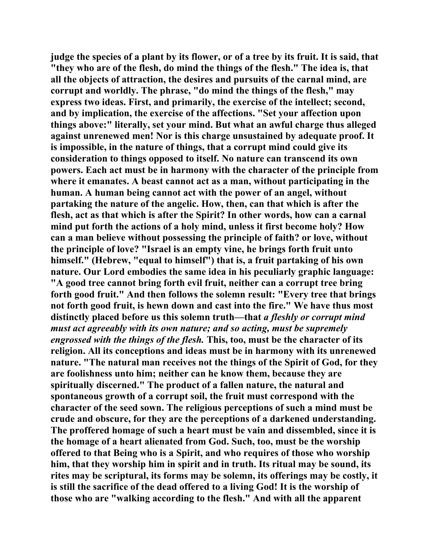**judge the species of a plant by its flower, or of a tree by its fruit. It is said, that "they who are of the flesh, do mind the things of the flesh." The idea is, that all the objects of attraction, the desires and pursuits of the carnal mind, are corrupt and worldly. The phrase, "do mind the things of the flesh," may express two ideas. First, and primarily, the exercise of the intellect; second, and by implication, the exercise of the affections. "Set your affection upon things above:" literally, set your mind. But what an awful charge thus alleged against unrenewed men! Nor is this charge unsustained by adequate proof. It is impossible, in the nature of things, that a corrupt mind could give its consideration to things opposed to itself. No nature can transcend its own powers. Each act must be in harmony with the character of the principle from where it emanates. A beast cannot act as a man, without participating in the human. A human being cannot act with the power of an angel, without partaking the nature of the angelic. How, then, can that which is after the flesh, act as that which is after the Spirit? In other words, how can a carnal mind put forth the actions of a holy mind, unless it first become holy? How can a man believe without possessing the principle of faith? or love, without the principle of love? "Israel is an empty vine, he brings forth fruit unto himself." (Hebrew, "equal to himself") that is, a fruit partaking of his own nature. Our Lord embodies the same idea in his peculiarly graphic language: "A good tree cannot bring forth evil fruit, neither can a corrupt tree bring forth good fruit." And then follows the solemn result: "Every tree that brings not forth good fruit, is hewn down and cast into the fire." We have thus most distinctly placed before us this solemn truth—that** *a fleshly or corrupt mind must act agreeably with its own nature; and so acting, must be supremely engrossed with the things of the flesh.* **This, too, must be the character of its religion. All its conceptions and ideas must be in harmony with its unrenewed nature. "The natural man receives not the things of the Spirit of God, for they are foolishness unto him; neither can he know them, because they are spiritually discerned." The product of a fallen nature, the natural and spontaneous growth of a corrupt soil, the fruit must correspond with the character of the seed sown. The religious perceptions of such a mind must be crude and obscure, for they are the perceptions of a darkened understanding. The proffered homage of such a heart must be vain and dissembled, since it is the homage of a heart alienated from God. Such, too, must be the worship offered to that Being who is a Spirit, and who requires of those who worship him, that they worship him in spirit and in truth. Its ritual may be sound, its rites may be scriptural, its forms may be solemn, its offerings may be costly, it is still the sacrifice of the dead offered to a living God! It is the worship of those who are "walking according to the flesh." And with all the apparent**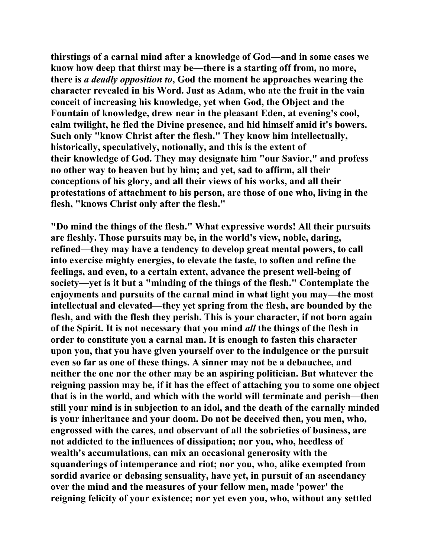**thirstings of a carnal mind after a knowledge of God—and in some cases we know how deep that thirst may be—there is a starting off from, no more, there is** *a deadly opposition to***, God the moment he approaches wearing the character revealed in his Word. Just as Adam, who ate the fruit in the vain conceit of increasing his knowledge, yet when God, the Object and the Fountain of knowledge, drew near in the pleasant Eden, at evening's cool, calm twilight, he fled the Divine presence, and hid himself amid it's bowers. Such only "know Christ after the flesh." They know him intellectually, historically, speculatively, notionally, and this is the extent of their knowledge of God. They may designate him "our Savior," and profess no other way to heaven but by him; and yet, sad to affirm, all their conceptions of his glory, and all their views of his works, and all their protestations of attachment to his person, are those of one who, living in the flesh, "knows Christ only after the flesh."** 

**"Do mind the things of the flesh." What expressive words! All their pursuits are fleshly. Those pursuits may be, in the world's view, noble, daring, refined—they may have a tendency to develop great mental powers, to call into exercise mighty energies, to elevate the taste, to soften and refine the feelings, and even, to a certain extent, advance the present well-being of society—yet is it but a "minding of the things of the flesh." Contemplate the enjoyments and pursuits of the carnal mind in what light you may—the most intellectual and elevated—they yet spring from the flesh, are bounded by the flesh, and with the flesh they perish. This is your character, if not born again of the Spirit. It is not necessary that you mind** *all* **the things of the flesh in order to constitute you a carnal man. It is enough to fasten this character upon you, that you have given yourself over to the indulgence or the pursuit even so far as one of these things. A sinner may not be a debauchee, and neither the one nor the other may be an aspiring politician. But whatever the reigning passion may be, if it has the effect of attaching you to some one object that is in the world, and which with the world will terminate and perish—then still your mind is in subjection to an idol, and the death of the carnally minded is your inheritance and your doom. Do not be deceived then, you men, who, engrossed with the cares, and observant of all the sobrieties of business, are not addicted to the influences of dissipation; nor you, who, heedless of wealth's accumulations, can mix an occasional generosity with the squanderings of intemperance and riot; nor you, who, alike exempted from sordid avarice or debasing sensuality, have yet, in pursuit of an ascendancy over the mind and the measures of your fellow men, made 'power' the reigning felicity of your existence; nor yet even you, who, without any settled**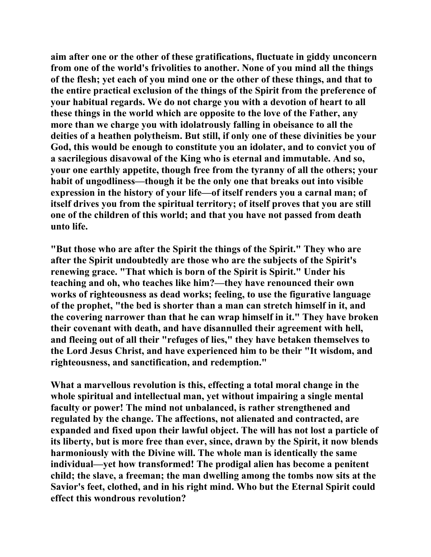**aim after one or the other of these gratifications, fluctuate in giddy unconcern from one of the world's frivolities to another. None of you mind all the things of the flesh; yet each of you mind one or the other of these things, and that to the entire practical exclusion of the things of the Spirit from the preference of your habitual regards. We do not charge you with a devotion of heart to all these things in the world which are opposite to the love of the Father, any more than we charge you with idolatrously falling in obeisance to all the deities of a heathen polytheism. But still, if only one of these divinities be your God, this would be enough to constitute you an idolater, and to convict you of a sacrilegious disavowal of the King who is eternal and immutable. And so, your one earthly appetite, though free from the tyranny of all the others; your habit of ungodliness—though it be the only one that breaks out into visible expression in the history of your life—of itself renders you a carnal man; of itself drives you from the spiritual territory; of itself proves that you are still one of the children of this world; and that you have not passed from death unto life.** 

**"But those who are after the Spirit the things of the Spirit." They who are after the Spirit undoubtedly are those who are the subjects of the Spirit's**  renewing grace. "That which is born of the Spirit is Spirit." Under his **teaching and oh, who teaches like him?—they have renounced their own works of righteousness as dead works; feeling, to use the figurative language of the prophet, "the bed is shorter than a man can stretch himself in it, and the covering narrower than that he can wrap himself in it." They have broken their covenant with death, and have disannulled their agreement with hell, and fleeing out of all their "refuges of lies," they have betaken themselves to the Lord Jesus Christ, and have experienced him to be their "It wisdom, and righteousness, and sanctification, and redemption."** 

**What a marvellous revolution is this, effecting a total moral change in the whole spiritual and intellectual man, yet without impairing a single mental faculty or power! The mind not unbalanced, is rather strengthened and regulated by the change. The affections, not alienated and contracted, are expanded and fixed upon their lawful object. The will has not lost a particle of its liberty, but is more free than ever, since, drawn by the Spirit, it now blends harmoniously with the Divine will. The whole man is identically the same individual—yet how transformed! The prodigal alien has become a penitent child; the slave, a freeman; the man dwelling among the tombs now sits at the Savior's feet, clothed, and in his right mind. Who but the Eternal Spirit could effect this wondrous revolution?**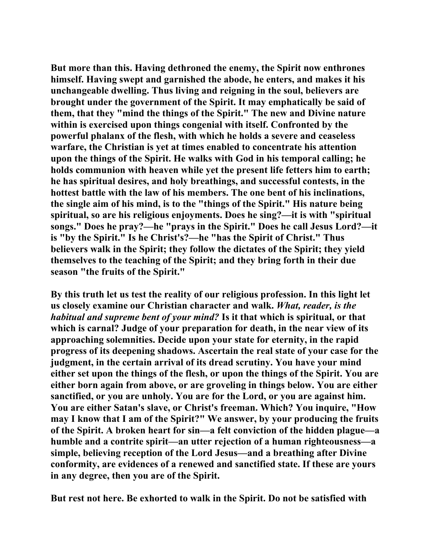**But more than this. Having dethroned the enemy, the Spirit now enthrones himself. Having swept and garnished the abode, he enters, and makes it his unchangeable dwelling. Thus living and reigning in the soul, believers are brought under the government of the Spirit. It may emphatically be said of them, that they "mind the things of the Spirit." The new and Divine nature within is exercised upon things congenial with itself. Confronted by the powerful phalanx of the flesh, with which he holds a severe and ceaseless warfare, the Christian is yet at times enabled to concentrate his attention upon the things of the Spirit. He walks with God in his temporal calling; he holds communion with heaven while yet the present life fetters him to earth; he has spiritual desires, and holy breathings, and successful contests, in the hottest battle with the law of his members. The one bent of his inclinations, the single aim of his mind, is to the "things of the Spirit." His nature being spiritual, so are his religious enjoyments. Does he sing?—it is with "spiritual songs." Does he pray?—he "prays in the Spirit." Does he call Jesus Lord?—it is "by the Spirit." Is he Christ's?—he "has the Spirit of Christ." Thus believers walk in the Spirit; they follow the dictates of the Spirit; they yield themselves to the teaching of the Spirit; and they bring forth in their due season "the fruits of the Spirit."** 

**By this truth let us test the reality of our religious profession. In this light let us closely examine our Christian character and walk.** *What, reader, is the habitual and supreme bent of your mind?* **Is it that which is spiritual, or that which is carnal? Judge of your preparation for death, in the near view of its approaching solemnities. Decide upon your state for eternity, in the rapid progress of its deepening shadows. Ascertain the real state of your case for the judgment, in the certain arrival of its dread scrutiny. You have your mind either set upon the things of the flesh, or upon the things of the Spirit. You are either born again from above, or are groveling in things below. You are either sanctified, or you are unholy. You are for the Lord, or you are against him. You are either Satan's slave, or Christ's freeman. Which? You inquire, "How may I know that I am of the Spirit?" We answer, by your producing the fruits of the Spirit. A broken heart for sin—a felt conviction of the hidden plague—a humble and a contrite spirit—an utter rejection of a human righteousness—a simple, believing reception of the Lord Jesus—and a breathing after Divine conformity, are evidences of a renewed and sanctified state. If these are yours in any degree, then you are of the Spirit.** 

**But rest not here. Be exhorted to walk in the Spirit. Do not be satisfied with**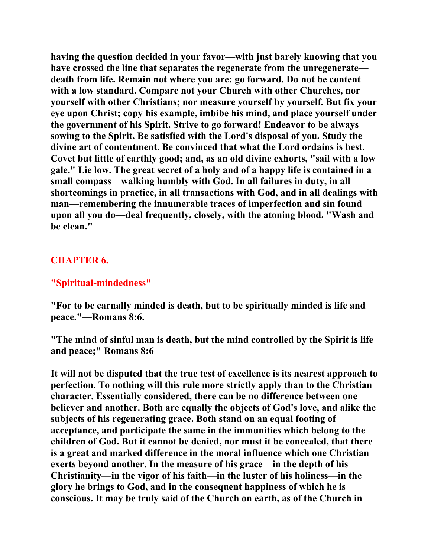**having the question decided in your favor—with just barely knowing that you have crossed the line that separates the regenerate from the unregenerate death from life. Remain not where you are: go forward. Do not be content**  with a low standard. Compare not your Church with other Churches, nor **yourself with other Christians; nor measure yourself by yourself. But fix your eye upon Christ; copy his example, imbibe his mind, and place yourself under the government of his Spirit. Strive to go forward! Endeavor to be always sowing to the Spirit. Be satisfied with the Lord's disposal of you. Study the divine art of contentment. Be convinced that what the Lord ordains is best. Covet but little of earthly good; and, as an old divine exhorts, "sail with a low gale." Lie low. The great secret of a holy and of a happy life is contained in a small compass—walking humbly with God. In all failures in duty, in all shortcomings in practice, in all transactions with God, and in all dealings with man—remembering the innumerable traces of imperfection and sin found upon all you do—deal frequently, closely, with the atoning blood. "Wash and be clean."** 

### **CHAPTER 6.**

### **"Spiritual-mindedness"**

**"For to be carnally minded is death, but to be spiritually minded is life and peace."—Romans 8:6.** 

**"The mind of sinful man is death, but the mind controlled by the Spirit is life and peace;" Romans 8:6** 

**It will not be disputed that the true test of excellence is its nearest approach to perfection. To nothing will this rule more strictly apply than to the Christian character. Essentially considered, there can be no difference between one believer and another. Both are equally the objects of God's love, and alike the subjects of his regenerating grace. Both stand on an equal footing of acceptance, and participate the same in the immunities which belong to the children of God. But it cannot be denied, nor must it be concealed, that there is a great and marked difference in the moral influence which one Christian exerts beyond another. In the measure of his grace—in the depth of his Christianity—in the vigor of his faith—in the luster of his holiness—in the glory he brings to God, and in the consequent happiness of which he is conscious. It may be truly said of the Church on earth, as of the Church in**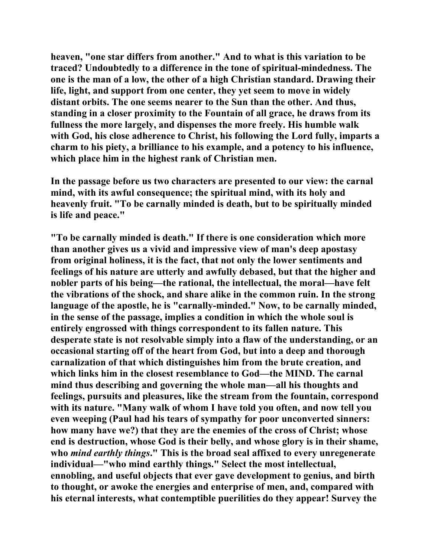**heaven, "one star differs from another." And to what is this variation to be traced? Undoubtedly to a difference in the tone of spiritual-mindedness. The one is the man of a low, the other of a high Christian standard. Drawing their life, light, and support from one center, they yet seem to move in widely distant orbits. The one seems nearer to the Sun than the other. And thus, standing in a closer proximity to the Fountain of all grace, he draws from its fullness the more largely, and dispenses the more freely. His humble walk with God, his close adherence to Christ, his following the Lord fully, imparts a charm to his piety, a brilliance to his example, and a potency to his influence, which place him in the highest rank of Christian men.** 

**In the passage before us two characters are presented to our view: the carnal mind, with its awful consequence; the spiritual mind, with its holy and heavenly fruit. "To be carnally minded is death, but to be spiritually minded is life and peace."** 

**"To be carnally minded is death." If there is one consideration which more than another gives us a vivid and impressive view of man's deep apostasy from original holiness, it is the fact, that not only the lower sentiments and feelings of his nature are utterly and awfully debased, but that the higher and nobler parts of his being—the rational, the intellectual, the moral—have felt the vibrations of the shock, and share alike in the common ruin. In the strong language of the apostle, he is "carnally-minded." Now, to be carnally minded, in the sense of the passage, implies a condition in which the whole soul is entirely engrossed with things correspondent to its fallen nature. This desperate state is not resolvable simply into a flaw of the understanding, or an occasional starting off of the heart from God, but into a deep and thorough carnalization of that which distinguishes him from the brute creation, and which links him in the closest resemblance to God—the MIND. The carnal mind thus describing and governing the whole man—all his thoughts and feelings, pursuits and pleasures, like the stream from the fountain, correspond with its nature. "Many walk of whom I have told you often, and now tell you even weeping (Paul had his tears of sympathy for poor unconverted sinners: how many have we?) that they are the enemies of the cross of Christ; whose end is destruction, whose God is their belly, and whose glory is in their shame, who** *mind earthly things***." This is the broad seal affixed to every unregenerate individual—"who mind earthly things." Select the most intellectual, ennobling, and useful objects that ever gave development to genius, and birth to thought, or awoke the energies and enterprise of men, and, compared with his eternal interests, what contemptible puerilities do they appear! Survey the**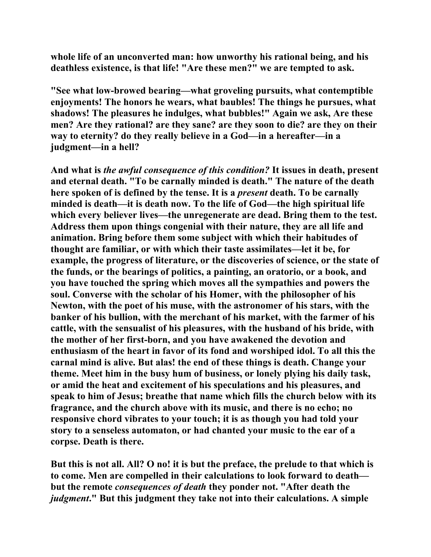**whole life of an unconverted man: how unworthy his rational being, and his deathless existence, is that life! "Are these men?" we are tempted to ask.** 

**"See what low-browed bearing—what groveling pursuits, what contemptible enjoyments! The honors he wears, what baubles! The things he pursues, what shadows! The pleasures he indulges, what bubbles!" Again we ask, Are these men? Are they rational? are they sane? are they soon to die? are they on their way to eternity? do they really believe in a God—in a hereafter—in a judgment—in a hell?** 

**And what is** *the awful consequence of this condition?* **It issues in death, present and eternal death. "To be carnally minded is death." The nature of the death here spoken of is defined by the tense. It is a** *present* **death. To be carnally minded is death—it is death now. To the life of God—the high spiritual life which every believer lives—the unregenerate are dead. Bring them to the test. Address them upon things congenial with their nature, they are all life and animation. Bring before them some subject with which their habitudes of thought are familiar, or with which their taste assimilates—let it be, for example, the progress of literature, or the discoveries of science, or the state of the funds, or the bearings of politics, a painting, an oratorio, or a book, and you have touched the spring which moves all the sympathies and powers the soul. Converse with the scholar of his Homer, with the philosopher of his Newton, with the poet of his muse, with the astronomer of his stars, with the banker of his bullion, with the merchant of his market, with the farmer of his cattle, with the sensualist of his pleasures, with the husband of his bride, with the mother of her first-born, and you have awakened the devotion and enthusiasm of the heart in favor of its fond and worshiped idol. To all this the carnal mind is alive. But alas! the end of these things is death. Change your theme. Meet him in the busy hum of business, or lonely plying his daily task, or amid the heat and excitement of his speculations and his pleasures, and speak to him of Jesus; breathe that name which fills the church below with its fragrance, and the church above with its music, and there is no echo; no responsive chord vibrates to your touch; it is as though you had told your story to a senseless automaton, or had chanted your music to the ear of a corpse. Death is there.** 

**But this is not all. All? O no! it is but the preface, the prelude to that which is to come. Men are compelled in their calculations to look forward to death but the remote** *consequences of death* **they ponder not. "After death the**  *judgment***." But this judgment they take not into their calculations. A simple**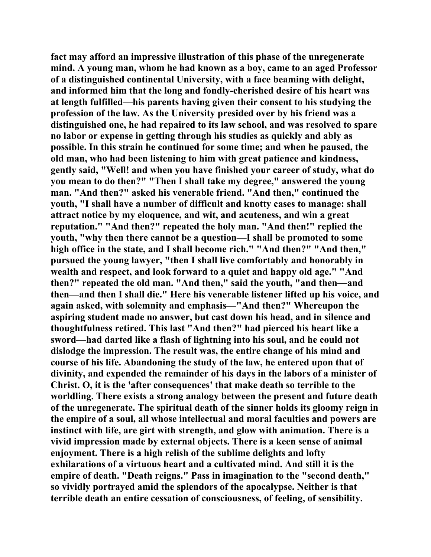**fact may afford an impressive illustration of this phase of the unregenerate mind. A young man, whom he had known as a boy, came to an aged Professor of a distinguished continental University, with a face beaming with delight, and informed him that the long and fondly-cherished desire of his heart was at length fulfilled—his parents having given their consent to his studying the profession of the law. As the University presided over by his friend was a distinguished one, he had repaired to its law school, and was resolved to spare no labor or expense in getting through his studies as quickly and ably as possible. In this strain he continued for some time; and when he paused, the old man, who had been listening to him with great patience and kindness, gently said, "Well! and when you have finished your career of study, what do you mean to do then?" "Then I shall take my degree," answered the young man. "And then?" asked his venerable friend. "And then," continued the youth, "I shall have a number of difficult and knotty cases to manage: shall attract notice by my eloquence, and wit, and acuteness, and win a great reputation." "And then?" repeated the holy man. "And then!" replied the youth, "why then there cannot be a question—I shall be promoted to some high office in the state, and I shall become rich." "And then?" "And then," pursued the young lawyer, "then I shall live comfortably and honorably in wealth and respect, and look forward to a quiet and happy old age." "And then?" repeated the old man. "And then," said the youth, "and then—and then—and then I shall die." Here his venerable listener lifted up his voice, and again asked, with solemnity and emphasis—"And then?" Whereupon the aspiring student made no answer, but cast down his head, and in silence and thoughtfulness retired. This last "And then?" had pierced his heart like a sword—had darted like a flash of lightning into his soul, and he could not dislodge the impression. The result was, the entire change of his mind and course of his life. Abandoning the study of the law, he entered upon that of divinity, and expended the remainder of his days in the labors of a minister of Christ. O, it is the 'after consequences' that make death so terrible to the worldling. There exists a strong analogy between the present and future death of the unregenerate. The spiritual death of the sinner holds its gloomy reign in the empire of a soul, all whose intellectual and moral faculties and powers are instinct with life, are girt with strength, and glow with animation. There is a vivid impression made by external objects. There is a keen sense of animal enjoyment. There is a high relish of the sublime delights and lofty exhilarations of a virtuous heart and a cultivated mind. And still it is the empire of death. "Death reigns." Pass in imagination to the "second death," so vividly portrayed amid the splendors of the apocalypse. Neither is that terrible death an entire cessation of consciousness, of feeling, of sensibility.**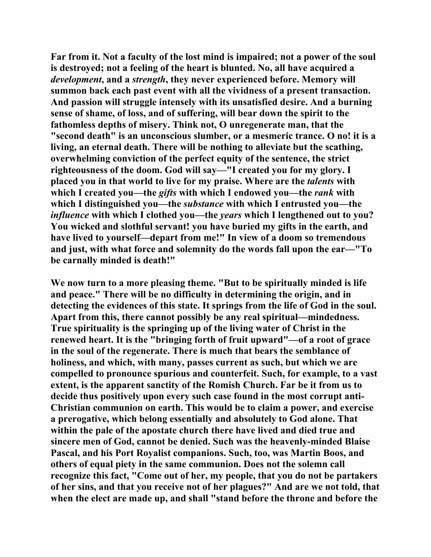**Far from it. Not a faculty of the lost mind is impaired; not a power of the soul is destroyed; not a feeling of the heart is blunted. No, all have acquired a**  *development***, and a** *strength***, they never experienced before. Memory will summon back each past event with all the vividness of a present transaction. And passion will struggle intensely with its unsatisfied desire. And a burning sense of shame, of loss, and of suffering, will bear down the spirit to the fathomless depths of misery. Think not, O unregenerate man, that the "second death" is an unconscious slumber, or a mesmeric trance. O no! it is a living, an eternal death. There will be nothing to alleviate but the scathing, overwhelming conviction of the perfect equity of the sentence, the strict righteousness of the doom. God will say—"I created you for my glory. I placed you in that world to live for my praise. Where are the** *talents* **with which I created you—the** *gifts* **with which I endowed you—the** *rank* **with which I distinguished you—the** *substance* **with which I entrusted you—the**  *influence* **with which I clothed you—the** *years* **which I lengthened out to you? You wicked and slothful servant! you have buried my gifts in the earth, and have lived to yourself—depart from me!" In view of a doom so tremendous and just, with what force and solemnity do the words fall upon the ear—"To be carnally minded is death!"** 

**We now turn to a more pleasing theme. "But to be spiritually minded is life and peace." There will be no difficulty in determining the origin, and in detecting the evidences of this state. It springs from the life of God in the soul. Apart from this, there cannot possibly be any real spiritual—mindedness. True spirituality is the springing up of the living water of Christ in the renewed heart. It is the "bringing forth of fruit upward"—of a root of grace in the soul of the regenerate. There is much that bears the semblance of holiness, and which, with many, passes current as such, but which we are compelled to pronounce spurious and counterfeit. Such, for example, to a vast extent, is the apparent sanctity of the Romish Church. Far be it from us to decide thus positively upon every such case found in the most corrupt anti-Christian communion on earth. This would be to claim a power, and exercise a prerogative, which belong essentially and absolutely to God alone. That within the pale of the apostate church there have lived and died true and sincere men of God, cannot be denied. Such was the heavenly-minded Blaise Pascal, and his Port Royalist companions. Such, too, was Martin Boos, and others of equal piety in the same communion. Does not the solemn call recognize this fact, "Come out of her, my people, that you do not be partakers of her sins, and that you receive not of her plagues?" And are we not told, that when the elect are made up, and shall "stand before the throne and before the**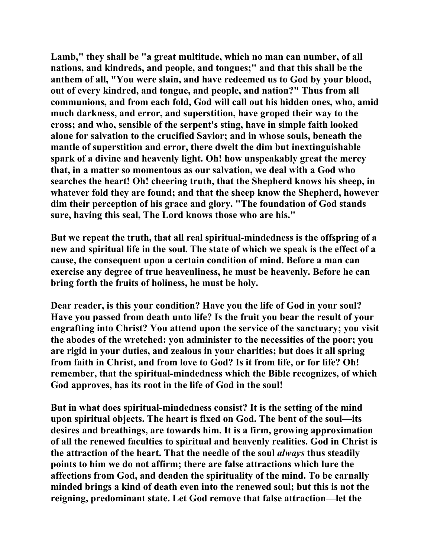**Lamb," they shall be "a great multitude, which no man can number, of all nations, and kindreds, and people, and tongues;" and that this shall be the anthem of all, "You were slain, and have redeemed us to God by your blood, out of every kindred, and tongue, and people, and nation?" Thus from all communions, and from each fold, God will call out his hidden ones, who, amid much darkness, and error, and superstition, have groped their way to the cross; and who, sensible of the serpent's sting, have in simple faith looked alone for salvation to the crucified Savior; and in whose souls, beneath the mantle of superstition and error, there dwelt the dim but inextinguishable spark of a divine and heavenly light. Oh! how unspeakably great the mercy that, in a matter so momentous as our salvation, we deal with a God who searches the heart! Oh! cheering truth, that the Shepherd knows his sheep, in whatever fold they are found; and that the sheep know the Shepherd, however dim their perception of his grace and glory. "The foundation of God stands sure, having this seal, The Lord knows those who are his."** 

**But we repeat the truth, that all real spiritual-mindedness is the offspring of a new and spiritual life in the soul. The state of which we speak is the effect of a cause, the consequent upon a certain condition of mind. Before a man can exercise any degree of true heavenliness, he must be heavenly. Before he can bring forth the fruits of holiness, he must be holy.** 

**Dear reader, is this your condition? Have you the life of God in your soul? Have you passed from death unto life? Is the fruit you bear the result of your engrafting into Christ? You attend upon the service of the sanctuary; you visit the abodes of the wretched: you administer to the necessities of the poor; you are rigid in your duties, and zealous in your charities; but does it all spring from faith in Christ, and from love to God? Is it from life, or for life? Oh! remember, that the spiritual-mindedness which the Bible recognizes, of which God approves, has its root in the life of God in the soul!** 

**But in what does spiritual-mindedness consist? It is the setting of the mind upon spiritual objects. The heart is fixed on God. The bent of the soul—its desires and breathings, are towards him. It is a firm, growing approximation of all the renewed faculties to spiritual and heavenly realities. God in Christ is the attraction of the heart. That the needle of the soul** *always* **thus steadily points to him we do not affirm; there are false attractions which lure the affections from God, and deaden the spirituality of the mind. To be carnally minded brings a kind of death even into the renewed soul; but this is not the reigning, predominant state. Let God remove that false attraction—let the**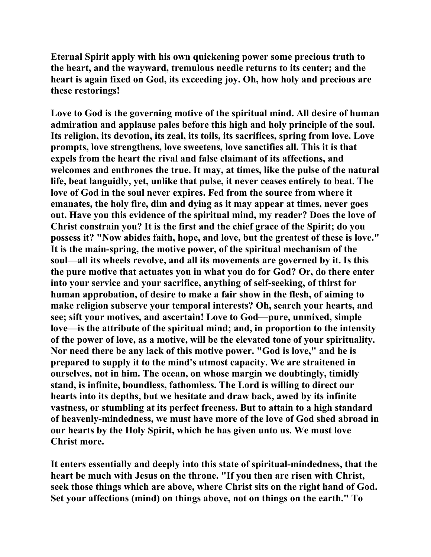**Eternal Spirit apply with his own quickening power some precious truth to the heart, and the wayward, tremulous needle returns to its center; and the heart is again fixed on God, its exceeding joy. Oh, how holy and precious are these restorings!** 

**Love to God is the governing motive of the spiritual mind. All desire of human admiration and applause pales before this high and holy principle of the soul. Its religion, its devotion, its zeal, its toils, its sacrifices, spring from love. Love prompts, love strengthens, love sweetens, love sanctifies all. This it is that expels from the heart the rival and false claimant of its affections, and welcomes and enthrones the true. It may, at times, like the pulse of the natural life, beat languidly, yet, unlike that pulse, it never ceases entirely to beat. The love of God in the soul never expires. Fed from the source from where it emanates, the holy fire, dim and dying as it may appear at times, never goes out. Have you this evidence of the spiritual mind, my reader? Does the love of Christ constrain you? It is the first and the chief grace of the Spirit; do you possess it? "Now abides faith, hope, and love, but the greatest of these is love." It is the main-spring, the motive power, of the spiritual mechanism of the soul—all its wheels revolve, and all its movements are governed by it. Is this the pure motive that actuates you in what you do for God? Or, do there enter into your service and your sacrifice, anything of self-seeking, of thirst for human approbation, of desire to make a fair show in the flesh, of aiming to make religion subserve your temporal interests? Oh, search your hearts, and see; sift your motives, and ascertain! Love to God—pure, unmixed, simple love—is the attribute of the spiritual mind; and, in proportion to the intensity of the power of love, as a motive, will be the elevated tone of your spirituality. Nor need there be any lack of this motive power. "God is love," and he is prepared to supply it to the mind's utmost capacity. We are straitened in ourselves, not in him. The ocean, on whose margin we doubtingly, timidly stand, is infinite, boundless, fathomless. The Lord is willing to direct our hearts into its depths, but we hesitate and draw back, awed by its infinite vastness, or stumbling at its perfect freeness. But to attain to a high standard of heavenly-mindedness, we must have more of the love of God shed abroad in our hearts by the Holy Spirit, which he has given unto us. We must love Christ more.** 

**It enters essentially and deeply into this state of spiritual-mindedness, that the heart be much with Jesus on the throne. "If you then are risen with Christ, seek those things which are above, where Christ sits on the right hand of God. Set your affections (mind) on things above, not on things on the earth." To**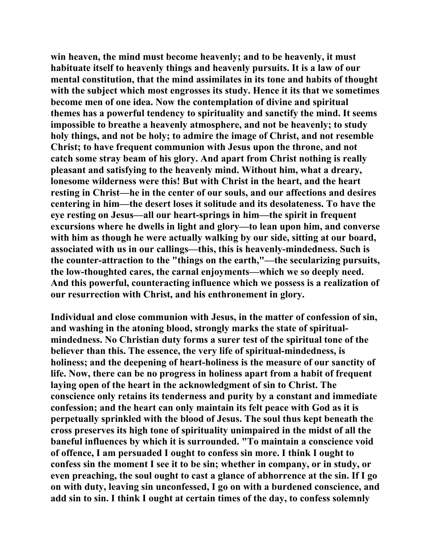**win heaven, the mind must become heavenly; and to be heavenly, it must habituate itself to heavenly things and heavenly pursuits. It is a law of our mental constitution, that the mind assimilates in its tone and habits of thought with the subject which most engrosses its study. Hence it its that we sometimes become men of one idea. Now the contemplation of divine and spiritual themes has a powerful tendency to spirituality and sanctify the mind. It seems impossible to breathe a heavenly atmosphere, and not be heavenly; to study holy things, and not be holy; to admire the image of Christ, and not resemble Christ; to have frequent communion with Jesus upon the throne, and not catch some stray beam of his glory. And apart from Christ nothing is really pleasant and satisfying to the heavenly mind. Without him, what a dreary, lonesome wilderness were this! But with Christ in the heart, and the heart resting in Christ—he in the center of our souls, and our affections and desires centering in him—the desert loses it solitude and its desolateness. To have the eye resting on Jesus—all our heart-springs in him—the spirit in frequent excursions where he dwells in light and glory—to lean upon him, and converse with him as though he were actually walking by our side, sitting at our board, associated with us in our callings—this, this is heavenly-mindedness. Such is the counter-attraction to the "things on the earth,"—the secularizing pursuits, the low-thoughted cares, the carnal enjoyments—which we so deeply need. And this powerful, counteracting influence which we possess is a realization of our resurrection with Christ, and his enthronement in glory.** 

**Individual and close communion with Jesus, in the matter of confession of sin, and washing in the atoning blood, strongly marks the state of spiritualmindedness. No Christian duty forms a surer test of the spiritual tone of the believer than this. The essence, the very life of spiritual-mindedness, is holiness; and the deepening of heart-holiness is the measure of our sanctity of life. Now, there can be no progress in holiness apart from a habit of frequent laying open of the heart in the acknowledgment of sin to Christ. The conscience only retains its tenderness and purity by a constant and immediate confession; and the heart can only maintain its felt peace with God as it is perpetually sprinkled with the blood of Jesus. The soul thus kept beneath the cross preserves its high tone of spirituality unimpaired in the midst of all the baneful influences by which it is surrounded. "To maintain a conscience void of offence, I am persuaded I ought to confess sin more. I think I ought to confess sin the moment I see it to be sin; whether in company, or in study, or even preaching, the soul ought to cast a glance of abhorrence at the sin. If I go on with duty, leaving sin unconfessed, I go on with a burdened conscience, and add sin to sin. I think I ought at certain times of the day, to confess solemnly**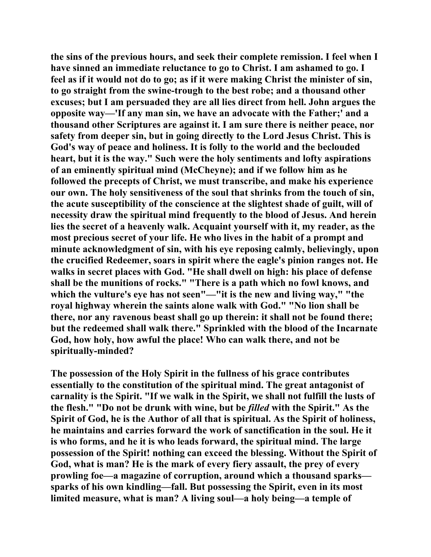**the sins of the previous hours, and seek their complete remission. I feel when I have sinned an immediate reluctance to go to Christ. I am ashamed to go. I feel as if it would not do to go; as if it were making Christ the minister of sin, to go straight from the swine-trough to the best robe; and a thousand other excuses; but I am persuaded they are all lies direct from hell. John argues the opposite way—'If any man sin, we have an advocate with the Father;' and a thousand other Scriptures are against it. I am sure there is neither peace, nor safety from deeper sin, but in going directly to the Lord Jesus Christ. This is God's way of peace and holiness. It is folly to the world and the beclouded heart, but it is the way." Such were the holy sentiments and lofty aspirations of an eminently spiritual mind (McCheyne); and if we follow him as he followed the precepts of Christ, we must transcribe, and make his experience our own. The holy sensitiveness of the soul that shrinks from the touch of sin, the acute susceptibility of the conscience at the slightest shade of guilt, will of necessity draw the spiritual mind frequently to the blood of Jesus. And herein lies the secret of a heavenly walk. Acquaint yourself with it, my reader, as the most precious secret of your life. He who lives in the habit of a prompt and minute acknowledgment of sin, with his eye reposing calmly, believingly, upon the crucified Redeemer, soars in spirit where the eagle's pinion ranges not. He walks in secret places with God. "He shall dwell on high: his place of defense shall be the munitions of rocks." "There is a path which no fowl knows, and which the vulture's eye has not seen"—"it is the new and living way," "the royal highway wherein the saints alone walk with God." "No lion shall be there, nor any ravenous beast shall go up therein: it shall not be found there; but the redeemed shall walk there." Sprinkled with the blood of the Incarnate God, how holy, how awful the place! Who can walk there, and not be spiritually-minded?** 

**The possession of the Holy Spirit in the fullness of his grace contributes essentially to the constitution of the spiritual mind. The great antagonist of carnality is the Spirit. "If we walk in the Spirit, we shall not fulfill the lusts of the flesh." "Do not be drunk with wine, but be** *filled* **with the Spirit." As the Spirit of God, he is the Author of all that is spiritual. As the Spirit of holiness, he maintains and carries forward the work of sanctification in the soul. He it is who forms, and he it is who leads forward, the spiritual mind. The large possession of the Spirit! nothing can exceed the blessing. Without the Spirit of God, what is man? He is the mark of every fiery assault, the prey of every prowling foe—a magazine of corruption, around which a thousand sparks sparks of his own kindling—fall. But possessing the Spirit, even in its most limited measure, what is man? A living soul—a holy being—a temple of**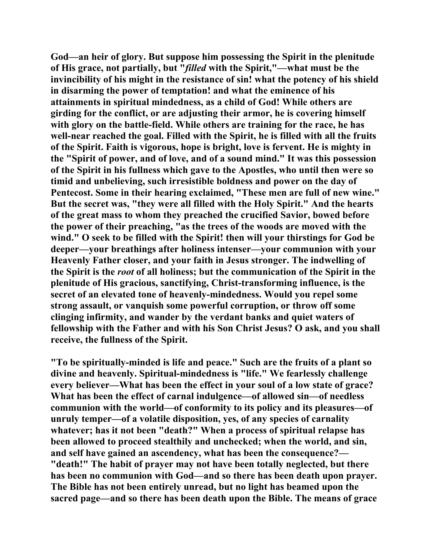**God—an heir of glory. But suppose him possessing the Spirit in the plenitude of His grace, not partially, but "***filled* **with the Spirit,"—what must be the invincibility of his might in the resistance of sin! what the potency of his shield in disarming the power of temptation! and what the eminence of his attainments in spiritual mindedness, as a child of God! While others are girding for the conflict, or are adjusting their armor, he is covering himself with glory on the battle-field. While others are training for the race, he has well-near reached the goal. Filled with the Spirit, he is filled with all the fruits of the Spirit. Faith is vigorous, hope is bright, love is fervent. He is mighty in the "Spirit of power, and of love, and of a sound mind." It was this possession of the Spirit in his fullness which gave to the Apostles, who until then were so timid and unbelieving, such irresistible boldness and power on the day of Pentecost. Some in their hearing exclaimed, "These men are full of new wine." But the secret was, "they were all filled with the Holy Spirit." And the hearts of the great mass to whom they preached the crucified Savior, bowed before the power of their preaching, "as the trees of the woods are moved with the wind." O seek to be filled with the Spirit! then will your thirstings for God be deeper—your breathings after holiness intenser—your communion with your Heavenly Father closer, and your faith in Jesus stronger. The indwelling of the Spirit is the** *root* **of all holiness; but the communication of the Spirit in the plenitude of His gracious, sanctifying, Christ-transforming influence, is the secret of an elevated tone of heavenly-mindedness. Would you repel some strong assault, or vanquish some powerful corruption, or throw off some clinging infirmity, and wander by the verdant banks and quiet waters of fellowship with the Father and with his Son Christ Jesus? O ask, and you shall receive, the fullness of the Spirit.** 

**"To be spiritually-minded is life and peace." Such are the fruits of a plant so divine and heavenly. Spiritual-mindedness is "life." We fearlessly challenge every believer—What has been the effect in your soul of a low state of grace? What has been the effect of carnal indulgence—of allowed sin—of needless communion with the world—of conformity to its policy and its pleasures—of unruly temper—of a volatile disposition, yes, of any species of carnality whatever; has it not been "death?" When a process of spiritual relapse has been allowed to proceed stealthily and unchecked; when the world, and sin, and self have gained an ascendency, what has been the consequence?— "death!" The habit of prayer may not have been totally neglected, but there has been no communion with God—and so there has been death upon prayer. The Bible has not been entirely unread, but no light has beamed upon the sacred page—and so there has been death upon the Bible. The means of grace**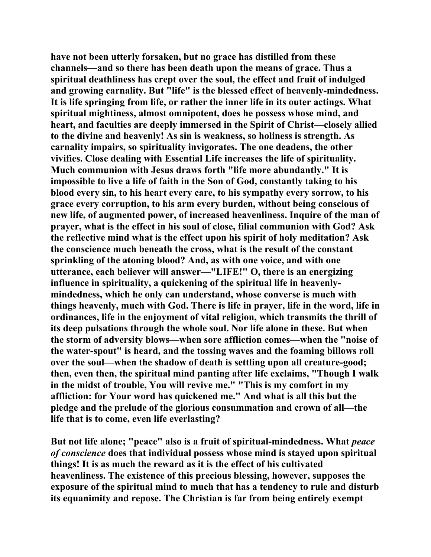**have not been utterly forsaken, but no grace has distilled from these channels—and so there has been death upon the means of grace. Thus a spiritual deathliness has crept over the soul, the effect and fruit of indulged and growing carnality. But "life" is the blessed effect of heavenly-mindedness. It is life springing from life, or rather the inner life in its outer actings. What spiritual mightiness, almost omnipotent, does he possess whose mind, and heart, and faculties are deeply immersed in the Spirit of Christ—closely allied to the divine and heavenly! As sin is weakness, so holiness is strength. As carnality impairs, so spirituality invigorates. The one deadens, the other vivifies. Close dealing with Essential Life increases the life of spirituality. Much communion with Jesus draws forth "life more abundantly." It is impossible to live a life of faith in the Son of God, constantly taking to his blood every sin, to his heart every care, to his sympathy every sorrow, to his grace every corruption, to his arm every burden, without being conscious of new life, of augmented power, of increased heavenliness. Inquire of the man of prayer, what is the effect in his soul of close, filial communion with God? Ask the reflective mind what is the effect upon his spirit of holy meditation? Ask the conscience much beneath the cross, what is the result of the constant sprinkling of the atoning blood? And, as with one voice, and with one utterance, each believer will answer—"LIFE!" O, there is an energizing influence in spirituality, a quickening of the spiritual life in heavenlymindedness, which he only can understand, whose converse is much with things heavenly, much with God. There is life in prayer, life in the word, life in ordinances, life in the enjoyment of vital religion, which transmits the thrill of its deep pulsations through the whole soul. Nor life alone in these. But when the storm of adversity blows—when sore affliction comes—when the "noise of the water-spout" is heard, and the tossing waves and the foaming billows roll over the soul—when the shadow of death is settling upon all creature-good; then, even then, the spiritual mind panting after life exclaims, "Though I walk in the midst of trouble, You will revive me." "This is my comfort in my affliction: for Your word has quickened me." And what is all this but the pledge and the prelude of the glorious consummation and crown of all—the life that is to come, even life everlasting?** 

**But not life alone; "peace" also is a fruit of spiritual-mindedness. What** *peace of conscience* **does that individual possess whose mind is stayed upon spiritual things! It is as much the reward as it is the effect of his cultivated heavenliness. The existence of this precious blessing, however, supposes the exposure of the spiritual mind to much that has a tendency to rule and disturb its equanimity and repose. The Christian is far from being entirely exempt**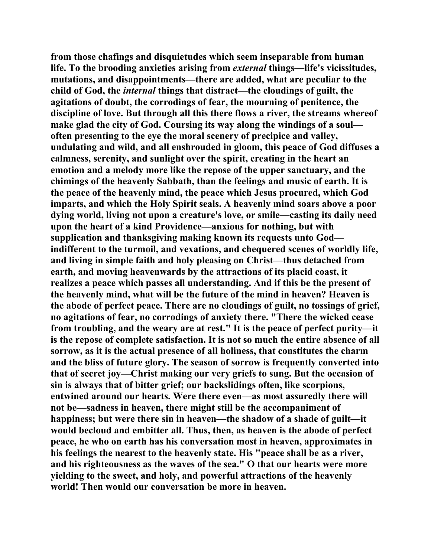**from those chafings and disquietudes which seem inseparable from human life. To the brooding anxieties arising from** *external* **things—life's vicissitudes, mutations, and disappointments—there are added, what are peculiar to the child of God, the** *internal* **things that distract—the cloudings of guilt, the agitations of doubt, the corrodings of fear, the mourning of penitence, the discipline of love. But through all this there flows a river, the streams whereof make glad the city of God. Coursing its way along the windings of a soul often presenting to the eye the moral scenery of precipice and valley, undulating and wild, and all enshrouded in gloom, this peace of God diffuses a calmness, serenity, and sunlight over the spirit, creating in the heart an emotion and a melody more like the repose of the upper sanctuary, and the chimings of the heavenly Sabbath, than the feelings and music of earth. It is the peace of the heavenly mind, the peace which Jesus procured, which God imparts, and which the Holy Spirit seals. A heavenly mind soars above a poor dying world, living not upon a creature's love, or smile—casting its daily need upon the heart of a kind Providence—anxious for nothing, but with supplication and thanksgiving making known its requests unto God indifferent to the turmoil, and vexations, and chequered scenes of worldly life, and living in simple faith and holy pleasing on Christ—thus detached from earth, and moving heavenwards by the attractions of its placid coast, it realizes a peace which passes all understanding. And if this be the present of the heavenly mind, what will be the future of the mind in heaven? Heaven is the abode of perfect peace. There are no cloudings of guilt, no tossings of grief, no agitations of fear, no corrodings of anxiety there. "There the wicked cease from troubling, and the weary are at rest." It is the peace of perfect purity—it is the repose of complete satisfaction. It is not so much the entire absence of all sorrow, as it is the actual presence of all holiness, that constitutes the charm and the bliss of future glory. The season of sorrow is frequently converted into that of secret joy—Christ making our very griefs to sung. But the occasion of sin is always that of bitter grief; our backslidings often, like scorpions, entwined around our hearts. Were there even—as most assuredly there will not be—sadness in heaven, there might still be the accompaniment of happiness; but were there sin in heaven—the shadow of a shade of guilt—it would becloud and embitter all. Thus, then, as heaven is the abode of perfect peace, he who on earth has his conversation most in heaven, approximates in his feelings the nearest to the heavenly state. His "peace shall be as a river, and his righteousness as the waves of the sea." O that our hearts were more yielding to the sweet, and holy, and powerful attractions of the heavenly world! Then would our conversation be more in heaven.**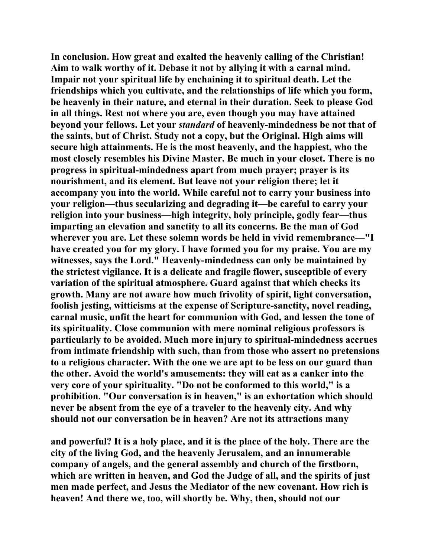**In conclusion. How great and exalted the heavenly calling of the Christian! Aim to walk worthy of it. Debase it not by allying it with a carnal mind. Impair not your spiritual life by enchaining it to spiritual death. Let the friendships which you cultivate, and the relationships of life which you form, be heavenly in their nature, and eternal in their duration. Seek to please God in all things. Rest not where you are, even though you may have attained beyond your fellows. Let your** *standard* **of heavenly-mindedness be not that of the saints, but of Christ. Study not a copy, but the Original. High aims will secure high attainments. He is the most heavenly, and the happiest, who the most closely resembles his Divine Master. Be much in your closet. There is no progress in spiritual-mindedness apart from much prayer; prayer is its nourishment, and its element. But leave not your religion there; let it accompany you into the world. While careful not to carry your business into your religion—thus secularizing and degrading it—be careful to carry your religion into your business—high integrity, holy principle, godly fear—thus imparting an elevation and sanctity to all its concerns. Be the man of God wherever you are. Let these solemn words be held in vivid remembrance—"I have created you for my glory. I have formed you for my praise. You are my witnesses, says the Lord." Heavenly-mindedness can only be maintained by the strictest vigilance. It is a delicate and fragile flower, susceptible of every variation of the spiritual atmosphere. Guard against that which checks its growth. Many are not aware how much frivolity of spirit, light conversation, foolish jesting, witticisms at the expense of Scripture-sanctity, novel reading, carnal music, unfit the heart for communion with God, and lessen the tone of its spirituality. Close communion with mere nominal religious professors is particularly to be avoided. Much more injury to spiritual-mindedness accrues from intimate friendship with such, than from those who assert no pretensions to a religious character. With the one we are apt to be less on our guard than the other. Avoid the world's amusements: they will eat as a canker into the very core of your spirituality. "Do not be conformed to this world," is a prohibition. "Our conversation is in heaven," is an exhortation which should never be absent from the eye of a traveler to the heavenly city. And why should not our conversation be in heaven? Are not its attractions many** 

**and powerful? It is a holy place, and it is the place of the holy. There are the city of the living God, and the heavenly Jerusalem, and an innumerable company of angels, and the general assembly and church of the firstborn, which are written in heaven, and God the Judge of all, and the spirits of just men made perfect, and Jesus the Mediator of the new covenant. How rich is heaven! And there we, too, will shortly be. Why, then, should not our**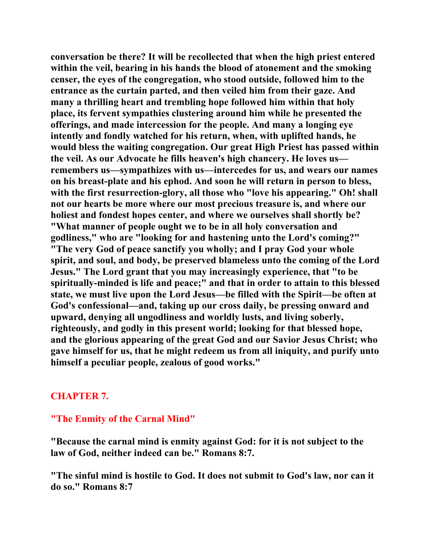**conversation be there? It will be recollected that when the high priest entered within the veil, bearing in his hands the blood of atonement and the smoking censer, the eyes of the congregation, who stood outside, followed him to the entrance as the curtain parted, and then veiled him from their gaze. And many a thrilling heart and trembling hope followed him within that holy place, its fervent sympathies clustering around him while he presented the offerings, and made intercession for the people. And many a longing eye intently and fondly watched for his return, when, with uplifted hands, he would bless the waiting congregation. Our great High Priest has passed within the veil. As our Advocate he fills heaven's high chancery. He loves us remembers us—sympathizes with us—intercedes for us, and wears our names on his breast-plate and his ephod. And soon he will return in person to bless, with the first resurrection-glory, all those who "love his appearing." Oh! shall not our hearts be more where our most precious treasure is, and where our holiest and fondest hopes center, and where we ourselves shall shortly be? "What manner of people ought we to be in all holy conversation and godliness," who are "looking for and hastening unto the Lord's coming?" "The very God of peace sanctify you wholly; and I pray God your whole spirit, and soul, and body, be preserved blameless unto the coming of the Lord Jesus." The Lord grant that you may increasingly experience, that "to be spiritually-minded is life and peace;" and that in order to attain to this blessed state, we must live upon the Lord Jesus—be filled with the Spirit—be often at God's confessional—and, taking up our cross daily, be pressing onward and upward, denying all ungodliness and worldly lusts, and living soberly, righteously, and godly in this present world; looking for that blessed hope, and the glorious appearing of the great God and our Savior Jesus Christ; who gave himself for us, that he might redeem us from all iniquity, and purify unto himself a peculiar people, zealous of good works."** 

#### **CHAPTER 7.**

#### **"The Enmity of the Carnal Mind"**

**"Because the carnal mind is enmity against God: for it is not subject to the law of God, neither indeed can be." Romans 8:7.** 

**"The sinful mind is hostile to God. It does not submit to God's law, nor can it do so." Romans 8:7**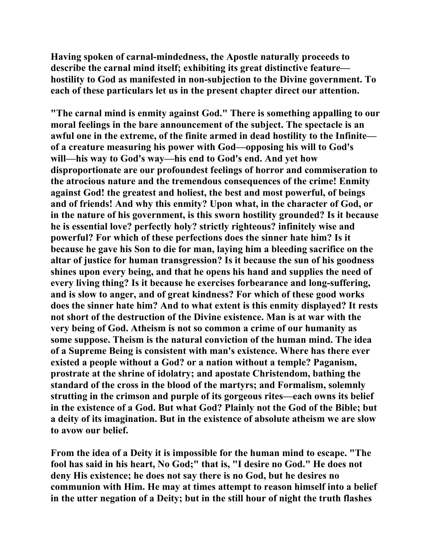**Having spoken of carnal-mindedness, the Apostle naturally proceeds to describe the carnal mind itself; exhibiting its great distinctive feature hostility to God as manifested in non-subjection to the Divine government. To each of these particulars let us in the present chapter direct our attention.** 

**"The carnal mind is enmity against God." There is something appalling to our moral feelings in the bare announcement of the subject. The spectacle is an awful one in the extreme, of the finite armed in dead hostility to the Infinite of a creature measuring his power with God—opposing his will to God's will—his way to God's way—his end to God's end. And yet how disproportionate are our profoundest feelings of horror and commiseration to the atrocious nature and the tremendous consequences of the crime! Enmity against God! the greatest and holiest, the best and most powerful, of beings and of friends! And why this enmity? Upon what, in the character of God, or in the nature of his government, is this sworn hostility grounded? Is it because he is essential love? perfectly holy? strictly righteous? infinitely wise and powerful? For which of these perfections does the sinner hate him? Is it because he gave his Son to die for man, laying him a bleeding sacrifice on the altar of justice for human transgression? Is it because the sun of his goodness shines upon every being, and that he opens his hand and supplies the need of every living thing? Is it because he exercises forbearance and long-suffering, and is slow to anger, and of great kindness? For which of these good works does the sinner hate him? And to what extent is this enmity displayed? It rests not short of the destruction of the Divine existence. Man is at war with the very being of God. Atheism is not so common a crime of our humanity as some suppose. Theism is the natural conviction of the human mind. The idea of a Supreme Being is consistent with man's existence. Where has there ever existed a people without a God? or a nation without a temple? Paganism, prostrate at the shrine of idolatry; and apostate Christendom, bathing the standard of the cross in the blood of the martyrs; and Formalism, solemnly strutting in the crimson and purple of its gorgeous rites—each owns its belief in the existence of a God. But what God? Plainly not the God of the Bible; but a deity of its imagination. But in the existence of absolute atheism we are slow to avow our belief.** 

**From the idea of a Deity it is impossible for the human mind to escape. "The fool has said in his heart, No God;" that is, "I desire no God." He does not deny His existence; he does not say there is no God, but he desires no communion with Him. He may at times attempt to reason himself into a belief in the utter negation of a Deity; but in the still hour of night the truth flashes**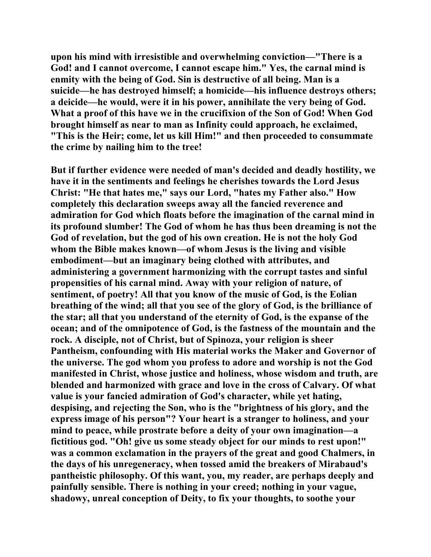**upon his mind with irresistible and overwhelming conviction—"There is a God! and I cannot overcome, I cannot escape him." Yes, the carnal mind is enmity with the being of God. Sin is destructive of all being. Man is a suicide—he has destroyed himself; a homicide—his influence destroys others; a deicide—he would, were it in his power, annihilate the very being of God. What a proof of this have we in the crucifixion of the Son of God! When God brought himself as near to man as Infinity could approach, he exclaimed, "This is the Heir; come, let us kill Him!" and then proceeded to consummate the crime by nailing him to the tree!** 

**But if further evidence were needed of man's decided and deadly hostility, we have it in the sentiments and feelings he cherishes towards the Lord Jesus Christ: "He that hates me," says our Lord, "hates my Father also." How completely this declaration sweeps away all the fancied reverence and admiration for God which floats before the imagination of the carnal mind in its profound slumber! The God of whom he has thus been dreaming is not the God of revelation, but the god of his own creation. He is not the holy God whom the Bible makes known—of whom Jesus is the living and visible embodiment—but an imaginary being clothed with attributes, and administering a government harmonizing with the corrupt tastes and sinful propensities of his carnal mind. Away with your religion of nature, of sentiment, of poetry! All that you know of the music of God, is the Eolian breathing of the wind; all that you see of the glory of God, is the brilliance of the star; all that you understand of the eternity of God, is the expanse of the ocean; and of the omnipotence of God, is the fastness of the mountain and the rock. A disciple, not of Christ, but of Spinoza, your religion is sheer Pantheism, confounding with His material works the Maker and Governor of the universe. The god whom you profess to adore and worship is not the God manifested in Christ, whose justice and holiness, whose wisdom and truth, are blended and harmonized with grace and love in the cross of Calvary. Of what value is your fancied admiration of God's character, while yet hating, despising, and rejecting the Son, who is the "brightness of his glory, and the express image of his person"? Your heart is a stranger to holiness, and your mind to peace, while prostrate before a deity of your own imagination—a fictitious god. "Oh! give us some steady object for our minds to rest upon!" was a common exclamation in the prayers of the great and good Chalmers, in the days of his unregeneracy, when tossed amid the breakers of Mirabaud's pantheistic philosophy. Of this want, you, my reader, are perhaps deeply and painfully sensible. There is nothing in your creed; nothing in your vague, shadowy, unreal conception of Deity, to fix your thoughts, to soothe your**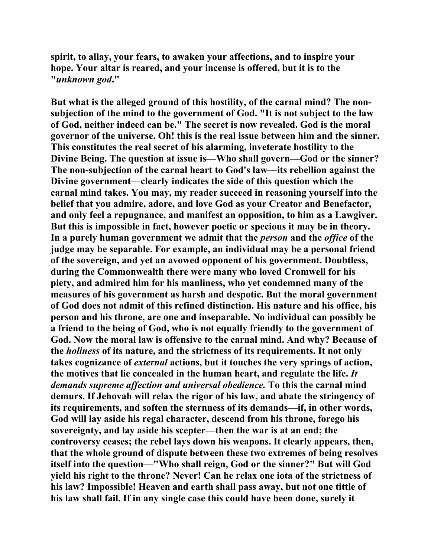**spirit, to allay, your fears, to awaken your affections, and to inspire your hope. Your altar is reared, and your incense is offered, but it is to the "***unknown god***."** 

**But what is the alleged ground of this hostility, of the carnal mind? The nonsubjection of the mind to the government of God. "It is not subject to the law of God, neither indeed can be." The secret is now revealed. God is the moral governor of the universe. Oh! this is the real issue between him and the sinner. This constitutes the real secret of his alarming, inveterate hostility to the Divine Being. The question at issue is—Who shall govern—God or the sinner? The non-subjection of the carnal heart to God's law—its rebellion against the Divine government—clearly indicates the side of this question which the carnal mind takes. You may, my reader succeed in reasoning yourself into the belief that you admire, adore, and love God as your Creator and Benefactor, and only feel a repugnance, and manifest an opposition, to him as a Lawgiver. But this is impossible in fact, however poetic or specious it may be in theory. In a purely human government we admit that the** *person* **and the** *office* **of the judge may be separable. For example, an individual may be a personal friend of the sovereign, and yet an avowed opponent of his government. Doubtless, during the Commonwealth there were many who loved Cromwell for his piety, and admired him for his manliness, who yet condemned many of the measures of his government as harsh and despotic. But the moral government of God does not admit of this refined distinction. His nature and his office, his person and his throne, are one and inseparable. No individual can possibly be a friend to the being of God, who is not equally friendly to the government of God. Now the moral law is offensive to the carnal mind. And why? Because of the** *holiness* **of its nature, and the strictness of its requirements. It not only takes cognizance of** *external* **actions, but it touches the very springs of action, the motives that lie concealed in the human heart, and regulate the life.** *It demands supreme affection and universal obedience.* **To this the carnal mind demurs. If Jehovah will relax the rigor of his law, and abate the stringency of its requirements, and soften the sternness of its demands—if, in other words, God will lay aside his regal character, descend from his throne, forego his sovereignty, and lay aside his scepter—then the war is at an end; the controversy ceases; the rebel lays down his weapons. It clearly appears, then, that the whole ground of dispute between these two extremes of being resolves itself into the question—"Who shall reign, God or the sinner?" But will God yield his right to the throne? Never! Can he relax one iota of the strictness of his law? Impossible! Heaven and earth shall pass away, but not one tittle of his law shall fail. If in any single case this could have been done, surely it**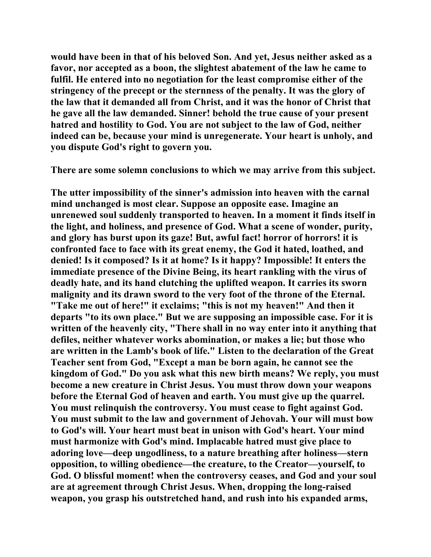**would have been in that of his beloved Son. And yet, Jesus neither asked as a favor, nor accepted as a boon, the slightest abatement of the law he came to fulfil. He entered into no negotiation for the least compromise either of the stringency of the precept or the sternness of the penalty. It was the glory of the law that it demanded all from Christ, and it was the honor of Christ that he gave all the law demanded. Sinner! behold the true cause of your present hatred and hostility to God. You are not subject to the law of God, neither indeed can be, because your mind is unregenerate. Your heart is unholy, and you dispute God's right to govern you.** 

**There are some solemn conclusions to which we may arrive from this subject.** 

**The utter impossibility of the sinner's admission into heaven with the carnal mind unchanged is most clear. Suppose an opposite ease. Imagine an unrenewed soul suddenly transported to heaven. In a moment it finds itself in the light, and holiness, and presence of God. What a scene of wonder, purity, and glory has burst upon its gaze! But, awful fact! horror of horrors! it is confronted face to face with its great enemy, the God it hated, loathed, and denied! Is it composed? Is it at home? Is it happy? Impossible! It enters the immediate presence of the Divine Being, its heart rankling with the virus of deadly hate, and its hand clutching the uplifted weapon. It carries its sworn malignity and its drawn sword to the very foot of the throne of the Eternal. "Take me out of here!" it exclaims; "this is not my heaven!" And then it departs "to its own place." But we are supposing an impossible case. For it is written of the heavenly city, "There shall in no way enter into it anything that defiles, neither whatever works abomination, or makes a lie; but those who are written in the Lamb's book of life." Listen to the declaration of the Great Teacher sent from God, "Except a man be born again, he cannot see the kingdom of God." Do you ask what this new birth means? We reply, you must become a new creature in Christ Jesus. You must throw down your weapons before the Eternal God of heaven and earth. You must give up the quarrel. You must relinquish the controversy. You must cease to fight against God. You must submit to the law and government of Jehovah. Your will must bow to God's will. Your heart must beat in unison with God's heart. Your mind must harmonize with God's mind. Implacable hatred must give place to adoring love—deep ungodliness, to a nature breathing after holiness—stern opposition, to willing obedience—the creature, to the Creator—yourself, to God. O blissful moment! when the controversy ceases, and God and your soul are at agreement through Christ Jesus. When, dropping the long-raised weapon, you grasp his outstretched hand, and rush into his expanded arms,**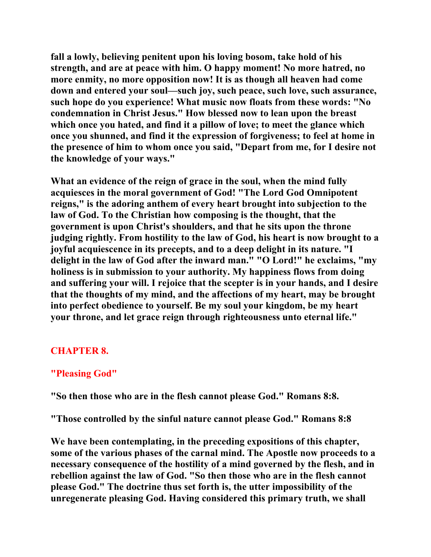**fall a lowly, believing penitent upon his loving bosom, take hold of his strength, and are at peace with him. O happy moment! No more hatred, no more enmity, no more opposition now! It is as though all heaven had come down and entered your soul—such joy, such peace, such love, such assurance, such hope do you experience! What music now floats from these words: "No condemnation in Christ Jesus." How blessed now to lean upon the breast which once you hated, and find it a pillow of love; to meet the glance which once you shunned, and find it the expression of forgiveness; to feel at home in the presence of him to whom once you said, "Depart from me, for I desire not the knowledge of your ways."** 

**What an evidence of the reign of grace in the soul, when the mind fully acquiesces in the moral government of God! "The Lord God Omnipotent reigns," is the adoring anthem of every heart brought into subjection to the law of God. To the Christian how composing is the thought, that the government is upon Christ's shoulders, and that he sits upon the throne judging rightly. From hostility to the law of God, his heart is now brought to a joyful acquiescence in its precepts, and to a deep delight in its nature. "I delight in the law of God after the inward man." "O Lord!" he exclaims, "my holiness is in submission to your authority. My happiness flows from doing and suffering your will. I rejoice that the scepter is in your hands, and I desire that the thoughts of my mind, and the affections of my heart, may be brought into perfect obedience to yourself. Be my soul your kingdom, be my heart your throne, and let grace reign through righteousness unto eternal life."** 

## **CHAPTER 8.**

### **"Pleasing God"**

**"So then those who are in the flesh cannot please God." Romans 8:8.** 

**"Those controlled by the sinful nature cannot please God." Romans 8:8** 

**We have been contemplating, in the preceding expositions of this chapter, some of the various phases of the carnal mind. The Apostle now proceeds to a necessary consequence of the hostility of a mind governed by the flesh, and in rebellion against the law of God. "So then those who are in the flesh cannot please God." The doctrine thus set forth is, the utter impossibility of the unregenerate pleasing God. Having considered this primary truth, we shall**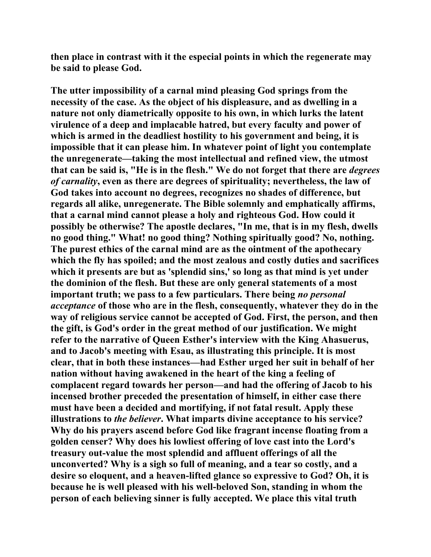**then place in contrast with it the especial points in which the regenerate may be said to please God.** 

**The utter impossibility of a carnal mind pleasing God springs from the necessity of the case. As the object of his displeasure, and as dwelling in a nature not only diametrically opposite to his own, in which lurks the latent virulence of a deep and implacable hatred, but every faculty and power of which is armed in the deadliest hostility to his government and being, it is impossible that it can please him. In whatever point of light you contemplate the unregenerate—taking the most intellectual and refined view, the utmost that can be said is, "He is in the flesh." We do not forget that there are** *degrees of carnality***, even as there are degrees of spirituality; nevertheless, the law of God takes into account no degrees, recognizes no shades of difference, but regards all alike, unregenerate. The Bible solemnly and emphatically affirms, that a carnal mind cannot please a holy and righteous God. How could it possibly be otherwise? The apostle declares, "In me, that is in my flesh, dwells no good thing." What! no good thing? Nothing spiritually good? No, nothing. The purest ethics of the carnal mind are as the ointment of the apothecary which the fly has spoiled; and the most zealous and costly duties and sacrifices which it presents are but as 'splendid sins,' so long as that mind is yet under the dominion of the flesh. But these are only general statements of a most important truth; we pass to a few particulars. There being** *no personal acceptance* **of those who are in the flesh, consequently, whatever they do in the way of religious service cannot be accepted of God. First, the person, and then the gift, is God's order in the great method of our justification. We might refer to the narrative of Queen Esther's interview with the King Ahasuerus, and to Jacob's meeting with Esau, as illustrating this principle. It is most clear, that in both these instances—had Esther urged her suit in behalf of her nation without having awakened in the heart of the king a feeling of complacent regard towards her person—and had the offering of Jacob to his incensed brother preceded the presentation of himself, in either case there must have been a decided and mortifying, if not fatal result. Apply these illustrations to** *the believer***. What imparts divine acceptance to his service? Why do his prayers ascend before God like fragrant incense floating from a golden censer? Why does his lowliest offering of love cast into the Lord's treasury out-value the most splendid and affluent offerings of all the unconverted? Why is a sigh so full of meaning, and a tear so costly, and a desire so eloquent, and a heaven-lifted glance so expressive to God? Oh, it is because he is well pleased with his well-beloved Son, standing in whom the person of each believing sinner is fully accepted. We place this vital truth**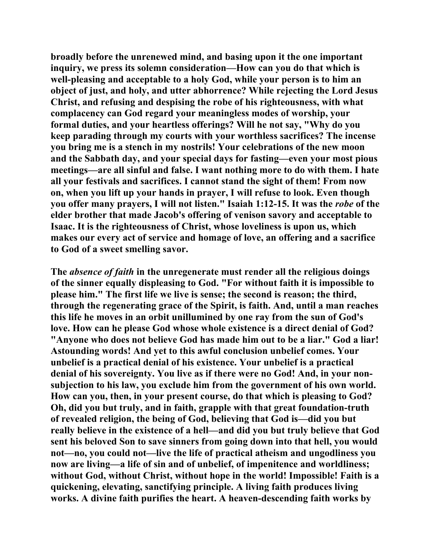**broadly before the unrenewed mind, and basing upon it the one important inquiry, we press its solemn consideration—How can you do that which is well-pleasing and acceptable to a holy God, while your person is to him an object of just, and holy, and utter abhorrence? While rejecting the Lord Jesus Christ, and refusing and despising the robe of his righteousness, with what complacency can God regard your meaningless modes of worship, your formal duties, and your heartless offerings? Will he not say, "Why do you keep parading through my courts with your worthless sacrifices? The incense you bring me is a stench in my nostrils! Your celebrations of the new moon and the Sabbath day, and your special days for fasting—even your most pious meetings—are all sinful and false. I want nothing more to do with them. I hate all your festivals and sacrifices. I cannot stand the sight of them! From now on, when you lift up your hands in prayer, I will refuse to look. Even though you offer many prayers, I will not listen." Isaiah 1:12-15. It was the** *robe* **of the elder brother that made Jacob's offering of venison savory and acceptable to Isaac. It is the righteousness of Christ, whose loveliness is upon us, which makes our every act of service and homage of love, an offering and a sacrifice to God of a sweet smelling savor.** 

**The** *absence of faith* **in the unregenerate must render all the religious doings of the sinner equally displeasing to God. "For without faith it is impossible to please him." The first life we live is sense; the second is reason; the third, through the regenerating grace of the Spirit, is faith. And, until a man reaches this life he moves in an orbit unillumined by one ray from the sun of God's love. How can he please God whose whole existence is a direct denial of God? "Anyone who does not believe God has made him out to be a liar." God a liar! Astounding words! And yet to this awful conclusion unbelief comes. Your unbelief is a practical denial of his existence. Your unbelief is a practical denial of his sovereignty. You live as if there were no God! And, in your nonsubjection to his law, you exclude him from the government of his own world. How can you, then, in your present course, do that which is pleasing to God? Oh, did you but truly, and in faith, grapple with that great foundation-truth of revealed religion, the being of God, believing that God is—did you but really believe in the existence of a hell—and did you but truly believe that God sent his beloved Son to save sinners from going down into that hell, you would not—no, you could not—live the life of practical atheism and ungodliness you now are living—a life of sin and of unbelief, of impenitence and worldliness; without God, without Christ, without hope in the world! Impossible! Faith is a quickening, elevating, sanctifying principle. A living faith produces living works. A divine faith purifies the heart. A heaven-descending faith works by**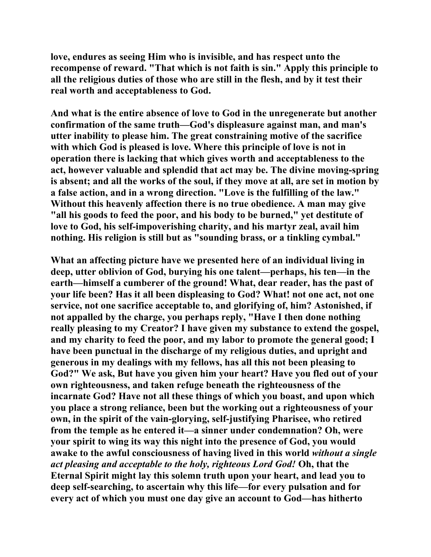**love, endures as seeing Him who is invisible, and has respect unto the recompense of reward. "That which is not faith is sin." Apply this principle to all the religious duties of those who are still in the flesh, and by it test their real worth and acceptableness to God.** 

**And what is the entire absence of love to God in the unregenerate but another confirmation of the same truth—God's displeasure against man, and man's utter inability to please him. The great constraining motive of the sacrifice with which God is pleased is love. Where this principle of love is not in operation there is lacking that which gives worth and acceptableness to the act, however valuable and splendid that act may be. The divine moving-spring is absent; and all the works of the soul, if they move at all, are set in motion by a false action, and in a wrong direction. "Love is the fulfilling of the law." Without this heavenly affection there is no true obedience. A man may give "all his goods to feed the poor, and his body to be burned," yet destitute of love to God, his self-impoverishing charity, and his martyr zeal, avail him nothing. His religion is still but as "sounding brass, or a tinkling cymbal."** 

**What an affecting picture have we presented here of an individual living in deep, utter oblivion of God, burying his one talent—perhaps, his ten—in the earth—himself a cumberer of the ground! What, dear reader, has the past of your life been? Has it all been displeasing to God? What! not one act, not one service, not one sacrifice acceptable to, and glorifying of, him? Astonished, if not appalled by the charge, you perhaps reply, "Have I then done nothing really pleasing to my Creator? I have given my substance to extend the gospel, and my charity to feed the poor, and my labor to promote the general good; I have been punctual in the discharge of my religious duties, and upright and generous in my dealings with my fellows, has all this not been pleasing to God?" We ask, But have you given him your heart? Have you fled out of your own righteousness, and taken refuge beneath the righteousness of the incarnate God? Have not all these things of which you boast, and upon which you place a strong reliance, been but the working out a righteousness of your own, in the spirit of the vain-glorying, self-justifying Pharisee, who retired from the temple as he entered it—a sinner under condemnation? Oh, were your spirit to wing its way this night into the presence of God, you would awake to the awful consciousness of having lived in this world** *without a single act pleasing and acceptable to the holy, righteous Lord God!* **Oh, that the Eternal Spirit might lay this solemn truth upon your heart, and lead you to deep self-searching, to ascertain why this life—for every pulsation and for every act of which you must one day give an account to God—has hitherto**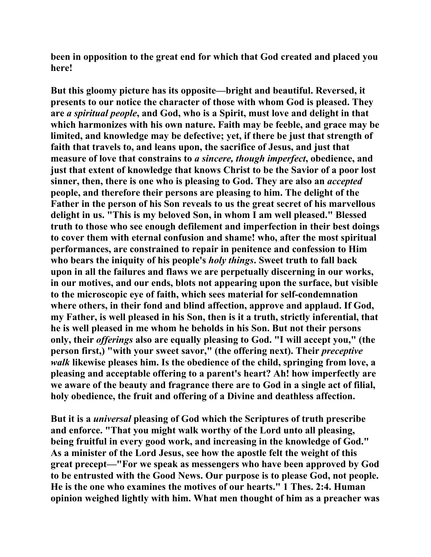**been in opposition to the great end for which that God created and placed you here!** 

**But this gloomy picture has its opposite—bright and beautiful. Reversed, it presents to our notice the character of those with whom God is pleased. They are** *a spiritual people***, and God, who is a Spirit, must love and delight in that which harmonizes with his own nature. Faith may be feeble, and grace may be limited, and knowledge may be defective; yet, if there be just that strength of faith that travels to, and leans upon, the sacrifice of Jesus, and just that measure of love that constrains to** *a sincere, though imperfect***, obedience, and just that extent of knowledge that knows Christ to be the Savior of a poor lost sinner, then, there is one who is pleasing to God. They are also an** *accepted* **people, and therefore their persons are pleasing to him. The delight of the Father in the person of his Son reveals to us the great secret of his marvellous delight in us. "This is my beloved Son, in whom I am well pleased." Blessed truth to those who see enough defilement and imperfection in their best doings to cover them with eternal confusion and shame! who, after the most spiritual performances, are constrained to repair in penitence and confession to Him who bears the iniquity of his people's** *holy things***. Sweet truth to fall back upon in all the failures and flaws we are perpetually discerning in our works, in our motives, and our ends, blots not appearing upon the surface, but visible to the microscopic eye of faith, which sees material for self-condemnation where others, in their fond and blind affection, approve and applaud. If God, my Father, is well pleased in his Son, then is it a truth, strictly inferential, that he is well pleased in me whom he beholds in his Son. But not their persons only, their** *offerings* **also are equally pleasing to God. "I will accept you," (the person first,) "with your sweet savor," (the offering next). Their** *preceptive walk* **likewise pleases him. Is the obedience of the child, springing from love, a pleasing and acceptable offering to a parent's heart? Ah! how imperfectly are we aware of the beauty and fragrance there are to God in a single act of filial, holy obedience, the fruit and offering of a Divine and deathless affection.** 

**But it is a** *universal* **pleasing of God which the Scriptures of truth prescribe and enforce. "That you might walk worthy of the Lord unto all pleasing, being fruitful in every good work, and increasing in the knowledge of God." As a minister of the Lord Jesus, see how the apostle felt the weight of this great precept—"For we speak as messengers who have been approved by God to be entrusted with the Good News. Our purpose is to please God, not people. He is the one who examines the motives of our hearts." 1 Thes. 2:4. Human opinion weighed lightly with him. What men thought of him as a preacher was**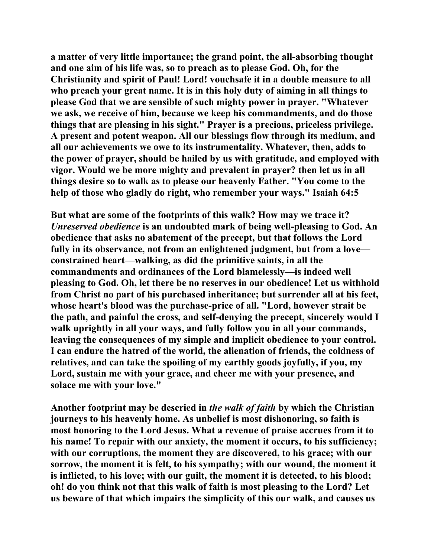**a matter of very little importance; the grand point, the all-absorbing thought and one aim of his life was, so to preach as to please God. Oh, for the Christianity and spirit of Paul! Lord! vouchsafe it in a double measure to all who preach your great name. It is in this holy duty of aiming in all things to please God that we are sensible of such mighty power in prayer. "Whatever we ask, we receive of him, because we keep his commandments, and do those things that are pleasing in his sight." Prayer is a precious, priceless privilege. A present and potent weapon. All our blessings flow through its medium, and all our achievements we owe to its instrumentality. Whatever, then, adds to the power of prayer, should be hailed by us with gratitude, and employed with vigor. Would we be more mighty and prevalent in prayer? then let us in all things desire so to walk as to please our heavenly Father. "You come to the help of those who gladly do right, who remember your ways." Isaiah 64:5** 

**But what are some of the footprints of this walk? How may we trace it?**  *Unreserved obedience* **is an undoubted mark of being well-pleasing to God. An obedience that asks no abatement of the precept, but that follows the Lord fully in its observance, not from an enlightened judgment, but from a love constrained heart—walking, as did the primitive saints, in all the commandments and ordinances of the Lord blamelessly—is indeed well pleasing to God. Oh, let there be no reserves in our obedience! Let us withhold from Christ no part of his purchased inheritance; but surrender all at his feet, whose heart's blood was the purchase-price of all. "Lord, however strait be the path, and painful the cross, and self-denying the precept, sincerely would I walk uprightly in all your ways, and fully follow you in all your commands, leaving the consequences of my simple and implicit obedience to your control. I can endure the hatred of the world, the alienation of friends, the coldness of relatives, and can take the spoiling of my earthly goods joyfully, if you, my Lord, sustain me with your grace, and cheer me with your presence, and solace me with your love."** 

**Another footprint may be descried in** *the walk of faith* **by which the Christian journeys to his heavenly home. As unbelief is most dishonoring, so faith is most honoring to the Lord Jesus. What a revenue of praise accrues from it to his name! To repair with our anxiety, the moment it occurs, to his sufficiency; with our corruptions, the moment they are discovered, to his grace; with our sorrow, the moment it is felt, to his sympathy; with our wound, the moment it is inflicted, to his love; with our guilt, the moment it is detected, to his blood; oh! do you think not that this walk of faith is most pleasing to the Lord? Let us beware of that which impairs the simplicity of this our walk, and causes us**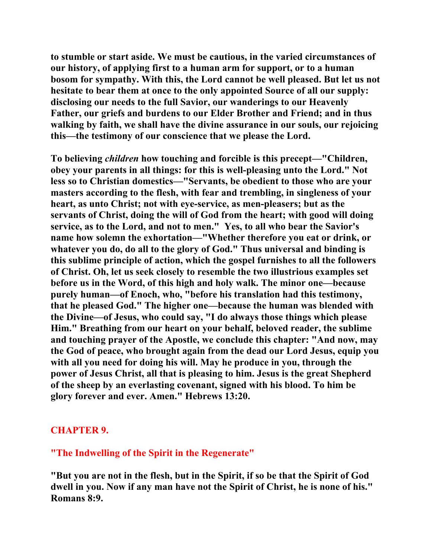**to stumble or start aside. We must be cautious, in the varied circumstances of our history, of applying first to a human arm for support, or to a human bosom for sympathy. With this, the Lord cannot be well pleased. But let us not hesitate to bear them at once to the only appointed Source of all our supply: disclosing our needs to the full Savior, our wanderings to our Heavenly Father, our griefs and burdens to our Elder Brother and Friend; and in thus walking by faith, we shall have the divine assurance in our souls, our rejoicing this—the testimony of our conscience that we please the Lord.** 

**To believing** *children* **how touching and forcible is this precept—"Children, obey your parents in all things: for this is well-pleasing unto the Lord." Not less so to Christian domestics—"Servants, be obedient to those who are your masters according to the flesh, with fear and trembling, in singleness of your heart, as unto Christ; not with eye-service, as men-pleasers; but as the servants of Christ, doing the will of God from the heart; with good will doing service, as to the Lord, and not to men." Yes, to all who bear the Savior's name how solemn the exhortation—"Whether therefore you eat or drink, or whatever you do, do all to the glory of God." Thus universal and binding is this sublime principle of action, which the gospel furnishes to all the followers of Christ. Oh, let us seek closely to resemble the two illustrious examples set before us in the Word, of this high and holy walk. The minor one—because purely human—of Enoch, who, "before his translation had this testimony, that he pleased God." The higher one—because the human was blended with the Divine—of Jesus, who could say, "I do always those things which please Him." Breathing from our heart on your behalf, beloved reader, the sublime and touching prayer of the Apostle, we conclude this chapter: "And now, may the God of peace, who brought again from the dead our Lord Jesus, equip you with all you need for doing his will. May he produce in you, through the power of Jesus Christ, all that is pleasing to him. Jesus is the great Shepherd of the sheep by an everlasting covenant, signed with his blood. To him be glory forever and ever. Amen." Hebrews 13:20.** 

### **CHAPTER 9.**

**"The Indwelling of the Spirit in the Regenerate"**

**"But you are not in the flesh, but in the Spirit, if so be that the Spirit of God dwell in you. Now if any man have not the Spirit of Christ, he is none of his." Romans 8:9.**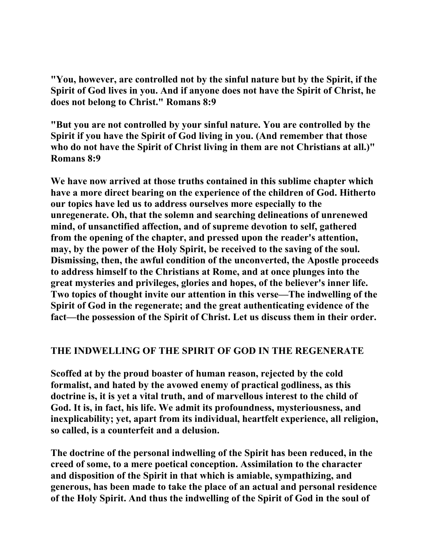**"You, however, are controlled not by the sinful nature but by the Spirit, if the Spirit of God lives in you. And if anyone does not have the Spirit of Christ, he does not belong to Christ." Romans 8:9** 

**"But you are not controlled by your sinful nature. You are controlled by the Spirit if you have the Spirit of God living in you. (And remember that those who do not have the Spirit of Christ living in them are not Christians at all.)" Romans 8:9** 

**We have now arrived at those truths contained in this sublime chapter which have a more direct bearing on the experience of the children of God. Hitherto our topics have led us to address ourselves more especially to the unregenerate. Oh, that the solemn and searching delineations of unrenewed mind, of unsanctified affection, and of supreme devotion to self, gathered from the opening of the chapter, and pressed upon the reader's attention, may, by the power of the Holy Spirit, be received to the saving of the soul. Dismissing, then, the awful condition of the unconverted, the Apostle proceeds to address himself to the Christians at Rome, and at once plunges into the great mysteries and privileges, glories and hopes, of the believer's inner life. Two topics of thought invite our attention in this verse—The indwelling of the Spirit of God in the regenerate; and the great authenticating evidence of the fact—the possession of the Spirit of Christ. Let us discuss them in their order.** 

## **THE INDWELLING OF THE SPIRIT OF GOD IN THE REGENERATE**

**Scoffed at by the proud boaster of human reason, rejected by the cold formalist, and hated by the avowed enemy of practical godliness, as this doctrine is, it is yet a vital truth, and of marvellous interest to the child of God. It is, in fact, his life. We admit its profoundness, mysteriousness, and inexplicability; yet, apart from its individual, heartfelt experience, all religion, so called, is a counterfeit and a delusion.** 

**The doctrine of the personal indwelling of the Spirit has been reduced, in the creed of some, to a mere poetical conception. Assimilation to the character and disposition of the Spirit in that which is amiable, sympathizing, and generous, has been made to take the place of an actual and personal residence of the Holy Spirit. And thus the indwelling of the Spirit of God in the soul of**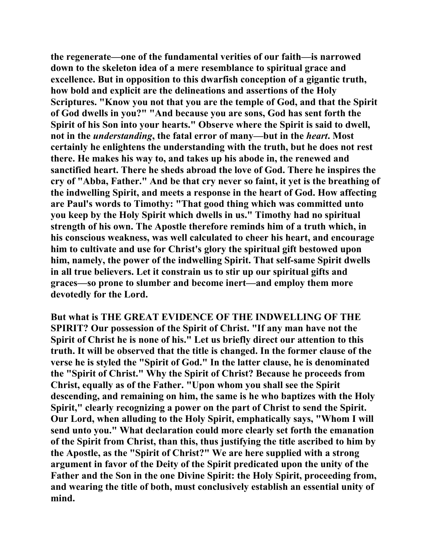**the regenerate—one of the fundamental verities of our faith—is narrowed down to the skeleton idea of a mere resemblance to spiritual grace and excellence. But in opposition to this dwarfish conception of a gigantic truth, how bold and explicit are the delineations and assertions of the Holy Scriptures. "Know you not that you are the temple of God, and that the Spirit of God dwells in you?" "And because you are sons, God has sent forth the Spirit of his Son into your hearts." Observe where the Spirit is said to dwell, not in the** *understanding***, the fatal error of many—but in the** *heart***. Most certainly he enlightens the understanding with the truth, but he does not rest there. He makes his way to, and takes up his abode in, the renewed and sanctified heart. There he sheds abroad the love of God. There he inspires the cry of "Abba, Father." And be that cry never so faint, it yet is the breathing of the indwelling Spirit, and meets a response in the heart of God. How affecting are Paul's words to Timothy: "That good thing which was committed unto you keep by the Holy Spirit which dwells in us." Timothy had no spiritual strength of his own. The Apostle therefore reminds him of a truth which, in his conscious weakness, was well calculated to cheer his heart, and encourage him to cultivate and use for Christ's glory the spiritual gift bestowed upon him, namely, the power of the indwelling Spirit. That self-same Spirit dwells in all true believers. Let it constrain us to stir up our spiritual gifts and graces—so prone to slumber and become inert—and employ them more devotedly for the Lord.** 

**But what is THE GREAT EVIDENCE OF THE INDWELLING OF THE SPIRIT? Our possession of the Spirit of Christ. "If any man have not the Spirit of Christ he is none of his." Let us briefly direct our attention to this truth. It will be observed that the title is changed. In the former clause of the verse he is styled the "Spirit of God." In the latter clause, he is denominated the "Spirit of Christ." Why the Spirit of Christ? Because he proceeds from Christ, equally as of the Father. "Upon whom you shall see the Spirit descending, and remaining on him, the same is he who baptizes with the Holy Spirit," clearly recognizing a power on the part of Christ to send the Spirit. Our Lord, when alluding to the Holy Spirit, emphatically says, "Whom I will send unto you." What declaration could more clearly set forth the emanation of the Spirit from Christ, than this, thus justifying the title ascribed to him by the Apostle, as the "Spirit of Christ?" We are here supplied with a strong argument in favor of the Deity of the Spirit predicated upon the unity of the Father and the Son in the one Divine Spirit: the Holy Spirit, proceeding from, and wearing the title of both, must conclusively establish an essential unity of mind.**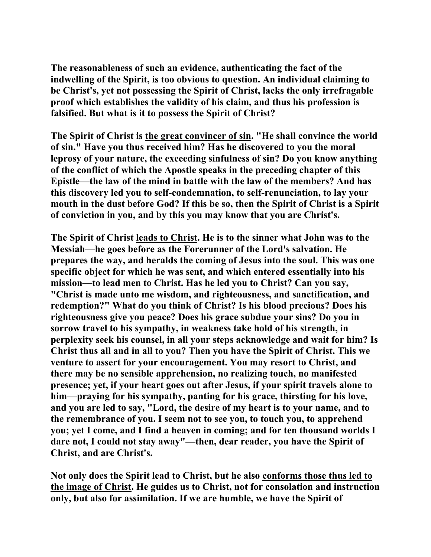**The reasonableness of such an evidence, authenticating the fact of the indwelling of the Spirit, is too obvious to question. An individual claiming to be Christ's, yet not possessing the Spirit of Christ, lacks the only irrefragable proof which establishes the validity of his claim, and thus his profession is falsified. But what is it to possess the Spirit of Christ?** 

**The Spirit of Christ is the great convincer of sin. "He shall convince the world of sin." Have you thus received him? Has he discovered to you the moral leprosy of your nature, the exceeding sinfulness of sin? Do you know anything of the conflict of which the Apostle speaks in the preceding chapter of this Epistle—the law of the mind in battle with the law of the members? And has this discovery led you to self-condemnation, to self-renunciation, to lay your mouth in the dust before God? If this be so, then the Spirit of Christ is a Spirit of conviction in you, and by this you may know that you are Christ's.** 

**The Spirit of Christ leads to Christ. He is to the sinner what John was to the Messiah—he goes before as the Forerunner of the Lord's salvation. He prepares the way, and heralds the coming of Jesus into the soul. This was one specific object for which he was sent, and which entered essentially into his mission—to lead men to Christ. Has he led you to Christ? Can you say, "Christ is made unto me wisdom, and righteousness, and sanctification, and redemption?" What do you think of Christ? Is his blood precious? Does his righteousness give you peace? Does his grace subdue your sins? Do you in sorrow travel to his sympathy, in weakness take hold of his strength, in perplexity seek his counsel, in all your steps acknowledge and wait for him? Is Christ thus all and in all to you? Then you have the Spirit of Christ. This we venture to assert for your encouragement. You may resort to Christ, and there may be no sensible apprehension, no realizing touch, no manifested presence; yet, if your heart goes out after Jesus, if your spirit travels alone to him—praying for his sympathy, panting for his grace, thirsting for his love, and you are led to say, "Lord, the desire of my heart is to your name, and to the remembrance of you. I seem not to see you, to touch you, to apprehend you; yet I come, and I find a heaven in coming; and for ten thousand worlds I dare not, I could not stay away"—then, dear reader, you have the Spirit of Christ, and are Christ's.** 

**Not only does the Spirit lead to Christ, but he also conforms those thus led to the image of Christ. He guides us to Christ, not for consolation and instruction only, but also for assimilation. If we are humble, we have the Spirit of**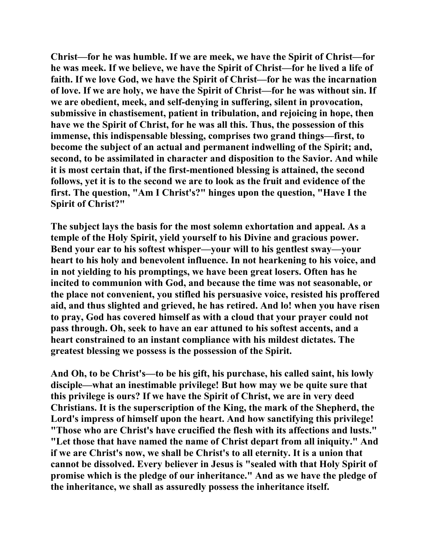**Christ—for he was humble. If we are meek, we have the Spirit of Christ—for he was meek. If we believe, we have the Spirit of Christ—for he lived a life of faith. If we love God, we have the Spirit of Christ—for he was the incarnation of love. If we are holy, we have the Spirit of Christ—for he was without sin. If we are obedient, meek, and self-denying in suffering, silent in provocation, submissive in chastisement, patient in tribulation, and rejoicing in hope, then have we the Spirit of Christ, for he was all this. Thus, the possession of this immense, this indispensable blessing, comprises two grand things—first, to become the subject of an actual and permanent indwelling of the Spirit; and, second, to be assimilated in character and disposition to the Savior. And while it is most certain that, if the first-mentioned blessing is attained, the second follows, yet it is to the second we are to look as the fruit and evidence of the first. The question, "Am I Christ's?" hinges upon the question, "Have I the Spirit of Christ?"** 

**The subject lays the basis for the most solemn exhortation and appeal. As a temple of the Holy Spirit, yield yourself to his Divine and gracious power. Bend your ear to his softest whisper—your will to his gentlest sway—your heart to his holy and benevolent influence. In not hearkening to his voice, and in not yielding to his promptings, we have been great losers. Often has he incited to communion with God, and because the time was not seasonable, or the place not convenient, you stifled his persuasive voice, resisted his proffered aid, and thus slighted and grieved, he has retired. And lo! when you have risen to pray, God has covered himself as with a cloud that your prayer could not pass through. Oh, seek to have an ear attuned to his softest accents, and a heart constrained to an instant compliance with his mildest dictates. The greatest blessing we possess is the possession of the Spirit.** 

**And Oh, to be Christ's—to be his gift, his purchase, his called saint, his lowly disciple—what an inestimable privilege! But how may we be quite sure that this privilege is ours? If we have the Spirit of Christ, we are in very deed Christians. It is the superscription of the King, the mark of the Shepherd, the Lord's impress of himself upon the heart. And how sanctifying this privilege! "Those who are Christ's have crucified the flesh with its affections and lusts." "Let those that have named the name of Christ depart from all iniquity." And if we are Christ's now, we shall be Christ's to all eternity. It is a union that cannot be dissolved. Every believer in Jesus is "sealed with that Holy Spirit of promise which is the pledge of our inheritance." And as we have the pledge of the inheritance, we shall as assuredly possess the inheritance itself.**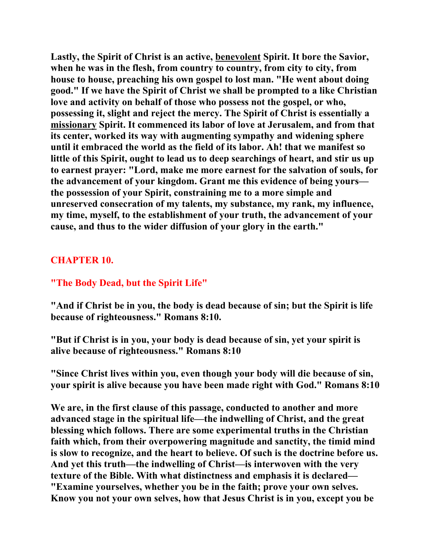**Lastly, the Spirit of Christ is an active, benevolent Spirit. It bore the Savior, when he was in the flesh, from country to country, from city to city, from house to house, preaching his own gospel to lost man. "He went about doing good." If we have the Spirit of Christ we shall be prompted to a like Christian love and activity on behalf of those who possess not the gospel, or who, possessing it, slight and reject the mercy. The Spirit of Christ is essentially a missionary Spirit. It commenced its labor of love at Jerusalem, and from that its center, worked its way with augmenting sympathy and widening sphere until it embraced the world as the field of its labor. Ah! that we manifest so little of this Spirit, ought to lead us to deep searchings of heart, and stir us up to earnest prayer: "Lord, make me more earnest for the salvation of souls, for the advancement of your kingdom. Grant me this evidence of being yours the possession of your Spirit, constraining me to a more simple and unreserved consecration of my talents, my substance, my rank, my influence, my time, myself, to the establishment of your truth, the advancement of your cause, and thus to the wider diffusion of your glory in the earth."** 

## **CHAPTER 10.**

### **"The Body Dead, but the Spirit Life"**

**"And if Christ be in you, the body is dead because of sin; but the Spirit is life because of righteousness." Romans 8:10.** 

**"But if Christ is in you, your body is dead because of sin, yet your spirit is alive because of righteousness." Romans 8:10** 

**"Since Christ lives within you, even though your body will die because of sin, your spirit is alive because you have been made right with God." Romans 8:10** 

**We are, in the first clause of this passage, conducted to another and more advanced stage in the spiritual life—the indwelling of Christ, and the great blessing which follows. There are some experimental truths in the Christian faith which, from their overpowering magnitude and sanctity, the timid mind is slow to recognize, and the heart to believe. Of such is the doctrine before us. And yet this truth—the indwelling of Christ—is interwoven with the very texture of the Bible. With what distinctness and emphasis it is declared— "Examine yourselves, whether you be in the faith; prove your own selves. Know you not your own selves, how that Jesus Christ is in you, except you be**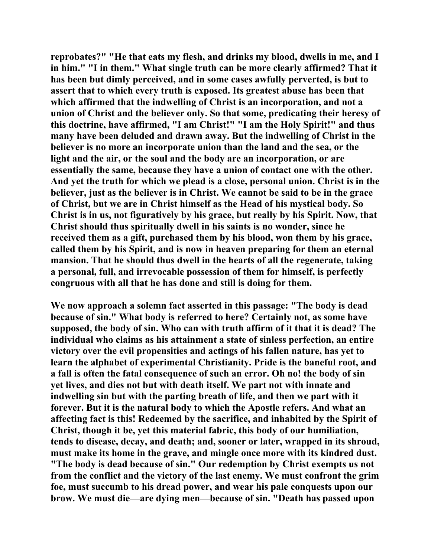**reprobates?" "He that eats my flesh, and drinks my blood, dwells in me, and I in him." "I in them." What single truth can be more clearly affirmed? That it has been but dimly perceived, and in some cases awfully perverted, is but to assert that to which every truth is exposed. Its greatest abuse has been that which affirmed that the indwelling of Christ is an incorporation, and not a union of Christ and the believer only. So that some, predicating their heresy of this doctrine, have affirmed, "I am Christ!" "I am the Holy Spirit!" and thus many have been deluded and drawn away. But the indwelling of Christ in the believer is no more an incorporate union than the land and the sea, or the light and the air, or the soul and the body are an incorporation, or are essentially the same, because they have a union of contact one with the other. And yet the truth for which we plead is a close, personal union. Christ is in the believer, just as the believer is in Christ. We cannot be said to be in the grace of Christ, but we are in Christ himself as the Head of his mystical body. So Christ is in us, not figuratively by his grace, but really by his Spirit. Now, that Christ should thus spiritually dwell in his saints is no wonder, since he received them as a gift, purchased them by his blood, won them by his grace, called them by his Spirit, and is now in heaven preparing for them an eternal mansion. That he should thus dwell in the hearts of all the regenerate, taking a personal, full, and irrevocable possession of them for himself, is perfectly congruous with all that he has done and still is doing for them.** 

**We now approach a solemn fact asserted in this passage: "The body is dead because of sin." What body is referred to here? Certainly not, as some have supposed, the body of sin. Who can with truth affirm of it that it is dead? The individual who claims as his attainment a state of sinless perfection, an entire victory over the evil propensities and actings of his fallen nature, has yet to learn the alphabet of experimental Christianity. Pride is the baneful root, and a fall is often the fatal consequence of such an error. Oh no! the body of sin yet lives, and dies not but with death itself. We part not with innate and indwelling sin but with the parting breath of life, and then we part with it forever. But it is the natural body to which the Apostle refers. And what an affecting fact is this! Redeemed by the sacrifice, and inhabited by the Spirit of Christ, though it be, yet this material fabric, this body of our humiliation, tends to disease, decay, and death; and, sooner or later, wrapped in its shroud, must make its home in the grave, and mingle once more with its kindred dust. "The body is dead because of sin." Our redemption by Christ exempts us not from the conflict and the victory of the last enemy. We must confront the grim foe, must succumb to his dread power, and wear his pale conquests upon our brow. We must die—are dying men—because of sin. "Death has passed upon**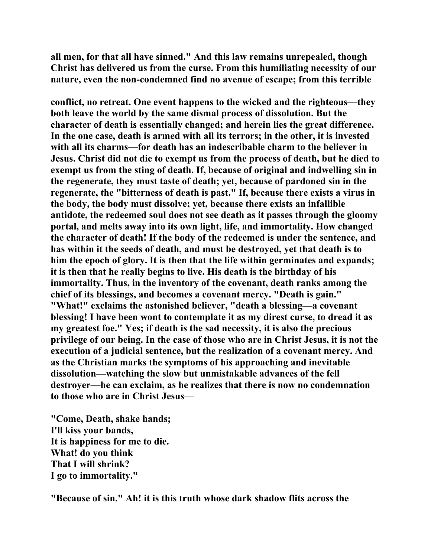**all men, for that all have sinned." And this law remains unrepealed, though Christ has delivered us from the curse. From this humiliating necessity of our nature, even the non-condemned find no avenue of escape; from this terrible** 

**conflict, no retreat. One event happens to the wicked and the righteous—they both leave the world by the same dismal process of dissolution. But the character of death is essentially changed; and herein lies the great difference. In the one case, death is armed with all its terrors; in the other, it is invested with all its charms—for death has an indescribable charm to the believer in Jesus. Christ did not die to exempt us from the process of death, but he died to exempt us from the sting of death. If, because of original and indwelling sin in the regenerate, they must taste of death; yet, because of pardoned sin in the regenerate, the "bitterness of death is past." If, because there exists a virus in the body, the body must dissolve; yet, because there exists an infallible antidote, the redeemed soul does not see death as it passes through the gloomy portal, and melts away into its own light, life, and immortality. How changed the character of death! If the body of the redeemed is under the sentence, and has within it the seeds of death, and must be destroyed, yet that death is to him the epoch of glory. It is then that the life within germinates and expands; it is then that he really begins to live. His death is the birthday of his immortality. Thus, in the inventory of the covenant, death ranks among the chief of its blessings, and becomes a covenant mercy. "Death is gain." "What!" exclaims the astonished believer, "death a blessing—a covenant blessing! I have been wont to contemplate it as my direst curse, to dread it as my greatest foe." Yes; if death is the sad necessity, it is also the precious privilege of our being. In the case of those who are in Christ Jesus, it is not the execution of a judicial sentence, but the realization of a covenant mercy. And as the Christian marks the symptoms of his approaching and inevitable dissolution—watching the slow but unmistakable advances of the fell destroyer—he can exclaim, as he realizes that there is now no condemnation to those who are in Christ Jesus—** 

**"Come, Death, shake hands; I'll kiss your bands, It is happiness for me to die. What! do you think That I will shrink? I go to immortality."** 

**"Because of sin." Ah! it is this truth whose dark shadow flits across the**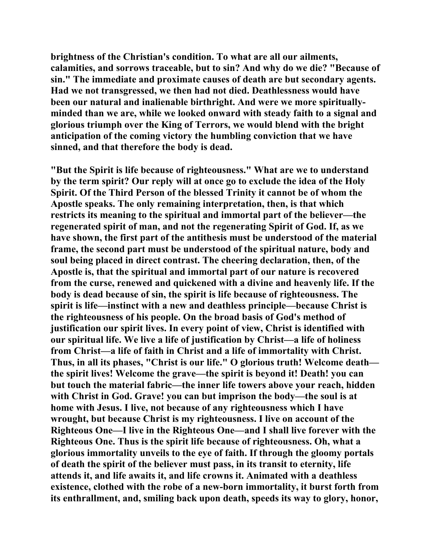**brightness of the Christian's condition. To what are all our ailments, calamities, and sorrows traceable, but to sin? And why do we die? "Because of sin." The immediate and proximate causes of death are but secondary agents. Had we not transgressed, we then had not died. Deathlessness would have been our natural and inalienable birthright. And were we more spirituallyminded than we are, while we looked onward with steady faith to a signal and glorious triumph over the King of Terrors, we would blend with the bright anticipation of the coming victory the humbling conviction that we have sinned, and that therefore the body is dead.** 

**"But the Spirit is life because of righteousness." What are we to understand by the term spirit? Our reply will at once go to exclude the idea of the Holy Spirit. Of the Third Person of the blessed Trinity it cannot be of whom the Apostle speaks. The only remaining interpretation, then, is that which restricts its meaning to the spiritual and immortal part of the believer—the regenerated spirit of man, and not the regenerating Spirit of God. If, as we have shown, the first part of the antithesis must be understood of the material frame, the second part must be understood of the spiritual nature, body and soul being placed in direct contrast. The cheering declaration, then, of the Apostle is, that the spiritual and immortal part of our nature is recovered from the curse, renewed and quickened with a divine and heavenly life. If the body is dead because of sin, the spirit is life because of righteousness. The spirit is life—instinct with a new and deathless principle—because Christ is the righteousness of his people. On the broad basis of God's method of justification our spirit lives. In every point of view, Christ is identified with our spiritual life. We live a life of justification by Christ—a life of holiness from Christ—a life of faith in Christ and a life of immortality with Christ. Thus, in all its phases, "Christ is our life." O glorious truth! Welcome death the spirit lives! Welcome the grave—the spirit is beyond it! Death! you can but touch the material fabric—the inner life towers above your reach, hidden with Christ in God. Grave! you can but imprison the body—the soul is at home with Jesus. I live, not because of any righteousness which I have wrought, but because Christ is my righteousness. I live on account of the Righteous One—I live in the Righteous One—and I shall live forever with the Righteous One. Thus is the spirit life because of righteousness. Oh, what a glorious immortality unveils to the eye of faith. If through the gloomy portals of death the spirit of the believer must pass, in its transit to eternity, life attends it, and life awaits it, and life crowns it. Animated with a deathless existence, clothed with the robe of a new-born immortality, it burst forth from its enthrallment, and, smiling back upon death, speeds its way to glory, honor,**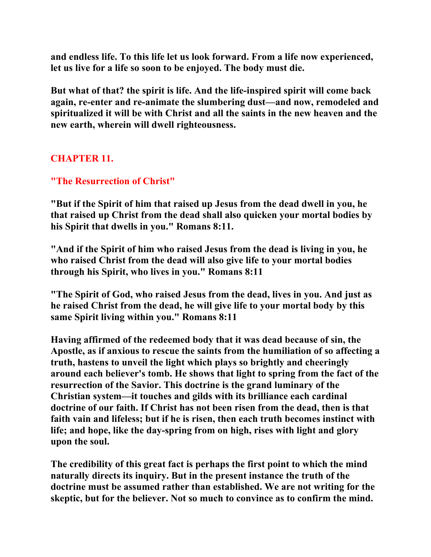**and endless life. To this life let us look forward. From a life now experienced, let us live for a life so soon to be enjoyed. The body must die.** 

**But what of that? the spirit is life. And the life-inspired spirit will come back again, re-enter and re-animate the slumbering dust—and now, remodeled and spiritualized it will be with Christ and all the saints in the new heaven and the new earth, wherein will dwell righteousness.** 

# **CHAPTER 11.**

# **"The Resurrection of Christ"**

**"But if the Spirit of him that raised up Jesus from the dead dwell in you, he that raised up Christ from the dead shall also quicken your mortal bodies by his Spirit that dwells in you." Romans 8:11.** 

**"And if the Spirit of him who raised Jesus from the dead is living in you, he who raised Christ from the dead will also give life to your mortal bodies through his Spirit, who lives in you." Romans 8:11** 

**"The Spirit of God, who raised Jesus from the dead, lives in you. And just as he raised Christ from the dead, he will give life to your mortal body by this same Spirit living within you." Romans 8:11** 

**Having affirmed of the redeemed body that it was dead because of sin, the Apostle, as if anxious to rescue the saints from the humiliation of so affecting a truth, hastens to unveil the light which plays so brightly and cheeringly around each believer's tomb. He shows that light to spring from the fact of the resurrection of the Savior. This doctrine is the grand luminary of the Christian system—it touches and gilds with its brilliance each cardinal doctrine of our faith. If Christ has not been risen from the dead, then is that faith vain and lifeless; but if he is risen, then each truth becomes instinct with life; and hope, like the day-spring from on high, rises with light and glory upon the soul.** 

**The credibility of this great fact is perhaps the first point to which the mind naturally directs its inquiry. But in the present instance the truth of the doctrine must be assumed rather than established. We are not writing for the skeptic, but for the believer. Not so much to convince as to confirm the mind.**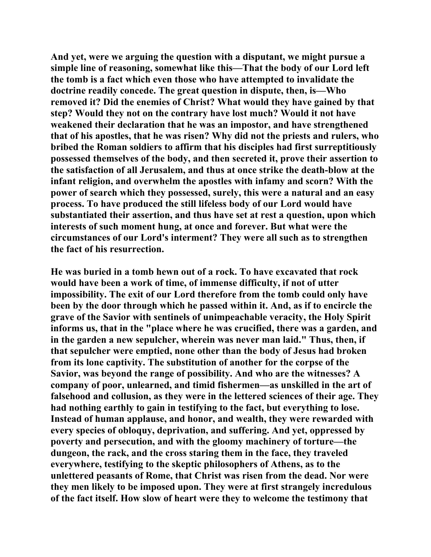**And yet, were we arguing the question with a disputant, we might pursue a simple line of reasoning, somewhat like this—That the body of our Lord left the tomb is a fact which even those who have attempted to invalidate the doctrine readily concede. The great question in dispute, then, is—Who removed it? Did the enemies of Christ? What would they have gained by that step? Would they not on the contrary have lost much? Would it not have weakened their declaration that he was an impostor, and have strengthened that of his apostles, that he was risen? Why did not the priests and rulers, who bribed the Roman soldiers to affirm that his disciples had first surreptitiously possessed themselves of the body, and then secreted it, prove their assertion to the satisfaction of all Jerusalem, and thus at once strike the death-blow at the infant religion, and overwhelm the apostles with infamy and scorn? With the power of search which they possessed, surely, this were a natural and an easy process. To have produced the still lifeless body of our Lord would have substantiated their assertion, and thus have set at rest a question, upon which interests of such moment hung, at once and forever. But what were the circumstances of our Lord's interment? They were all such as to strengthen the fact of his resurrection.** 

**He was buried in a tomb hewn out of a rock. To have excavated that rock would have been a work of time, of immense difficulty, if not of utter impossibility. The exit of our Lord therefore from the tomb could only have been by the door through which he passed within it. And, as if to encircle the grave of the Savior with sentinels of unimpeachable veracity, the Holy Spirit informs us, that in the "place where he was crucified, there was a garden, and in the garden a new sepulcher, wherein was never man laid." Thus, then, if that sepulcher were emptied, none other than the body of Jesus had broken from its lone captivity. The substitution of another for the corpse of the Savior, was beyond the range of possibility. And who are the witnesses? A company of poor, unlearned, and timid fishermen—as unskilled in the art of falsehood and collusion, as they were in the lettered sciences of their age. They had nothing earthly to gain in testifying to the fact, but everything to lose. Instead of human applause, and honor, and wealth, they were rewarded with every species of obloquy, deprivation, and suffering. And yet, oppressed by poverty and persecution, and with the gloomy machinery of torture—the dungeon, the rack, and the cross staring them in the face, they traveled everywhere, testifying to the skeptic philosophers of Athens, as to the unlettered peasants of Rome, that Christ was risen from the dead. Nor were they men likely to be imposed upon. They were at first strangely incredulous of the fact itself. How slow of heart were they to welcome the testimony that**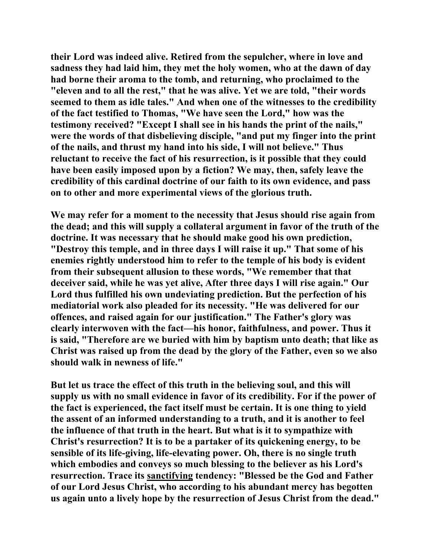**their Lord was indeed alive. Retired from the sepulcher, where in love and sadness they had laid him, they met the holy women, who at the dawn of day had borne their aroma to the tomb, and returning, who proclaimed to the "eleven and to all the rest," that he was alive. Yet we are told, "their words seemed to them as idle tales." And when one of the witnesses to the credibility of the fact testified to Thomas, "We have seen the Lord," how was the testimony received? "Except I shall see in his hands the print of the nails," were the words of that disbelieving disciple, "and put my finger into the print of the nails, and thrust my hand into his side, I will not believe." Thus reluctant to receive the fact of his resurrection, is it possible that they could have been easily imposed upon by a fiction? We may, then, safely leave the credibility of this cardinal doctrine of our faith to its own evidence, and pass on to other and more experimental views of the glorious truth.** 

**We may refer for a moment to the necessity that Jesus should rise again from the dead; and this will supply a collateral argument in favor of the truth of the doctrine. It was necessary that he should make good his own prediction, "Destroy this temple, and in three days I will raise it up." That some of his enemies rightly understood him to refer to the temple of his body is evident from their subsequent allusion to these words, "We remember that that deceiver said, while he was yet alive, After three days I will rise again." Our Lord thus fulfilled his own undeviating prediction. But the perfection of his mediatorial work also pleaded for its necessity. "He was delivered for our offences, and raised again for our justification." The Father's glory was clearly interwoven with the fact—his honor, faithfulness, and power. Thus it is said, "Therefore are we buried with him by baptism unto death; that like as Christ was raised up from the dead by the glory of the Father, even so we also should walk in newness of life."** 

**But let us trace the effect of this truth in the believing soul, and this will supply us with no small evidence in favor of its credibility. For if the power of the fact is experienced, the fact itself must be certain. It is one thing to yield the assent of an informed understanding to a truth, and it is another to feel the influence of that truth in the heart. But what is it to sympathize with Christ's resurrection? It is to be a partaker of its quickening energy, to be sensible of its life-giving, life-elevating power. Oh, there is no single truth which embodies and conveys so much blessing to the believer as his Lord's resurrection. Trace its sanctifying tendency: "Blessed be the God and Father of our Lord Jesus Christ, who according to his abundant mercy has begotten us again unto a lively hope by the resurrection of Jesus Christ from the dead."**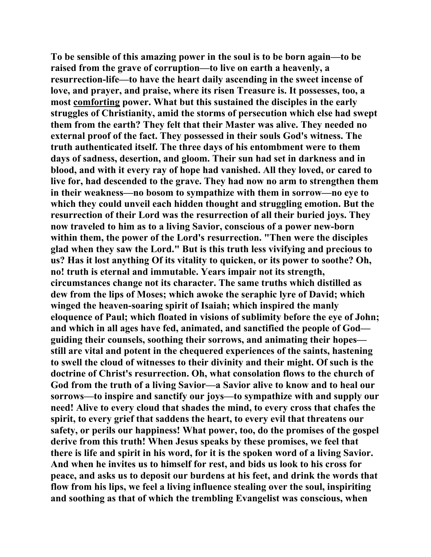**To be sensible of this amazing power in the soul is to be born again—to be raised from the grave of corruption—to live on earth a heavenly, a resurrection-life—to have the heart daily ascending in the sweet incense of love, and prayer, and praise, where its risen Treasure is. It possesses, too, a most comforting power. What but this sustained the disciples in the early struggles of Christianity, amid the storms of persecution which else had swept them from the earth? They felt that their Master was alive. They needed no external proof of the fact. They possessed in their souls God's witness. The truth authenticated itself. The three days of his entombment were to them days of sadness, desertion, and gloom. Their sun had set in darkness and in blood, and with it every ray of hope had vanished. All they loved, or cared to live for, had descended to the grave. They had now no arm to strengthen them in their weakness—no bosom to sympathize with them in sorrow—no eye to which they could unveil each hidden thought and struggling emotion. But the resurrection of their Lord was the resurrection of all their buried joys. They now traveled to him as to a living Savior, conscious of a power new-born within them, the power of the Lord's resurrection. "Then were the disciples glad when they saw the Lord." But is this truth less vivifying and precious to us? Has it lost anything Of its vitality to quicken, or its power to soothe? Oh, no! truth is eternal and immutable. Years impair not its strength, circumstances change not its character. The same truths which distilled as dew from the lips of Moses; which awoke the seraphic lyre of David; which winged the heaven-soaring spirit of Isaiah; which inspired the manly eloquence of Paul; which floated in visions of sublimity before the eye of John; and which in all ages have fed, animated, and sanctified the people of God guiding their counsels, soothing their sorrows, and animating their hopes still are vital and potent in the chequered experiences of the saints, hastening to swell the cloud of witnesses to their divinity and their might. Of such is the doctrine of Christ's resurrection. Oh, what consolation flows to the church of God from the truth of a living Savior—a Savior alive to know and to heal our sorrows—to inspire and sanctify our joys—to sympathize with and supply our need! Alive to every cloud that shades the mind, to every cross that chafes the spirit, to every grief that saddens the heart, to every evil that threatens our safety, or perils our happiness! What power, too, do the promises of the gospel derive from this truth! When Jesus speaks by these promises, we feel that there is life and spirit in his word, for it is the spoken word of a living Savior. And when he invites us to himself for rest, and bids us look to his cross for peace, and asks us to deposit our burdens at his feet, and drink the words that flow from his lips, we feel a living influence stealing over the soul, inspiriting and soothing as that of which the trembling Evangelist was conscious, when**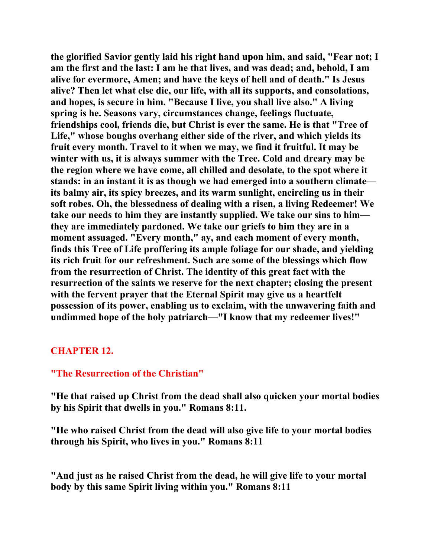**the glorified Savior gently laid his right hand upon him, and said, "Fear not; I am the first and the last: I am he that lives, and was dead; and, behold, I am alive for evermore, Amen; and have the keys of hell and of death." Is Jesus alive? Then let what else die, our life, with all its supports, and consolations, and hopes, is secure in him. "Because I live, you shall live also." A living spring is he. Seasons vary, circumstances change, feelings fluctuate, friendships cool, friends die, but Christ is ever the same. He is that "Tree of Life," whose boughs overhang either side of the river, and which yields its fruit every month. Travel to it when we may, we find it fruitful. It may be winter with us, it is always summer with the Tree. Cold and dreary may be the region where we have come, all chilled and desolate, to the spot where it stands: in an instant it is as though we had emerged into a southern climate its balmy air, its spicy breezes, and its warm sunlight, encircling us in their soft robes. Oh, the blessedness of dealing with a risen, a living Redeemer! We take our needs to him they are instantly supplied. We take our sins to him they are immediately pardoned. We take our griefs to him they are in a moment assuaged. "Every month," ay, and each moment of every month, finds this Tree of Life proffering its ample foliage for our shade, and yielding its rich fruit for our refreshment. Such are some of the blessings which flow from the resurrection of Christ. The identity of this great fact with the resurrection of the saints we reserve for the next chapter; closing the present with the fervent prayer that the Eternal Spirit may give us a heartfelt possession of its power, enabling us to exclaim, with the unwavering faith and undimmed hope of the holy patriarch—"I know that my redeemer lives!"** 

### **CHAPTER 12.**

### **"The Resurrection of the Christian"**

**"He that raised up Christ from the dead shall also quicken your mortal bodies by his Spirit that dwells in you." Romans 8:11.** 

**"He who raised Christ from the dead will also give life to your mortal bodies through his Spirit, who lives in you." Romans 8:11** 

**"And just as he raised Christ from the dead, he will give life to your mortal body by this same Spirit living within you." Romans 8:11**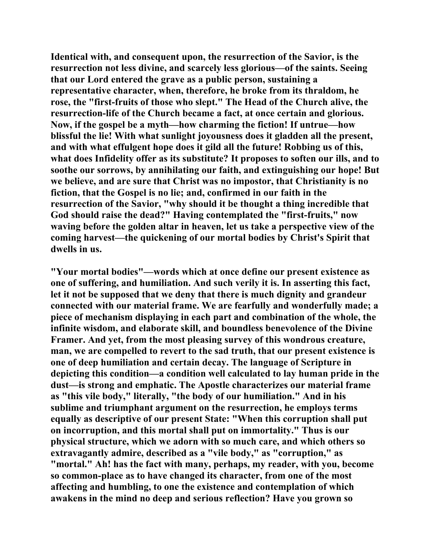**Identical with, and consequent upon, the resurrection of the Savior, is the resurrection not less divine, and scarcely less glorious—of the saints. Seeing that our Lord entered the grave as a public person, sustaining a representative character, when, therefore, he broke from its thraldom, he rose, the "first-fruits of those who slept." The Head of the Church alive, the resurrection-life of the Church became a fact, at once certain and glorious. Now, if the gospel be a myth—how charming the fiction! If untrue—how blissful the lie! With what sunlight joyousness does it gladden all the present, and with what effulgent hope does it gild all the future! Robbing us of this, what does Infidelity offer as its substitute? It proposes to soften our ills, and to soothe our sorrows, by annihilating our faith, and extinguishing our hope! But we believe, and are sure that Christ was no impostor, that Christianity is no fiction, that the Gospel is no lie; and, confirmed in our faith in the resurrection of the Savior, "why should it be thought a thing incredible that God should raise the dead?" Having contemplated the "first-fruits," now waving before the golden altar in heaven, let us take a perspective view of the coming harvest—the quickening of our mortal bodies by Christ's Spirit that dwells in us.** 

**"Your mortal bodies"—words which at once define our present existence as one of suffering, and humiliation. And such verily it is. In asserting this fact, let it not be supposed that we deny that there is much dignity and grandeur connected with our material frame. We are fearfully and wonderfully made; a piece of mechanism displaying in each part and combination of the whole, the infinite wisdom, and elaborate skill, and boundless benevolence of the Divine Framer. And yet, from the most pleasing survey of this wondrous creature, man, we are compelled to revert to the sad truth, that our present existence is one of deep humiliation and certain decay. The language of Scripture in depicting this condition—a condition well calculated to lay human pride in the dust—is strong and emphatic. The Apostle characterizes our material frame as "this vile body," literally, "the body of our humiliation." And in his sublime and triumphant argument on the resurrection, he employs terms equally as descriptive of our present State: "When this corruption shall put on incorruption, and this mortal shall put on immortality." Thus is our physical structure, which we adorn with so much care, and which others so extravagantly admire, described as a "vile body," as "corruption," as "mortal." Ah! has the fact with many, perhaps, my reader, with you, become so common-place as to have changed its character, from one of the most affecting and humbling, to one the existence and contemplation of which awakens in the mind no deep and serious reflection? Have you grown so**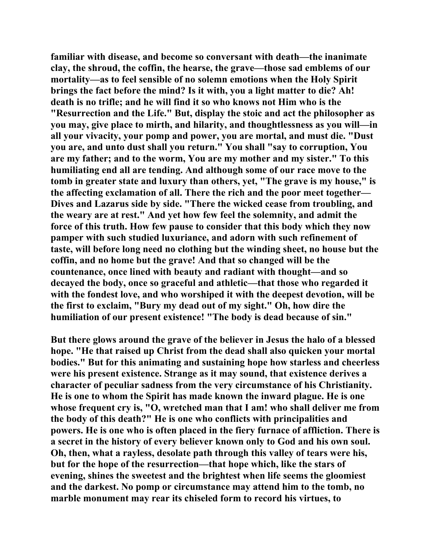**familiar with disease, and become so conversant with death—the inanimate clay, the shroud, the coffin, the hearse, the grave—those sad emblems of our mortality—as to feel sensible of no solemn emotions when the Holy Spirit brings the fact before the mind? Is it with, you a light matter to die? Ah! death is no trifle; and he will find it so who knows not Him who is the "Resurrection and the Life." But, display the stoic and act the philosopher as you may, give place to mirth, and hilarity, and thoughtlessness as you will—in all your vivacity, your pomp and power, you are mortal, and must die. "Dust you are, and unto dust shall you return." You shall "say to corruption, You are my father; and to the worm, You are my mother and my sister." To this humiliating end all are tending. And although some of our race move to the tomb in greater state and luxury than others, yet, "The grave is my house," is the affecting exclamation of all. There the rich and the poor meet together— Dives and Lazarus side by side. "There the wicked cease from troubling, and the weary are at rest." And yet how few feel the solemnity, and admit the force of this truth. How few pause to consider that this body which they now pamper with such studied luxuriance, and adorn with such refinement of taste, will before long need no clothing but the winding sheet, no house but the coffin, and no home but the grave! And that so changed will be the countenance, once lined with beauty and radiant with thought—and so decayed the body, once so graceful and athletic—that those who regarded it with the fondest love, and who worshiped it with the deepest devotion, will be the first to exclaim, "Bury my dead out of my sight." Oh, how dire the humiliation of our present existence! "The body is dead because of sin."** 

**But there glows around the grave of the believer in Jesus the halo of a blessed hope. "He that raised up Christ from the dead shall also quicken your mortal bodies." But for this animating and sustaining hope how starless and cheerless were his present existence. Strange as it may sound, that existence derives a character of peculiar sadness from the very circumstance of his Christianity. He is one to whom the Spirit has made known the inward plague. He is one whose frequent cry is, "O, wretched man that I am! who shall deliver me from the body of this death?" He is one who conflicts with principalities and powers. He is one who is often placed in the fiery furnace of affliction. There is a secret in the history of every believer known only to God and his own soul. Oh, then, what a rayless, desolate path through this valley of tears were his, but for the hope of the resurrection—that hope which, like the stars of evening, shines the sweetest and the brightest when life seems the gloomiest and the darkest. No pomp or circumstance may attend him to the tomb, no marble monument may rear its chiseled form to record his virtues, to**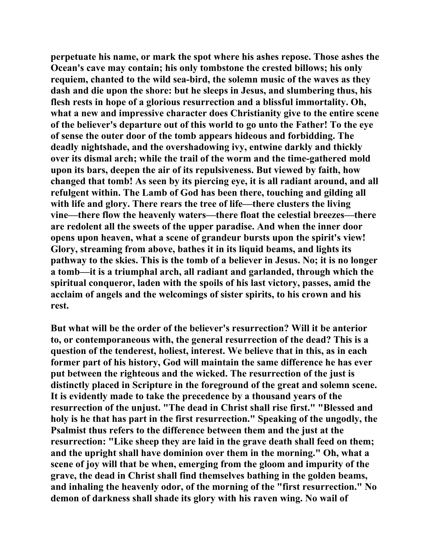**perpetuate his name, or mark the spot where his ashes repose. Those ashes the Ocean's cave may contain; his only tombstone the crested billows; his only requiem, chanted to the wild sea-bird, the solemn music of the waves as they dash and die upon the shore: but he sleeps in Jesus, and slumbering thus, his flesh rests in hope of a glorious resurrection and a blissful immortality. Oh, what a new and impressive character does Christianity give to the entire scene of the believer's departure out of this world to go unto the Father! To the eye of sense the outer door of the tomb appears hideous and forbidding. The deadly nightshade, and the overshadowing ivy, entwine darkly and thickly over its dismal arch; while the trail of the worm and the time-gathered mold upon its bars, deepen the air of its repulsiveness. But viewed by faith, how changed that tomb! As seen by its piercing eye, it is all radiant around, and all refulgent within. The Lamb of God has been there, touching and gilding all with life and glory. There rears the tree of life—there clusters the living vine—there flow the heavenly waters—there float the celestial breezes—there are redolent all the sweets of the upper paradise. And when the inner door opens upon heaven, what a scene of grandeur bursts upon the spirit's view! Glory, streaming from above, bathes it in its liquid beams, and lights its pathway to the skies. This is the tomb of a believer in Jesus. No; it is no longer a tomb—it is a triumphal arch, all radiant and garlanded, through which the spiritual conqueror, laden with the spoils of his last victory, passes, amid the acclaim of angels and the welcomings of sister spirits, to his crown and his rest.** 

**But what will be the order of the believer's resurrection? Will it be anterior to, or contemporaneous with, the general resurrection of the dead? This is a question of the tenderest, holiest, interest. We believe that in this, as in each former part of his history, God will maintain the same difference he has ever put between the righteous and the wicked. The resurrection of the just is distinctly placed in Scripture in the foreground of the great and solemn scene. It is evidently made to take the precedence by a thousand years of the resurrection of the unjust. "The dead in Christ shall rise first." "Blessed and holy is he that has part in the first resurrection." Speaking of the ungodly, the Psalmist thus refers to the difference between them and the just at the resurrection: "Like sheep they are laid in the grave death shall feed on them; and the upright shall have dominion over them in the morning." Oh, what a scene of joy will that be when, emerging from the gloom and impurity of the grave, the dead in Christ shall find themselves bathing in the golden beams, and inhaling the heavenly odor, of the morning of the "first resurrection." No demon of darkness shall shade its glory with his raven wing. No wail of**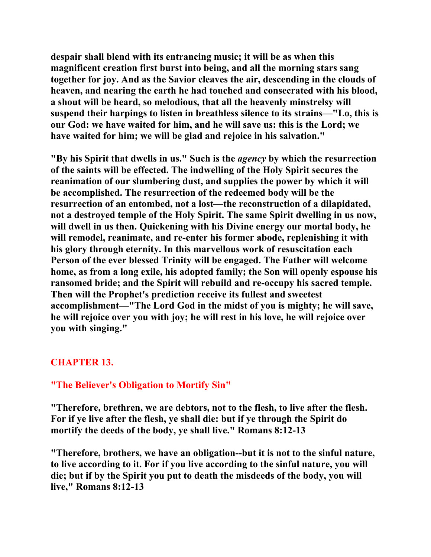**despair shall blend with its entrancing music; it will be as when this magnificent creation first burst into being, and all the morning stars sang together for joy. And as the Savior cleaves the air, descending in the clouds of heaven, and nearing the earth he had touched and consecrated with his blood, a shout will be heard, so melodious, that all the heavenly minstrelsy will suspend their harpings to listen in breathless silence to its strains—"Lo, this is our God: we have waited for him, and he will save us: this is the Lord; we have waited for him; we will be glad and rejoice in his salvation."** 

**"By his Spirit that dwells in us." Such is the** *agency* **by which the resurrection of the saints will be effected. The indwelling of the Holy Spirit secures the reanimation of our slumbering dust, and supplies the power by which it will be accomplished. The resurrection of the redeemed body will be the resurrection of an entombed, not a lost—the reconstruction of a dilapidated, not a destroyed temple of the Holy Spirit. The same Spirit dwelling in us now, will dwell in us then. Quickening with his Divine energy our mortal body, he will remodel, reanimate, and re-enter his former abode, replenishing it with his glory through eternity. In this marvellous work of resuscitation each Person of the ever blessed Trinity will be engaged. The Father will welcome home, as from a long exile, his adopted family; the Son will openly espouse his ransomed bride; and the Spirit will rebuild and re-occupy his sacred temple. Then will the Prophet's prediction receive its fullest and sweetest accomplishment—"The Lord God in the midst of you is mighty; he will save, he will rejoice over you with joy; he will rest in his love, he will rejoice over you with singing."** 

### **CHAPTER 13.**

#### **"The Believer's Obligation to Mortify Sin"**

**"Therefore, brethren, we are debtors, not to the flesh, to live after the flesh. For if ye live after the flesh, ye shall die: but if ye through the Spirit do mortify the deeds of the body, ye shall live." Romans 8:12-13** 

**"Therefore, brothers, we have an obligation--but it is not to the sinful nature, to live according to it. For if you live according to the sinful nature, you will die; but if by the Spirit you put to death the misdeeds of the body, you will live," Romans 8:12-13**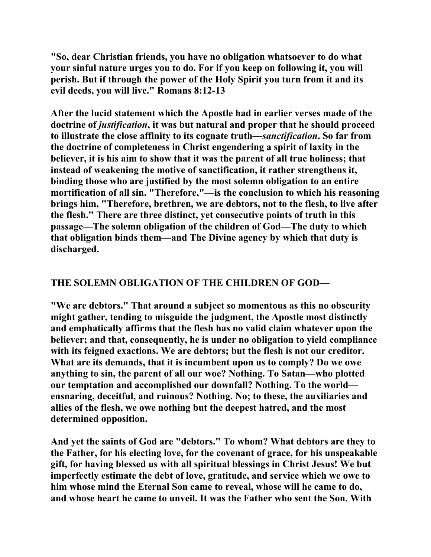**"So, dear Christian friends, you have no obligation whatsoever to do what your sinful nature urges you to do. For if you keep on following it, you will perish. But if through the power of the Holy Spirit you turn from it and its evil deeds, you will live." Romans 8:12-13** 

**After the lucid statement which the Apostle had in earlier verses made of the doctrine of** *justification***, it was but natural and proper that he should proceed to illustrate the close affinity to its cognate truth—***sanctification***. So far from the doctrine of completeness in Christ engendering a spirit of laxity in the believer, it is his aim to show that it was the parent of all true holiness; that instead of weakening the motive of sanctification, it rather strengthens it, binding those who are justified by the most solemn obligation to an entire mortification of all sin. "Therefore,"—is the conclusion to which his reasoning brings him, "Therefore, brethren, we are debtors, not to the flesh, to live after the flesh." There are three distinct, yet consecutive points of truth in this passage—The solemn obligation of the children of God—The duty to which that obligation binds them—and The Divine agency by which that duty is discharged.** 

## **THE SOLEMN OBLIGATION OF THE CHILDREN OF GOD—**

**"We are debtors." That around a subject so momentous as this no obscurity might gather, tending to misguide the judgment, the Apostle most distinctly and emphatically affirms that the flesh has no valid claim whatever upon the believer; and that, consequently, he is under no obligation to yield compliance with its feigned exactions. We are debtors; but the flesh is not our creditor. What are its demands, that it is incumbent upon us to comply? Do we owe anything to sin, the parent of all our woe? Nothing. To Satan—who plotted our temptation and accomplished our downfall? Nothing. To the world ensnaring, deceitful, and ruinous? Nothing. No; to these, the auxiliaries and allies of the flesh, we owe nothing but the deepest hatred, and the most determined opposition.** 

**And yet the saints of God are "debtors." To whom? What debtors are they to the Father, for his electing love, for the covenant of grace, for his unspeakable gift, for having blessed us with all spiritual blessings in Christ Jesus! We but imperfectly estimate the debt of love, gratitude, and service which we owe to him whose mind the Eternal Son came to reveal, whose will he came to do, and whose heart he came to unveil. It was the Father who sent the Son. With**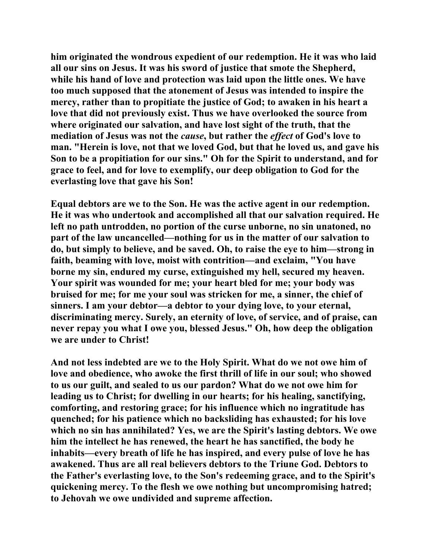**him originated the wondrous expedient of our redemption. He it was who laid all our sins on Jesus. It was his sword of justice that smote the Shepherd, while his hand of love and protection was laid upon the little ones. We have too much supposed that the atonement of Jesus was intended to inspire the mercy, rather than to propitiate the justice of God; to awaken in his heart a love that did not previously exist. Thus we have overlooked the source from where originated our salvation, and have lost sight of the truth, that the mediation of Jesus was not the** *cause***, but rather the** *effect* **of God's love to man. "Herein is love, not that we loved God, but that he loved us, and gave his Son to be a propitiation for our sins." Oh for the Spirit to understand, and for grace to feel, and for love to exemplify, our deep obligation to God for the everlasting love that gave his Son!** 

**Equal debtors are we to the Son. He was the active agent in our redemption. He it was who undertook and accomplished all that our salvation required. He left no path untrodden, no portion of the curse unborne, no sin unatoned, no part of the law uncancelled—nothing for us in the matter of our salvation to do, but simply to believe, and be saved. Oh, to raise the eye to him—strong in faith, beaming with love, moist with contrition—and exclaim, "You have borne my sin, endured my curse, extinguished my hell, secured my heaven. Your spirit was wounded for me; your heart bled for me; your body was bruised for me; for me your soul was stricken for me, a sinner, the chief of sinners. I am your debtor—a debtor to your dying love, to your eternal, discriminating mercy. Surely, an eternity of love, of service, and of praise, can never repay you what I owe you, blessed Jesus." Oh, how deep the obligation we are under to Christ!** 

**And not less indebted are we to the Holy Spirit. What do we not owe him of love and obedience, who awoke the first thrill of life in our soul; who showed to us our guilt, and sealed to us our pardon? What do we not owe him for leading us to Christ; for dwelling in our hearts; for his healing, sanctifying, comforting, and restoring grace; for his influence which no ingratitude has quenched; for his patience which no backsliding has exhausted; for his love which no sin has annihilated? Yes, we are the Spirit's lasting debtors. We owe him the intellect he has renewed, the heart he has sanctified, the body he inhabits—every breath of life he has inspired, and every pulse of love he has awakened. Thus are all real believers debtors to the Triune God. Debtors to the Father's everlasting love, to the Son's redeeming grace, and to the Spirit's quickening mercy. To the flesh we owe nothing but uncompromising hatred; to Jehovah we owe undivided and supreme affection.**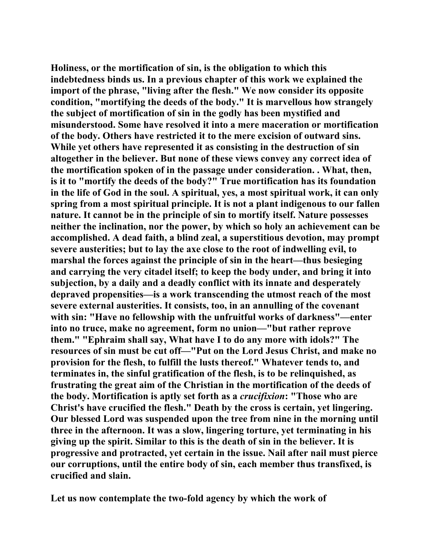**Holiness, or the mortification of sin, is the obligation to which this indebtedness binds us. In a previous chapter of this work we explained the import of the phrase, "living after the flesh." We now consider its opposite condition, "mortifying the deeds of the body." It is marvellous how strangely the subject of mortification of sin in the godly has been mystified and misunderstood. Some have resolved it into a mere maceration or mortification of the body. Others have restricted it to the mere excision of outward sins. While yet others have represented it as consisting in the destruction of sin altogether in the believer. But none of these views convey any correct idea of the mortification spoken of in the passage under consideration. . What, then, is it to "mortify the deeds of the body?" True mortification has its foundation in the life of God in the soul. A spiritual, yes, a most spiritual work, it can only spring from a most spiritual principle. It is not a plant indigenous to our fallen nature. It cannot be in the principle of sin to mortify itself. Nature possesses neither the inclination, nor the power, by which so holy an achievement can be accomplished. A dead faith, a blind zeal, a superstitious devotion, may prompt severe austerities; but to lay the axe close to the root of indwelling evil, to marshal the forces against the principle of sin in the heart—thus besieging and carrying the very citadel itself; to keep the body under, and bring it into subjection, by a daily and a deadly conflict with its innate and desperately depraved propensities—is a work transcending the utmost reach of the most severe external austerities. It consists, too, in an annulling of the covenant with sin: "Have no fellowship with the unfruitful works of darkness"—enter into no truce, make no agreement, form no union—"but rather reprove them." "Ephraim shall say, What have I to do any more with idols?" The resources of sin must be cut off—"Put on the Lord Jesus Christ, and make no provision for the flesh, to fulfill the lusts thereof." Whatever tends to, and terminates in, the sinful gratification of the flesh, is to be relinquished, as frustrating the great aim of the Christian in the mortification of the deeds of the body. Mortification is aptly set forth as a** *crucifixion***: "Those who are Christ's have crucified the flesh." Death by the cross is certain, yet lingering. Our blessed Lord was suspended upon the tree from nine in the morning until three in the afternoon. It was a slow, lingering torture, yet terminating in his giving up the spirit. Similar to this is the death of sin in the believer. It is progressive and protracted, yet certain in the issue. Nail after nail must pierce our corruptions, until the entire body of sin, each member thus transfixed, is crucified and slain.** 

**Let us now contemplate the two-fold agency by which the work of**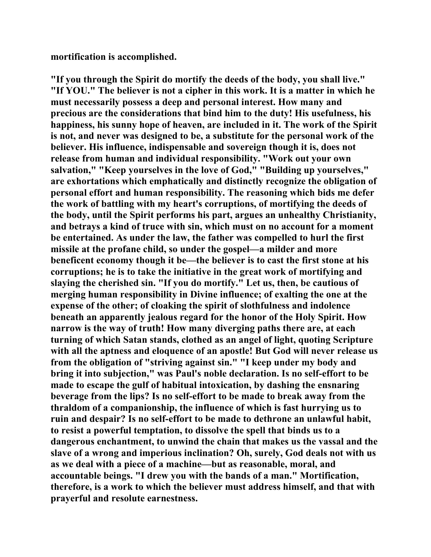**mortification is accomplished.** 

**"If you through the Spirit do mortify the deeds of the body, you shall live." "If YOU." The believer is not a cipher in this work. It is a matter in which he must necessarily possess a deep and personal interest. How many and precious are the considerations that bind him to the duty! His usefulness, his happiness, his sunny hope of heaven, are included in it. The work of the Spirit is not, and never was designed to be, a substitute for the personal work of the believer. His influence, indispensable and sovereign though it is, does not release from human and individual responsibility. "Work out your own salvation," "Keep yourselves in the love of God," "Building up yourselves," are exhortations which emphatically and distinctly recognize the obligation of personal effort and human responsibility. The reasoning which bids me defer the work of battling with my heart's corruptions, of mortifying the deeds of the body, until the Spirit performs his part, argues an unhealthy Christianity, and betrays a kind of truce with sin, which must on no account for a moment be entertained. As under the law, the father was compelled to hurl the first missile at the profane child, so under the gospel—a milder and more beneficent economy though it be—the believer is to cast the first stone at his corruptions; he is to take the initiative in the great work of mortifying and slaying the cherished sin. "If you do mortify." Let us, then, be cautious of merging human responsibility in Divine influence; of exalting the one at the expense of the other; of cloaking the spirit of slothfulness and indolence beneath an apparently jealous regard for the honor of the Holy Spirit. How narrow is the way of truth! How many diverging paths there are, at each turning of which Satan stands, clothed as an angel of light, quoting Scripture with all the aptness and eloquence of an apostle! But God will never release us from the obligation of "striving against sin." "I keep under my body and bring it into subjection," was Paul's noble declaration. Is no self-effort to be made to escape the gulf of habitual intoxication, by dashing the ensnaring beverage from the lips? Is no self-effort to be made to break away from the thraldom of a companionship, the influence of which is fast hurrying us to ruin and despair? Is no self-effort to be made to dethrone an unlawful habit, to resist a powerful temptation, to dissolve the spell that binds us to a dangerous enchantment, to unwind the chain that makes us the vassal and the slave of a wrong and imperious inclination? Oh, surely, God deals not with us as we deal with a piece of a machine—but as reasonable, moral, and accountable beings. "I drew you with the bands of a man." Mortification, therefore, is a work to which the believer must address himself, and that with prayerful and resolute earnestness.**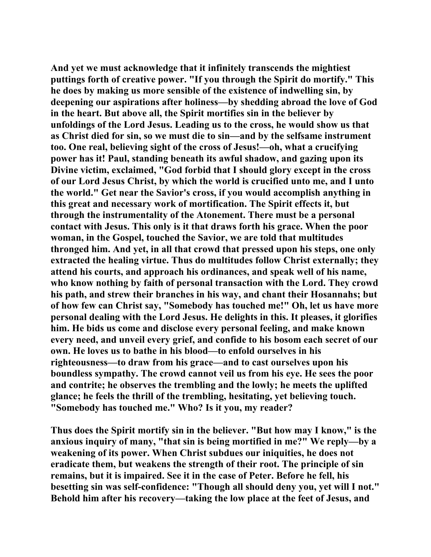**And yet we must acknowledge that it infinitely transcends the mightiest puttings forth of creative power. "If you through the Spirit do mortify." This he does by making us more sensible of the existence of indwelling sin, by deepening our aspirations after holiness—by shedding abroad the love of God in the heart. But above all, the Spirit mortifies sin in the believer by unfoldings of the Lord Jesus. Leading us to the cross, he would show us that as Christ died for sin, so we must die to sin—and by the selfsame instrument too. One real, believing sight of the cross of Jesus!—oh, what a crucifying power has it! Paul, standing beneath its awful shadow, and gazing upon its Divine victim, exclaimed, "God forbid that I should glory except in the cross of our Lord Jesus Christ, by which the world is crucified unto me, and I unto the world." Get near the Savior's cross, if you would accomplish anything in this great and necessary work of mortification. The Spirit effects it, but through the instrumentality of the Atonement. There must be a personal contact with Jesus. This only is it that draws forth his grace. When the poor woman, in the Gospel, touched the Savior, we are told that multitudes thronged him. And yet, in all that crowd that pressed upon his steps, one only extracted the healing virtue. Thus do multitudes follow Christ externally; they attend his courts, and approach his ordinances, and speak well of his name, who know nothing by faith of personal transaction with the Lord. They crowd his path, and strew their branches in his way, and chant their Hosannahs; but of how few can Christ say, "Somebody has touched me!" Oh, let us have more personal dealing with the Lord Jesus. He delights in this. It pleases, it glorifies him. He bids us come and disclose every personal feeling, and make known every need, and unveil every grief, and confide to his bosom each secret of our own. He loves us to bathe in his blood—to enfold ourselves in his righteousness—to draw from his grace—and to cast ourselves upon his boundless sympathy. The crowd cannot veil us from his eye. He sees the poor and contrite; he observes the trembling and the lowly; he meets the uplifted glance; he feels the thrill of the trembling, hesitating, yet believing touch. "Somebody has touched me." Who? Is it you, my reader?** 

**Thus does the Spirit mortify sin in the believer. "But how may I know," is the anxious inquiry of many, "that sin is being mortified in me?" We reply—by a weakening of its power. When Christ subdues our iniquities, he does not eradicate them, but weakens the strength of their root. The principle of sin remains, but it is impaired. See it in the case of Peter. Before he fell, his besetting sin was self-confidence: "Though all should deny you, yet will I not." Behold him after his recovery—taking the low place at the feet of Jesus, and**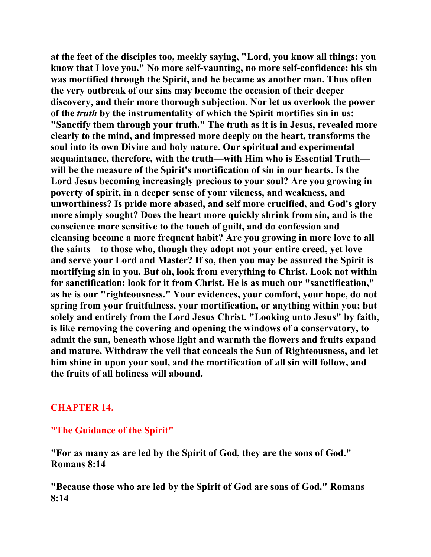**at the feet of the disciples too, meekly saying, "Lord, you know all things; you know that I love you." No more self-vaunting, no more self-confidence: his sin was mortified through the Spirit, and he became as another man. Thus often the very outbreak of our sins may become the occasion of their deeper discovery, and their more thorough subjection. Nor let us overlook the power of the** *truth* **by the instrumentality of which the Spirit mortifies sin in us: "Sanctify them through your truth." The truth as it is in Jesus, revealed more clearly to the mind, and impressed more deeply on the heart, transforms the soul into its own Divine and holy nature. Our spiritual and experimental acquaintance, therefore, with the truth—with Him who is Essential Truth will be the measure of the Spirit's mortification of sin in our hearts. Is the Lord Jesus becoming increasingly precious to your soul? Are you growing in poverty of spirit, in a deeper sense of your vileness, and weakness, and unworthiness? Is pride more abased, and self more crucified, and God's glory more simply sought? Does the heart more quickly shrink from sin, and is the conscience more sensitive to the touch of guilt, and do confession and cleansing become a more frequent habit? Are you growing in more love to all the saints—to those who, though they adopt not your entire creed, yet love and serve your Lord and Master? If so, then you may be assured the Spirit is mortifying sin in you. But oh, look from everything to Christ. Look not within for sanctification; look for it from Christ. He is as much our "sanctification," as he is our "righteousness." Your evidences, your comfort, your hope, do not spring from your fruitfulness, your mortification, or anything within you; but solely and entirely from the Lord Jesus Christ. "Looking unto Jesus" by faith, is like removing the covering and opening the windows of a conservatory, to admit the sun, beneath whose light and warmth the flowers and fruits expand and mature. Withdraw the veil that conceals the Sun of Righteousness, and let him shine in upon your soul, and the mortification of all sin will follow, and the fruits of all holiness will abound.** 

#### **CHAPTER 14.**

#### **"The Guidance of the Spirit"**

**"For as many as are led by the Spirit of God, they are the sons of God." Romans 8:14** 

**"Because those who are led by the Spirit of God are sons of God." Romans 8:14**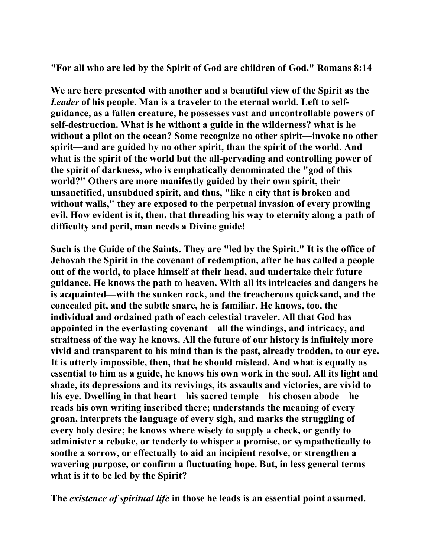**"For all who are led by the Spirit of God are children of God." Romans 8:14** 

**We are here presented with another and a beautiful view of the Spirit as the**  *Leader* **of his people. Man is a traveler to the eternal world. Left to selfguidance, as a fallen creature, he possesses vast and uncontrollable powers of self-destruction. What is he without a guide in the wilderness? what is he without a pilot on the ocean? Some recognize no other spirit—invoke no other spirit—and are guided by no other spirit, than the spirit of the world. And what is the spirit of the world but the all-pervading and controlling power of the spirit of darkness, who is emphatically denominated the "god of this world?" Others are more manifestly guided by their own spirit, their unsanctified, unsubdued spirit, and thus, "like a city that is broken and without walls," they are exposed to the perpetual invasion of every prowling evil. How evident is it, then, that threading his way to eternity along a path of difficulty and peril, man needs a Divine guide!** 

**Such is the Guide of the Saints. They are "led by the Spirit." It is the office of Jehovah the Spirit in the covenant of redemption, after he has called a people out of the world, to place himself at their head, and undertake their future guidance. He knows the path to heaven. With all its intricacies and dangers he is acquainted—with the sunken rock, and the treacherous quicksand, and the concealed pit, and the subtle snare, he is familiar. He knows, too, the individual and ordained path of each celestial traveler. All that God has appointed in the everlasting covenant—all the windings, and intricacy, and straitness of the way he knows. All the future of our history is infinitely more vivid and transparent to his mind than is the past, already trodden, to our eye. It is utterly impossible, then, that he should mislead. And what is equally as essential to him as a guide, he knows his own work in the soul. All its light and shade, its depressions and its revivings, its assaults and victories, are vivid to his eye. Dwelling in that heart—his sacred temple—his chosen abode—he reads his own writing inscribed there; understands the meaning of every groan, interprets the language of every sigh, and marks the struggling of every holy desire; he knows where wisely to supply a check, or gently to administer a rebuke, or tenderly to whisper a promise, or sympathetically to soothe a sorrow, or effectually to aid an incipient resolve, or strengthen a wavering purpose, or confirm a fluctuating hope. But, in less general terms what is it to be led by the Spirit?** 

**The** *existence of spiritual life* **in those he leads is an essential point assumed.**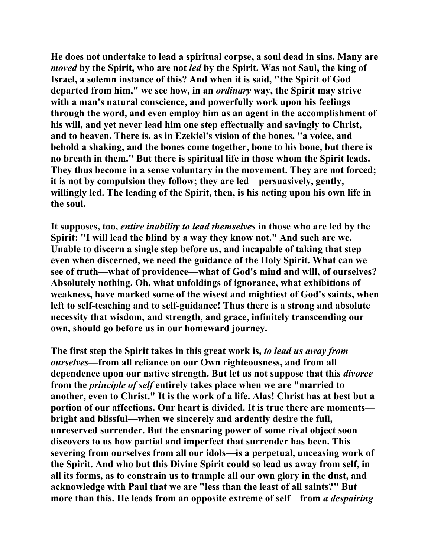**He does not undertake to lead a spiritual corpse, a soul dead in sins. Many are**  *moved* **by the Spirit, who are not** *led* **by the Spirit. Was not Saul, the king of Israel, a solemn instance of this? And when it is said, "the Spirit of God departed from him," we see how, in an** *ordinary* **way, the Spirit may strive with a man's natural conscience, and powerfully work upon his feelings through the word, and even employ him as an agent in the accomplishment of his will, and yet never lead him one step effectually and savingly to Christ, and to heaven. There is, as in Ezekiel's vision of the bones, "a voice, and behold a shaking, and the bones come together, bone to his bone, but there is no breath in them." But there is spiritual life in those whom the Spirit leads. They thus become in a sense voluntary in the movement. They are not forced; it is not by compulsion they follow; they are led—persuasively, gently, willingly led. The leading of the Spirit, then, is his acting upon his own life in the soul.** 

**It supposes, too,** *entire inability to lead themselves* **in those who are led by the Spirit: "I will lead the blind by a way they know not." And such are we. Unable to discern a single step before us, and incapable of taking that step even when discerned, we need the guidance of the Holy Spirit. What can we see of truth—what of providence—what of God's mind and will, of ourselves? Absolutely nothing. Oh, what unfoldings of ignorance, what exhibitions of weakness, have marked some of the wisest and mightiest of God's saints, when left to self-teaching and to self-guidance! Thus there is a strong and absolute necessity that wisdom, and strength, and grace, infinitely transcending our own, should go before us in our homeward journey.** 

**The first step the Spirit takes in this great work is,** *to lead us away from ourselves***—from all reliance on our Own righteousness, and from all dependence upon our native strength. But let us not suppose that this** *divorce* **from the** *principle of self* **entirely takes place when we are "married to another, even to Christ." It is the work of a life. Alas! Christ has at best but a portion of our affections. Our heart is divided. It is true there are moments bright and blissful—when we sincerely and ardently desire the full, unreserved surrender. But the ensnaring power of some rival object soon discovers to us how partial and imperfect that surrender has been. This severing from ourselves from all our idols—is a perpetual, unceasing work of the Spirit. And who but this Divine Spirit could so lead us away from self, in all its forms, as to constrain us to trample all our own glory in the dust, and acknowledge with Paul that we are "less than the least of all saints?" But more than this. He leads from an opposite extreme of self—from** *a despairing*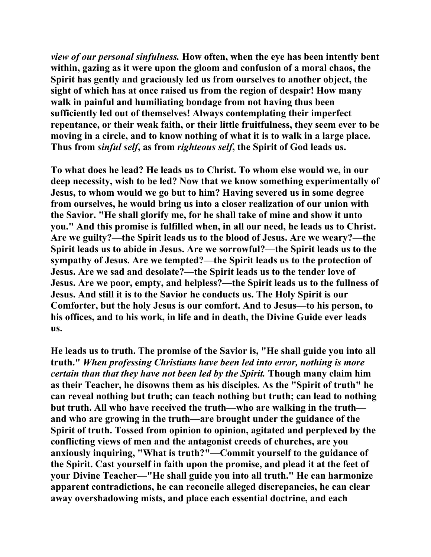*view of our personal sinfulness.* **How often, when the eye has been intently bent within, gazing as it were upon the gloom and confusion of a moral chaos, the Spirit has gently and graciously led us from ourselves to another object, the sight of which has at once raised us from the region of despair! How many walk in painful and humiliating bondage from not having thus been sufficiently led out of themselves! Always contemplating their imperfect repentance, or their weak faith, or their little fruitfulness, they seem ever to be moving in a circle, and to know nothing of what it is to walk in a large place. Thus from** *sinful self***, as from** *righteous self***, the Spirit of God leads us.** 

**To what does he lead? He leads us to Christ. To whom else would we, in our deep necessity, wish to be led? Now that we know something experimentally of Jesus, to whom would we go but to him? Having severed us in some degree from ourselves, he would bring us into a closer realization of our union with the Savior. "He shall glorify me, for he shall take of mine and show it unto you." And this promise is fulfilled when, in all our need, he leads us to Christ. Are we guilty?—the Spirit leads us to the blood of Jesus. Are we weary?—the Spirit leads us to abide in Jesus. Are we sorrowful?—the Spirit leads us to the sympathy of Jesus. Are we tempted?—the Spirit leads us to the protection of Jesus. Are we sad and desolate?—the Spirit leads us to the tender love of Jesus. Are we poor, empty, and helpless?—the Spirit leads us to the fullness of Jesus. And still it is to the Savior he conducts us. The Holy Spirit is our Comforter, but the holy Jesus is our comfort. And to Jesus—to his person, to his offices, and to his work, in life and in death, the Divine Guide ever leads us.** 

**He leads us to truth. The promise of the Savior is, "He shall guide you into all truth."** *When professing Christians have been led into error, nothing is more certain than that they have not been led by the Spirit.* **Though many claim him as their Teacher, he disowns them as his disciples. As the "Spirit of truth" he can reveal nothing but truth; can teach nothing but truth; can lead to nothing but truth. All who have received the truth—who are walking in the truth and who are growing in the truth—are brought under the guidance of the Spirit of truth. Tossed from opinion to opinion, agitated and perplexed by the conflicting views of men and the antagonist creeds of churches, are you anxiously inquiring, "What is truth?"—Commit yourself to the guidance of the Spirit. Cast yourself in faith upon the promise, and plead it at the feet of your Divine Teacher—"He shall guide you into all truth." He can harmonize apparent contradictions, he can reconcile alleged discrepancies, he can clear away overshadowing mists, and place each essential doctrine, and each**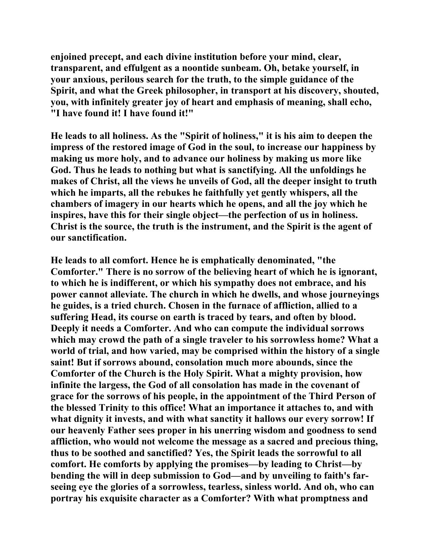**enjoined precept, and each divine institution before your mind, clear, transparent, and effulgent as a noontide sunbeam. Oh, betake yourself, in your anxious, perilous search for the truth, to the simple guidance of the Spirit, and what the Greek philosopher, in transport at his discovery, shouted, you, with infinitely greater joy of heart and emphasis of meaning, shall echo, "I have found it! I have found it!"** 

**He leads to all holiness. As the "Spirit of holiness," it is his aim to deepen the impress of the restored image of God in the soul, to increase our happiness by making us more holy, and to advance our holiness by making us more like God. Thus he leads to nothing but what is sanctifying. All the unfoldings he makes of Christ, all the views he unveils of God, all the deeper insight to truth which he imparts, all the rebukes he faithfully yet gently whispers, all the chambers of imagery in our hearts which he opens, and all the joy which he inspires, have this for their single object—the perfection of us in holiness. Christ is the source, the truth is the instrument, and the Spirit is the agent of our sanctification.** 

**He leads to all comfort. Hence he is emphatically denominated, "the Comforter." There is no sorrow of the believing heart of which he is ignorant, to which he is indifferent, or which his sympathy does not embrace, and his power cannot alleviate. The church in which he dwells, and whose journeyings he guides, is a tried church. Chosen in the furnace of affliction, allied to a suffering Head, its course on earth is traced by tears, and often by blood. Deeply it needs a Comforter. And who can compute the individual sorrows which may crowd the path of a single traveler to his sorrowless home? What a world of trial, and how varied, may be comprised within the history of a single saint! But if sorrows abound, consolation much more abounds, since the Comforter of the Church is the Holy Spirit. What a mighty provision, how infinite the largess, the God of all consolation has made in the covenant of grace for the sorrows of his people, in the appointment of the Third Person of the blessed Trinity to this office! What an importance it attaches to, and with what dignity it invests, and with what sanctity it hallows our every sorrow! If our heavenly Father sees proper in his unerring wisdom and goodness to send affliction, who would not welcome the message as a sacred and precious thing, thus to be soothed and sanctified? Yes, the Spirit leads the sorrowful to all comfort. He comforts by applying the promises—by leading to Christ—by bending the will in deep submission to God—and by unveiling to faith's farseeing eye the glories of a sorrowless, tearless, sinless world. And oh, who can portray his exquisite character as a Comforter? With what promptness and**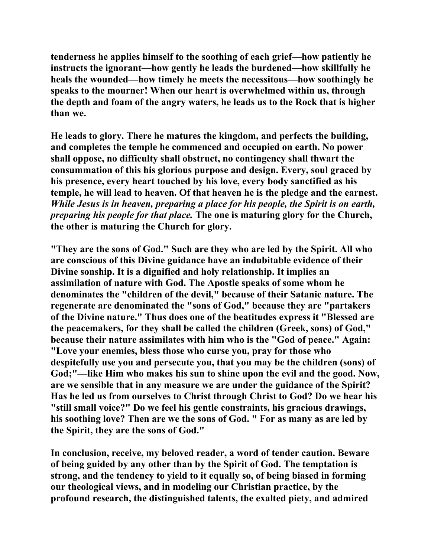**tenderness he applies himself to the soothing of each grief—how patiently he instructs the ignorant—how gently he leads the burdened—how skillfully he heals the wounded—how timely he meets the necessitous—how soothingly he speaks to the mourner! When our heart is overwhelmed within us, through the depth and foam of the angry waters, he leads us to the Rock that is higher than we.** 

**He leads to glory. There he matures the kingdom, and perfects the building, and completes the temple he commenced and occupied on earth. No power shall oppose, no difficulty shall obstruct, no contingency shall thwart the consummation of this his glorious purpose and design. Every, soul graced by his presence, every heart touched by his love, every body sanctified as his temple, he will lead to heaven. Of that heaven he is the pledge and the earnest.**  *While Jesus is in heaven, preparing a place for his people, the Spirit is on earth, preparing his people for that place.* **The one is maturing glory for the Church, the other is maturing the Church for glory.** 

**"They are the sons of God." Such are they who are led by the Spirit. All who are conscious of this Divine guidance have an indubitable evidence of their Divine sonship. It is a dignified and holy relationship. It implies an assimilation of nature with God. The Apostle speaks of some whom he denominates the "children of the devil," because of their Satanic nature. The regenerate are denominated the "sons of God," because they are "partakers of the Divine nature." Thus does one of the beatitudes express it "Blessed are the peacemakers, for they shall be called the children (Greek, sons) of God," because their nature assimilates with him who is the "God of peace." Again: "Love your enemies, bless those who curse you, pray for those who despitefully use you and persecute you, that you may be the children (sons) of God;"—like Him who makes his sun to shine upon the evil and the good. Now, are we sensible that in any measure we are under the guidance of the Spirit? Has he led us from ourselves to Christ through Christ to God? Do we hear his "still small voice?" Do we feel his gentle constraints, his gracious drawings, his soothing love? Then are we the sons of God. " For as many as are led by the Spirit, they are the sons of God."** 

**In conclusion, receive, my beloved reader, a word of tender caution. Beware of being guided by any other than by the Spirit of God. The temptation is strong, and the tendency to yield to it equally so, of being biased in forming our theological views, and in modeling our Christian practice, by the profound research, the distinguished talents, the exalted piety, and admired**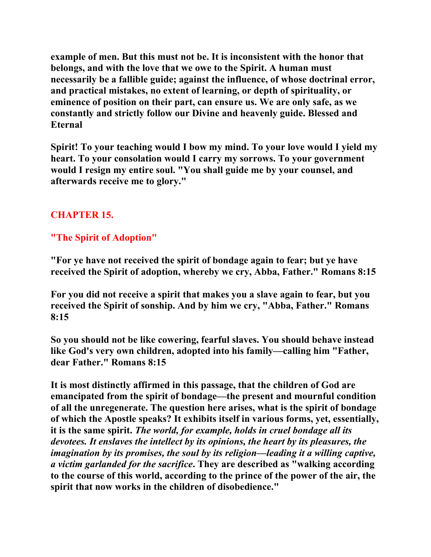**example of men. But this must not be. It is inconsistent with the honor that belongs, and with the love that we owe to the Spirit. A human must necessarily be a fallible guide; against the influence, of whose doctrinal error, and practical mistakes, no extent of learning, or depth of spirituality, or eminence of position on their part, can ensure us. We are only safe, as we constantly and strictly follow our Divine and heavenly guide. Blessed and Eternal** 

**Spirit! To your teaching would I bow my mind. To your love would I yield my heart. To your consolation would I carry my sorrows. To your government would I resign my entire soul. "You shall guide me by your counsel, and afterwards receive me to glory."** 

# **CHAPTER 15.**

# **"The Spirit of Adoption"**

**"For ye have not received the spirit of bondage again to fear; but ye have received the Spirit of adoption, whereby we cry, Abba, Father." Romans 8:15** 

**For you did not receive a spirit that makes you a slave again to fear, but you received the Spirit of sonship. And by him we cry, "Abba, Father." Romans 8:15** 

**So you should not be like cowering, fearful slaves. You should behave instead like God's very own children, adopted into his family—calling him "Father, dear Father." Romans 8:15** 

**It is most distinctly affirmed in this passage, that the children of God are emancipated from the spirit of bondage—the present and mournful condition of all the unregenerate. The question here arises, what is the spirit of bondage of which the Apostle speaks? It exhibits itself in various forms, yet, essentially, it is the same spirit.** *The world, for example, holds in cruel bondage all its devotees. It enslaves the intellect by its opinions, the heart by its pleasures, the imagination by its promises, the soul by its religion—leading it a willing captive, a victim garlanded for the sacrifice***. They are described as "walking according to the course of this world, according to the prince of the power of the air, the spirit that now works in the children of disobedience."**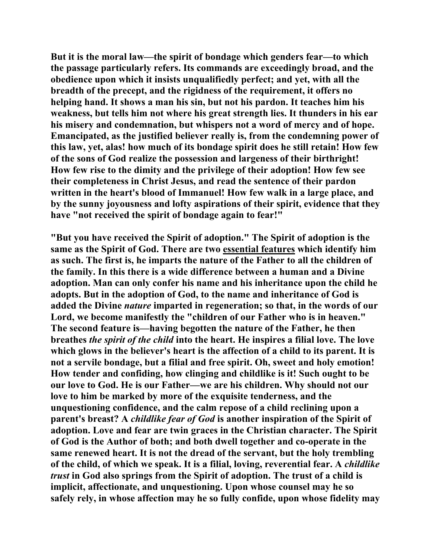**But it is the moral law—the spirit of bondage which genders fear—to which the passage particularly refers. Its commands are exceedingly broad, and the obedience upon which it insists unqualifiedly perfect; and yet, with all the breadth of the precept, and the rigidness of the requirement, it offers no helping hand. It shows a man his sin, but not his pardon. It teaches him his weakness, but tells him not where his great strength lies. It thunders in his ear his misery and condemnation, but whispers not a word of mercy and of hope. Emancipated, as the justified believer really is, from the condemning power of this law, yet, alas! how much of its bondage spirit does he still retain! How few of the sons of God realize the possession and largeness of their birthright! How few rise to the dimity and the privilege of their adoption! How few see their completeness in Christ Jesus, and read the sentence of their pardon written in the heart's blood of Immanuel! How few walk in a large place, and by the sunny joyousness and lofty aspirations of their spirit, evidence that they have "not received the spirit of bondage again to fear!"** 

**"But you have received the Spirit of adoption." The Spirit of adoption is the same as the Spirit of God. There are two essential features which identify him as such. The first is, he imparts the nature of the Father to all the children of the family. In this there is a wide difference between a human and a Divine adoption. Man can only confer his name and his inheritance upon the child he adopts. But in the adoption of God, to the name and inheritance of God is added the Divine** *nature* **imparted in regeneration; so that, in the words of our Lord, we become manifestly the "children of our Father who is in heaven." The second feature is—having begotten the nature of the Father, he then breathes** *the spirit of the child* **into the heart. He inspires a filial love. The love which glows in the believer's heart is the affection of a child to its parent. It is not a servile bondage, but a filial and free spirit. Oh, sweet and holy emotion! How tender and confiding, how clinging and childlike is it! Such ought to be our love to God. He is our Father—we are his children. Why should not our love to him be marked by more of the exquisite tenderness, and the unquestioning confidence, and the calm repose of a child reclining upon a parent's breast? A** *childlike fear of God* **is another inspiration of the Spirit of adoption. Love and fear are twin graces in the Christian character. The Spirit of God is the Author of both; and both dwell together and co-operate in the same renewed heart. It is not the dread of the servant, but the holy trembling of the child, of which we speak. It is a filial, loving, reverential fear. A** *childlike trust* **in God also springs from the Spirit of adoption. The trust of a child is implicit, affectionate, and unquestioning. Upon whose counsel may he so safely rely, in whose affection may he so fully confide, upon whose fidelity may**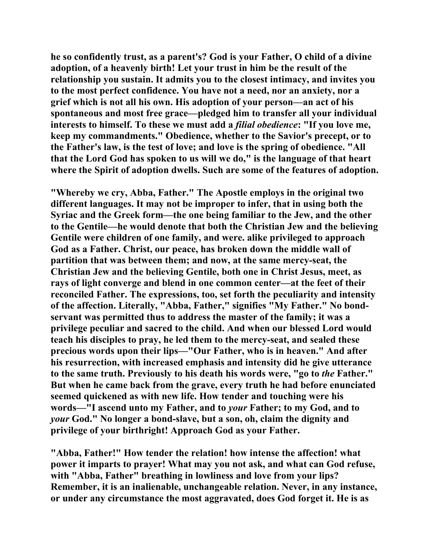**he so confidently trust, as a parent's? God is your Father, O child of a divine adoption, of a heavenly birth! Let your trust in him be the result of the relationship you sustain. It admits you to the closest intimacy, and invites you to the most perfect confidence. You have not a need, nor an anxiety, nor a grief which is not all his own. His adoption of your person—an act of his spontaneous and most free grace—pledged him to transfer all your individual interests to himself. To these we must add a** *filial obedience***: "If you love me, keep my commandments." Obedience, whether to the Savior's precept, or to the Father's law, is the test of love; and love is the spring of obedience. "All that the Lord God has spoken to us will we do," is the language of that heart where the Spirit of adoption dwells. Such are some of the features of adoption.** 

**"Whereby we cry, Abba, Father." The Apostle employs in the original two different languages. It may not be improper to infer, that in using both the Syriac and the Greek form—the one being familiar to the Jew, and the other to the Gentile—he would denote that both the Christian Jew and the believing Gentile were children of one family, and were. alike privileged to approach God as a Father. Christ, our peace, has broken down the middle wall of partition that was between them; and now, at the same mercy-seat, the Christian Jew and the believing Gentile, both one in Christ Jesus, meet, as rays of light converge and blend in one common center—at the feet of their reconciled Father. The expressions, too, set forth the peculiarity and intensity of the affection. Literally, "Abba, Father," signifies "My Father." No bondservant was permitted thus to address the master of the family; it was a privilege peculiar and sacred to the child. And when our blessed Lord would teach his disciples to pray, he led them to the mercy-seat, and sealed these precious words upon their lips—"Our Father, who is in heaven." And after his resurrection, with increased emphasis and intensity did he give utterance to the same truth. Previously to his death his words were, "go to** *the* **Father." But when he came back from the grave, every truth he had before enunciated seemed quickened as with new life. How tender and touching were his words—"I ascend unto my Father, and to** *your* **Father; to my God, and to**  *your* **God." No longer a bond-slave, but a son, oh, claim the dignity and privilege of your birthright! Approach God as your Father.** 

**"Abba, Father!" How tender the relation! how intense the affection! what power it imparts to prayer! What may you not ask, and what can God refuse, with "Abba, Father" breathing in lowliness and love from your lips? Remember, it is an inalienable, unchangeable relation. Never, in any instance, or under any circumstance the most aggravated, does God forget it. He is as**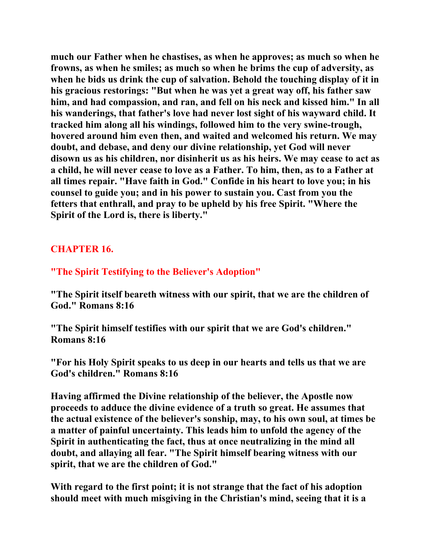**much our Father when he chastises, as when he approves; as much so when he frowns, as when he smiles; as much so when he brims the cup of adversity, as when he bids us drink the cup of salvation. Behold the touching display of it in his gracious restorings: "But when he was yet a great way off, his father saw him, and had compassion, and ran, and fell on his neck and kissed him." In all his wanderings, that father's love had never lost sight of his wayward child. It tracked him along all his windings, followed him to the very swine-trough, hovered around him even then, and waited and welcomed his return. We may doubt, and debase, and deny our divine relationship, yet God will never disown us as his children, nor disinherit us as his heirs. We may cease to act as a child, he will never cease to love as a Father. To him, then, as to a Father at all times repair. "Have faith in God." Confide in his heart to love you; in his counsel to guide you; and in his power to sustain you. Cast from you the fetters that enthrall, and pray to be upheld by his free Spirit. "Where the Spirit of the Lord is, there is liberty."** 

## **CHAPTER 16.**

#### **"The Spirit Testifying to the Believer's Adoption"**

**"The Spirit itself beareth witness with our spirit, that we are the children of God." Romans 8:16** 

**"The Spirit himself testifies with our spirit that we are God's children." Romans 8:16** 

**"For his Holy Spirit speaks to us deep in our hearts and tells us that we are God's children." Romans 8:16** 

**Having affirmed the Divine relationship of the believer, the Apostle now proceeds to adduce the divine evidence of a truth so great. He assumes that the actual existence of the believer's sonship, may, to his own soul, at times be a matter of painful uncertainty. This leads him to unfold the agency of the Spirit in authenticating the fact, thus at once neutralizing in the mind all doubt, and allaying all fear. "The Spirit himself bearing witness with our spirit, that we are the children of God."** 

**With regard to the first point; it is not strange that the fact of his adoption should meet with much misgiving in the Christian's mind, seeing that it is a**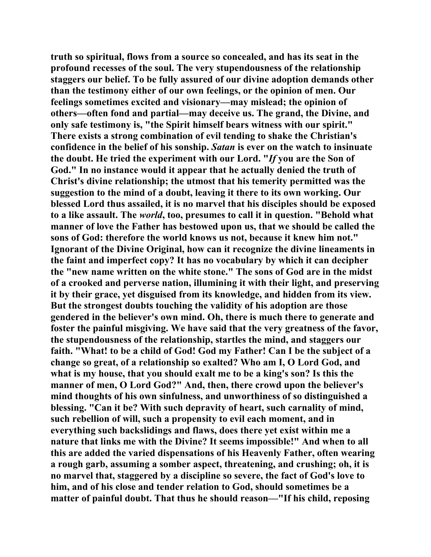**truth so spiritual, flows from a source so concealed, and has its seat in the profound recesses of the soul. The very stupendousness of the relationship staggers our belief. To be fully assured of our divine adoption demands other than the testimony either of our own feelings, or the opinion of men. Our feelings sometimes excited and visionary—may mislead; the opinion of others—often fond and partial—may deceive us. The grand, the Divine, and only safe testimony is, "the Spirit himself bears witness with our spirit." There exists a strong combination of evil tending to shake the Christian's confidence in the belief of his sonship.** *Satan* **is ever on the watch to insinuate the doubt. He tried the experiment with our Lord. "***If* **you are the Son of God." In no instance would it appear that he actually denied the truth of Christ's divine relationship; the utmost that his temerity permitted was the suggestion to the mind of a doubt, leaving it there to its own working. Our blessed Lord thus assailed, it is no marvel that his disciples should be exposed to a like assault. The** *world***, too, presumes to call it in question. "Behold what manner of love the Father has bestowed upon us, that we should be called the sons of God: therefore the world knows us not, because it knew him not." Ignorant of the Divine Original, how can it recognize the divine lineaments in the faint and imperfect copy? It has no vocabulary by which it can decipher the "new name written on the white stone." The sons of God are in the midst of a crooked and perverse nation, illumining it with their light, and preserving it by their grace, yet disguised from its knowledge, and hidden from its view. But the strongest doubts touching the validity of his adoption are those gendered in the believer's own mind. Oh, there is much there to generate and foster the painful misgiving. We have said that the very greatness of the favor, the stupendousness of the relationship, startles the mind, and staggers our faith. "What! to be a child of God! God my Father! Can I be the subject of a change so great, of a relationship so exalted? Who am I, O Lord God, and what is my house, that you should exalt me to be a king's son? Is this the manner of men, O Lord God?" And, then, there crowd upon the believer's mind thoughts of his own sinfulness, and unworthiness of so distinguished a blessing. "Can it be? With such depravity of heart, such carnality of mind, such rebellion of will, such a propensity to evil each moment, and in everything such backslidings and flaws, does there yet exist within me a nature that links me with the Divine? It seems impossible!" And when to all this are added the varied dispensations of his Heavenly Father, often wearing a rough garb, assuming a somber aspect, threatening, and crushing; oh, it is no marvel that, staggered by a discipline so severe, the fact of God's love to him, and of his close and tender relation to God, should sometimes be a matter of painful doubt. That thus he should reason—"If his child, reposing**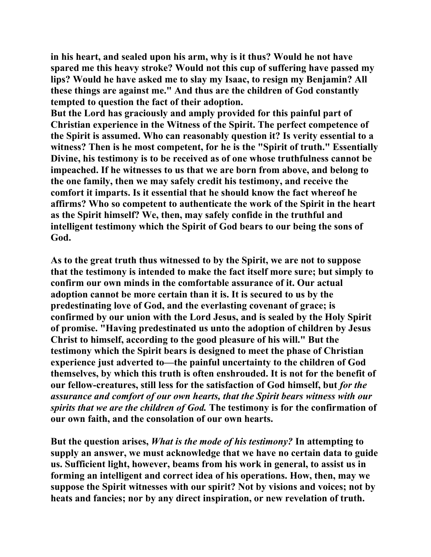**in his heart, and sealed upon his arm, why is it thus? Would he not have spared me this heavy stroke? Would not this cup of suffering have passed my lips? Would he have asked me to slay my Isaac, to resign my Benjamin? All these things are against me." And thus are the children of God constantly tempted to question the fact of their adoption.** 

**But the Lord has graciously and amply provided for this painful part of Christian experience in the Witness of the Spirit. The perfect competence of the Spirit is assumed. Who can reasonably question it? Is verity essential to a witness? Then is he most competent, for he is the "Spirit of truth." Essentially Divine, his testimony is to be received as of one whose truthfulness cannot be impeached. If he witnesses to us that we are born from above, and belong to the one family, then we may safely credit his testimony, and receive the comfort it imparts. Is it essential that he should know the fact whereof he affirms? Who so competent to authenticate the work of the Spirit in the heart as the Spirit himself? We, then, may safely confide in the truthful and intelligent testimony which the Spirit of God bears to our being the sons of God.** 

**As to the great truth thus witnessed to by the Spirit, we are not to suppose that the testimony is intended to make the fact itself more sure; but simply to confirm our own minds in the comfortable assurance of it. Our actual adoption cannot be more certain than it is. It is secured to us by the predestinating love of God, and the everlasting covenant of grace; is confirmed by our union with the Lord Jesus, and is sealed by the Holy Spirit of promise. "Having predestinated us unto the adoption of children by Jesus Christ to himself, according to the good pleasure of his will." But the testimony which the Spirit bears is designed to meet the phase of Christian experience just adverted to—the painful uncertainty to the children of God themselves, by which this truth is often enshrouded. It is not for the benefit of our fellow-creatures, still less for the satisfaction of God himself, but** *for the assurance and comfort of our own hearts, that the Spirit bears witness with our spirits that we are the children of God.* **The testimony is for the confirmation of our own faith, and the consolation of our own hearts.** 

**But the question arises,** *What is the mode of his testimony?* **In attempting to supply an answer, we must acknowledge that we have no certain data to guide us. Sufficient light, however, beams from his work in general, to assist us in forming an intelligent and correct idea of his operations. How, then, may we suppose the Spirit witnesses with our spirit? Not by visions and voices; not by heats and fancies; nor by any direct inspiration, or new revelation of truth.**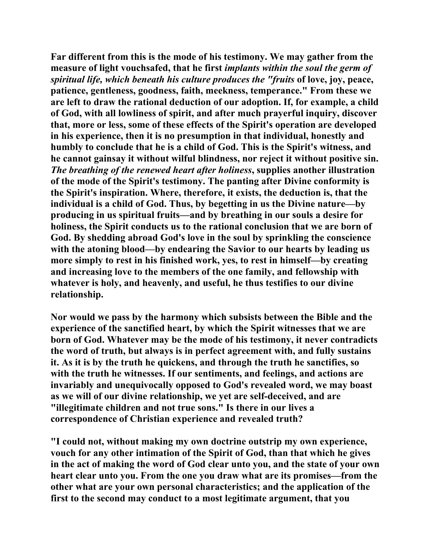**Far different from this is the mode of his testimony. We may gather from the measure of light vouchsafed, that he first** *implants within the soul the germ of spiritual life, which beneath his culture produces the "fruits* **of love, joy, peace, patience, gentleness, goodness, faith, meekness, temperance." From these we are left to draw the rational deduction of our adoption. If, for example, a child of God, with all lowliness of spirit, and after much prayerful inquiry, discover that, more or less, some of these effects of the Spirit's operation are developed in his experience, then it is no presumption in that individual, honestly and humbly to conclude that he is a child of God. This is the Spirit's witness, and he cannot gainsay it without wilful blindness, nor reject it without positive sin.**  *The breathing of the renewed heart after holiness***, supplies another illustration of the mode of the Spirit's testimony. The panting after Divine conformity is the Spirit's inspiration. Where, therefore, it exists, the deduction is, that the individual is a child of God. Thus, by begetting in us the Divine nature—by producing in us spiritual fruits—and by breathing in our souls a desire for holiness, the Spirit conducts us to the rational conclusion that we are born of God. By shedding abroad God's love in the soul by sprinkling the conscience with the atoning blood—by endearing the Savior to our hearts by leading us more simply to rest in his finished work, yes, to rest in himself—by creating and increasing love to the members of the one family, and fellowship with whatever is holy, and heavenly, and useful, he thus testifies to our divine relationship.** 

**Nor would we pass by the harmony which subsists between the Bible and the experience of the sanctified heart, by which the Spirit witnesses that we are born of God. Whatever may be the mode of his testimony, it never contradicts the word of truth, but always is in perfect agreement with, and fully sustains it. As it is by the truth he quickens, and through the truth he sanctifies, so with the truth he witnesses. If our sentiments, and feelings, and actions are invariably and unequivocally opposed to God's revealed word, we may boast as we will of our divine relationship, we yet are self-deceived, and are "illegitimate children and not true sons." Is there in our lives a correspondence of Christian experience and revealed truth?** 

**"I could not, without making my own doctrine outstrip my own experience, vouch for any other intimation of the Spirit of God, than that which he gives in the act of making the word of God clear unto you, and the state of your own heart clear unto you. From the one you draw what are its promises—from the other what are your own personal characteristics; and the application of the first to the second may conduct to a most legitimate argument, that you**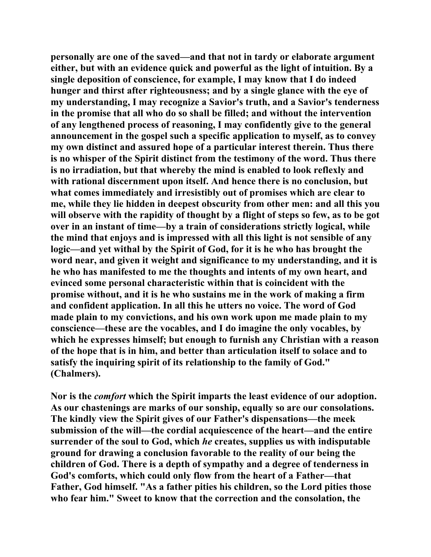**personally are one of the saved—and that not in tardy or elaborate argument either, but with an evidence quick and powerful as the light of intuition. By a single deposition of conscience, for example, I may know that I do indeed hunger and thirst after righteousness; and by a single glance with the eye of my understanding, I may recognize a Savior's truth, and a Savior's tenderness in the promise that all who do so shall be filled; and without the intervention of any lengthened process of reasoning, I may confidently give to the general announcement in the gospel such a specific application to myself, as to convey my own distinct and assured hope of a particular interest therein. Thus there is no whisper of the Spirit distinct from the testimony of the word. Thus there is no irradiation, but that whereby the mind is enabled to look reflexly and with rational discernment upon itself. And hence there is no conclusion, but what comes immediately and irresistibly out of promises which are clear to me, while they lie hidden in deepest obscurity from other men: and all this you will observe with the rapidity of thought by a flight of steps so few, as to be got over in an instant of time—by a train of considerations strictly logical, while the mind that enjoys and is impressed with all this light is not sensible of any logic—and yet withal by the Spirit of God, for it is he who has brought the word near, and given it weight and significance to my understanding, and it is he who has manifested to me the thoughts and intents of my own heart, and evinced some personal characteristic within that is coincident with the promise without, and it is he who sustains me in the work of making a firm and confident application. In all this he utters no voice. The word of God made plain to my convictions, and his own work upon me made plain to my conscience—these are the vocables, and I do imagine the only vocables, by which he expresses himself; but enough to furnish any Christian with a reason of the hope that is in him, and better than articulation itself to solace and to satisfy the inquiring spirit of its relationship to the family of God." (Chalmers).** 

**Nor is the** *comfort* **which the Spirit imparts the least evidence of our adoption. As our chastenings are marks of our sonship, equally so are our consolations. The kindly view the Spirit gives of our Father's dispensations—the meek submission of the will—the cordial acquiescence of the heart—and the entire surrender of the soul to God, which** *he* **creates, supplies us with indisputable ground for drawing a conclusion favorable to the reality of our being the children of God. There is a depth of sympathy and a degree of tenderness in God's comforts, which could only flow from the heart of a Father—that Father, God himself. "As a father pities his children, so the Lord pities those who fear him." Sweet to know that the correction and the consolation, the**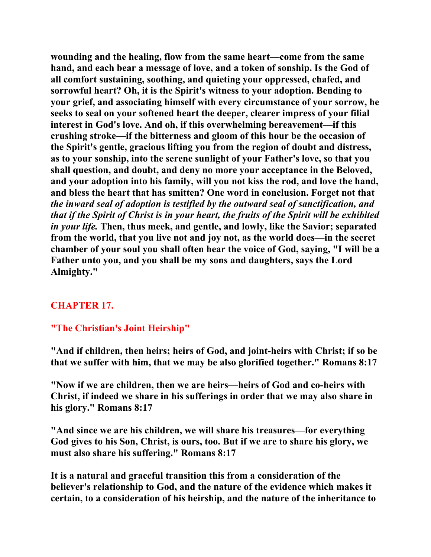**wounding and the healing, flow from the same heart—come from the same hand, and each bear a message of love, and a token of sonship. Is the God of all comfort sustaining, soothing, and quieting your oppressed, chafed, and sorrowful heart? Oh, it is the Spirit's witness to your adoption. Bending to your grief, and associating himself with every circumstance of your sorrow, he seeks to seal on your softened heart the deeper, clearer impress of your filial interest in God's love. And oh, if this overwhelming bereavement—if this crushing stroke—if the bitterness and gloom of this hour be the occasion of the Spirit's gentle, gracious lifting you from the region of doubt and distress, as to your sonship, into the serene sunlight of your Father's love, so that you shall question, and doubt, and deny no more your acceptance in the Beloved, and your adoption into his family, will you not kiss the rod, and love the hand, and bless the heart that has smitten? One word in conclusion. Forget not that**  *the inward seal of adoption is testified by the outward seal of sanctification, and that if the Spirit of Christ is in your heart, the fruits of the Spirit will be exhibited in your life.* **Then, thus meek, and gentle, and lowly, like the Savior; separated from the world, that you live not and joy not, as the world does—in the secret chamber of your soul you shall often hear the voice of God, saying, "I will be a Father unto you, and you shall be my sons and daughters, says the Lord Almighty."** 

### **CHAPTER 17.**

#### **"The Christian's Joint Heirship"**

**"And if children, then heirs; heirs of God, and joint-heirs with Christ; if so be that we suffer with him, that we may be also glorified together." Romans 8:17** 

**"Now if we are children, then we are heirs—heirs of God and co-heirs with Christ, if indeed we share in his sufferings in order that we may also share in his glory." Romans 8:17** 

**"And since we are his children, we will share his treasures—for everything God gives to his Son, Christ, is ours, too. But if we are to share his glory, we must also share his suffering." Romans 8:17** 

**It is a natural and graceful transition this from a consideration of the believer's relationship to God, and the nature of the evidence which makes it certain, to a consideration of his heirship, and the nature of the inheritance to**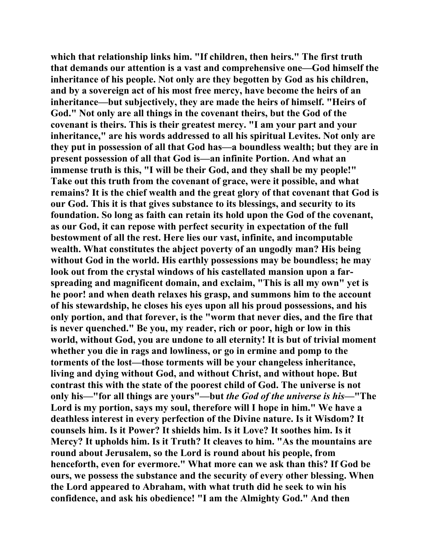**which that relationship links him. "If children, then heirs." The first truth that demands our attention is a vast and comprehensive one—God himself the inheritance of his people. Not only are they begotten by God as his children, and by a sovereign act of his most free mercy, have become the heirs of an inheritance—but subjectively, they are made the heirs of himself. "Heirs of God." Not only are all things in the covenant theirs, but the God of the covenant is theirs. This is their greatest mercy. "I am your part and your inheritance," are his words addressed to all his spiritual Levites. Not only are they put in possession of all that God has—a boundless wealth; but they are in present possession of all that God is—an infinite Portion. And what an immense truth is this, "I will be their God, and they shall be my people!" Take out this truth from the covenant of grace, were it possible, and what remains? It is the chief wealth and the great glory of that covenant that God is our God. This it is that gives substance to its blessings, and security to its foundation. So long as faith can retain its hold upon the God of the covenant, as our God, it can repose with perfect security in expectation of the full bestowment of all the rest. Here lies our vast, infinite, and incomputable wealth. What constitutes the abject poverty of an ungodly man? His being without God in the world. His earthly possessions may be boundless; he may look out from the crystal windows of his castellated mansion upon a farspreading and magnificent domain, and exclaim, "This is all my own" yet is he poor! and when death relaxes his grasp, and summons him to the account of his stewardship, he closes his eyes upon all his proud possessions, and his only portion, and that forever, is the "worm that never dies, and the fire that is never quenched." Be you, my reader, rich or poor, high or low in this world, without God, you are undone to all eternity! It is but of trivial moment whether you die in rags and lowliness, or go in ermine and pomp to the torments of the lost—those torments will be your changeless inheritance, living and dying without God, and without Christ, and without hope. But contrast this with the state of the poorest child of God. The universe is not only his—"for all things are yours"—but** *the God of the universe is his***—"The Lord is my portion, says my soul, therefore will I hope in him." We have a deathless interest in every perfection of the Divine nature. Is it Wisdom? It counsels him. Is it Power? It shields him. Is it Love? It soothes him. Is it Mercy? It upholds him. Is it Truth? It cleaves to him. "As the mountains are round about Jerusalem, so the Lord is round about his people, from henceforth, even for evermore." What more can we ask than this? If God be ours, we possess the substance and the security of every other blessing. When the Lord appeared to Abraham, with what truth did he seek to win his confidence, and ask his obedience! "I am the Almighty God." And then**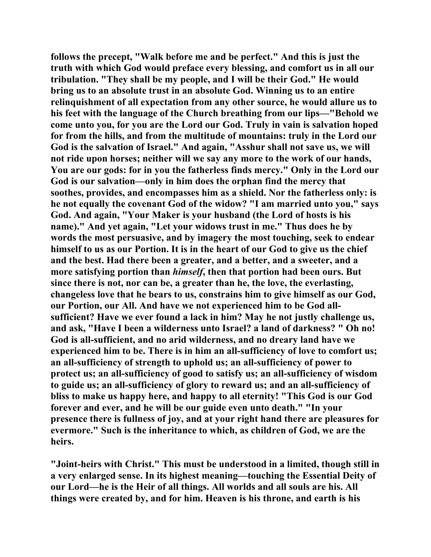**follows the precept, "Walk before me and be perfect." And this is just the truth with which God would preface every blessing, and comfort us in all our tribulation. "They shall be my people, and I will be their God." He would bring us to an absolute trust in an absolute God. Winning us to an entire relinquishment of all expectation from any other source, he would allure us to his feet with the language of the Church breathing from our lips—"Behold we come unto you, for you are the Lord our God. Truly in vain is salvation hoped for from the hills, and from the multitude of mountains: truly in the Lord our God is the salvation of Israel." And again, "Asshur shall not save us, we will not ride upon horses; neither will we say any more to the work of our hands, You are our gods: for in you the fatherless finds mercy." Only in the Lord our God is our salvation—only in him does the orphan find the mercy that soothes, provides, and encompasses him as a shield. Nor the fatherless only: is he not equally the covenant God of the widow? "I am married unto you," says God. And again, "Your Maker is your husband (the Lord of hosts is his name)." And yet again, "Let your widows trust in me." Thus does he by words the most persuasive, and by imagery the most touching, seek to endear himself to us as our Portion. It is in the heart of our God to give us the chief and the best. Had there been a greater, and a better, and a sweeter, and a more satisfying portion than** *himself***, then that portion had been ours. But since there is not, nor can be, a greater than he, the love, the everlasting, changeless love that he bears to us, constrains him to give himself as our God, our Portion, our All. And have we not experienced him to be God allsufficient? Have we ever found a lack in him? May he not justly challenge us, and ask, "Have I been a wilderness unto Israel? a land of darkness? " Oh no! God is all-sufficient, and no arid wilderness, and no dreary land have we experienced him to be. There is in him an all-sufficiency of love to comfort us; an all-sufficiency of strength to uphold us; an all-sufficiency of power to protect us; an all-sufficiency of good to satisfy us; an all-sufficiency of wisdom to guide us; an all-sufficiency of glory to reward us; and an all-sufficiency of bliss to make us happy here, and happy to all eternity! "This God is our God forever and ever, and he will be our guide even unto death." "In your presence there is fullness of joy, and at your right hand there are pleasures for evermore." Such is the inheritance to which, as children of God, we are the heirs.** 

**"Joint-heirs with Christ." This must be understood in a limited, though still in a very enlarged sense. In its highest meaning—touching the Essential Deity of our Lord—he is the Heir of all things. All worlds and all souls are his. All things were created by, and for him. Heaven is his throne, and earth is his**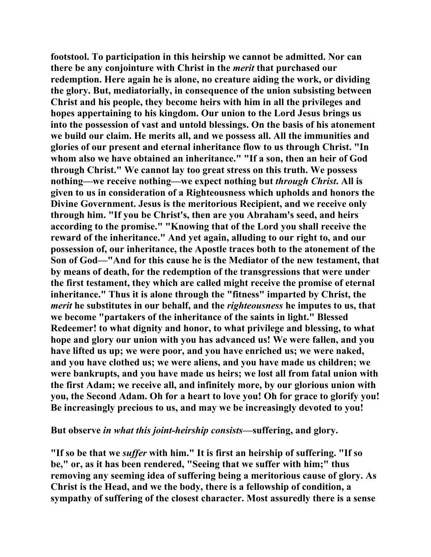**footstool. To participation in this heirship we cannot be admitted. Nor can there be any conjointure with Christ in the** *merit* **that purchased our redemption. Here again he is alone, no creature aiding the work, or dividing the glory. But, mediatorially, in consequence of the union subsisting between Christ and his people, they become heirs with him in all the privileges and hopes appertaining to his kingdom. Our union to the Lord Jesus brings us into the possession of vast and untold blessings. On the basis of his atonement we build our claim. He merits all, and we possess all. All the immunities and glories of our present and eternal inheritance flow to us through Christ. "In whom also we have obtained an inheritance." "If a son, then an heir of God through Christ." We cannot lay too great stress on this truth. We possess nothing—we receive nothing—we expect nothing but** *through Christ***. All is given to us in consideration of a Righteousness which upholds and honors the Divine Government. Jesus is the meritorious Recipient, and we receive only through him. "If you be Christ's, then are you Abraham's seed, and heirs according to the promise." "Knowing that of the Lord you shall receive the reward of the inheritance." And yet again, alluding to our right to, and our possession of, our inheritance, the Apostle traces both to the atonement of the Son of God—"And for this cause he is the Mediator of the new testament, that by means of death, for the redemption of the transgressions that were under the first testament, they which are called might receive the promise of eternal inheritance." Thus it is alone through the "fitness" imparted by Christ, the**  *merit* **he substitutes in our behalf, and the** *righteousness* **he imputes to us, that we become "partakers of the inheritance of the saints in light." Blessed Redeemer! to what dignity and honor, to what privilege and blessing, to what hope and glory our union with you has advanced us! We were fallen, and you have lifted us up; we were poor, and you have enriched us; we were naked, and you have clothed us; we were aliens, and you have made us children; we were bankrupts, and you have made us heirs; we lost all from fatal union with the first Adam; we receive all, and infinitely more, by our glorious union with you, the Second Adam. Oh for a heart to love you! Oh for grace to glorify you! Be increasingly precious to us, and may we be increasingly devoted to you!** 

### **But observe** *in what this joint-heirship consists***—suffering, and glory.**

**"If so be that we** *suffer* **with him." It is first an heirship of suffering. "If so be," or, as it has been rendered, "Seeing that we suffer with him;" thus removing any seeming idea of suffering being a meritorious cause of glory. As Christ is the Head, and we the body, there is a fellowship of condition, a sympathy of suffering of the closest character. Most assuredly there is a sense**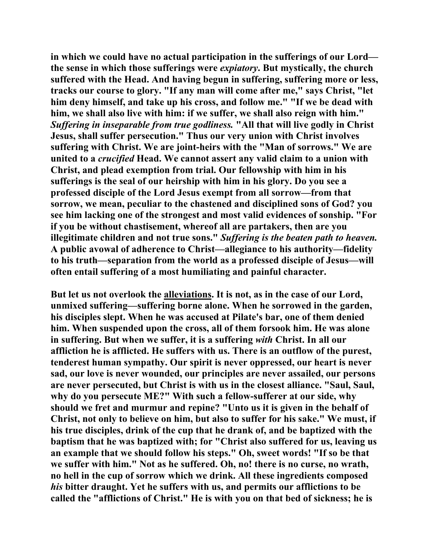**in which we could have no actual participation in the sufferings of our Lord the sense in which those sufferings were** *expiatory***. But mystically, the church suffered with the Head. And having begun in suffering, suffering more or less, tracks our course to glory. "If any man will come after me," says Christ, "let him deny himself, and take up his cross, and follow me." "If we be dead with him, we shall also live with him: if we suffer, we shall also reign with him."**  *Suffering in inseparable from true godliness.* **"All that will live godly in Christ Jesus, shall suffer persecution." Thus our very union with Christ involves suffering with Christ. We are joint-heirs with the "Man of sorrows." We are united to a** *crucified* **Head. We cannot assert any valid claim to a union with Christ, and plead exemption from trial. Our fellowship with him in his sufferings is the seal of our heirship with him in his glory. Do you see a professed disciple of the Lord Jesus exempt from all sorrow—from that sorrow, we mean, peculiar to the chastened and disciplined sons of God? you see him lacking one of the strongest and most valid evidences of sonship. "For if you be without chastisement, whereof all are partakers, then are you illegitimate children and not true sons."** *Suffering is the beaten path to heaven.* **A public avowal of adherence to Christ—allegiance to his authority—fidelity to his truth—separation from the world as a professed disciple of Jesus—will often entail suffering of a most humiliating and painful character.** 

**But let us not overlook the alleviations. It is not, as in the case of our Lord, unmixed suffering—suffering borne alone. When he sorrowed in the garden, his disciples slept. When he was accused at Pilate's bar, one of them denied him. When suspended upon the cross, all of them forsook him. He was alone in suffering. But when we suffer, it is a suffering** *with* **Christ. In all our affliction he is afflicted. He suffers with us. There is an outflow of the purest, tenderest human sympathy. Our spirit is never oppressed, our heart is never sad, our love is never wounded, our principles are never assailed, our persons are never persecuted, but Christ is with us in the closest alliance. "Saul, Saul, why do you persecute ME?" With such a fellow-sufferer at our side, why should we fret and murmur and repine? "Unto us it is given in the behalf of Christ, not only to believe on him, but also to suffer for his sake." We must, if his true disciples, drink of the cup that he drank of, and be baptized with the baptism that he was baptized with; for "Christ also suffered for us, leaving us an example that we should follow his steps." Oh, sweet words! "If so be that we suffer with him." Not as he suffered. Oh, no! there is no curse, no wrath, no hell in the cup of sorrow which we drink. All these ingredients composed**  *his* **bitter draught. Yet he suffers with us, and permits our afflictions to be called the "afflictions of Christ." He is with you on that bed of sickness; he is**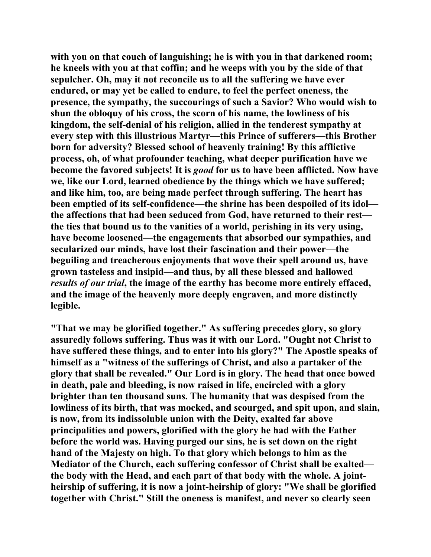**with you on that couch of languishing; he is with you in that darkened room; he kneels with you at that coffin; and he weeps with you by the side of that sepulcher. Oh, may it not reconcile us to all the suffering we have ever endured, or may yet be called to endure, to feel the perfect oneness, the presence, the sympathy, the succourings of such a Savior? Who would wish to shun the obloquy of his cross, the scorn of his name, the lowliness of his kingdom, the self-denial of his religion, allied in the tenderest sympathy at every step with this illustrious Martyr—this Prince of sufferers—this Brother born for adversity? Blessed school of heavenly training! By this afflictive process, oh, of what profounder teaching, what deeper purification have we become the favored subjects! It is** *good* **for us to have been afflicted. Now have we, like our Lord, learned obedience by the things which we have suffered; and like him, too, are being made perfect through suffering. The heart has been emptied of its self-confidence—the shrine has been despoiled of its idol the affections that had been seduced from God, have returned to their rest the ties that bound us to the vanities of a world, perishing in its very using, have become loosened—the engagements that absorbed our sympathies, and secularized our minds, have lost their fascination and their power—the beguiling and treacherous enjoyments that wove their spell around us, have grown tasteless and insipid—and thus, by all these blessed and hallowed**  *results of our trial***, the image of the earthy has become more entirely effaced, and the image of the heavenly more deeply engraven, and more distinctly legible.** 

**"That we may be glorified together." As suffering precedes glory, so glory assuredly follows suffering. Thus was it with our Lord. "Ought not Christ to have suffered these things, and to enter into his glory?" The Apostle speaks of himself as a "witness of the sufferings of Christ, and also a partaker of the glory that shall be revealed." Our Lord is in glory. The head that once bowed in death, pale and bleeding, is now raised in life, encircled with a glory brighter than ten thousand suns. The humanity that was despised from the lowliness of its birth, that was mocked, and scourged, and spit upon, and slain, is now, from its indissoluble union with the Deity, exalted far above principalities and powers, glorified with the glory he had with the Father before the world was. Having purged our sins, he is set down on the right hand of the Majesty on high. To that glory which belongs to him as the Mediator of the Church, each suffering confessor of Christ shall be exalted the body with the Head, and each part of that body with the whole. A jointheirship of suffering, it is now a joint-heirship of glory: "We shall be glorified together with Christ." Still the oneness is manifest, and never so clearly seen**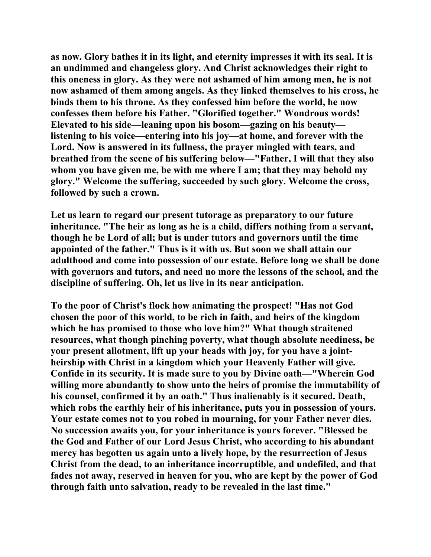**as now. Glory bathes it in its light, and eternity impresses it with its seal. It is an undimmed and changeless glory. And Christ acknowledges their right to this oneness in glory. As they were not ashamed of him among men, he is not now ashamed of them among angels. As they linked themselves to his cross, he binds them to his throne. As they confessed him before the world, he now confesses them before his Father. "Glorified together." Wondrous words! Elevated to his side—leaning upon his bosom—gazing on his beauty listening to his voice—entering into his joy—at home, and forever with the Lord. Now is answered in its fullness, the prayer mingled with tears, and breathed from the scene of his suffering below—"Father, I will that they also whom you have given me, be with me where I am; that they may behold my glory." Welcome the suffering, succeeded by such glory. Welcome the cross, followed by such a crown.** 

**Let us learn to regard our present tutorage as preparatory to our future inheritance. "The heir as long as he is a child, differs nothing from a servant, though he be Lord of all; but is under tutors and governors until the time appointed of the father." Thus is it with us. But soon we shall attain our adulthood and come into possession of our estate. Before long we shall be done with governors and tutors, and need no more the lessons of the school, and the discipline of suffering. Oh, let us live in its near anticipation.** 

**To the poor of Christ's flock how animating the prospect! "Has not God chosen the poor of this world, to be rich in faith, and heirs of the kingdom which he has promised to those who love him?" What though straitened resources, what though pinching poverty, what though absolute neediness, be your present allotment, lift up your heads with joy, for you have a jointheirship with Christ in a kingdom which your Heavenly Father will give. Confide in its security. It is made sure to you by Divine oath—"Wherein God willing more abundantly to show unto the heirs of promise the immutability of his counsel, confirmed it by an oath." Thus inalienably is it secured. Death, which robs the earthly heir of his inheritance, puts you in possession of yours. Your estate comes not to you robed in mourning, for your Father never dies. No succession awaits you, for your inheritance is yours forever. "Blessed be the God and Father of our Lord Jesus Christ, who according to his abundant mercy has begotten us again unto a lively hope, by the resurrection of Jesus Christ from the dead, to an inheritance incorruptible, and undefiled, and that fades not away, reserved in heaven for you, who are kept by the power of God through faith unto salvation, ready to be revealed in the last time."**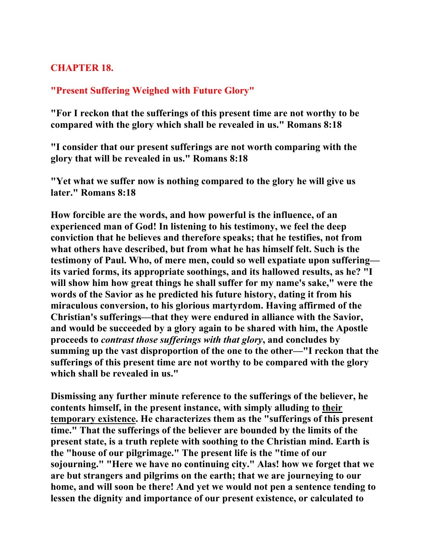## **CHAPTER 18.**

### **"Present Suffering Weighed with Future Glory"**

**"For I reckon that the sufferings of this present time are not worthy to be compared with the glory which shall be revealed in us." Romans 8:18** 

**"I consider that our present sufferings are not worth comparing with the glory that will be revealed in us." Romans 8:18** 

**"Yet what we suffer now is nothing compared to the glory he will give us later." Romans 8:18** 

**How forcible are the words, and how powerful is the influence, of an experienced man of God! In listening to his testimony, we feel the deep conviction that he believes and therefore speaks; that he testifies, not from what others have described, but from what he has himself felt. Such is the testimony of Paul. Who, of mere men, could so well expatiate upon suffering its varied forms, its appropriate soothings, and its hallowed results, as he? "I will show him how great things he shall suffer for my name's sake," were the words of the Savior as he predicted his future history, dating it from his miraculous conversion, to his glorious martyrdom. Having affirmed of the Christian's sufferings—that they were endured in alliance with the Savior, and would be succeeded by a glory again to be shared with him, the Apostle proceeds to** *contrast those sufferings with that glory***, and concludes by summing up the vast disproportion of the one to the other—"I reckon that the sufferings of this present time are not worthy to be compared with the glory which shall be revealed in us."** 

**Dismissing any further minute reference to the sufferings of the believer, he contents himself, in the present instance, with simply alluding to their temporary existence. He characterizes them as the "sufferings of this present time." That the sufferings of the believer are bounded by the limits of the present state, is a truth replete with soothing to the Christian mind. Earth is the "house of our pilgrimage." The present life is the "time of our sojourning." "Here we have no continuing city." Alas! how we forget that we are but strangers and pilgrims on the earth; that we are journeying to our home, and will soon be there! And yet we would not pen a sentence tending to lessen the dignity and importance of our present existence, or calculated to**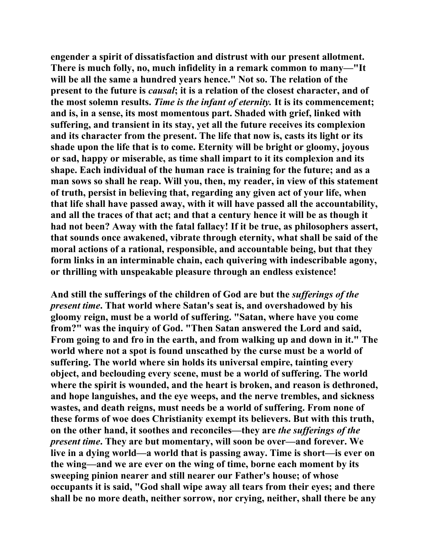**engender a spirit of dissatisfaction and distrust with our present allotment. There is much folly, no, much infidelity in a remark common to many—"It will be all the same a hundred years hence." Not so. The relation of the present to the future is** *causal***; it is a relation of the closest character, and of the most solemn results.** *Time is the infant of eternity.* **It is its commencement; and is, in a sense, its most momentous part. Shaded with grief, linked with suffering, and transient in its stay, yet all the future receives its complexion and its character from the present. The life that now is, casts its light or its shade upon the life that is to come. Eternity will be bright or gloomy, joyous or sad, happy or miserable, as time shall impart to it its complexion and its shape. Each individual of the human race is training for the future; and as a man sows so shall he reap. Will you, then, my reader, in view of this statement of truth, persist in believing that, regarding any given act of your life, when that life shall have passed away, with it will have passed all the accountability, and all the traces of that act; and that a century hence it will be as though it had not been? Away with the fatal fallacy! If it be true, as philosophers assert, that sounds once awakened, vibrate through eternity, what shall be said of the moral actions of a rational, responsible, and accountable being, but that they form links in an interminable chain, each quivering with indescribable agony, or thrilling with unspeakable pleasure through an endless existence!** 

**And still the sufferings of the children of God are but the** *sufferings of the present time***. That world where Satan's seat is, and overshadowed by his gloomy reign, must be a world of suffering. "Satan, where have you come from?" was the inquiry of God. "Then Satan answered the Lord and said, From going to and fro in the earth, and from walking up and down in it." The world where not a spot is found unscathed by the curse must be a world of suffering. The world where sin holds its universal empire, tainting every object, and beclouding every scene, must be a world of suffering. The world where the spirit is wounded, and the heart is broken, and reason is dethroned, and hope languishes, and the eye weeps, and the nerve trembles, and sickness wastes, and death reigns, must needs be a world of suffering. From none of these forms of woe does Christianity exempt its believers. But with this truth, on the other hand, it soothes and reconciles—they are** *the sufferings of the present time***. They are but momentary, will soon be over—and forever. We live in a dying world—a world that is passing away. Time is short—is ever on the wing—and we are ever on the wing of time, borne each moment by its sweeping pinion nearer and still nearer our Father's house; of whose occupants it is said, "God shall wipe away all tears from their eyes; and there shall be no more death, neither sorrow, nor crying, neither, shall there be any**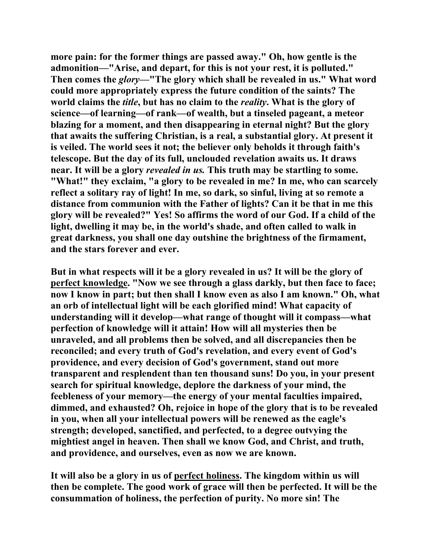**more pain: for the former things are passed away." Oh, how gentle is the admonition—"Arise, and depart, for this is not your rest, it is polluted." Then comes the** *glory***—"The glory which shall be revealed in us." What word could more appropriately express the future condition of the saints? The world claims the** *title***, but has no claim to the** *reality***. What is the glory of science—of learning—of rank—of wealth, but a tinseled pageant, a meteor blazing for a moment, and then disappearing in eternal night? But the glory that awaits the suffering Christian, is a real, a substantial glory. At present it is veiled. The world sees it not; the believer only beholds it through faith's telescope. But the day of its full, unclouded revelation awaits us. It draws near. It will be a glory** *revealed in us.* **This truth may be startling to some. "What!" they exclaim, "a glory to be revealed in me? In me, who can scarcely reflect a solitary ray of light! In me, so dark, so sinful, living at so remote a distance from communion with the Father of lights? Can it be that in me this glory will be revealed?" Yes! So affirms the word of our God. If a child of the light, dwelling it may be, in the world's shade, and often called to walk in great darkness, you shall one day outshine the brightness of the firmament, and the stars forever and ever.** 

**But in what respects will it be a glory revealed in us? It will be the glory of perfect knowledge. "Now we see through a glass darkly, but then face to face; now I know in part; but then shall I know even as also I am known." Oh, what an orb of intellectual light will be each glorified mind! What capacity of understanding will it develop—what range of thought will it compass—what perfection of knowledge will it attain! How will all mysteries then be unraveled, and all problems then be solved, and all discrepancies then be reconciled; and every truth of God's revelation, and every event of God's providence, and every decision of God's government, stand out more transparent and resplendent than ten thousand suns! Do you, in your present search for spiritual knowledge, deplore the darkness of your mind, the feebleness of your memory—the energy of your mental faculties impaired, dimmed, and exhausted? Oh, rejoice in hope of the glory that is to be revealed in you, when all your intellectual powers will be renewed as the eagle's strength; developed, sanctified, and perfected, to a degree outvying the mightiest angel in heaven. Then shall we know God, and Christ, and truth, and providence, and ourselves, even as now we are known.** 

**It will also be a glory in us of perfect holiness. The kingdom within us will then be complete. The good work of grace will then be perfected. It will be the consummation of holiness, the perfection of purity. No more sin! The**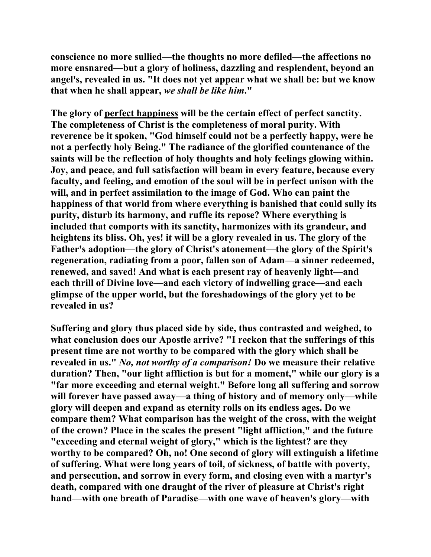**conscience no more sullied—the thoughts no more defiled—the affections no more ensnared—but a glory of holiness, dazzling and resplendent, beyond an angel's, revealed in us. "It does not yet appear what we shall be: but we know that when he shall appear,** *we shall be like him***."** 

**The glory of perfect happiness will be the certain effect of perfect sanctity. The completeness of Christ is the completeness of moral purity. With reverence be it spoken, "God himself could not be a perfectly happy, were he not a perfectly holy Being." The radiance of the glorified countenance of the saints will be the reflection of holy thoughts and holy feelings glowing within. Joy, and peace, and full satisfaction will beam in every feature, because every faculty, and feeling, and emotion of the soul will be in perfect unison with the will, and in perfect assimilation to the image of God. Who can paint the happiness of that world from where everything is banished that could sully its purity, disturb its harmony, and ruffle its repose? Where everything is included that comports with its sanctity, harmonizes with its grandeur, and heightens its bliss. Oh, yes! it will be a glory revealed in us. The glory of the Father's adoption—the glory of Christ's atonement—the glory of the Spirit's regeneration, radiating from a poor, fallen son of Adam—a sinner redeemed, renewed, and saved! And what is each present ray of heavenly light—and each thrill of Divine love—and each victory of indwelling grace—and each glimpse of the upper world, but the foreshadowings of the glory yet to be revealed in us?** 

**Suffering and glory thus placed side by side, thus contrasted and weighed, to what conclusion does our Apostle arrive? "I reckon that the sufferings of this present time are not worthy to be compared with the glory which shall be revealed in us."** *No, not worthy of a comparison!* **Do we measure their relative duration? Then, "our light affliction is but for a moment," while our glory is a "far more exceeding and eternal weight." Before long all suffering and sorrow will forever have passed away—a thing of history and of memory only—while glory will deepen and expand as eternity rolls on its endless ages. Do we compare them? What comparison has the weight of the cross, with the weight of the crown? Place in the scales the present "light affliction," and the future "exceeding and eternal weight of glory," which is the lightest? are they worthy to be compared? Oh, no! One second of glory will extinguish a lifetime of suffering. What were long years of toil, of sickness, of battle with poverty, and persecution, and sorrow in every form, and closing even with a martyr's death, compared with one draught of the river of pleasure at Christ's right hand—with one breath of Paradise—with one wave of heaven's glory—with**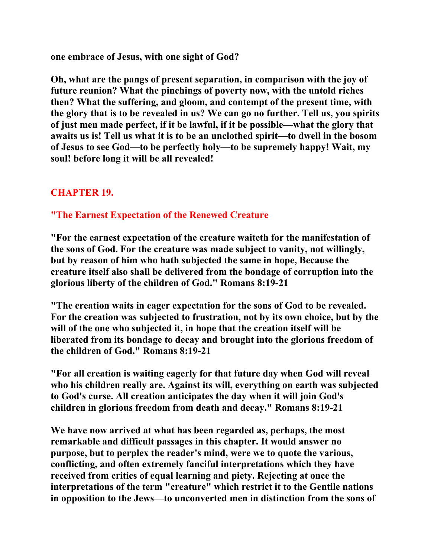**one embrace of Jesus, with one sight of God?** 

**Oh, what are the pangs of present separation, in comparison with the joy of future reunion? What the pinchings of poverty now, with the untold riches then? What the suffering, and gloom, and contempt of the present time, with the glory that is to be revealed in us? We can go no further. Tell us, you spirits of just men made perfect, if it be lawful, if it be possible—what the glory that awaits us is! Tell us what it is to be an unclothed spirit—to dwell in the bosom of Jesus to see God—to be perfectly holy—to be supremely happy! Wait, my soul! before long it will be all revealed!** 

# **CHAPTER 19.**

# **"The Earnest Expectation of the Renewed Creature**

**"For the earnest expectation of the creature waiteth for the manifestation of the sons of God. For the creature was made subject to vanity, not willingly, but by reason of him who hath subjected the same in hope, Because the creature itself also shall be delivered from the bondage of corruption into the glorious liberty of the children of God." Romans 8:19-21** 

**"The creation waits in eager expectation for the sons of God to be revealed. For the creation was subjected to frustration, not by its own choice, but by the will of the one who subjected it, in hope that the creation itself will be liberated from its bondage to decay and brought into the glorious freedom of the children of God." Romans 8:19-21** 

**"For all creation is waiting eagerly for that future day when God will reveal who his children really are. Against its will, everything on earth was subjected to God's curse. All creation anticipates the day when it will join God's children in glorious freedom from death and decay." Romans 8:19-21** 

**We have now arrived at what has been regarded as, perhaps, the most remarkable and difficult passages in this chapter. It would answer no purpose, but to perplex the reader's mind, were we to quote the various, conflicting, and often extremely fanciful interpretations which they have received from critics of equal learning and piety. Rejecting at once the interpretations of the term "creature" which restrict it to the Gentile nations in opposition to the Jews—to unconverted men in distinction from the sons of**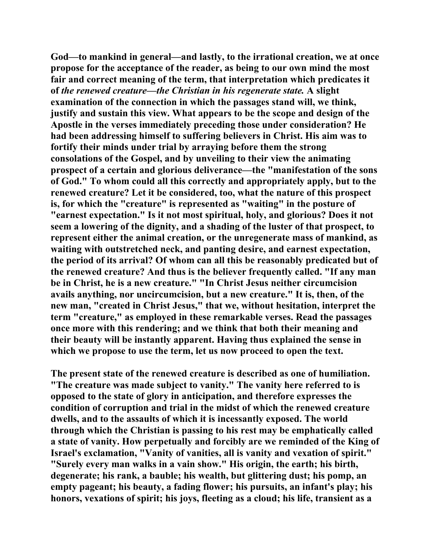**God—to mankind in general—and lastly, to the irrational creation, we at once propose for the acceptance of the reader, as being to our own mind the most fair and correct meaning of the term, that interpretation which predicates it of** *the renewed creature—the Christian in his regenerate state.* **A slight examination of the connection in which the passages stand will, we think, justify and sustain this view. What appears to be the scope and design of the Apostle in the verses immediately preceding those under consideration? He had been addressing himself to suffering believers in Christ. His aim was to fortify their minds under trial by arraying before them the strong consolations of the Gospel, and by unveiling to their view the animating prospect of a certain and glorious deliverance—the "manifestation of the sons of God." To whom could all this correctly and appropriately apply, but to the renewed creature? Let it be considered, too, what the nature of this prospect is, for which the "creature" is represented as "waiting" in the posture of "earnest expectation." Is it not most spiritual, holy, and glorious? Does it not seem a lowering of the dignity, and a shading of the luster of that prospect, to represent either the animal creation, or the unregenerate mass of mankind, as waiting with outstretched neck, and panting desire, and earnest expectation, the period of its arrival? Of whom can all this be reasonably predicated but of the renewed creature? And thus is the believer frequently called. "If any man be in Christ, he is a new creature." "In Christ Jesus neither circumcision avails anything, nor uncircumcision, but a new creature." It is, then, of the new man, "created in Christ Jesus," that we, without hesitation, interpret the term "creature," as employed in these remarkable verses. Read the passages once more with this rendering; and we think that both their meaning and their beauty will be instantly apparent. Having thus explained the sense in which we propose to use the term, let us now proceed to open the text.** 

**The present state of the renewed creature is described as one of humiliation. "The creature was made subject to vanity." The vanity here referred to is opposed to the state of glory in anticipation, and therefore expresses the condition of corruption and trial in the midst of which the renewed creature dwells, and to the assaults of which it is incessantly exposed. The world through which the Christian is passing to his rest may be emphatically called a state of vanity. How perpetually and forcibly are we reminded of the King of Israel's exclamation, "Vanity of vanities, all is vanity and vexation of spirit." "Surely every man walks in a vain show." His origin, the earth; his birth, degenerate; his rank, a bauble; his wealth, but glittering dust; his pomp, an empty pageant; his beauty, a fading flower; his pursuits, an infant's play; his honors, vexations of spirit; his joys, fleeting as a cloud; his life, transient as a**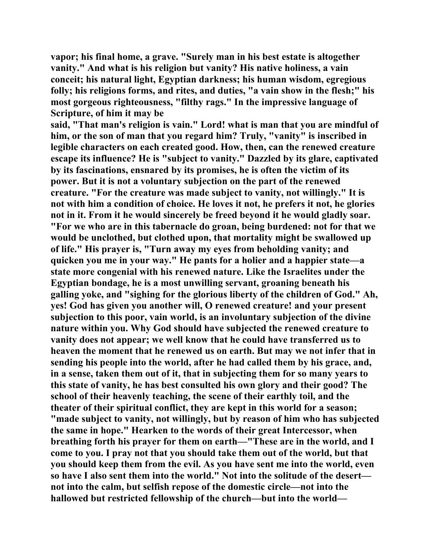**vapor; his final home, a grave. "Surely man in his best estate is altogether vanity." And what is his religion but vanity? His native holiness, a vain conceit; his natural light, Egyptian darkness; his human wisdom, egregious folly; his religions forms, and rites, and duties, "a vain show in the flesh;" his most gorgeous righteousness, "filthy rags." In the impressive language of Scripture, of him it may be** 

**said, "That man's religion is vain." Lord! what is man that you are mindful of him, or the son of man that you regard him? Truly, "vanity" is inscribed in legible characters on each created good. How, then, can the renewed creature escape its influence? He is "subject to vanity." Dazzled by its glare, captivated by its fascinations, ensnared by its promises, he is often the victim of its power. But it is not a voluntary subjection on the part of the renewed creature. "For the creature was made subject to vanity, not willingly." It is not with him a condition of choice. He loves it not, he prefers it not, he glories not in it. From it he would sincerely be freed beyond it he would gladly soar. "For we who are in this tabernacle do groan, being burdened: not for that we would be unclothed, but clothed upon, that mortality might be swallowed up of life." His prayer is, "Turn away my eyes from beholding vanity; and quicken you me in your way." He pants for a holier and a happier state—a state more congenial with his renewed nature. Like the Israelites under the Egyptian bondage, he is a most unwilling servant, groaning beneath his galling yoke, and "sighing for the glorious liberty of the children of God." Ah, yes! God has given you another will, O renewed creature! and your present subjection to this poor, vain world, is an involuntary subjection of the divine nature within you. Why God should have subjected the renewed creature to vanity does not appear; we well know that he could have transferred us to heaven the moment that he renewed us on earth. But may we not infer that in sending his people into the world, after he had called them by his grace, and, in a sense, taken them out of it, that in subjecting them for so many years to this state of vanity, he has best consulted his own glory and their good? The school of their heavenly teaching, the scene of their earthly toil, and the theater of their spiritual conflict, they are kept in this world for a season; "made subject to vanity, not willingly, but by reason of him who has subjected the same in hope." Hearken to the words of their great Intercessor, when breathing forth his prayer for them on earth—"These are in the world, and I come to you. I pray not that you should take them out of the world, but that you should keep them from the evil. As you have sent me into the world, even so have I also sent them into the world." Not into the solitude of the desert not into the calm, but selfish repose of the domestic circle—not into the hallowed but restricted fellowship of the church—but into the world—**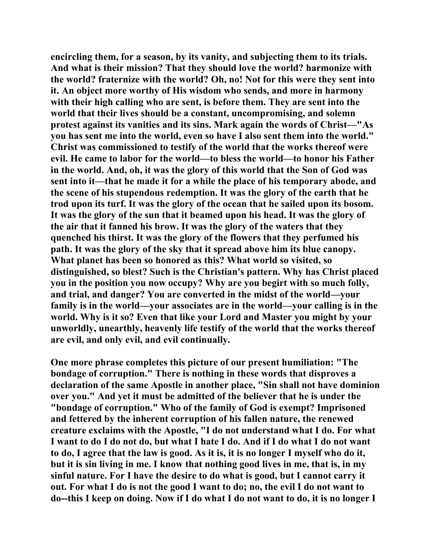**encircling them, for a season, by its vanity, and subjecting them to its trials. And what is their mission? That they should love the world? harmonize with the world? fraternize with the world? Oh, no! Not for this were they sent into it. An object more worthy of His wisdom who sends, and more in harmony with their high calling who are sent, is before them. They are sent into the world that their lives should be a constant, uncompromising, and solemn protest against its vanities and its sins. Mark again the words of Christ—"As you has sent me into the world, even so have I also sent them into the world." Christ was commissioned to testify of the world that the works thereof were evil. He came to labor for the world—to bless the world—to honor his Father in the world. And, oh, it was the glory of this world that the Son of God was sent into it—that he made it for a while the place of his temporary abode, and the scene of his stupendous redemption. It was the glory of the earth that he trod upon its turf. It was the glory of the ocean that he sailed upon its bosom. It was the glory of the sun that it beamed upon his head. It was the glory of the air that it fanned his brow. It was the glory of the waters that they quenched his thirst. It was the glory of the flowers that they perfumed his path. It was the glory of the sky that it spread above him its blue canopy. What planet has been so honored as this? What world so visited, so distinguished, so blest? Such is the Christian's pattern. Why has Christ placed you in the position you now occupy? Why are you begirt with so much folly, and trial, and danger? You are converted in the midst of the world—your family is in the world—your associates are in the world—your calling is in the world. Why is it so? Even that like your Lord and Master you might by your unworldly, unearthly, heavenly life testify of the world that the works thereof are evil, and only evil, and evil continually.** 

**One more phrase completes this picture of our present humiliation: "The bondage of corruption." There is nothing in these words that disproves a declaration of the same Apostle in another place, "Sin shall not have dominion over you." And yet it must be admitted of the believer that he is under the "bondage of corruption." Who of the family of God is exempt? Imprisoned and fettered by the inherent corruption of his fallen nature, the renewed creature exclaims with the Apostle, "I do not understand what I do. For what I want to do I do not do, but what I hate I do. And if I do what I do not want to do, I agree that the law is good. As it is, it is no longer I myself who do it, but it is sin living in me. I know that nothing good lives in me, that is, in my sinful nature. For I have the desire to do what is good, but I cannot carry it out. For what I do is not the good I want to do; no, the evil I do not want to do--this I keep on doing. Now if I do what I do not want to do, it is no longer I**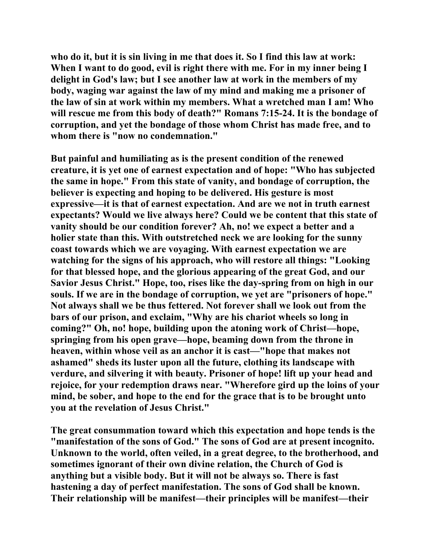**who do it, but it is sin living in me that does it. So I find this law at work: When I want to do good, evil is right there with me. For in my inner being I delight in God's law; but I see another law at work in the members of my body, waging war against the law of my mind and making me a prisoner of the law of sin at work within my members. What a wretched man I am! Who will rescue me from this body of death?" Romans 7:15-24. It is the bondage of corruption, and yet the bondage of those whom Christ has made free, and to whom there is "now no condemnation."** 

**But painful and humiliating as is the present condition of the renewed creature, it is yet one of earnest expectation and of hope: "Who has subjected the same in hope." From this state of vanity, and bondage of corruption, the believer is expecting and hoping to be delivered. His gesture is most expressive—it is that of earnest expectation. And are we not in truth earnest expectants? Would we live always here? Could we be content that this state of vanity should be our condition forever? Ah, no! we expect a better and a holier state than this. With outstretched neck we are looking for the sunny coast towards which we are voyaging. With earnest expectation we are watching for the signs of his approach, who will restore all things: "Looking for that blessed hope, and the glorious appearing of the great God, and our Savior Jesus Christ." Hope, too, rises like the day-spring from on high in our souls. If we are in the bondage of corruption, we yet are "prisoners of hope." Not always shall we be thus fettered. Not forever shall we look out from the bars of our prison, and exclaim, "Why are his chariot wheels so long in coming?" Oh, no! hope, building upon the atoning work of Christ—hope, springing from his open grave—hope, beaming down from the throne in heaven, within whose veil as an anchor it is cast—"hope that makes not ashamed" sheds its luster upon all the future, clothing its landscape with verdure, and silvering it with beauty. Prisoner of hope! lift up your head and rejoice, for your redemption draws near. "Wherefore gird up the loins of your mind, be sober, and hope to the end for the grace that is to be brought unto you at the revelation of Jesus Christ."** 

**The great consummation toward which this expectation and hope tends is the "manifestation of the sons of God." The sons of God are at present incognito. Unknown to the world, often veiled, in a great degree, to the brotherhood, and sometimes ignorant of their own divine relation, the Church of God is anything but a visible body. But it will not be always so. There is fast hastening a day of perfect manifestation. The sons of God shall be known. Their relationship will be manifest—their principles will be manifest—their**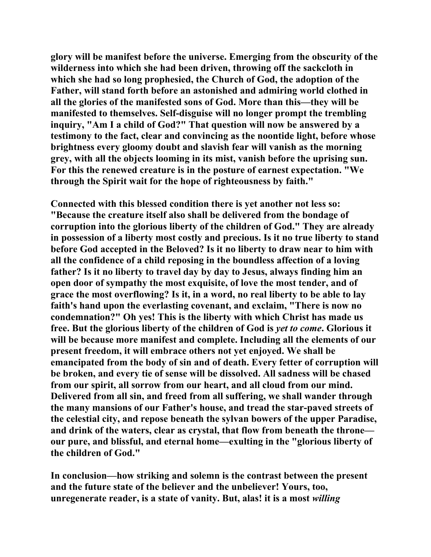**glory will be manifest before the universe. Emerging from the obscurity of the wilderness into which she had been driven, throwing off the sackcloth in which she had so long prophesied, the Church of God, the adoption of the Father, will stand forth before an astonished and admiring world clothed in all the glories of the manifested sons of God. More than this—they will be manifested to themselves. Self-disguise will no longer prompt the trembling inquiry, "Am I a child of God?" That question will now be answered by a testimony to the fact, clear and convincing as the noontide light, before whose brightness every gloomy doubt and slavish fear will vanish as the morning grey, with all the objects looming in its mist, vanish before the uprising sun. For this the renewed creature is in the posture of earnest expectation. "We through the Spirit wait for the hope of righteousness by faith."** 

**Connected with this blessed condition there is yet another not less so: "Because the creature itself also shall be delivered from the bondage of corruption into the glorious liberty of the children of God." They are already in possession of a liberty most costly and precious. Is it no true liberty to stand before God accepted in the Beloved? Is it no liberty to draw near to him with all the confidence of a child reposing in the boundless affection of a loving father? Is it no liberty to travel day by day to Jesus, always finding him an open door of sympathy the most exquisite, of love the most tender, and of grace the most overflowing? Is it, in a word, no real liberty to be able to lay faith's hand upon the everlasting covenant, and exclaim, "There is now no condemnation?" Oh yes! This is the liberty with which Christ has made us free. But the glorious liberty of the children of God is** *yet to come***. Glorious it will be because more manifest and complete. Including all the elements of our present freedom, it will embrace others not yet enjoyed. We shall be emancipated from the body of sin and of death. Every fetter of corruption will be broken, and every tie of sense will be dissolved. All sadness will be chased from our spirit, all sorrow from our heart, and all cloud from our mind. Delivered from all sin, and freed from all suffering, we shall wander through the many mansions of our Father's house, and tread the star-paved streets of the celestial city, and repose beneath the sylvan bowers of the upper Paradise, and drink of the waters, clear as crystal, that flow from beneath the throne our pure, and blissful, and eternal home—exulting in the "glorious liberty of the children of God."** 

**In conclusion—how striking and solemn is the contrast between the present and the future state of the believer and the unbeliever! Yours, too, unregenerate reader, is a state of vanity. But, alas! it is a most** *willing*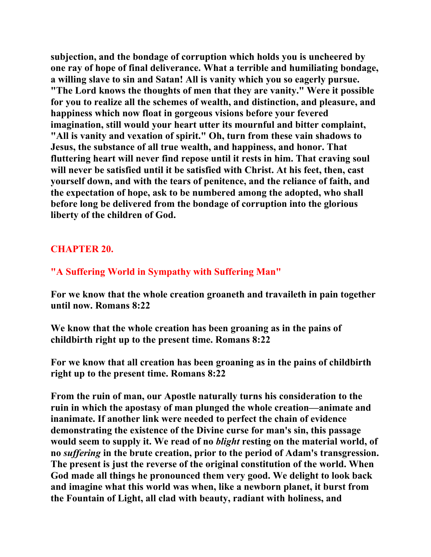**subjection, and the bondage of corruption which holds you is uncheered by one ray of hope of final deliverance. What a terrible and humiliating bondage, a willing slave to sin and Satan! All is vanity which you so eagerly pursue. "The Lord knows the thoughts of men that they are vanity." Were it possible for you to realize all the schemes of wealth, and distinction, and pleasure, and happiness which now float in gorgeous visions before your fevered imagination, still would your heart utter its mournful and bitter complaint, "All is vanity and vexation of spirit." Oh, turn from these vain shadows to Jesus, the substance of all true wealth, and happiness, and honor. That fluttering heart will never find repose until it rests in him. That craving soul will never be satisfied until it be satisfied with Christ. At his feet, then, cast yourself down, and with the tears of penitence, and the reliance of faith, and the expectation of hope, ask to be numbered among the adopted, who shall before long be delivered from the bondage of corruption into the glorious liberty of the children of God.** 

# **CHAPTER 20.**

## **"A Suffering World in Sympathy with Suffering Man"**

**For we know that the whole creation groaneth and travaileth in pain together until now. Romans 8:22** 

**We know that the whole creation has been groaning as in the pains of childbirth right up to the present time. Romans 8:22** 

**For we know that all creation has been groaning as in the pains of childbirth right up to the present time. Romans 8:22** 

**From the ruin of man, our Apostle naturally turns his consideration to the ruin in which the apostasy of man plunged the whole creation—animate and inanimate. If another link were needed to perfect the chain of evidence demonstrating the existence of the Divine curse for man's sin, this passage would seem to supply it. We read of no** *blight* **resting on the material world, of no** *suffering* **in the brute creation, prior to the period of Adam's transgression. The present is just the reverse of the original constitution of the world. When God made all things he pronounced them very good. We delight to look back and imagine what this world was when, like a newborn planet, it burst from the Fountain of Light, all clad with beauty, radiant with holiness, and**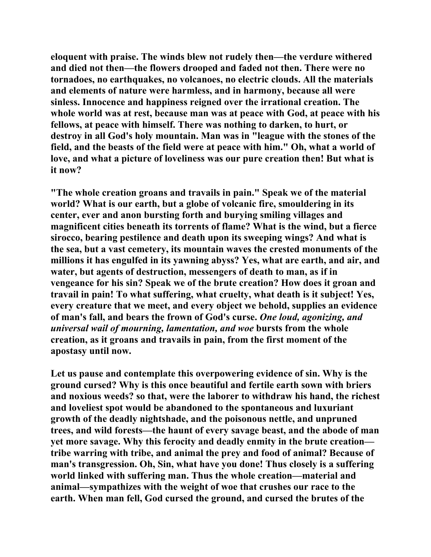**eloquent with praise. The winds blew not rudely then—the verdure withered and died not then—the flowers drooped and faded not then. There were no tornadoes, no earthquakes, no volcanoes, no electric clouds. All the materials and elements of nature were harmless, and in harmony, because all were sinless. Innocence and happiness reigned over the irrational creation. The whole world was at rest, because man was at peace with God, at peace with his fellows, at peace with himself. There was nothing to darken, to hurt, or destroy in all God's holy mountain. Man was in "league with the stones of the field, and the beasts of the field were at peace with him." Oh, what a world of love, and what a picture of loveliness was our pure creation then! But what is it now?** 

**"The whole creation groans and travails in pain." Speak we of the material world? What is our earth, but a globe of volcanic fire, smouldering in its center, ever and anon bursting forth and burying smiling villages and magnificent cities beneath its torrents of flame? What is the wind, but a fierce sirocco, bearing pestilence and death upon its sweeping wings? And what is the sea, but a vast cemetery, its mountain waves the crested monuments of the millions it has engulfed in its yawning abyss? Yes, what are earth, and air, and water, but agents of destruction, messengers of death to man, as if in vengeance for his sin? Speak we of the brute creation? How does it groan and travail in pain! To what suffering, what cruelty, what death is it subject! Yes, every creature that we meet, and every object we behold, supplies an evidence of man's fall, and bears the frown of God's curse.** *One loud, agonizing, and universal wail of mourning, lamentation, and woe* **bursts from the whole creation, as it groans and travails in pain, from the first moment of the apostasy until now.** 

**Let us pause and contemplate this overpowering evidence of sin. Why is the ground cursed? Why is this once beautiful and fertile earth sown with briers and noxious weeds? so that, were the laborer to withdraw his hand, the richest and loveliest spot would be abandoned to the spontaneous and luxuriant growth of the deadly nightshade, and the poisonous nettle, and unpruned trees, and wild forests—the haunt of every savage beast, and the abode of man yet more savage. Why this ferocity and deadly enmity in the brute creation tribe warring with tribe, and animal the prey and food of animal? Because of man's transgression. Oh, Sin, what have you done! Thus closely is a suffering world linked with suffering man. Thus the whole creation—material and animal—sympathizes with the weight of woe that crushes our race to the earth. When man fell, God cursed the ground, and cursed the brutes of the**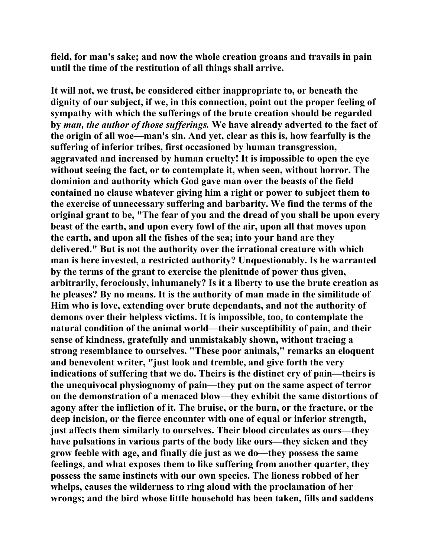**field, for man's sake; and now the whole creation groans and travails in pain until the time of the restitution of all things shall arrive.** 

**It will not, we trust, be considered either inappropriate to, or beneath the dignity of our subject, if we, in this connection, point out the proper feeling of sympathy with which the sufferings of the brute creation should be regarded by** *man, the author of those sufferings.* **We have already adverted to the fact of the origin of all woe—man's sin. And yet, clear as this is, how fearfully is the suffering of inferior tribes, first occasioned by human transgression, aggravated and increased by human cruelty! It is impossible to open the eye without seeing the fact, or to contemplate it, when seen, without horror. The dominion and authority which God gave man over the beasts of the field contained no clause whatever giving him a right or power to subject them to the exercise of unnecessary suffering and barbarity. We find the terms of the original grant to be, "The fear of you and the dread of you shall be upon every beast of the earth, and upon every fowl of the air, upon all that moves upon the earth, and upon all the fishes of the sea; into your hand are they delivered." But is not the authority over the irrational creature with which man is here invested, a restricted authority? Unquestionably. Is he warranted by the terms of the grant to exercise the plenitude of power thus given, arbitrarily, ferociously, inhumanely? Is it a liberty to use the brute creation as he pleases? By no means. It is the authority of man made in the similitude of Him who is love, extending over brute dependants, and not the authority of demons over their helpless victims. It is impossible, too, to contemplate the natural condition of the animal world—their susceptibility of pain, and their sense of kindness, gratefully and unmistakably shown, without tracing a strong resemblance to ourselves. "These poor animals," remarks an eloquent and benevolent writer, "just look and tremble, and give forth the very indications of suffering that we do. Theirs is the distinct cry of pain—theirs is the unequivocal physiognomy of pain—they put on the same aspect of terror on the demonstration of a menaced blow—they exhibit the same distortions of agony after the infliction of it. The bruise, or the burn, or the fracture, or the deep incision, or the fierce encounter with one of equal or inferior strength, just affects them similarly to ourselves. Their blood circulates as ours—they have pulsations in various parts of the body like ours—they sicken and they grow feeble with age, and finally die just as we do—they possess the same feelings, and what exposes them to like suffering from another quarter, they possess the same instincts with our own species. The lioness robbed of her whelps, causes the wilderness to ring aloud with the proclamation of her wrongs; and the bird whose little household has been taken, fills and saddens**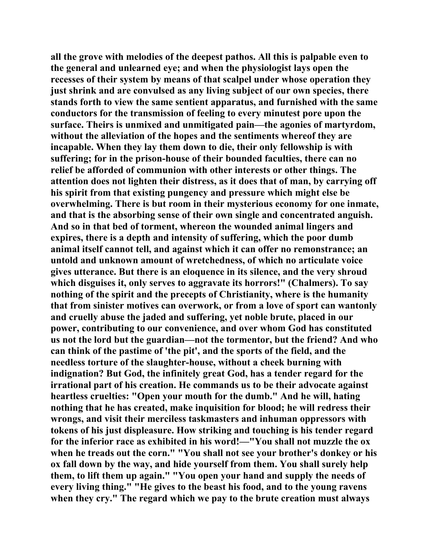**all the grove with melodies of the deepest pathos. All this is palpable even to the general and unlearned eye; and when the physiologist lays open the recesses of their system by means of that scalpel under whose operation they just shrink and are convulsed as any living subject of our own species, there stands forth to view the same sentient apparatus, and furnished with the same conductors for the transmission of feeling to every minutest pore upon the surface. Theirs is unmixed and unmitigated pain—the agonies of martyrdom, without the alleviation of the hopes and the sentiments whereof they are incapable. When they lay them down to die, their only fellowship is with suffering; for in the prison-house of their bounded faculties, there can no relief be afforded of communion with other interests or other things. The attention does not lighten their distress, as it does that of man, by carrying off his spirit from that existing pungency and pressure which might else be overwhelming. There is but room in their mysterious economy for one inmate, and that is the absorbing sense of their own single and concentrated anguish. And so in that bed of torment, whereon the wounded animal lingers and expires, there is a depth and intensity of suffering, which the poor dumb animal itself cannot tell, and against which it can offer no remonstrance; an untold and unknown amount of wretchedness, of which no articulate voice gives utterance. But there is an eloquence in its silence, and the very shroud which disguises it, only serves to aggravate its horrors!" (Chalmers). To say nothing of the spirit and the precepts of Christianity, where is the humanity that from sinister motives can overwork, or from a love of sport can wantonly and cruelly abuse the jaded and suffering, yet noble brute, placed in our power, contributing to our convenience, and over whom God has constituted us not the lord but the guardian—not the tormentor, but the friend? And who can think of the pastime of 'the pit', and the sports of the field, and the needless torture of the slaughter-house, without a cheek burning with indignation? But God, the infinitely great God, has a tender regard for the irrational part of his creation. He commands us to be their advocate against heartless cruelties: "Open your mouth for the dumb." And he will, hating nothing that he has created, make inquisition for blood; he will redress their wrongs, and visit their merciless taskmasters and inhuman oppressors with tokens of his just displeasure. How striking and touching is his tender regard for the inferior race as exhibited in his word!—"You shall not muzzle the ox when he treads out the corn." "You shall not see your brother's donkey or his ox fall down by the way, and hide yourself from them. You shall surely help them, to lift them up again." "You open your hand and supply the needs of every living thing." "He gives to the beast his food, and to the young ravens when they cry." The regard which we pay to the brute creation must always**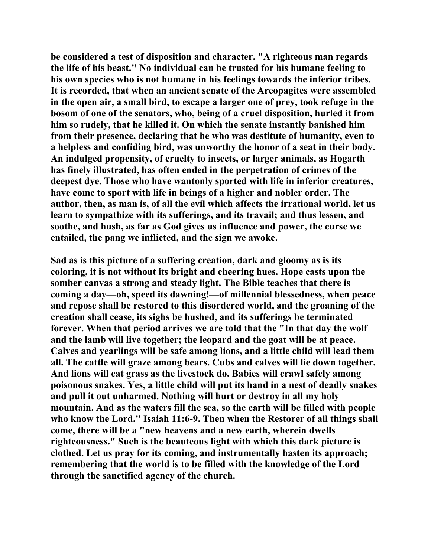**be considered a test of disposition and character. "A righteous man regards the life of his beast." No individual can be trusted for his humane feeling to his own species who is not humane in his feelings towards the inferior tribes. It is recorded, that when an ancient senate of the Areopagites were assembled in the open air, a small bird, to escape a larger one of prey, took refuge in the bosom of one of the senators, who, being of a cruel disposition, hurled it from him so rudely, that he killed it. On which the senate instantly banished him from their presence, declaring that he who was destitute of humanity, even to a helpless and confiding bird, was unworthy the honor of a seat in their body. An indulged propensity, of cruelty to insects, or larger animals, as Hogarth has finely illustrated, has often ended in the perpetration of crimes of the deepest dye. Those who have wantonly sported with life in inferior creatures, have come to sport with life in beings of a higher and nobler order. The author, then, as man is, of all the evil which affects the irrational world, let us learn to sympathize with its sufferings, and its travail; and thus lessen, and soothe, and hush, as far as God gives us influence and power, the curse we entailed, the pang we inflicted, and the sign we awoke.** 

**Sad as is this picture of a suffering creation, dark and gloomy as is its coloring, it is not without its bright and cheering hues. Hope casts upon the somber canvas a strong and steady light. The Bible teaches that there is coming a day—oh, speed its dawning!—of millennial blessedness, when peace and repose shall be restored to this disordered world, and the groaning of the creation shall cease, its sighs be hushed, and its sufferings be terminated forever. When that period arrives we are told that the "In that day the wolf and the lamb will live together; the leopard and the goat will be at peace. Calves and yearlings will be safe among lions, and a little child will lead them all. The cattle will graze among bears. Cubs and calves will lie down together. And lions will eat grass as the livestock do. Babies will crawl safely among poisonous snakes. Yes, a little child will put its hand in a nest of deadly snakes and pull it out unharmed. Nothing will hurt or destroy in all my holy mountain. And as the waters fill the sea, so the earth will be filled with people who know the Lord." Isaiah 11:6-9. Then when the Restorer of all things shall come, there will be a "new heavens and a new earth, wherein dwells righteousness." Such is the beauteous light with which this dark picture is clothed. Let us pray for its coming, and instrumentally hasten its approach; remembering that the world is to be filled with the knowledge of the Lord through the sanctified agency of the church.**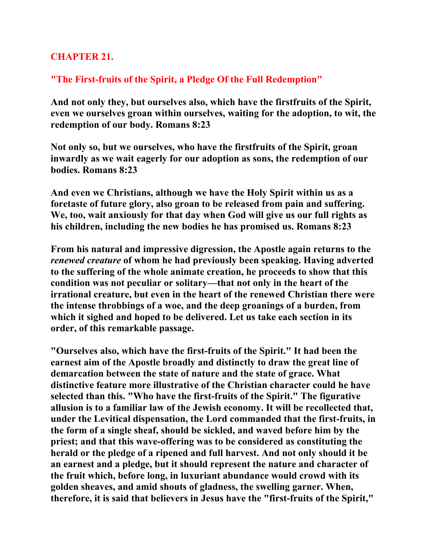#### **CHAPTER 21.**

#### **"The First-fruits of the Spirit, a Pledge Of the Full Redemption"**

**And not only they, but ourselves also, which have the firstfruits of the Spirit, even we ourselves groan within ourselves, waiting for the adoption, to wit, the redemption of our body. Romans 8:23** 

**Not only so, but we ourselves, who have the firstfruits of the Spirit, groan inwardly as we wait eagerly for our adoption as sons, the redemption of our bodies. Romans 8:23** 

**And even we Christians, although we have the Holy Spirit within us as a foretaste of future glory, also groan to be released from pain and suffering. We, too, wait anxiously for that day when God will give us our full rights as his children, including the new bodies he has promised us. Romans 8:23** 

**From his natural and impressive digression, the Apostle again returns to the**  *renewed creature* **of whom he had previously been speaking. Having adverted to the suffering of the whole animate creation, he proceeds to show that this condition was not peculiar or solitary—that not only in the heart of the irrational creature, but even in the heart of the renewed Christian there were the intense throbbings of a woe, and the deep groanings of a burden, from which it sighed and hoped to be delivered. Let us take each section in its order, of this remarkable passage.** 

**"Ourselves also, which have the first-fruits of the Spirit." It had been the earnest aim of the Apostle broadly and distinctly to draw the great line of demarcation between the state of nature and the state of grace. What distinctive feature more illustrative of the Christian character could he have selected than this. "Who have the first-fruits of the Spirit." The figurative allusion is to a familiar law of the Jewish economy. It will be recollected that, under the Levitical dispensation, the Lord commanded that the first-fruits, in the form of a single sheaf, should be sickled, and waved before him by the priest; and that this wave-offering was to be considered as constituting the herald or the pledge of a ripened and full harvest. And not only should it be an earnest and a pledge, but it should represent the nature and character of the fruit which, before long, in luxuriant abundance would crowd with its golden sheaves, and amid shouts of gladness, the swelling garner. When, therefore, it is said that believers in Jesus have the "first-fruits of the Spirit,"**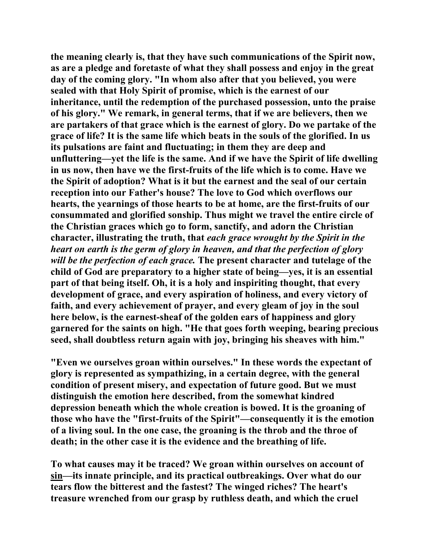**the meaning clearly is, that they have such communications of the Spirit now, as are a pledge and foretaste of what they shall possess and enjoy in the great day of the coming glory. "In whom also after that you believed, you were sealed with that Holy Spirit of promise, which is the earnest of our inheritance, until the redemption of the purchased possession, unto the praise of his glory." We remark, in general terms, that if we are believers, then we are partakers of that grace which is the earnest of glory. Do we partake of the grace of life? It is the same life which beats in the souls of the glorified. In us its pulsations are faint and fluctuating; in them they are deep and unfluttering—yet the life is the same. And if we have the Spirit of life dwelling in us now, then have we the first-fruits of the life which is to come. Have we the Spirit of adoption? What is it but the earnest and the seal of our certain reception into our Father's house? The love to God which overflows our hearts, the yearnings of those hearts to be at home, are the first-fruits of our consummated and glorified sonship. Thus might we travel the entire circle of the Christian graces which go to form, sanctify, and adorn the Christian character, illustrating the truth, that** *each grace wrought by the Spirit in the heart on earth is the germ of glory in heaven, and that the perfection of glory will be the perfection of each grace.* **The present character and tutelage of the child of God are preparatory to a higher state of being—yes, it is an essential part of that being itself. Oh, it is a holy and inspiriting thought, that every development of grace, and every aspiration of holiness, and every victory of faith, and every achievement of prayer, and every gleam of joy in the soul here below, is the earnest-sheaf of the golden ears of happiness and glory garnered for the saints on high. "He that goes forth weeping, bearing precious seed, shall doubtless return again with joy, bringing his sheaves with him."** 

**"Even we ourselves groan within ourselves." In these words the expectant of glory is represented as sympathizing, in a certain degree, with the general condition of present misery, and expectation of future good. But we must distinguish the emotion here described, from the somewhat kindred depression beneath which the whole creation is bowed. It is the groaning of those who have the "first-fruits of the Spirit"—consequently it is the emotion of a living soul. In the one case, the groaning is the throb and the throe of death; in the other case it is the evidence and the breathing of life.** 

**To what causes may it be traced? We groan within ourselves on account of sin—its innate principle, and its practical outbreakings. Over what do our tears flow the bitterest and the fastest? The winged riches? The heart's treasure wrenched from our grasp by ruthless death, and which the cruel**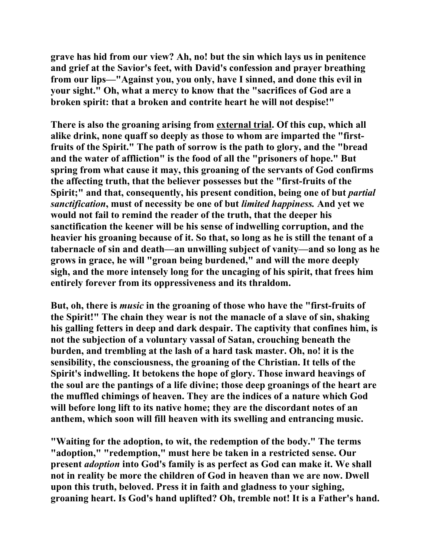**grave has hid from our view? Ah, no! but the sin which lays us in penitence and grief at the Savior's feet, with David's confession and prayer breathing from our lips—"Against you, you only, have I sinned, and done this evil in your sight." Oh, what a mercy to know that the "sacrifices of God are a broken spirit: that a broken and contrite heart he will not despise!"** 

**There is also the groaning arising from external trial. Of this cup, which all alike drink, none quaff so deeply as those to whom are imparted the "firstfruits of the Spirit." The path of sorrow is the path to glory, and the "bread and the water of affliction" is the food of all the "prisoners of hope." But spring from what cause it may, this groaning of the servants of God confirms the affecting truth, that the believer possesses but the "first-fruits of the Spirit;" and that, consequently, his present condition, being one of but** *partial sanctification***, must of necessity be one of but** *limited happiness.* **And yet we would not fail to remind the reader of the truth, that the deeper his sanctification the keener will be his sense of indwelling corruption, and the heavier his groaning because of it. So that, so long as he is still the tenant of a tabernacle of sin and death—an unwilling subject of vanity—and so long as he grows in grace, he will "groan being burdened," and will the more deeply sigh, and the more intensely long for the uncaging of his spirit, that frees him entirely forever from its oppressiveness and its thraldom.** 

**But, oh, there is** *music* **in the groaning of those who have the "first-fruits of the Spirit!" The chain they wear is not the manacle of a slave of sin, shaking his galling fetters in deep and dark despair. The captivity that confines him, is not the subjection of a voluntary vassal of Satan, crouching beneath the burden, and trembling at the lash of a hard task master. Oh, no! it is the sensibility, the consciousness, the groaning of the Christian. It tells of the Spirit's indwelling. It betokens the hope of glory. Those inward heavings of the soul are the pantings of a life divine; those deep groanings of the heart are the muffled chimings of heaven. They are the indices of a nature which God will before long lift to its native home; they are the discordant notes of an anthem, which soon will fill heaven with its swelling and entrancing music.** 

**"Waiting for the adoption, to wit, the redemption of the body." The terms "adoption," "redemption," must here be taken in a restricted sense. Our present** *adoption* **into God's family is as perfect as God can make it. We shall not in reality be more the children of God in heaven than we are now. Dwell upon this truth, beloved. Press it in faith and gladness to your sighing, groaning heart. Is God's hand uplifted? Oh, tremble not! It is a Father's hand.**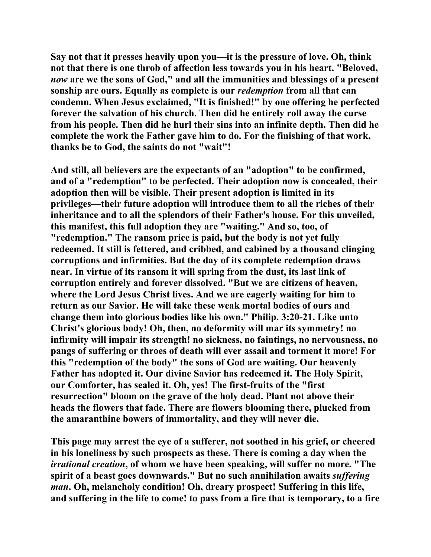**Say not that it presses heavily upon you—it is the pressure of love. Oh, think not that there is one throb of affection less towards you in his heart. "Beloved,**  *now* **are we the sons of God," and all the immunities and blessings of a present sonship are ours. Equally as complete is our** *redemption* **from all that can condemn. When Jesus exclaimed, "It is finished!" by one offering he perfected forever the salvation of his church. Then did he entirely roll away the curse from his people. Then did he hurl their sins into an infinite depth. Then did he complete the work the Father gave him to do. For the finishing of that work, thanks be to God, the saints do not "wait"!** 

**And still, all believers are the expectants of an "adoption" to be confirmed, and of a "redemption" to be perfected. Their adoption now is concealed, their adoption then will be visible. Their present adoption is limited in its privileges—their future adoption will introduce them to all the riches of their inheritance and to all the splendors of their Father's house. For this unveiled, this manifest, this full adoption they are "waiting." And so, too, of "redemption." The ransom price is paid, but the body is not yet fully redeemed. It still is fettered, and cribbed, and cabined by a thousand clinging corruptions and infirmities. But the day of its complete redemption draws near. In virtue of its ransom it will spring from the dust, its last link of corruption entirely and forever dissolved. "But we are citizens of heaven, where the Lord Jesus Christ lives. And we are eagerly waiting for him to return as our Savior. He will take these weak mortal bodies of ours and change them into glorious bodies like his own." Philip. 3:20-21. Like unto Christ's glorious body! Oh, then, no deformity will mar its symmetry! no infirmity will impair its strength! no sickness, no faintings, no nervousness, no pangs of suffering or throes of death will ever assail and torment it more! For this "redemption of the body" the sons of God are waiting. Our heavenly Father has adopted it. Our divine Savior has redeemed it. The Holy Spirit, our Comforter, has sealed it. Oh, yes! The first-fruits of the "first resurrection" bloom on the grave of the holy dead. Plant not above their heads the flowers that fade. There are flowers blooming there, plucked from the amaranthine bowers of immortality, and they will never die.** 

**This page may arrest the eye of a sufferer, not soothed in his grief, or cheered in his loneliness by such prospects as these. There is coming a day when the**  *irrational creation***, of whom we have been speaking, will suffer no more. "The spirit of a beast goes downwards." But no such annihilation awaits** *suffering man***. Oh, melancholy condition! Oh, dreary prospect! Suffering in this life, and suffering in the life to come! to pass from a fire that is temporary, to a fire**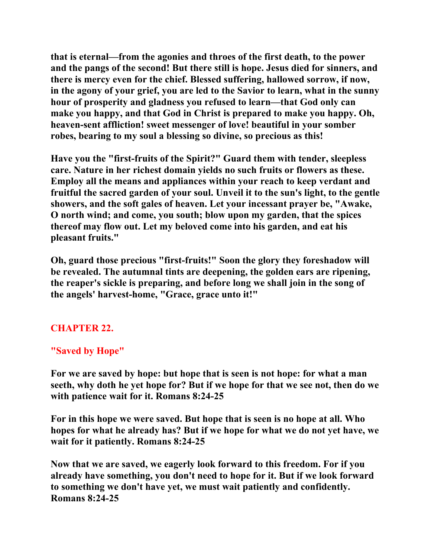**that is eternal—from the agonies and throes of the first death, to the power and the pangs of the second! But there still is hope. Jesus died for sinners, and there is mercy even for the chief. Blessed suffering, hallowed sorrow, if now, in the agony of your grief, you are led to the Savior to learn, what in the sunny hour of prosperity and gladness you refused to learn—that God only can make you happy, and that God in Christ is prepared to make you happy. Oh, heaven-sent affliction! sweet messenger of love! beautiful in your somber robes, bearing to my soul a blessing so divine, so precious as this!** 

**Have you the "first-fruits of the Spirit?" Guard them with tender, sleepless care. Nature in her richest domain yields no such fruits or flowers as these. Employ all the means and appliances within your reach to keep verdant and fruitful the sacred garden of your soul. Unveil it to the sun's light, to the gentle showers, and the soft gales of heaven. Let your incessant prayer be, "Awake, O north wind; and come, you south; blow upon my garden, that the spices thereof may flow out. Let my beloved come into his garden, and eat his pleasant fruits."** 

**Oh, guard those precious "first-fruits!" Soon the glory they foreshadow will be revealed. The autumnal tints are deepening, the golden ears are ripening, the reaper's sickle is preparing, and before long we shall join in the song of the angels' harvest-home, "Grace, grace unto it!"** 

# **CHAPTER 22.**

# **"Saved by Hope"**

**For we are saved by hope: but hope that is seen is not hope: for what a man seeth, why doth he yet hope for? But if we hope for that we see not, then do we with patience wait for it. Romans 8:24-25** 

**For in this hope we were saved. But hope that is seen is no hope at all. Who hopes for what he already has? But if we hope for what we do not yet have, we wait for it patiently. Romans 8:24-25** 

**Now that we are saved, we eagerly look forward to this freedom. For if you already have something, you don't need to hope for it. But if we look forward to something we don't have yet, we must wait patiently and confidently. Romans 8:24-25**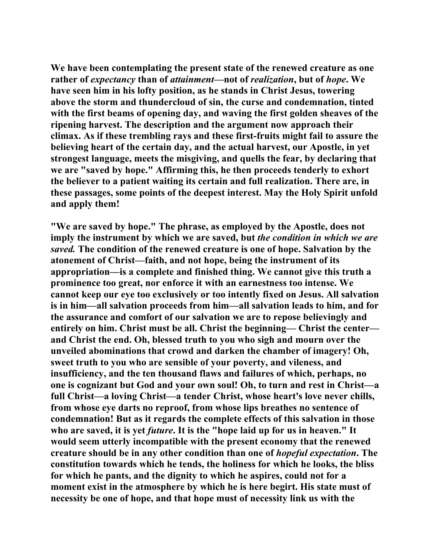**We have been contemplating the present state of the renewed creature as one rather of** *expectancy* **than of** *attainment***—not of** *realization***, but of** *hope***. We have seen him in his lofty position, as he stands in Christ Jesus, towering above the storm and thundercloud of sin, the curse and condemnation, tinted with the first beams of opening day, and waving the first golden sheaves of the ripening harvest. The description and the argument now approach their climax. As if these trembling rays and these first-fruits might fail to assure the believing heart of the certain day, and the actual harvest, our Apostle, in yet strongest language, meets the misgiving, and quells the fear, by declaring that we are "saved by hope." Affirming this, he then proceeds tenderly to exhort the believer to a patient waiting its certain and full realization. There are, in these passages, some points of the deepest interest. May the Holy Spirit unfold and apply them!** 

**"We are saved by hope." The phrase, as employed by the Apostle, does not imply the instrument by which we are saved, but** *the condition in which we are saved.* **The condition of the renewed creature is one of hope. Salvation by the atonement of Christ—faith, and not hope, being the instrument of its appropriation—is a complete and finished thing. We cannot give this truth a prominence too great, nor enforce it with an earnestness too intense. We cannot keep our eye too exclusively or too intently fixed on Jesus. All salvation is in him—all salvation proceeds from him—all salvation leads to him, and for the assurance and comfort of our salvation we are to repose believingly and entirely on him. Christ must be all. Christ the beginning— Christ the center and Christ the end. Oh, blessed truth to you who sigh and mourn over the unveiled abominations that crowd and darken the chamber of imagery! Oh, sweet truth to you who are sensible of your poverty, and vileness, and insufficiency, and the ten thousand flaws and failures of which, perhaps, no one is cognizant but God and your own soul! Oh, to turn and rest in Christ—a full Christ—a loving Christ—a tender Christ, whose heart's love never chills, from whose eye darts no reproof, from whose lips breathes no sentence of condemnation! But as it regards the complete effects of this salvation in those**  who are saved, it is yet *future*. It is the "hope laid up for us in heaven." It **would seem utterly incompatible with the present economy that the renewed creature should be in any other condition than one of** *hopeful expectation***. The constitution towards which he tends, the holiness for which he looks, the bliss for which he pants, and the dignity to which he aspires, could not for a moment exist in the atmosphere by which he is here begirt. His state must of necessity be one of hope, and that hope must of necessity link us with the**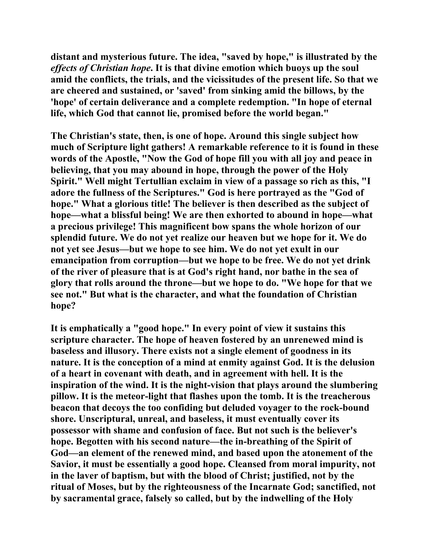**distant and mysterious future. The idea, "saved by hope," is illustrated by the**  *effects of Christian hope***. It is that divine emotion which buoys up the soul amid the conflicts, the trials, and the vicissitudes of the present life. So that we are cheered and sustained, or 'saved' from sinking amid the billows, by the 'hope' of certain deliverance and a complete redemption. "In hope of eternal life, which God that cannot lie, promised before the world began."** 

**The Christian's state, then, is one of hope. Around this single subject how much of Scripture light gathers! A remarkable reference to it is found in these words of the Apostle, "Now the God of hope fill you with all joy and peace in believing, that you may abound in hope, through the power of the Holy Spirit." Well might Tertullian exclaim in view of a passage so rich as this, "I adore the fullness of the Scriptures." God is here portrayed as the "God of hope." What a glorious title! The believer is then described as the subject of hope—what a blissful being! We are then exhorted to abound in hope—what a precious privilege! This magnificent bow spans the whole horizon of our splendid future. We do not yet realize our heaven but we hope for it. We do not yet see Jesus—but we hope to see him. We do not yet exult in our emancipation from corruption—but we hope to be free. We do not yet drink of the river of pleasure that is at God's right hand, nor bathe in the sea of glory that rolls around the throne—but we hope to do. "We hope for that we see not." But what is the character, and what the foundation of Christian hope?** 

**It is emphatically a "good hope." In every point of view it sustains this scripture character. The hope of heaven fostered by an unrenewed mind is baseless and illusory. There exists not a single element of goodness in its nature. It is the conception of a mind at enmity against God. It is the delusion of a heart in covenant with death, and in agreement with hell. It is the inspiration of the wind. It is the night-vision that plays around the slumbering pillow. It is the meteor-light that flashes upon the tomb. It is the treacherous beacon that decoys the too confiding but deluded voyager to the rock-bound shore. Unscriptural, unreal, and baseless, it must eventually cover its possessor with shame and confusion of face. But not such is the believer's hope. Begotten with his second nature—the in-breathing of the Spirit of God—an element of the renewed mind, and based upon the atonement of the Savior, it must be essentially a good hope. Cleansed from moral impurity, not in the laver of baptism, but with the blood of Christ; justified, not by the ritual of Moses, but by the righteousness of the Incarnate God; sanctified, not by sacramental grace, falsely so called, but by the indwelling of the Holy**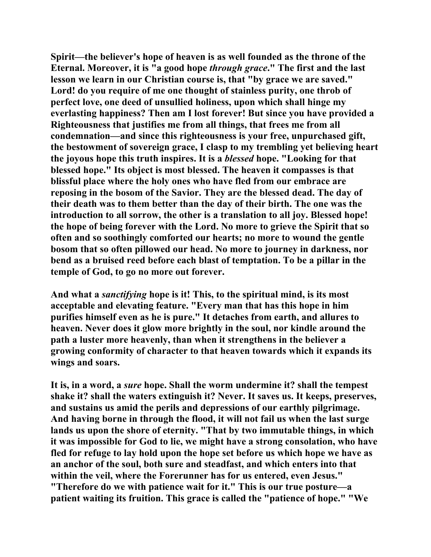**Spirit—the believer's hope of heaven is as well founded as the throne of the Eternal. Moreover, it is "a good hope** *through grace***." The first and the last lesson we learn in our Christian course is, that "by grace we are saved." Lord! do you require of me one thought of stainless purity, one throb of perfect love, one deed of unsullied holiness, upon which shall hinge my everlasting happiness? Then am I lost forever! But since you have provided a Righteousness that justifies me from all things, that frees me from all condemnation—and since this righteousness is your free, unpurchased gift, the bestowment of sovereign grace, I clasp to my trembling yet believing heart the joyous hope this truth inspires. It is a** *blessed* **hope. "Looking for that blessed hope." Its object is most blessed. The heaven it compasses is that blissful place where the holy ones who have fled from our embrace are reposing in the bosom of the Savior. They are the blessed dead. The day of their death was to them better than the day of their birth. The one was the introduction to all sorrow, the other is a translation to all joy. Blessed hope! the hope of being forever with the Lord. No more to grieve the Spirit that so often and so soothingly comforted our hearts; no more to wound the gentle bosom that so often pillowed our head. No more to journey in darkness, nor bend as a bruised reed before each blast of temptation. To be a pillar in the temple of God, to go no more out forever.** 

**And what a** *sanctifying* **hope is it! This, to the spiritual mind, is its most acceptable and elevating feature. "Every man that has this hope in him purifies himself even as he is pure." It detaches from earth, and allures to heaven. Never does it glow more brightly in the soul, nor kindle around the path a luster more heavenly, than when it strengthens in the believer a growing conformity of character to that heaven towards which it expands its wings and soars.** 

**It is, in a word, a** *sure* **hope. Shall the worm undermine it? shall the tempest shake it? shall the waters extinguish it? Never. It saves us. It keeps, preserves, and sustains us amid the perils and depressions of our earthly pilgrimage. And having borne in through the flood, it will not fail us when the last surge lands us upon the shore of eternity. "That by two immutable things, in which it was impossible for God to lie, we might have a strong consolation, who have fled for refuge to lay hold upon the hope set before us which hope we have as an anchor of the soul, both sure and steadfast, and which enters into that within the veil, where the Forerunner has for us entered, even Jesus." "Therefore do we with patience wait for it." This is our true posture—a patient waiting its fruition. This grace is called the "patience of hope." "We**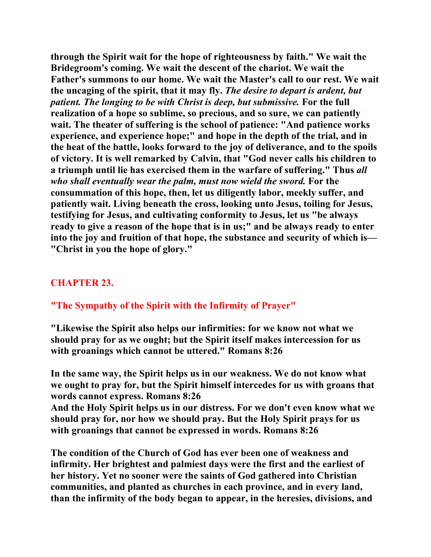**through the Spirit wait for the hope of righteousness by faith." We wait the Bridegroom's coming. We wait the descent of the chariot. We wait the Father's summons to our home. We wait the Master's call to our rest. We wait the uncaging of the spirit, that it may fly.** *The desire to depart is ardent, but patient. The longing to be with Christ is deep, but submissive.* **For the full realization of a hope so sublime, so precious, and so sure, we can patiently wait. The theater of suffering is the school of patience: "And patience works experience, and experience hope;" and hope in the depth of the trial, and in the heat of the battle, looks forward to the joy of deliverance, and to the spoils of victory. It is well remarked by Calvin, that "God never calls his children to a triumph until lie has exercised them in the warfare of suffering." Thus** *all who shall eventually wear the palm, must now wield the sword.* **For the consummation of this hope, then, let us diligently labor, meekly suffer, and patiently wait. Living beneath the cross, looking unto Jesus, toiling for Jesus, testifying for Jesus, and cultivating conformity to Jesus, let us "be always ready to give a reason of the hope that is in us;" and be always ready to enter into the joy and fruition of that hope, the substance and security of which is— "Christ in you the hope of glory."** 

#### **CHAPTER 23.**

#### **"The Sympathy of the Spirit with the Infirmity of Prayer"**

**"Likewise the Spirit also helps our infirmities: for we know not what we should pray for as we ought; but the Spirit itself makes intercession for us with groanings which cannot be uttered." Romans 8:26** 

**In the same way, the Spirit helps us in our weakness. We do not know what we ought to pray for, but the Spirit himself intercedes for us with groans that words cannot express. Romans 8:26** 

**And the Holy Spirit helps us in our distress. For we don't even know what we should pray for, nor how we should pray. But the Holy Spirit prays for us with groanings that cannot be expressed in words. Romans 8:26** 

**The condition of the Church of God has ever been one of weakness and infirmity. Her brightest and palmiest days were the first and the earliest of her history. Yet no sooner were the saints of God gathered into Christian communities, and planted as churches in each province, and in every land, than the infirmity of the body began to appear, in the heresies, divisions, and**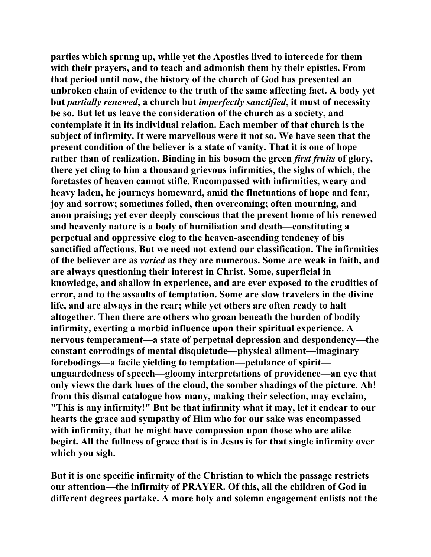**parties which sprung up, while yet the Apostles lived to intercede for them with their prayers, and to teach and admonish them by their epistles. From that period until now, the history of the church of God has presented an unbroken chain of evidence to the truth of the same affecting fact. A body yet but** *partially renewed***, a church but** *imperfectly sanctified***, it must of necessity be so. But let us leave the consideration of the church as a society, and contemplate it in its individual relation. Each member of that church is the subject of infirmity. It were marvellous were it not so. We have seen that the present condition of the believer is a state of vanity. That it is one of hope rather than of realization. Binding in his bosom the green** *first fruits* **of glory, there yet cling to him a thousand grievous infirmities, the sighs of which, the foretastes of heaven cannot stifle. Encompassed with infirmities, weary and heavy laden, he journeys homeward, amid the fluctuations of hope and fear, joy and sorrow; sometimes foiled, then overcoming; often mourning, and anon praising; yet ever deeply conscious that the present home of his renewed and heavenly nature is a body of humiliation and death—constituting a perpetual and oppressive clog to the heaven-ascending tendency of his sanctified affections. But we need not extend our classification. The infirmities of the believer are as** *varied* **as they are numerous. Some are weak in faith, and are always questioning their interest in Christ. Some, superficial in knowledge, and shallow in experience, and are ever exposed to the crudities of error, and to the assaults of temptation. Some are slow travelers in the divine life, and are always in the rear; while yet others are often ready to halt altogether. Then there are others who groan beneath the burden of bodily infirmity, exerting a morbid influence upon their spiritual experience. A nervous temperament—a state of perpetual depression and despondency—the constant corrodings of mental disquietude—physical ailment—imaginary forebodings—a facile yielding to temptation—petulance of spirit unguardedness of speech—gloomy interpretations of providence—an eye that only views the dark hues of the cloud, the somber shadings of the picture. Ah! from this dismal catalogue how many, making their selection, may exclaim, "This is any infirmity!" But be that infirmity what it may, let it endear to our hearts the grace and sympathy of Him who for our sake was encompassed with infirmity, that he might have compassion upon those who are alike begirt. All the fullness of grace that is in Jesus is for that single infirmity over which you sigh.** 

**But it is one specific infirmity of the Christian to which the passage restricts our attention—the infirmity of PRAYER. Of this, all the children of God in different degrees partake. A more holy and solemn engagement enlists not the**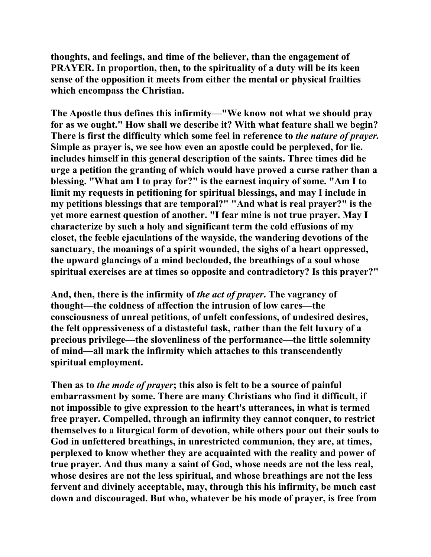**thoughts, and feelings, and time of the believer, than the engagement of PRAYER. In proportion, then, to the spirituality of a duty will be its keen sense of the opposition it meets from either the mental or physical frailties which encompass the Christian.** 

**The Apostle thus defines this infirmity—"We know not what we should pray for as we ought." How shall we describe it? With what feature shall we begin? There is first the difficulty which some feel in reference to** *the nature of prayer.* **Simple as prayer is, we see how even an apostle could be perplexed, for lie. includes himself in this general description of the saints. Three times did he urge a petition the granting of which would have proved a curse rather than a blessing. "What am I to pray for?" is the earnest inquiry of some. "Am I to limit my requests in petitioning for spiritual blessings, and may I include in my petitions blessings that are temporal?" "And what is real prayer?" is the yet more earnest question of another. "I fear mine is not true prayer. May I characterize by such a holy and significant term the cold effusions of my closet, the feeble ejaculations of the wayside, the wandering devotions of the sanctuary, the moanings of a spirit wounded, the sighs of a heart oppressed, the upward glancings of a mind beclouded, the breathings of a soul whose spiritual exercises are at times so opposite and contradictory? Is this prayer?"** 

**And, then, there is the infirmity of** *the act of prayer***. The vagrancy of thought—the coldness of affection the intrusion of low cares—the consciousness of unreal petitions, of unfelt confessions, of undesired desires, the felt oppressiveness of a distasteful task, rather than the felt luxury of a precious privilege—the slovenliness of the performance—the little solemnity of mind—all mark the infirmity which attaches to this transcendently spiritual employment.** 

**Then as to** *the mode of prayer***; this also is felt to be a source of painful embarrassment by some. There are many Christians who find it difficult, if not impossible to give expression to the heart's utterances, in what is termed free prayer. Compelled, through an infirmity they cannot conquer, to restrict themselves to a liturgical form of devotion, while others pour out their souls to God in unfettered breathings, in unrestricted communion, they are, at times, perplexed to know whether they are acquainted with the reality and power of true prayer. And thus many a saint of God, whose needs are not the less real, whose desires are not the less spiritual, and whose breathings are not the less fervent and divinely acceptable, may, through this his infirmity, be much cast down and discouraged. But who, whatever be his mode of prayer, is free from**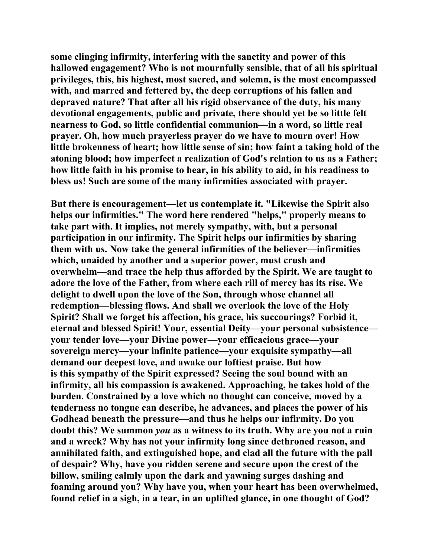**some clinging infirmity, interfering with the sanctity and power of this hallowed engagement? Who is not mournfully sensible, that of all his spiritual privileges, this, his highest, most sacred, and solemn, is the most encompassed with, and marred and fettered by, the deep corruptions of his fallen and depraved nature? That after all his rigid observance of the duty, his many devotional engagements, public and private, there should yet be so little felt nearness to God, so little confidential communion—in a word, so little real prayer. Oh, how much prayerless prayer do we have to mourn over! How little brokenness of heart; how little sense of sin; how faint a taking hold of the atoning blood; how imperfect a realization of God's relation to us as a Father; how little faith in his promise to hear, in his ability to aid, in his readiness to bless us! Such are some of the many infirmities associated with prayer.** 

**But there is encouragement—let us contemplate it. "Likewise the Spirit also helps our infirmities." The word here rendered "helps," properly means to take part with. It implies, not merely sympathy, with, but a personal participation in our infirmity. The Spirit helps our infirmities by sharing them with us. Now take the general infirmities of the believer—infirmities which, unaided by another and a superior power, must crush and overwhelm—and trace the help thus afforded by the Spirit. We are taught to adore the love of the Father, from where each rill of mercy has its rise. We delight to dwell upon the love of the Son, through whose channel all redemption—blessing flows. And shall we overlook the love of the Holy Spirit? Shall we forget his affection, his grace, his succourings? Forbid it, eternal and blessed Spirit! Your, essential Deity—your personal subsistence your tender love—your Divine power—your efficacious grace—your sovereign mercy—your infinite patience—your exquisite sympathy—all demand our deepest love, and awake our loftiest praise. But how is this sympathy of the Spirit expressed? Seeing the soul bound with an infirmity, all his compassion is awakened. Approaching, he takes hold of the burden. Constrained by a love which no thought can conceive, moved by a tenderness no tongue can describe, he advances, and places the power of his Godhead beneath the pressure—and thus he helps our infirmity. Do you doubt this? We summon** *you* **as a witness to its truth. Why are you not a ruin and a wreck? Why has not your infirmity long since dethroned reason, and annihilated faith, and extinguished hope, and clad all the future with the pall of despair? Why, have you ridden serene and secure upon the crest of the billow, smiling calmly upon the dark and yawning surges dashing and foaming around you? Why have you, when your heart has been overwhelmed, found relief in a sigh, in a tear, in an uplifted glance, in one thought of God?**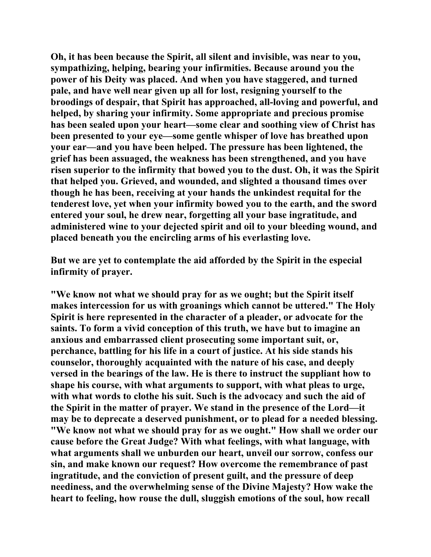**Oh, it has been because the Spirit, all silent and invisible, was near to you, sympathizing, helping, bearing your infirmities. Because around you the power of his Deity was placed. And when you have staggered, and turned pale, and have well near given up all for lost, resigning yourself to the broodings of despair, that Spirit has approached, all-loving and powerful, and helped, by sharing your infirmity. Some appropriate and precious promise has been sealed upon your heart—some clear and soothing view of Christ has been presented to your eye—some gentle whisper of love has breathed upon your ear—and you have been helped. The pressure has been lightened, the grief has been assuaged, the weakness has been strengthened, and you have risen superior to the infirmity that bowed you to the dust. Oh, it was the Spirit that helped you. Grieved, and wounded, and slighted a thousand times over though he has been, receiving at your hands the unkindest requital for the tenderest love, yet when your infirmity bowed you to the earth, and the sword entered your soul, he drew near, forgetting all your base ingratitude, and administered wine to your dejected spirit and oil to your bleeding wound, and placed beneath you the encircling arms of his everlasting love.** 

**But we are yet to contemplate the aid afforded by the Spirit in the especial infirmity of prayer.** 

**"We know not what we should pray for as we ought; but the Spirit itself makes intercession for us with groanings which cannot be uttered." The Holy Spirit is here represented in the character of a pleader, or advocate for the saints. To form a vivid conception of this truth, we have but to imagine an anxious and embarrassed client prosecuting some important suit, or, perchance, battling for his life in a court of justice. At his side stands his counselor, thoroughly acquainted with the nature of his case, and deeply versed in the bearings of the law. He is there to instruct the suppliant how to shape his course, with what arguments to support, with what pleas to urge, with what words to clothe his suit. Such is the advocacy and such the aid of the Spirit in the matter of prayer. We stand in the presence of the Lord—it may be to deprecate a deserved punishment, or to plead for a needed blessing. "We know not what we should pray for as we ought." How shall we order our cause before the Great Judge? With what feelings, with what language, with what arguments shall we unburden our heart, unveil our sorrow, confess our sin, and make known our request? How overcome the remembrance of past ingratitude, and the conviction of present guilt, and the pressure of deep neediness, and the overwhelming sense of the Divine Majesty? How wake the heart to feeling, how rouse the dull, sluggish emotions of the soul, how recall**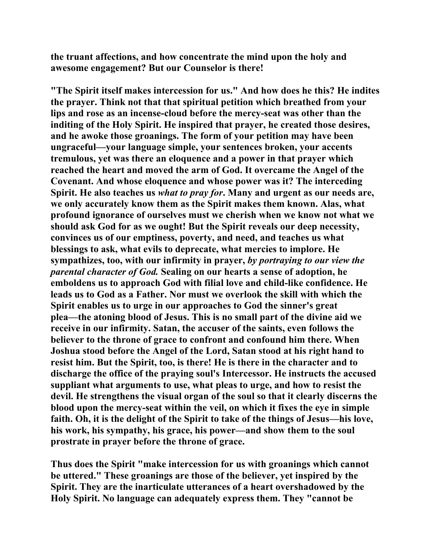**the truant affections, and how concentrate the mind upon the holy and awesome engagement? But our Counselor is there!** 

**"The Spirit itself makes intercession for us." And how does he this? He indites the prayer. Think not that that spiritual petition which breathed from your lips and rose as an incense-cloud before the mercy-seat was other than the inditing of the Holy Spirit. He inspired that prayer, he created those desires, and he awoke those groanings. The form of your petition may have been ungraceful—your language simple, your sentences broken, your accents tremulous, yet was there an eloquence and a power in that prayer which reached the heart and moved the arm of God. It overcame the Angel of the Covenant. And whose eloquence and whose power was it? The interceding Spirit. He also teaches us** *what to pray for***. Many and urgent as our needs are, we only accurately know them as the Spirit makes them known. Alas, what profound ignorance of ourselves must we cherish when we know not what we should ask God for as we ought! But the Spirit reveals our deep necessity, convinces us of our emptiness, poverty, and need, and teaches us what blessings to ask, what evils to deprecate, what mercies to implore. He sympathizes, too, with our infirmity in prayer,** *by portraying to our view the parental character of God.* **Sealing on our hearts a sense of adoption, he emboldens us to approach God with filial love and child-like confidence. He leads us to God as a Father. Nor must we overlook the skill with which the Spirit enables us to urge in our approaches to God the sinner's great plea—the atoning blood of Jesus. This is no small part of the divine aid we receive in our infirmity. Satan, the accuser of the saints, even follows the believer to the throne of grace to confront and confound him there. When Joshua stood before the Angel of the Lord, Satan stood at his right hand to resist him. But the Spirit, too, is there! He is there in the character and to discharge the office of the praying soul's Intercessor. He instructs the accused suppliant what arguments to use, what pleas to urge, and how to resist the devil. He strengthens the visual organ of the soul so that it clearly discerns the blood upon the mercy-seat within the veil, on which it fixes the eye in simple faith. Oh, it is the delight of the Spirit to take of the things of Jesus—his love, his work, his sympathy, his grace, his power—and show them to the soul prostrate in prayer before the throne of grace.** 

**Thus does the Spirit "make intercession for us with groanings which cannot be uttered." These groanings are those of the believer, yet inspired by the Spirit. They are the inarticulate utterances of a heart overshadowed by the Holy Spirit. No language can adequately express them. They "cannot be**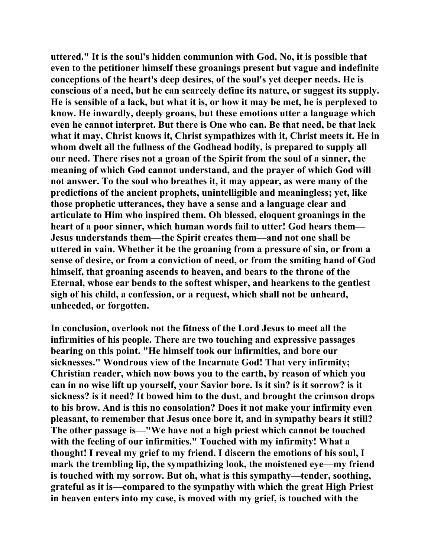**uttered." It is the soul's hidden communion with God. No, it is possible that even to the petitioner himself these groanings present but vague and indefinite conceptions of the heart's deep desires, of the soul's yet deeper needs. He is conscious of a need, but he can scarcely define its nature, or suggest its supply. He is sensible of a lack, but what it is, or how it may be met, he is perplexed to know. He inwardly, deeply groans, but these emotions utter a language which even he cannot interpret. But there is One who can. Be that need, be that lack what it may, Christ knows it, Christ sympathizes with it, Christ meets it. He in whom dwelt all the fullness of the Godhead bodily, is prepared to supply all our need. There rises not a groan of the Spirit from the soul of a sinner, the meaning of which God cannot understand, and the prayer of which God will not answer. To the soul who breathes it, it may appear, as were many of the predictions of the ancient prophets, unintelligible and meaningless; yet, like those prophetic utterances, they have a sense and a language clear and articulate to Him who inspired them. Oh blessed, eloquent groanings in the heart of a poor sinner, which human words fail to utter! God hears them— Jesus understands them—the Spirit creates them—and not one shall be uttered in vain. Whether it be the groaning from a pressure of sin, or from a sense of desire, or from a conviction of need, or from the smiting hand of God himself, that groaning ascends to heaven, and bears to the throne of the Eternal, whose ear bends to the softest whisper, and hearkens to the gentlest sigh of his child, a confession, or a request, which shall not be unheard, unheeded, or forgotten.** 

**In conclusion, overlook not the fitness of the Lord Jesus to meet all the infirmities of his people. There are two touching and expressive passages bearing on this point. "He himself took our infirmities, and bore our sicknesses." Wondrous view of the Incarnate God! That very infirmity; Christian reader, which now bows you to the earth, by reason of which you can in no wise lift up yourself, your Savior bore. Is it sin? is it sorrow? is it sickness? is it need? It bowed him to the dust, and brought the crimson drops to his brow. And is this no consolation? Does it not make your infirmity even pleasant, to remember that Jesus once bore it, and in sympathy bears it still? The other passage is—"We have not a high priest which cannot be touched with the feeling of our infirmities." Touched with my infirmity! What a thought! I reveal my grief to my friend. I discern the emotions of his soul, I mark the trembling lip, the sympathizing look, the moistened eye—my friend is touched with my sorrow. But oh, what is this sympathy—tender, soothing, grateful as it is—compared to the sympathy with which the great High Priest in heaven enters into my case, is moved with my grief, is touched with the**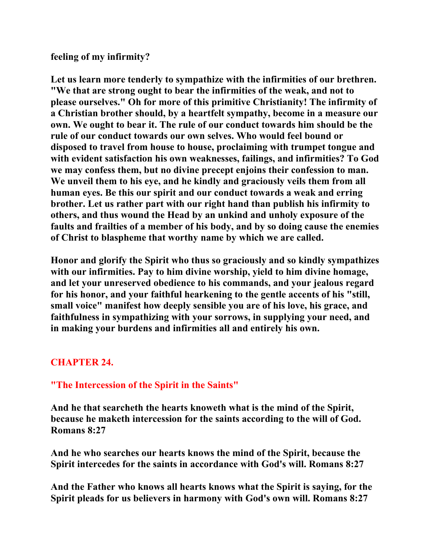**feeling of my infirmity?** 

Let us learn more tenderly to sympathize with the infirmities of our brethren. **"We that are strong ought to bear the infirmities of the weak, and not to please ourselves." Oh for more of this primitive Christianity! The infirmity of a Christian brother should, by a heartfelt sympathy, become in a measure our own. We ought to bear it. The rule of our conduct towards him should be the rule of our conduct towards our own selves. Who would feel bound or disposed to travel from house to house, proclaiming with trumpet tongue and with evident satisfaction his own weaknesses, failings, and infirmities? To God we may confess them, but no divine precept enjoins their confession to man. We unveil them to his eye, and he kindly and graciously veils them from all human eyes. Be this our spirit and our conduct towards a weak and erring brother. Let us rather part with our right hand than publish his infirmity to others, and thus wound the Head by an unkind and unholy exposure of the faults and frailties of a member of his body, and by so doing cause the enemies of Christ to blaspheme that worthy name by which we are called.** 

**Honor and glorify the Spirit who thus so graciously and so kindly sympathizes with our infirmities. Pay to him divine worship, yield to him divine homage, and let your unreserved obedience to his commands, and your jealous regard for his honor, and your faithful hearkening to the gentle accents of his "still, small voice" manifest how deeply sensible you are of his love, his grace, and faithfulness in sympathizing with your sorrows, in supplying your need, and in making your burdens and infirmities all and entirely his own.** 

# **CHAPTER 24.**

# **"The Intercession of the Spirit in the Saints"**

**And he that searcheth the hearts knoweth what is the mind of the Spirit, because he maketh intercession for the saints according to the will of God. Romans 8:27** 

**And he who searches our hearts knows the mind of the Spirit, because the Spirit intercedes for the saints in accordance with God's will. Romans 8:27** 

**And the Father who knows all hearts knows what the Spirit is saying, for the Spirit pleads for us believers in harmony with God's own will. Romans 8:27**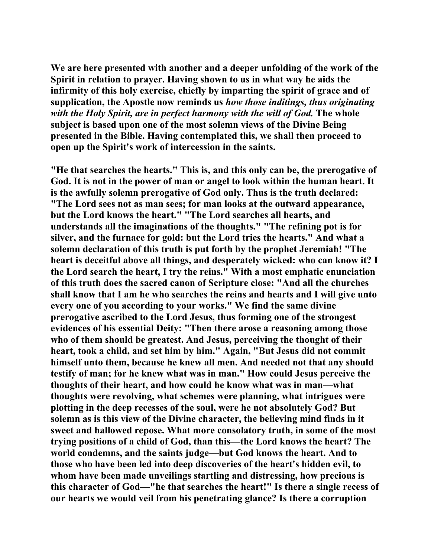**We are here presented with another and a deeper unfolding of the work of the Spirit in relation to prayer. Having shown to us in what way he aids the infirmity of this holy exercise, chiefly by imparting the spirit of grace and of supplication, the Apostle now reminds us** *how those inditings, thus originating with the Holy Spirit, are in perfect harmony with the will of God.* The whole **subject is based upon one of the most solemn views of the Divine Being presented in the Bible. Having contemplated this, we shall then proceed to open up the Spirit's work of intercession in the saints.** 

**"He that searches the hearts." This is, and this only can be, the prerogative of God. It is not in the power of man or angel to look within the human heart. It is the awfully solemn prerogative of God only. Thus is the truth declared: "The Lord sees not as man sees; for man looks at the outward appearance, but the Lord knows the heart." "The Lord searches all hearts, and understands all the imaginations of the thoughts." "The refining pot is for silver, and the furnace for gold: but the Lord tries the hearts." And what a solemn declaration of this truth is put forth by the prophet Jeremiah! "The heart is deceitful above all things, and desperately wicked: who can know it? I the Lord search the heart, I try the reins." With a most emphatic enunciation of this truth does the sacred canon of Scripture close: "And all the churches shall know that I am he who searches the reins and hearts and I will give unto every one of you according to your works." We find the same divine prerogative ascribed to the Lord Jesus, thus forming one of the strongest evidences of his essential Deity: "Then there arose a reasoning among those who of them should be greatest. And Jesus, perceiving the thought of their heart, took a child, and set him by him." Again, "But Jesus did not commit himself unto them, because he knew all men. And needed not that any should testify of man; for he knew what was in man." How could Jesus perceive the thoughts of their heart, and how could he know what was in man—what thoughts were revolving, what schemes were planning, what intrigues were plotting in the deep recesses of the soul, were he not absolutely God? But solemn as is this view of the Divine character, the believing mind finds in it sweet and hallowed repose. What more consolatory truth, in some of the most trying positions of a child of God, than this—the Lord knows the heart? The world condemns, and the saints judge—but God knows the heart. And to those who have been led into deep discoveries of the heart's hidden evil, to whom have been made unveilings startling and distressing, how precious is this character of God—"he that searches the heart!" Is there a single recess of our hearts we would veil from his penetrating glance? Is there a corruption**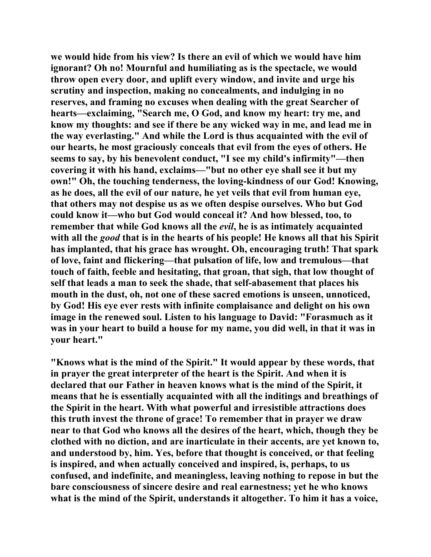**we would hide from his view? Is there an evil of which we would have him ignorant? Oh no! Mournful and humiliating as is the spectacle, we would throw open every door, and uplift every window, and invite and urge his scrutiny and inspection, making no concealments, and indulging in no reserves, and framing no excuses when dealing with the great Searcher of hearts—exclaiming, "Search me, O God, and know my heart: try me, and know my thoughts: and see if there be any wicked way in me, and lead me in the way everlasting." And while the Lord is thus acquainted with the evil of our hearts, he most graciously conceals that evil from the eyes of others. He seems to say, by his benevolent conduct, "I see my child's infirmity"—then covering it with his hand, exclaims—"but no other eye shall see it but my own!" Oh, the touching tenderness, the loving-kindness of our God! Knowing, as he does, all the evil of our nature, he yet veils that evil from human eye, that others may not despise us as we often despise ourselves. Who but God could know it—who but God would conceal it? And how blessed, too, to remember that while God knows all the** *evil***, he is as intimately acquainted with all the** *good* **that is in the hearts of his people! He knows all that his Spirit has implanted, that his grace has wrought. Oh, encouraging truth! That spark of love, faint and flickering—that pulsation of life, low and tremulous—that touch of faith, feeble and hesitating, that groan, that sigh, that low thought of self that leads a man to seek the shade, that self-abasement that places his mouth in the dust, oh, not one of these sacred emotions is unseen, unnoticed, by God! His eye ever rests with infinite complaisance and delight on his own image in the renewed soul. Listen to his language to David: "Forasmuch as it was in your heart to build a house for my name, you did well, in that it was in your heart."** 

**"Knows what is the mind of the Spirit." It would appear by these words, that in prayer the great interpreter of the heart is the Spirit. And when it is declared that our Father in heaven knows what is the mind of the Spirit, it means that he is essentially acquainted with all the inditings and breathings of the Spirit in the heart. With what powerful and irresistible attractions does this truth invest the throne of grace! To remember that in prayer we draw near to that God who knows all the desires of the heart, which, though they be clothed with no diction, and are inarticulate in their accents, are yet known to, and understood by, him. Yes, before that thought is conceived, or that feeling is inspired, and when actually conceived and inspired, is, perhaps, to us confused, and indefinite, and meaningless, leaving nothing to repose in but the bare consciousness of sincere desire and real earnestness; yet he who knows what is the mind of the Spirit, understands it altogether. To him it has a voice,**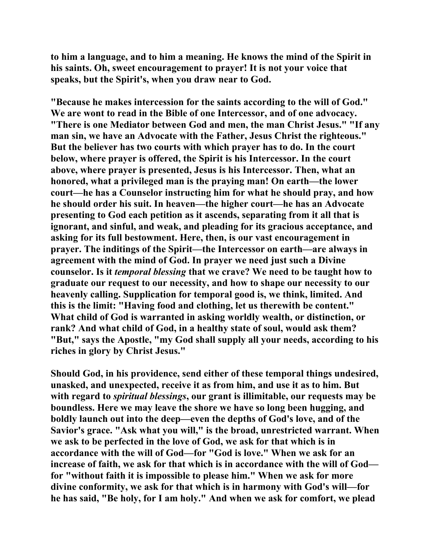**to him a language, and to him a meaning. He knows the mind of the Spirit in his saints. Oh, sweet encouragement to prayer! It is not your voice that speaks, but the Spirit's, when you draw near to God.** 

**"Because he makes intercession for the saints according to the will of God." We are wont to read in the Bible of one Intercessor, and of one advocacy. "There is one Mediator between God and men, the man Christ Jesus." "If any man sin, we have an Advocate with the Father, Jesus Christ the righteous." But the believer has two courts with which prayer has to do. In the court below, where prayer is offered, the Spirit is his Intercessor. In the court above, where prayer is presented, Jesus is his Intercessor. Then, what an honored, what a privileged man is the praying man! On earth—the lower court—he has a Counselor instructing him for what he should pray, and how he should order his suit. In heaven—the higher court—he has an Advocate presenting to God each petition as it ascends, separating from it all that is ignorant, and sinful, and weak, and pleading for its gracious acceptance, and asking for its full bestowment. Here, then, is our vast encouragement in prayer. The inditings of the Spirit—the Intercessor on earth—are always in agreement with the mind of God. In prayer we need just such a Divine counselor. Is it** *temporal blessing* **that we crave? We need to be taught how to graduate our request to our necessity, and how to shape our necessity to our heavenly calling. Supplication for temporal good is, we think, limited. And this is the limit: "Having food and clothing, let us therewith be content." What child of God is warranted in asking worldly wealth, or distinction, or rank? And what child of God, in a healthy state of soul, would ask them? "But," says the Apostle, "my God shall supply all your needs, according to his riches in glory by Christ Jesus."** 

**Should God, in his providence, send either of these temporal things undesired, unasked, and unexpected, receive it as from him, and use it as to him. But with regard to** *spiritual blessings***, our grant is illimitable, our requests may be boundless. Here we may leave the shore we have so long been hugging, and boldly launch out into the deep—even the depths of God's love, and of the Savior's grace. "Ask what you will," is the broad, unrestricted warrant. When we ask to be perfected in the love of God, we ask for that which is in accordance with the will of God—for "God is love." When we ask for an increase of faith, we ask for that which is in accordance with the will of God for "without faith it is impossible to please him." When we ask for more divine conformity, we ask for that which is in harmony with God's will—for he has said, "Be holy, for I am holy." And when we ask for comfort, we plead**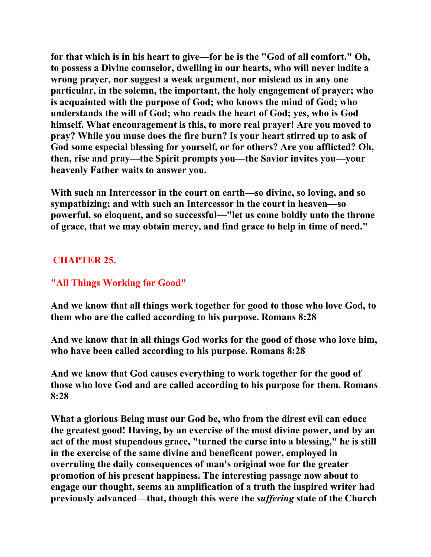**for that which is in his heart to give—for he is the "God of all comfort." Oh, to possess a Divine counselor, dwelling in our hearts, who will never indite a wrong prayer, nor suggest a weak argument, nor mislead us in any one particular, in the solemn, the important, the holy engagement of prayer; who is acquainted with the purpose of God; who knows the mind of God; who understands the will of God; who reads the heart of God; yes, who is God himself. What encouragement is this, to more real prayer! Are you moved to pray? While you muse does the fire burn? Is your heart stirred up to ask of God some especial blessing for yourself, or for others? Are you afflicted? Oh, then, rise and pray—the Spirit prompts you—the Savior invites you—your heavenly Father waits to answer you.** 

**With such an Intercessor in the court on earth—so divine, so loving, and so sympathizing; and with such an Intercessor in the court in heaven—so powerful, so eloquent, and so successful—"let us come boldly unto the throne of grace, that we may obtain mercy, and find grace to help in time of need."** 

## **CHAPTER 25.**

#### **"All Things Working for Good"**

**And we know that all things work together for good to those who love God, to them who are the called according to his purpose. Romans 8:28** 

**And we know that in all things God works for the good of those who love him, who have been called according to his purpose. Romans 8:28** 

**And we know that God causes everything to work together for the good of those who love God and are called according to his purpose for them. Romans 8:28** 

**What a glorious Being must our God be, who from the direst evil can educe the greatest good! Having, by an exercise of the most divine power, and by an act of the most stupendous grace, "turned the curse into a blessing," he is still in the exercise of the same divine and beneficent power, employed in overruling the daily consequences of man's original woe for the greater promotion of his present happiness. The interesting passage now about to engage our thought, seems an amplification of a truth the inspired writer had previously advanced—that, though this were the** *suffering* **state of the Church**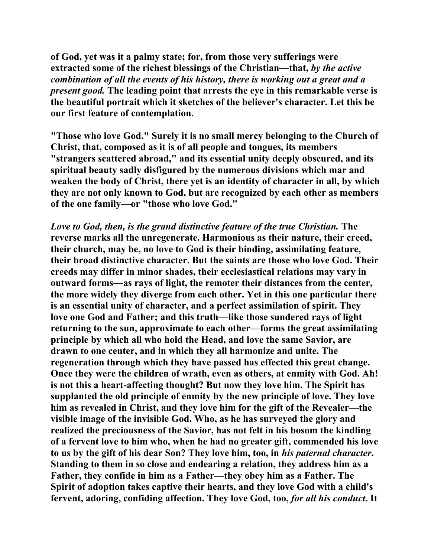**of God, yet was it a palmy state; for, from those very sufferings were extracted some of the richest blessings of the Christian—that,** *by the active combination of all the events of his history, there is working out a great and a present good.* **The leading point that arrests the eye in this remarkable verse is the beautiful portrait which it sketches of the believer's character. Let this be our first feature of contemplation.** 

**"Those who love God." Surely it is no small mercy belonging to the Church of Christ, that, composed as it is of all people and tongues, its members "strangers scattered abroad," and its essential unity deeply obscured, and its spiritual beauty sadly disfigured by the numerous divisions which mar and weaken the body of Christ, there yet is an identity of character in all, by which they are not only known to God, but are recognized by each other as members of the one family—or "those who love God."** 

Love to God, then, is the grand distinctive feature of the true Christian. The **reverse marks all the unregenerate. Harmonious as their nature, their creed, their church, may be, no love to God is their binding, assimilating feature, their broad distinctive character. But the saints are those who love God. Their creeds may differ in minor shades, their ecclesiastical relations may vary in outward forms—as rays of light, the remoter their distances from the center, the more widely they diverge from each other. Yet in this one particular there is an essential unity of character, and a perfect assimilation of spirit. They love one God and Father; and this truth—like those sundered rays of light returning to the sun, approximate to each other—forms the great assimilating principle by which all who hold the Head, and love the same Savior, are drawn to one center, and in which they all harmonize and unite. The regeneration through which they have passed has effected this great change. Once they were the children of wrath, even as others, at enmity with God. Ah! is not this a heart-affecting thought? But now they love him. The Spirit has supplanted the old principle of enmity by the new principle of love. They love him as revealed in Christ, and they love him for the gift of the Revealer—the visible image of the invisible God. Who, as he has surveyed the glory and realized the preciousness of the Savior, has not felt in his bosom the kindling of a fervent love to him who, when he had no greater gift, commended his love to us by the gift of his dear Son? They love him, too, in** *his paternal character***. Standing to them in so close and endearing a relation, they address him as a Father, they confide in him as a Father—they obey him as a Father. The Spirit of adoption takes captive their hearts, and they love God with a child's fervent, adoring, confiding affection. They love God, too,** *for all his conduct***. It**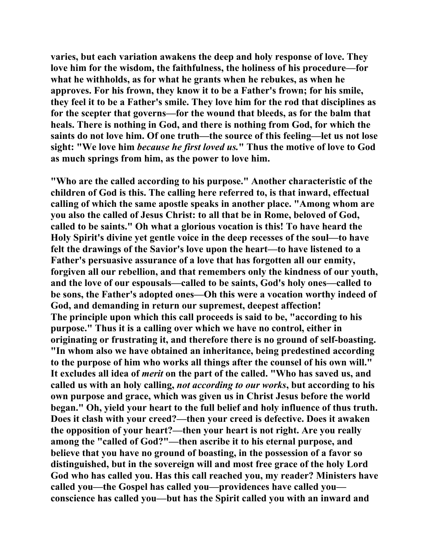**varies, but each variation awakens the deep and holy response of love. They love him for the wisdom, the faithfulness, the holiness of his procedure—for what he withholds, as for what he grants when he rebukes, as when he approves. For his frown, they know it to be a Father's frown; for his smile, they feel it to be a Father's smile. They love him for the rod that disciplines as for the scepter that governs—for the wound that bleeds, as for the balm that heals. There is nothing in God, and there is nothing from God, for which the saints do not love him. Of one truth—the source of this feeling—let us not lose sight: "We love him** *because he first loved us.***" Thus the motive of love to God as much springs from him, as the power to love him.** 

**"Who are the called according to his purpose." Another characteristic of the children of God is this. The calling here referred to, is that inward, effectual calling of which the same apostle speaks in another place. "Among whom are you also the called of Jesus Christ: to all that be in Rome, beloved of God, called to be saints." Oh what a glorious vocation is this! To have heard the Holy Spirit's divine yet gentle voice in the deep recesses of the soul—to have felt the drawings of the Savior's love upon the heart—to have listened to a Father's persuasive assurance of a love that has forgotten all our enmity, forgiven all our rebellion, and that remembers only the kindness of our youth, and the love of our espousals—called to be saints, God's holy ones—called to be sons, the Father's adopted ones—Oh this were a vocation worthy indeed of God, and demanding in return our supremest, deepest affection! The principle upon which this call proceeds is said to be, "according to his purpose." Thus it is a calling over which we have no control, either in originating or frustrating it, and therefore there is no ground of self-boasting. "In whom also we have obtained an inheritance, being predestined according to the purpose of him who works all things after the counsel of his own will." It excludes all idea of** *merit* **on the part of the called. "Who has saved us, and called us with an holy calling,** *not according to our works***, but according to his own purpose and grace, which was given us in Christ Jesus before the world began." Oh, yield your heart to the full belief and holy influence of thus truth. Does it clash with your creed?—then your creed is defective. Does it awaken the opposition of your heart?—then your heart is not right. Are you really among the "called of God?"—then ascribe it to his eternal purpose, and believe that you have no ground of boasting, in the possession of a favor so distinguished, but in the sovereign will and most free grace of the holy Lord God who has called you. Has this call reached you, my reader? Ministers have called you—the Gospel has called you—providences have called you conscience has called you—but has the Spirit called you with an inward and**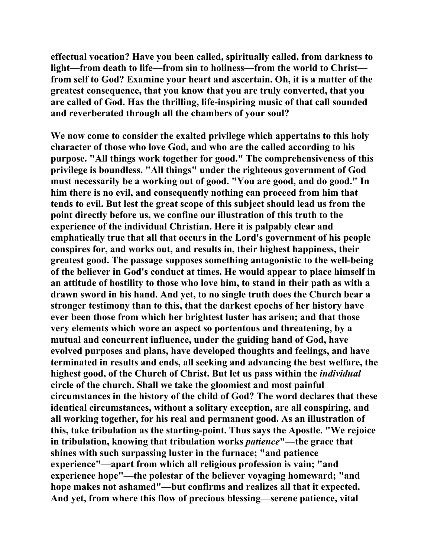**effectual vocation? Have you been called, spiritually called, from darkness to light—from death to life—from sin to holiness—from the world to Christ from self to God? Examine your heart and ascertain. Oh, it is a matter of the greatest consequence, that you know that you are truly converted, that you are called of God. Has the thrilling, life-inspiring music of that call sounded and reverberated through all the chambers of your soul?** 

**We now come to consider the exalted privilege which appertains to this holy character of those who love God, and who are the called according to his purpose. "All things work together for good." The comprehensiveness of this privilege is boundless. "All things" under the righteous government of God must necessarily be a working out of good. "You are good, and do good." In him there is no evil, and consequently nothing can proceed from him that tends to evil. But lest the great scope of this subject should lead us from the point directly before us, we confine our illustration of this truth to the experience of the individual Christian. Here it is palpably clear and emphatically true that all that occurs in the Lord's government of his people conspires for, and works out, and results in, their highest happiness, their greatest good. The passage supposes something antagonistic to the well-being of the believer in God's conduct at times. He would appear to place himself in an attitude of hostility to those who love him, to stand in their path as with a drawn sword in his hand. And yet, to no single truth does the Church bear a stronger testimony than to this, that the darkest epochs of her history have ever been those from which her brightest luster has arisen; and that those very elements which wore an aspect so portentous and threatening, by a mutual and concurrent influence, under the guiding hand of God, have evolved purposes and plans, have developed thoughts and feelings, and have terminated in results and ends, all seeking and advancing the best welfare, the highest good, of the Church of Christ. But let us pass within the** *individual* **circle of the church. Shall we take the gloomiest and most painful circumstances in the history of the child of God? The word declares that these identical circumstances, without a solitary exception, are all conspiring, and all working together, for his real and permanent good. As an illustration of this, take tribulation as the starting-point. Thus says the Apostle. "We rejoice in tribulation, knowing that tribulation works** *patience***"—the grace that shines with such surpassing luster in the furnace; "and patience experience"—apart from which all religious profession is vain; "and experience hope"—the polestar of the believer voyaging homeward; "and hope makes not ashamed"—but confirms and realizes all that it expected. And yet, from where this flow of precious blessing—serene patience, vital**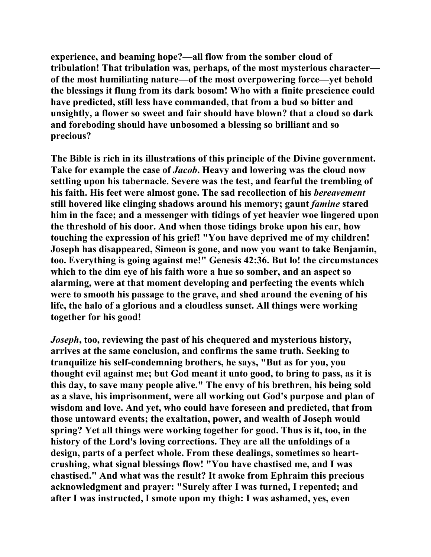**experience, and beaming hope?—all flow from the somber cloud of tribulation! That tribulation was, perhaps, of the most mysterious character of the most humiliating nature—of the most overpowering force—yet behold the blessings it flung from its dark bosom! Who with a finite prescience could have predicted, still less have commanded, that from a bud so bitter and unsightly, a flower so sweet and fair should have blown? that a cloud so dark and foreboding should have unbosomed a blessing so brilliant and so precious?** 

**The Bible is rich in its illustrations of this principle of the Divine government. Take for example the case of** *Jacob***. Heavy and lowering was the cloud now settling upon his tabernacle. Severe was the test, and fearful the trembling of his faith. His feet were almost gone. The sad recollection of his** *bereavement* **still hovered like clinging shadows around his memory; gaunt** *famine* **stared him in the face; and a messenger with tidings of yet heavier woe lingered upon the threshold of his door. And when those tidings broke upon his ear, how touching the expression of his grief! "You have deprived me of my children! Joseph has disappeared, Simeon is gone, and now you want to take Benjamin, too. Everything is going against me!" Genesis 42:36. But lo! the circumstances which to the dim eye of his faith wore a hue so somber, and an aspect so alarming, were at that moment developing and perfecting the events which were to smooth his passage to the grave, and shed around the evening of his life, the halo of a glorious and a cloudless sunset. All things were working together for his good!** 

*Joseph***, too, reviewing the past of his chequered and mysterious history, arrives at the same conclusion, and confirms the same truth. Seeking to tranquilize his self-condemning brothers, he says, "But as for you, you thought evil against me; but God meant it unto good, to bring to pass, as it is this day, to save many people alive." The envy of his brethren, his being sold as a slave, his imprisonment, were all working out God's purpose and plan of wisdom and love. And yet, who could have foreseen and predicted, that from those untoward events; the exaltation, power, and wealth of Joseph would spring? Yet all things were working together for good. Thus is it, too, in the history of the Lord's loving corrections. They are all the unfoldings of a design, parts of a perfect whole. From these dealings, sometimes so heartcrushing, what signal blessings flow! "You have chastised me, and I was chastised." And what was the result? It awoke from Ephraim this precious acknowledgment and prayer: "Surely after I was turned, I repented; and after I was instructed, I smote upon my thigh: I was ashamed, yes, even**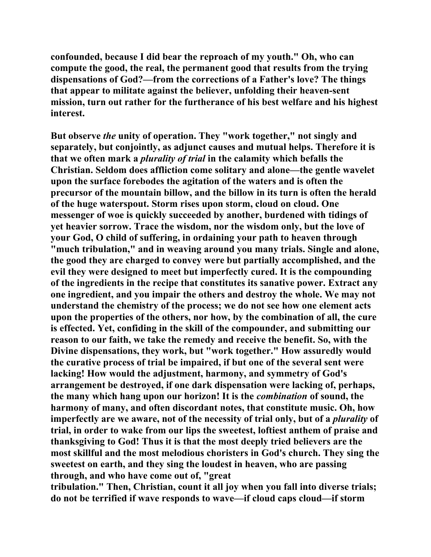**confounded, because I did bear the reproach of my youth." Oh, who can compute the good, the real, the permanent good that results from the trying dispensations of God?—from the corrections of a Father's love? The things that appear to militate against the believer, unfolding their heaven-sent mission, turn out rather for the furtherance of his best welfare and his highest interest.** 

**But observe** *the* **unity of operation. They "work together," not singly and separately, but conjointly, as adjunct causes and mutual helps. Therefore it is that we often mark a** *plurality of trial* **in the calamity which befalls the Christian. Seldom does affliction come solitary and alone—the gentle wavelet upon the surface forebodes the agitation of the waters and is often the precursor of the mountain billow, and the billow in its turn is often the herald of the huge waterspout. Storm rises upon storm, cloud on cloud. One messenger of woe is quickly succeeded by another, burdened with tidings of yet heavier sorrow. Trace the wisdom, nor the wisdom only, but the love of your God, O child of suffering, in ordaining your path to heaven through "much tribulation," and in weaving around you many trials. Single and alone, the good they are charged to convey were but partially accomplished, and the evil they were designed to meet but imperfectly cured. It is the compounding of the ingredients in the recipe that constitutes its sanative power. Extract any one ingredient, and you impair the others and destroy the whole. We may not understand the chemistry of the process; we do not see how one element acts upon the properties of the others, nor how, by the combination of all, the cure is effected. Yet, confiding in the skill of the compounder, and submitting our reason to our faith, we take the remedy and receive the benefit. So, with the Divine dispensations, they work, but "work together." How assuredly would the curative process of trial be impaired, if but one of the several sent were lacking! How would the adjustment, harmony, and symmetry of God's arrangement be destroyed, if one dark dispensation were lacking of, perhaps, the many which hang upon our horizon! It is the** *combination* **of sound, the harmony of many, and often discordant notes, that constitute music. Oh, how imperfectly are we aware, not of the necessity of trial only, but of a** *plurality* **of trial, in order to wake from our lips the sweetest, loftiest anthem of praise and thanksgiving to God! Thus it is that the most deeply tried believers are the most skillful and the most melodious choristers in God's church. They sing the sweetest on earth, and they sing the loudest in heaven, who are passing through, and who have come out of, "great** 

**tribulation." Then, Christian, count it all joy when you fall into diverse trials; do not be terrified if wave responds to wave—if cloud caps cloud—if storm**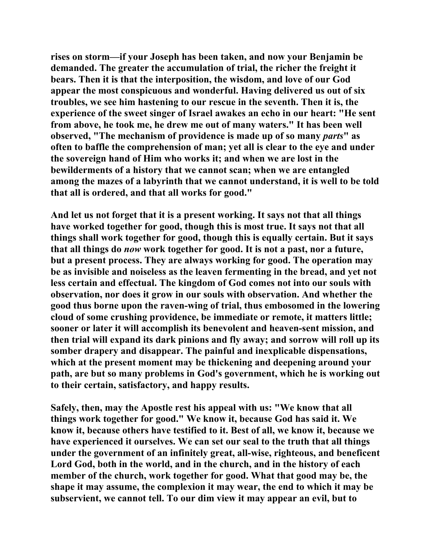**rises on storm—if your Joseph has been taken, and now your Benjamin be demanded. The greater the accumulation of trial, the richer the freight it bears. Then it is that the interposition, the wisdom, and love of our God appear the most conspicuous and wonderful. Having delivered us out of six troubles, we see him hastening to our rescue in the seventh. Then it is, the experience of the sweet singer of Israel awakes an echo in our heart: "He sent from above, he took me, he drew me out of many waters." It has been well observed, "The mechanism of providence is made up of so many** *parts***" as often to baffle the comprehension of man; yet all is clear to the eye and under the sovereign hand of Him who works it; and when we are lost in the bewilderments of a history that we cannot scan; when we are entangled among the mazes of a labyrinth that we cannot understand, it is well to be told that all is ordered, and that all works for good."** 

**And let us not forget that it is a present working. It says not that all things have worked together for good, though this is most true. It says not that all things shall work together for good, though this is equally certain. But it says that all things do** *now* **work together for good. It is not a past, nor a future, but a present process. They are always working for good. The operation may be as invisible and noiseless as the leaven fermenting in the bread, and yet not less certain and effectual. The kingdom of God comes not into our souls with observation, nor does it grow in our souls with observation. And whether the good thus borne upon the raven-wing of trial, thus embosomed in the lowering cloud of some crushing providence, be immediate or remote, it matters little; sooner or later it will accomplish its benevolent and heaven-sent mission, and then trial will expand its dark pinions and fly away; and sorrow will roll up its somber drapery and disappear. The painful and inexplicable dispensations, which at the present moment may be thickening and deepening around your path, are but so many problems in God's government, which he is working out to their certain, satisfactory, and happy results.** 

**Safely, then, may the Apostle rest his appeal with us: "We know that all things work together for good." We know it, because God has said it. We know it, because others have testified to it. Best of all, we know it, because we have experienced it ourselves. We can set our seal to the truth that all things under the government of an infinitely great, all-wise, righteous, and beneficent Lord God, both in the world, and in the church, and in the history of each member of the church, work together for good. What that good may be, the shape it may assume, the complexion it may wear, the end to which it may be subservient, we cannot tell. To our dim view it may appear an evil, but to**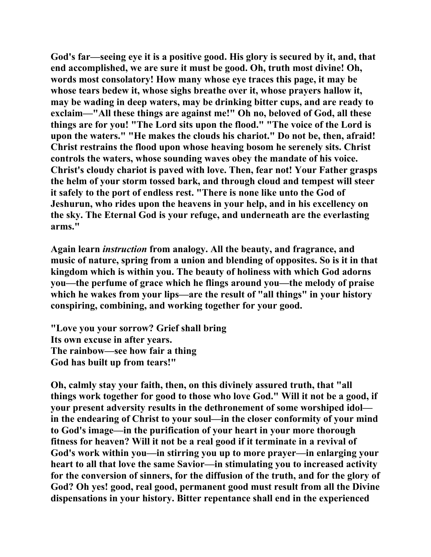**God's far—seeing eye it is a positive good. His glory is secured by it, and, that end accomplished, we are sure it must be good. Oh, truth most divine! Oh, words most consolatory! How many whose eye traces this page, it may be whose tears bedew it, whose sighs breathe over it, whose prayers hallow it, may be wading in deep waters, may be drinking bitter cups, and are ready to exclaim—"All these things are against me!" Oh no, beloved of God, all these things are for you! "The Lord sits upon the flood." "The voice of the Lord is upon the waters." "He makes the clouds his chariot." Do not be, then, afraid! Christ restrains the flood upon whose heaving bosom he serenely sits. Christ controls the waters, whose sounding waves obey the mandate of his voice. Christ's cloudy chariot is paved with love. Then, fear not! Your Father grasps the helm of your storm tossed bark, and through cloud and tempest will steer it safely to the port of endless rest. "There is none like unto the God of Jeshurun, who rides upon the heavens in your help, and in his excellency on the sky. The Eternal God is your refuge, and underneath are the everlasting arms."** 

**Again learn** *instruction* **from analogy. All the beauty, and fragrance, and music of nature, spring from a union and blending of opposites. So is it in that kingdom which is within you. The beauty of holiness with which God adorns you—the perfume of grace which he flings around you—the melody of praise which he wakes from your lips—are the result of "all things" in your history conspiring, combining, and working together for your good.** 

**"Love you your sorrow? Grief shall bring Its own excuse in after years. The rainbow—see how fair a thing God has built up from tears!"** 

**Oh, calmly stay your faith, then, on this divinely assured truth, that "all things work together for good to those who love God." Will it not be a good, if your present adversity results in the dethronement of some worshiped idol in the endearing of Christ to your soul—in the closer conformity of your mind to God's image—in the purification of your heart in your more thorough fitness for heaven? Will it not be a real good if it terminate in a revival of God's work within you—in stirring you up to more prayer—in enlarging your heart to all that love the same Savior—in stimulating you to increased activity for the conversion of sinners, for the diffusion of the truth, and for the glory of God? Oh yes! good, real good, permanent good must result from all the Divine dispensations in your history. Bitter repentance shall end in the experienced**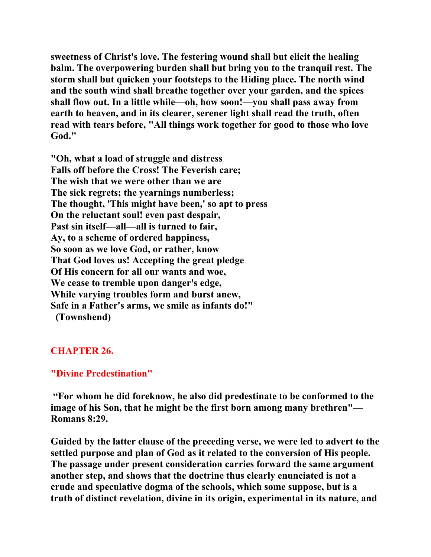**sweetness of Christ's love. The festering wound shall but elicit the healing balm. The overpowering burden shall but bring you to the tranquil rest. The storm shall but quicken your footsteps to the Hiding place. The north wind and the south wind shall breathe together over your garden, and the spices shall flow out. In a little while—oh, how soon!—you shall pass away from earth to heaven, and in its clearer, serener light shall read the truth, often read with tears before, "All things work together for good to those who love God."** 

**"Oh, what a load of struggle and distress Falls off before the Cross! The Feverish care; The wish that we were other than we are The sick regrets; the yearnings numberless; The thought, 'This might have been,' so apt to press On the reluctant soul! even past despair, Past sin itself—all—all is turned to fair, Ay, to a scheme of ordered happiness, So soon as we love God, or rather, know That God loves us! Accepting the great pledge Of His concern for all our wants and woe, We cease to tremble upon danger's edge, While varying troubles form and burst anew, Safe in a Father's arms, we smile as infants do!" (Townshend)** 

# **CHAPTER 26.**

#### **"Divine Predestination"**

 **"For whom he did foreknow, he also did predestinate to be conformed to the image of his Son, that he might be the first born among many brethren"— Romans 8:29.** 

**Guided by the latter clause of the preceding verse, we were led to advert to the settled purpose and plan of God as it related to the conversion of His people. The passage under present consideration carries forward the same argument another step, and shows that the doctrine thus clearly enunciated is not a crude and speculative dogma of the schools, which some suppose, but is a truth of distinct revelation, divine in its origin, experimental in its nature, and**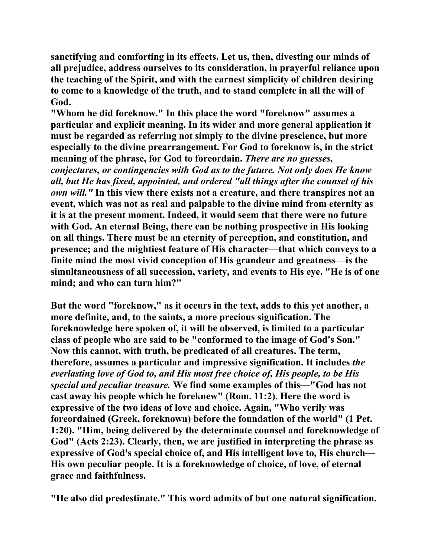**sanctifying and comforting in its effects. Let us, then, divesting our minds of all prejudice, address ourselves to its consideration, in prayerful reliance upon the teaching of the Spirit, and with the earnest simplicity of children desiring to come to a knowledge of the truth, and to stand complete in all the will of God.** 

**"Whom he did foreknow." In this place the word "foreknow" assumes a particular and explicit meaning. In its wider and more general application it must be regarded as referring not simply to the divine prescience, but more especially to the divine prearrangement. For God to foreknow is, in the strict meaning of the phrase, for God to foreordain.** *There are no guesses, conjectures, or contingencies with God as to the future. Not only does He know all, but He has fixed, appointed, and ordered "all things after the counsel of his own will."* **In this view there exists not a creature, and there transpires not an event, which was not as real and palpable to the divine mind from eternity as it is at the present moment. Indeed, it would seem that there were no future with God. An eternal Being, there can be nothing prospective in His looking on all things. There must be an eternity of perception, and constitution, and presence; and the mightiest feature of His character—that which conveys to a finite mind the most vivid conception of His grandeur and greatness—is the simultaneousness of all succession, variety, and events to His eye. "He is of one mind; and who can turn him?"** 

**But the word "foreknow," as it occurs in the text, adds to this yet another, a more definite, and, to the saints, a more precious signification. The foreknowledge here spoken of, it will be observed, is limited to a particular class of people who are said to be "conformed to the image of God's Son." Now this cannot, with truth, be predicated of all creatures. The term, therefore, assumes a particular and impressive signification. It includes** *the everlasting love of God to, and His most free choice of, His people, to be His special and peculiar treasure.* **We find some examples of this—"God has not cast away his people which he foreknew" (Rom. 11:2). Here the word is expressive of the two ideas of love and choice. Again, "Who verily was foreordained (Greek, foreknown) before the foundation of the world" (1 Pet. 1:20). "Him, being delivered by the determinate counsel and foreknowledge of God" (Acts 2:23). Clearly, then, we are justified in interpreting the phrase as expressive of God's special choice of, and His intelligent love to, His church— His own peculiar people. It is a foreknowledge of choice, of love, of eternal grace and faithfulness.** 

**"He also did predestinate." This word admits of but one natural signification.**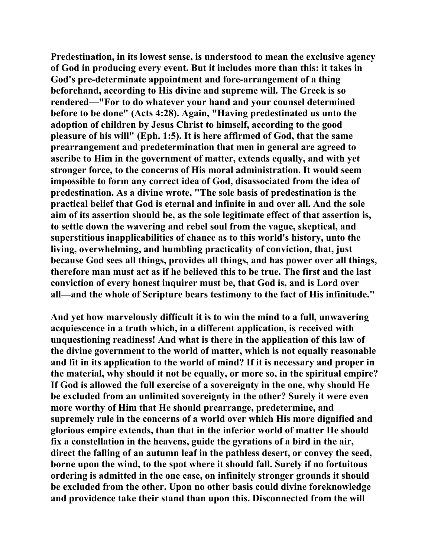**Predestination, in its lowest sense, is understood to mean the exclusive agency of God in producing every event. But it includes more than this: it takes in God's pre-determinate appointment and fore-arrangement of a thing beforehand, according to His divine and supreme will. The Greek is so rendered—"For to do whatever your hand and your counsel determined before to be done" (Acts 4:28). Again, "Having predestinated us unto the adoption of children by Jesus Christ to himself, according to the good pleasure of his will" (Eph. 1:5). It is here affirmed of God, that the same prearrangement and predetermination that men in general are agreed to ascribe to Him in the government of matter, extends equally, and with yet stronger force, to the concerns of His moral administration. It would seem impossible to form any correct idea of God, disassociated from the idea of predestination. As a divine wrote, "The sole basis of predestination is the practical belief that God is eternal and infinite in and over all. And the sole aim of its assertion should be, as the sole legitimate effect of that assertion is, to settle down the wavering and rebel soul from the vague, skeptical, and superstitious inapplicabilities of chance as to this world's history, unto the living, overwhelming, and humbling practicality of conviction, that, just because God sees all things, provides all things, and has power over all things, therefore man must act as if he believed this to be true. The first and the last conviction of every honest inquirer must be, that God is, and is Lord over all—and the whole of Scripture bears testimony to the fact of His infinitude."** 

**And yet how marvelously difficult it is to win the mind to a full, unwavering acquiescence in a truth which, in a different application, is received with unquestioning readiness! And what is there in the application of this law of the divine government to the world of matter, which is not equally reasonable and fit in its application to the world of mind? If it is necessary and proper in the material, why should it not be equally, or more so, in the spiritual empire? If God is allowed the full exercise of a sovereignty in the one, why should He be excluded from an unlimited sovereignty in the other? Surely it were even more worthy of Him that He should prearrange, predetermine, and supremely rule in the concerns of a world over which His more dignified and glorious empire extends, than that in the inferior world of matter He should fix a constellation in the heavens, guide the gyrations of a bird in the air, direct the falling of an autumn leaf in the pathless desert, or convey the seed, borne upon the wind, to the spot where it should fall. Surely if no fortuitous ordering is admitted in the one case, on infinitely stronger grounds it should be excluded from the other. Upon no other basis could divine foreknowledge and providence take their stand than upon this. Disconnected from the will**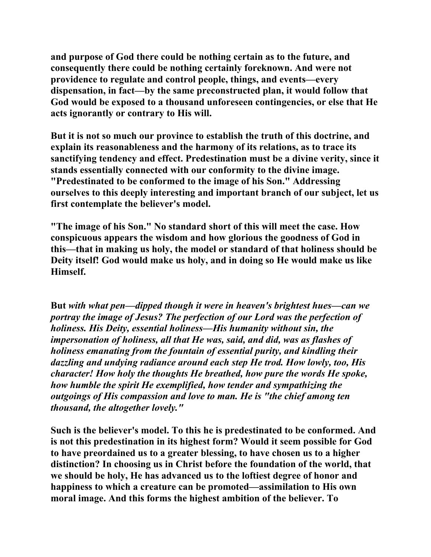**and purpose of God there could be nothing certain as to the future, and consequently there could be nothing certainly foreknown. And were not providence to regulate and control people, things, and events—every dispensation, in fact—by the same preconstructed plan, it would follow that God would be exposed to a thousand unforeseen contingencies, or else that He acts ignorantly or contrary to His will.** 

**But it is not so much our province to establish the truth of this doctrine, and explain its reasonableness and the harmony of its relations, as to trace its sanctifying tendency and effect. Predestination must be a divine verity, since it stands essentially connected with our conformity to the divine image. "Predestinated to be conformed to the image of his Son." Addressing ourselves to this deeply interesting and important branch of our subject, let us first contemplate the believer's model.** 

**"The image of his Son." No standard short of this will meet the case. How conspicuous appears the wisdom and how glorious the goodness of God in this—that in making us holy, the model or standard of that holiness should be Deity itself! God would make us holy, and in doing so He would make us like Himself.** 

**But** *with what pen—dipped though it were in heaven's brightest hues—can we portray the image of Jesus? The perfection of our Lord was the perfection of holiness. His Deity, essential holiness—His humanity without sin, the impersonation of holiness, all that He was, said, and did, was as flashes of holiness emanating from the fountain of essential purity, and kindling their dazzling and undying radiance around each step He trod. How lowly, too, His character! How holy the thoughts He breathed, how pure the words He spoke, how humble the spirit He exemplified, how tender and sympathizing the outgoings of His compassion and love to man. He is "the chief among ten thousand, the altogether lovely."*

**Such is the believer's model. To this he is predestinated to be conformed. And is not this predestination in its highest form? Would it seem possible for God to have preordained us to a greater blessing, to have chosen us to a higher distinction? In choosing us in Christ before the foundation of the world, that we should be holy, He has advanced us to the loftiest degree of honor and happiness to which a creature can be promoted—assimilation to His own moral image. And this forms the highest ambition of the believer. To**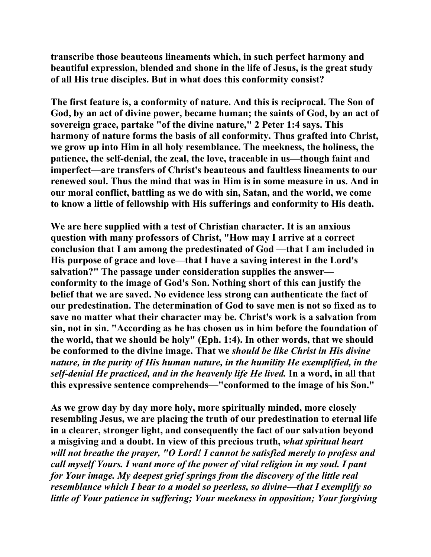**transcribe those beauteous lineaments which, in such perfect harmony and beautiful expression, blended and shone in the life of Jesus, is the great study of all His true disciples. But in what does this conformity consist?** 

**The first feature is, a conformity of nature. And this is reciprocal. The Son of God, by an act of divine power, became human; the saints of God, by an act of sovereign grace, partake "of the divine nature," 2 Peter 1:4 says. This harmony of nature forms the basis of all conformity. Thus grafted into Christ, we grow up into Him in all holy resemblance. The meekness, the holiness, the patience, the self-denial, the zeal, the love, traceable in us—though faint and imperfect—are transfers of Christ's beauteous and faultless lineaments to our renewed soul. Thus the mind that was in Him is in some measure in us. And in our moral conflict, battling as we do with sin, Satan, and the world, we come to know a little of fellowship with His sufferings and conformity to His death.** 

**We are here supplied with a test of Christian character. It is an anxious question with many professors of Christ, "How may I arrive at a correct conclusion that I am among the predestinated of God —that I am included in His purpose of grace and love—that I have a saving interest in the Lord's salvation?" The passage under consideration supplies the answer conformity to the image of God's Son. Nothing short of this can justify the belief that we are saved. No evidence less strong can authenticate the fact of our predestination. The determination of God to save men is not so fixed as to save no matter what their character may be. Christ's work is a salvation from sin, not in sin. "According as he has chosen us in him before the foundation of the world, that we should be holy" (Eph. 1:4). In other words, that we should be conformed to the divine image. That we** *should be like Christ in His divine nature, in the purity of His human nature, in the humility He exemplified, in the self-denial He practiced, and in the heavenly life He lived.* **In a word, in all that this expressive sentence comprehends—"conformed to the image of his Son."** 

**As we grow day by day more holy, more spiritually minded, more closely resembling Jesus, we are placing the truth of our predestination to eternal life in a clearer, stronger light, and consequently the fact of our salvation beyond a misgiving and a doubt. In view of this precious truth,** *what spiritual heart will not breathe the prayer, "O Lord! I cannot be satisfied merely to profess and call myself Yours. I want more of the power of vital religion in my soul. I pant for Your image. My deepest grief springs from the discovery of the little real resemblance which I bear to a model so peerless, so divine—that I exemplify so little of Your patience in suffering; Your meekness in opposition; Your forgiving*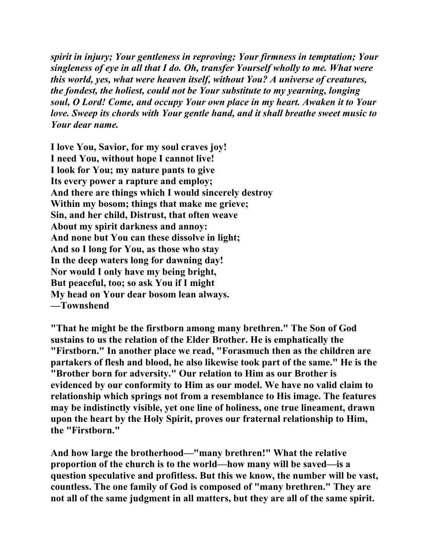*spirit in injury; Your gentleness in reproving; Your firmness in temptation; Your singleness of eye in all that I do. Oh, transfer Yourself wholly to me. What were this world, yes, what were heaven itself, without You? A universe of creatures, the fondest, the holiest, could not be Your substitute to my yearning, longing soul, O Lord! Come, and occupy Your own place in my heart. Awaken it to Your love. Sweep its chords with Your gentle hand, and it shall breathe sweet music to Your dear name.*

**I love You, Savior, for my soul craves joy! I need You, without hope I cannot live! I look for You; my nature pants to give Its every power a rapture and employ; And there are things which I would sincerely destroy Within my bosom; things that make me grieve; Sin, and her child, Distrust, that often weave About my spirit darkness and annoy: And none but You can these dissolve in light; And so I long for You, as those who stay In the deep waters long for dawning day! Nor would I only have my being bright, But peaceful, too; so ask You if I might My head on Your dear bosom lean always. —Townshend** 

**"That he might be the firstborn among many brethren." The Son of God sustains to us the relation of the Elder Brother. He is emphatically the "Firstborn." In another place we read, "Forasmuch then as the children are partakers of flesh and blood, he also likewise took part of the same." He is the "Brother born for adversity." Our relation to Him as our Brother is evidenced by our conformity to Him as our model. We have no valid claim to relationship which springs not from a resemblance to His image. The features may be indistinctly visible, yet one line of holiness, one true lineament, drawn upon the heart by the Holy Spirit, proves our fraternal relationship to Him, the "Firstborn."** 

**And how large the brotherhood—"many brethren!" What the relative proportion of the church is to the world—how many will be saved—is a question speculative and profitless. But this we know, the number will be vast, countless. The one family of God is composed of "many brethren." They are not all of the same judgment in all matters, but they are all of the same spirit.**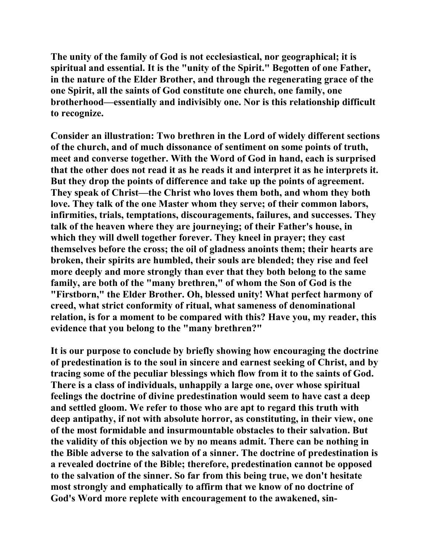**The unity of the family of God is not ecclesiastical, nor geographical; it is spiritual and essential. It is the "unity of the Spirit." Begotten of one Father, in the nature of the Elder Brother, and through the regenerating grace of the one Spirit, all the saints of God constitute one church, one family, one brotherhood—essentially and indivisibly one. Nor is this relationship difficult to recognize.** 

**Consider an illustration: Two brethren in the Lord of widely different sections of the church, and of much dissonance of sentiment on some points of truth, meet and converse together. With the Word of God in hand, each is surprised that the other does not read it as he reads it and interpret it as he interprets it. But they drop the points of difference and take up the points of agreement. They speak of Christ—the Christ who loves them both, and whom they both love. They talk of the one Master whom they serve; of their common labors, infirmities, trials, temptations, discouragements, failures, and successes. They talk of the heaven where they are journeying; of their Father's house, in which they will dwell together forever. They kneel in prayer; they cast themselves before the cross; the oil of gladness anoints them; their hearts are broken, their spirits are humbled, their souls are blended; they rise and feel more deeply and more strongly than ever that they both belong to the same family, are both of the "many brethren," of whom the Son of God is the "Firstborn," the Elder Brother. Oh, blessed unity! What perfect harmony of creed, what strict conformity of ritual, what sameness of denominational relation, is for a moment to be compared with this? Have you, my reader, this evidence that you belong to the "many brethren?"** 

**It is our purpose to conclude by briefly showing how encouraging the doctrine of predestination is to the soul in sincere and earnest seeking of Christ, and by tracing some of the peculiar blessings which flow from it to the saints of God. There is a class of individuals, unhappily a large one, over whose spiritual feelings the doctrine of divine predestination would seem to have cast a deep and settled gloom. We refer to those who are apt to regard this truth with deep antipathy, if not with absolute horror, as constituting, in their view, one of the most formidable and insurmountable obstacles to their salvation. But the validity of this objection we by no means admit. There can be nothing in the Bible adverse to the salvation of a sinner. The doctrine of predestination is a revealed doctrine of the Bible; therefore, predestination cannot be opposed to the salvation of the sinner. So far from this being true, we don't hesitate most strongly and emphatically to affirm that we know of no doctrine of God's Word more replete with encouragement to the awakened, sin-**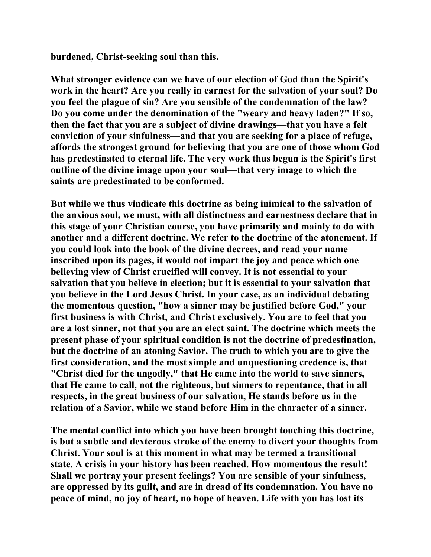**burdened, Christ-seeking soul than this.** 

**What stronger evidence can we have of our election of God than the Spirit's work in the heart? Are you really in earnest for the salvation of your soul? Do you feel the plague of sin? Are you sensible of the condemnation of the law? Do you come under the denomination of the "weary and heavy laden?" If so, then the fact that you are a subject of divine drawings—that you have a felt conviction of your sinfulness—and that you are seeking for a place of refuge, affords the strongest ground for believing that you are one of those whom God has predestinated to eternal life. The very work thus begun is the Spirit's first outline of the divine image upon your soul—that very image to which the saints are predestinated to be conformed.** 

**But while we thus vindicate this doctrine as being inimical to the salvation of the anxious soul, we must, with all distinctness and earnestness declare that in this stage of your Christian course, you have primarily and mainly to do with another and a different doctrine. We refer to the doctrine of the atonement. If you could look into the book of the divine decrees, and read your name inscribed upon its pages, it would not impart the joy and peace which one believing view of Christ crucified will convey. It is not essential to your salvation that you believe in election; but it is essential to your salvation that you believe in the Lord Jesus Christ. In your case, as an individual debating the momentous question, "how a sinner may be justified before God," your first business is with Christ, and Christ exclusively. You are to feel that you are a lost sinner, not that you are an elect saint. The doctrine which meets the present phase of your spiritual condition is not the doctrine of predestination, but the doctrine of an atoning Savior. The truth to which you are to give the first consideration, and the most simple and unquestioning credence is, that "Christ died for the ungodly," that He came into the world to save sinners, that He came to call, not the righteous, but sinners to repentance, that in all respects, in the great business of our salvation, He stands before us in the relation of a Savior, while we stand before Him in the character of a sinner.** 

**The mental conflict into which you have been brought touching this doctrine, is but a subtle and dexterous stroke of the enemy to divert your thoughts from Christ. Your soul is at this moment in what may be termed a transitional state. A crisis in your history has been reached. How momentous the result! Shall we portray your present feelings? You are sensible of your sinfulness, are oppressed by its guilt, and are in dread of its condemnation. You have no peace of mind, no joy of heart, no hope of heaven. Life with you has lost its**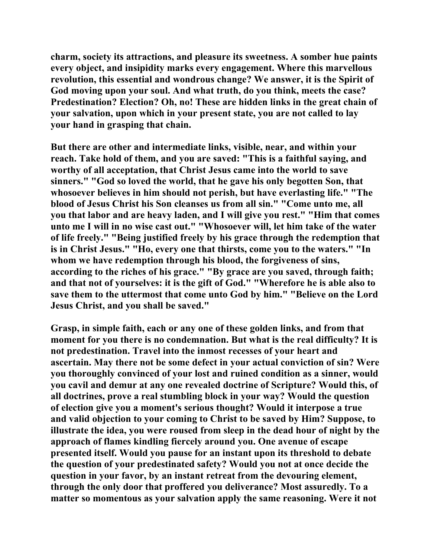**charm, society its attractions, and pleasure its sweetness. A somber hue paints every object, and insipidity marks every engagement. Where this marvellous revolution, this essential and wondrous change? We answer, it is the Spirit of God moving upon your soul. And what truth, do you think, meets the case? Predestination? Election? Oh, no! These are hidden links in the great chain of your salvation, upon which in your present state, you are not called to lay your hand in grasping that chain.** 

**But there are other and intermediate links, visible, near, and within your reach. Take hold of them, and you are saved: "This is a faithful saying, and worthy of all acceptation, that Christ Jesus came into the world to save sinners." "God so loved the world, that he gave his only begotten Son, that whosoever believes in him should not perish, but have everlasting life." "The blood of Jesus Christ his Son cleanses us from all sin." "Come unto me, all you that labor and are heavy laden, and I will give you rest." "Him that comes unto me I will in no wise cast out." "Whosoever will, let him take of the water of life freely." "Being justified freely by his grace through the redemption that is in Christ Jesus." "Ho, every one that thirsts, come you to the waters." "In whom we have redemption through his blood, the forgiveness of sins, according to the riches of his grace." "By grace are you saved, through faith; and that not of yourselves: it is the gift of God." "Wherefore he is able also to save them to the uttermost that come unto God by him." "Believe on the Lord Jesus Christ, and you shall be saved."** 

**Grasp, in simple faith, each or any one of these golden links, and from that moment for you there is no condemnation. But what is the real difficulty? It is not predestination. Travel into the inmost recesses of your heart and ascertain. May there not be some defect in your actual conviction of sin? Were you thoroughly convinced of your lost and ruined condition as a sinner, would you cavil and demur at any one revealed doctrine of Scripture? Would this, of all doctrines, prove a real stumbling block in your way? Would the question of election give you a moment's serious thought? Would it interpose a true and valid objection to your coming to Christ to be saved by Him? Suppose, to illustrate the idea, you were roused from sleep in the dead hour of night by the approach of flames kindling fiercely around you. One avenue of escape presented itself. Would you pause for an instant upon its threshold to debate the question of your predestinated safety? Would you not at once decide the question in your favor, by an instant retreat from the devouring element, through the only door that proffered you deliverance? Most assuredly. To a matter so momentous as your salvation apply the same reasoning. Were it not**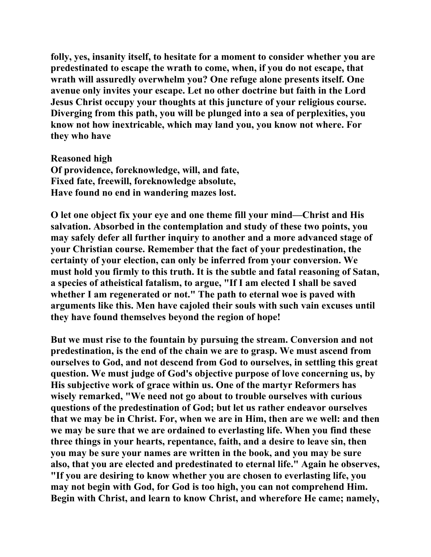**folly, yes, insanity itself, to hesitate for a moment to consider whether you are predestinated to escape the wrath to come, when, if you do not escape, that wrath will assuredly overwhelm you? One refuge alone presents itself. One avenue only invites your escape. Let no other doctrine but faith in the Lord Jesus Christ occupy your thoughts at this juncture of your religious course. Diverging from this path, you will be plunged into a sea of perplexities, you know not how inextricable, which may land you, you know not where. For they who have** 

**Reasoned high Of providence, foreknowledge, will, and fate, Fixed fate, freewill, foreknowledge absolute, Have found no end in wandering mazes lost.** 

**O let one object fix your eye and one theme fill your mind—Christ and His salvation. Absorbed in the contemplation and study of these two points, you may safely defer all further inquiry to another and a more advanced stage of your Christian course. Remember that the fact of your predestination, the certainty of your election, can only be inferred from your conversion. We must hold you firmly to this truth. It is the subtle and fatal reasoning of Satan, a species of atheistical fatalism, to argue, "If I am elected I shall be saved whether I am regenerated or not." The path to eternal woe is paved with arguments like this. Men have cajoled their souls with such vain excuses until they have found themselves beyond the region of hope!** 

**But we must rise to the fountain by pursuing the stream. Conversion and not predestination, is the end of the chain we are to grasp. We must ascend from ourselves to God, and not descend from God to ourselves, in settling this great question. We must judge of God's objective purpose of love concerning us, by His subjective work of grace within us. One of the martyr Reformers has wisely remarked, "We need not go about to trouble ourselves with curious questions of the predestination of God; but let us rather endeavor ourselves that we may be in Christ. For, when we are in Him, then are we well: and then we may be sure that we are ordained to everlasting life. When you find these three things in your hearts, repentance, faith, and a desire to leave sin, then you may be sure your names are written in the book, and you may be sure also, that you are elected and predestinated to eternal life." Again he observes, "If you are desiring to know whether you are chosen to everlasting life, you may not begin with God, for God is too high, you can not comprehend Him. Begin with Christ, and learn to know Christ, and wherefore He came; namely,**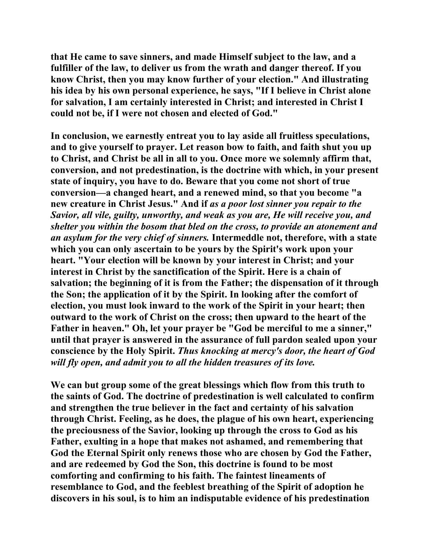**that He came to save sinners, and made Himself subject to the law, and a fulfiller of the law, to deliver us from the wrath and danger thereof. If you know Christ, then you may know further of your election." And illustrating his idea by his own personal experience, he says, "If I believe in Christ alone for salvation, I am certainly interested in Christ; and interested in Christ I could not be, if I were not chosen and elected of God."** 

**In conclusion, we earnestly entreat you to lay aside all fruitless speculations, and to give yourself to prayer. Let reason bow to faith, and faith shut you up to Christ, and Christ be all in all to you. Once more we solemnly affirm that, conversion, and not predestination, is the doctrine with which, in your present state of inquiry, you have to do. Beware that you come not short of true conversion—a changed heart, and a renewed mind, so that you become "a new creature in Christ Jesus." And if** *as a poor lost sinner you repair to the Savior, all vile, guilty, unworthy, and weak as you are, He will receive you, and shelter you within the bosom that bled on the cross, to provide an atonement and an asylum for the very chief of sinners.* **Intermeddle not, therefore, with a state which you can only ascertain to be yours by the Spirit's work upon your heart. "Your election will be known by your interest in Christ; and your interest in Christ by the sanctification of the Spirit. Here is a chain of salvation; the beginning of it is from the Father; the dispensation of it through the Son; the application of it by the Spirit. In looking after the comfort of election, you must look inward to the work of the Spirit in your heart; then outward to the work of Christ on the cross; then upward to the heart of the Father in heaven." Oh, let your prayer be "God be merciful to me a sinner," until that prayer is answered in the assurance of full pardon sealed upon your conscience by the Holy Spirit.** *Thus knocking at mercy's door, the heart of God will fly open, and admit you to all the hidden treasures of its love.*

**We can but group some of the great blessings which flow from this truth to the saints of God. The doctrine of predestination is well calculated to confirm and strengthen the true believer in the fact and certainty of his salvation through Christ. Feeling, as he does, the plague of his own heart, experiencing the preciousness of the Savior, looking up through the cross to God as his Father, exulting in a hope that makes not ashamed, and remembering that God the Eternal Spirit only renews those who are chosen by God the Father, and are redeemed by God the Son, this doctrine is found to be most comforting and confirming to his faith. The faintest lineaments of resemblance to God, and the feeblest breathing of the Spirit of adoption he discovers in his soul, is to him an indisputable evidence of his predestination**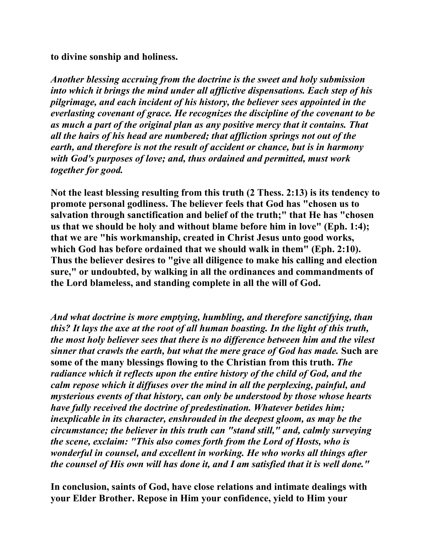**to divine sonship and holiness.** 

*Another blessing accruing from the doctrine is the sweet and holy submission into which it brings the mind under all afflictive dispensations. Each step of his pilgrimage, and each incident of his history, the believer sees appointed in the everlasting covenant of grace. He recognizes the discipline of the covenant to be as much a part of the original plan as any positive mercy that it contains. That all the hairs of his head are numbered; that affliction springs not out of the earth, and therefore is not the result of accident or chance, but is in harmony with God's purposes of love; and, thus ordained and permitted, must work together for good.*

**Not the least blessing resulting from this truth (2 Thess. 2:13) is its tendency to promote personal godliness. The believer feels that God has "chosen us to salvation through sanctification and belief of the truth;" that He has "chosen us that we should be holy and without blame before him in love" (Eph. 1:4); that we are "his workmanship, created in Christ Jesus unto good works, which God has before ordained that we should walk in them" (Eph. 2:10). Thus the believer desires to "give all diligence to make his calling and election sure," or undoubted, by walking in all the ordinances and commandments of the Lord blameless, and standing complete in all the will of God.** 

*And what doctrine is more emptying, humbling, and therefore sanctifying, than this? It lays the axe at the root of all human boasting. In the light of this truth, the most holy believer sees that there is no difference between him and the vilest sinner that crawls the earth, but what the mere grace of God has made.* **Such are some of the many blessings flowing to the Christian from this truth.** *The radiance which it reflects upon the entire history of the child of God, and the calm repose which it diffuses over the mind in all the perplexing, painful, and mysterious events of that history, can only be understood by those whose hearts have fully received the doctrine of predestination. Whatever betides him; inexplicable in its character, enshrouded in the deepest gloom, as may be the circumstance; the believer in this truth can "stand still," and, calmly surveying the scene, exclaim: "This also comes forth from the Lord of Hosts, who is wonderful in counsel, and excellent in working. He who works all things after the counsel of His own will has done it, and I am satisfied that it is well done."*

**In conclusion, saints of God, have close relations and intimate dealings with your Elder Brother. Repose in Him your confidence, yield to Him your**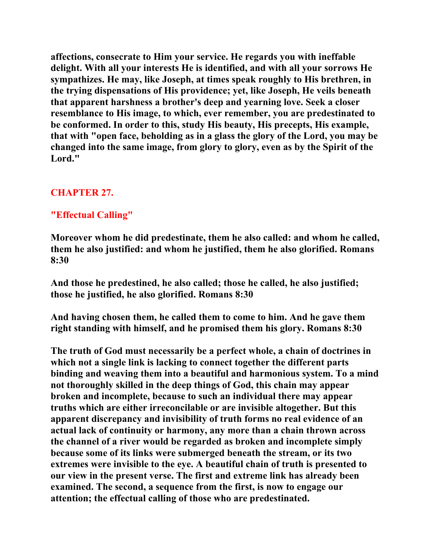**affections, consecrate to Him your service. He regards you with ineffable delight. With all your interests He is identified, and with all your sorrows He sympathizes. He may, like Joseph, at times speak roughly to His brethren, in the trying dispensations of His providence; yet, like Joseph, He veils beneath that apparent harshness a brother's deep and yearning love. Seek a closer resemblance to His image, to which, ever remember, you are predestinated to be conformed. In order to this, study His beauty, His precepts, His example, that with "open face, beholding as in a glass the glory of the Lord, you may be changed into the same image, from glory to glory, even as by the Spirit of the Lord."** 

## **CHAPTER 27.**

## **"Effectual Calling"**

**Moreover whom he did predestinate, them he also called: and whom he called, them he also justified: and whom he justified, them he also glorified. Romans 8:30** 

**And those he predestined, he also called; those he called, he also justified; those he justified, he also glorified. Romans 8:30** 

**And having chosen them, he called them to come to him. And he gave them right standing with himself, and he promised them his glory. Romans 8:30** 

**The truth of God must necessarily be a perfect whole, a chain of doctrines in which not a single link is lacking to connect together the different parts binding and weaving them into a beautiful and harmonious system. To a mind not thoroughly skilled in the deep things of God, this chain may appear broken and incomplete, because to such an individual there may appear truths which are either irreconcilable or are invisible altogether. But this apparent discrepancy and invisibility of truth forms no real evidence of an actual lack of continuity or harmony, any more than a chain thrown across the channel of a river would be regarded as broken and incomplete simply because some of its links were submerged beneath the stream, or its two extremes were invisible to the eye. A beautiful chain of truth is presented to our view in the present verse. The first and extreme link has already been examined. The second, a sequence from the first, is now to engage our attention; the effectual calling of those who are predestinated.**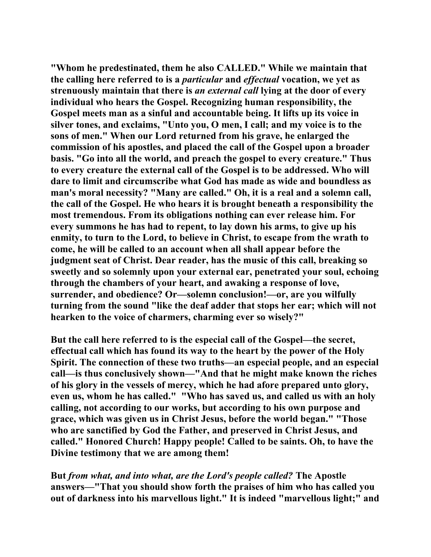**"Whom he predestinated, them he also CALLED." While we maintain that the calling here referred to is a** *particular* **and** *effectual* **vocation, we yet as strenuously maintain that there is** *an external call* **lying at the door of every individual who hears the Gospel. Recognizing human responsibility, the Gospel meets man as a sinful and accountable being. It lifts up its voice in silver tones, and exclaims, "Unto you, O men, I call; and my voice is to the sons of men." When our Lord returned from his grave, he enlarged the commission of his apostles, and placed the call of the Gospel upon a broader basis. "Go into all the world, and preach the gospel to every creature." Thus to every creature the external call of the Gospel is to be addressed. Who will dare to limit and circumscribe what God has made as wide and boundless as man's moral necessity? "Many are called." Oh, it is a real and a solemn call, the call of the Gospel. He who hears it is brought beneath a responsibility the most tremendous. From its obligations nothing can ever release him. For every summons he has had to repent, to lay down his arms, to give up his enmity, to turn to the Lord, to believe in Christ, to escape from the wrath to come, he will be called to an account when all shall appear before the judgment seat of Christ. Dear reader, has the music of this call, breaking so sweetly and so solemnly upon your external ear, penetrated your soul, echoing through the chambers of your heart, and awaking a response of love, surrender, and obedience? Or—solemn conclusion!—or, are you wilfully turning from the sound "like the deaf adder that stops her ear; which will not hearken to the voice of charmers, charming ever so wisely?"** 

**But the call here referred to is the especial call of the Gospel—the secret, effectual call which has found its way to the heart by the power of the Holy Spirit. The connection of these two truths—an especial people, and an especial call—is thus conclusively shown—"And that he might make known the riches of his glory in the vessels of mercy, which he had afore prepared unto glory, even us, whom he has called." "Who has saved us, and called us with an holy calling, not according to our works, but according to his own purpose and grace, which was given us in Christ Jesus, before the world began." "Those who are sanctified by God the Father, and preserved in Christ Jesus, and called." Honored Church! Happy people! Called to be saints. Oh, to have the Divine testimony that we are among them!** 

**But** *from what, and into what, are the Lord's people called?* **The Apostle answers—"That you should show forth the praises of him who has called you out of darkness into his marvellous light." It is indeed "marvellous light;" and**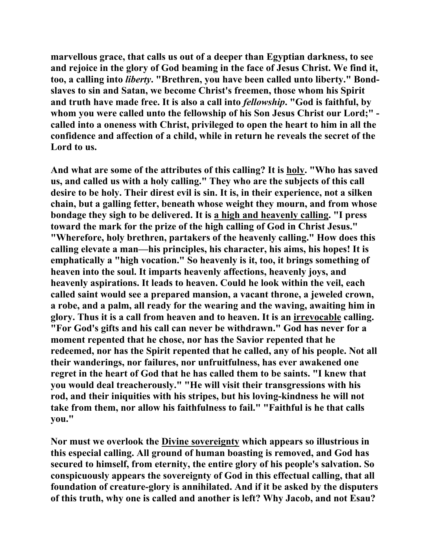**marvellous grace, that calls us out of a deeper than Egyptian darkness, to see and rejoice in the glory of God beaming in the face of Jesus Christ. We find it, too, a calling into** *liberty***. "Brethren, you have been called unto liberty." Bondslaves to sin and Satan, we become Christ's freemen, those whom his Spirit and truth have made free. It is also a call into** *fellowship***. "God is faithful, by whom you were called unto the fellowship of his Son Jesus Christ our Lord;" called into a oneness with Christ, privileged to open the heart to him in all the confidence and affection of a child, while in return he reveals the secret of the Lord to us.** 

**And what are some of the attributes of this calling? It is holy. "Who has saved us, and called us with a holy calling." They who are the subjects of this call desire to be holy. Their direst evil is sin. It is, in their experience, not a silken chain, but a galling fetter, beneath whose weight they mourn, and from whose bondage they sigh to be delivered. It is a high and heavenly calling. "I press toward the mark for the prize of the high calling of God in Christ Jesus." "Wherefore, holy brethren, partakers of the heavenly calling." How does this calling elevate a man—his principles, his character, his aims, his hopes! It is emphatically a "high vocation." So heavenly is it, too, it brings something of heaven into the soul. It imparts heavenly affections, heavenly joys, and heavenly aspirations. It leads to heaven. Could he look within the veil, each called saint would see a prepared mansion, a vacant throne, a jeweled crown, a robe, and a palm, all ready for the wearing and the waving, awaiting him in glory. Thus it is a call from heaven and to heaven. It is an irrevocable calling. "For God's gifts and his call can never be withdrawn." God has never for a moment repented that he chose, nor has the Savior repented that he redeemed, nor has the Spirit repented that he called, any of his people. Not all their wanderings, nor failures, nor unfruitfulness, has ever awakened one regret in the heart of God that he has called them to be saints. "I knew that you would deal treacherously." "He will visit their transgressions with his rod, and their iniquities with his stripes, but his loving-kindness he will not take from them, nor allow his faithfulness to fail." "Faithful is he that calls you."** 

**Nor must we overlook the Divine sovereignty which appears so illustrious in this especial calling. All ground of human boasting is removed, and God has secured to himself, from eternity, the entire glory of his people's salvation. So conspicuously appears the sovereignty of God in this effectual calling, that all foundation of creature-glory is annihilated. And if it be asked by the disputers of this truth, why one is called and another is left? Why Jacob, and not Esau?**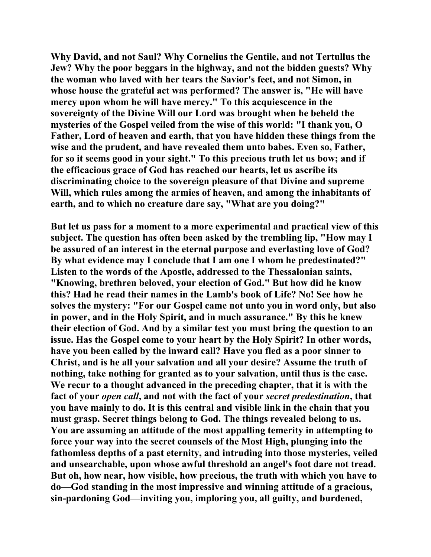**Why David, and not Saul? Why Cornelius the Gentile, and not Tertullus the Jew? Why the poor beggars in the highway, and not the bidden guests? Why the woman who laved with her tears the Savior's feet, and not Simon, in whose house the grateful act was performed? The answer is, "He will have mercy upon whom he will have mercy." To this acquiescence in the sovereignty of the Divine Will our Lord was brought when he beheld the mysteries of the Gospel veiled from the wise of this world: "I thank you, O Father, Lord of heaven and earth, that you have hidden these things from the wise and the prudent, and have revealed them unto babes. Even so, Father, for so it seems good in your sight." To this precious truth let us bow; and if the efficacious grace of God has reached our hearts, let us ascribe its discriminating choice to the sovereign pleasure of that Divine and supreme Will, which rules among the armies of heaven, and among the inhabitants of earth, and to which no creature dare say, "What are you doing?"** 

**But let us pass for a moment to a more experimental and practical view of this subject. The question has often been asked by the trembling lip, "How may I be assured of an interest in the eternal purpose and everlasting love of God? By what evidence may I conclude that I am one I whom he predestinated?" Listen to the words of the Apostle, addressed to the Thessalonian saints, "Knowing, brethren beloved, your election of God." But how did he know this? Had he read their names in the Lamb's book of Life? No! See how he solves the mystery: "For our Gospel came not unto you in word only, but also in power, and in the Holy Spirit, and in much assurance." By this he knew their election of God. And by a similar test you must bring the question to an issue. Has the Gospel come to your heart by the Holy Spirit? In other words, have you been called by the inward call? Have you fled as a poor sinner to Christ, and is he all your salvation and all your desire? Assume the truth of nothing, take nothing for granted as to your salvation, until thus is the case. We recur to a thought advanced in the preceding chapter, that it is with the fact of your** *open call***, and not with the fact of your** *secret predestination***, that you have mainly to do. It is this central and visible link in the chain that you must grasp. Secret things belong to God. The things revealed belong to us. You are assuming an attitude of the most appalling temerity in attempting to force your way into the secret counsels of the Most High, plunging into the fathomless depths of a past eternity, and intruding into those mysteries, veiled and unsearchable, upon whose awful threshold an angel's foot dare not tread. But oh, how near, how visible, how precious, the truth with which you have to do—God standing in the most impressive and winning attitude of a gracious, sin-pardoning God—inviting you, imploring you, all guilty, and burdened,**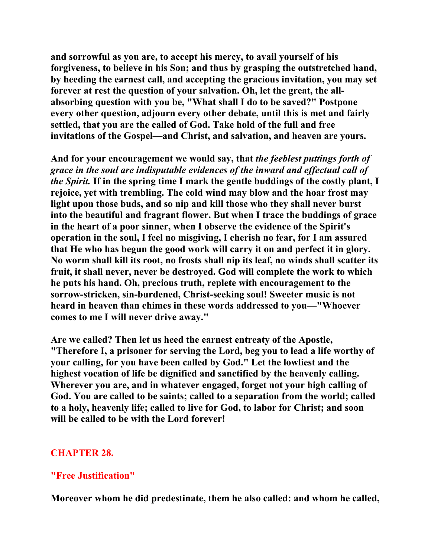**and sorrowful as you are, to accept his mercy, to avail yourself of his forgiveness, to believe in his Son; and thus by grasping the outstretched hand, by heeding the earnest call, and accepting the gracious invitation, you may set forever at rest the question of your salvation. Oh, let the great, the allabsorbing question with you be, "What shall I do to be saved?" Postpone every other question, adjourn every other debate, until this is met and fairly settled, that you are the called of God. Take hold of the full and free invitations of the Gospel—and Christ, and salvation, and heaven are yours.** 

**And for your encouragement we would say, that** *the feeblest puttings forth of grace in the soul are indisputable evidences of the inward and effectual call of the Spirit.* **If in the spring time I mark the gentle buddings of the costly plant, I rejoice, yet with trembling. The cold wind may blow and the hoar frost may light upon those buds, and so nip and kill those who they shall never burst into the beautiful and fragrant flower. But when I trace the buddings of grace in the heart of a poor sinner, when I observe the evidence of the Spirit's operation in the soul, I feel no misgiving, I cherish no fear, for I am assured that He who has begun the good work will carry it on and perfect it in glory. No worm shall kill its root, no frosts shall nip its leaf, no winds shall scatter its fruit, it shall never, never be destroyed. God will complete the work to which he puts his hand. Oh, precious truth, replete with encouragement to the sorrow-stricken, sin-burdened, Christ-seeking soul! Sweeter music is not heard in heaven than chimes in these words addressed to you—"Whoever comes to me I will never drive away."** 

**Are we called? Then let us heed the earnest entreaty of the Apostle, "Therefore I, a prisoner for serving the Lord, beg you to lead a life worthy of your calling, for you have been called by God." Let the lowliest and the highest vocation of life be dignified and sanctified by the heavenly calling. Wherever you are, and in whatever engaged, forget not your high calling of God. You are called to be saints; called to a separation from the world; called to a holy, heavenly life; called to live for God, to labor for Christ; and soon will be called to be with the Lord forever!** 

## **CHAPTER 28.**

## **"Free Justification"**

**Moreover whom he did predestinate, them he also called: and whom he called,**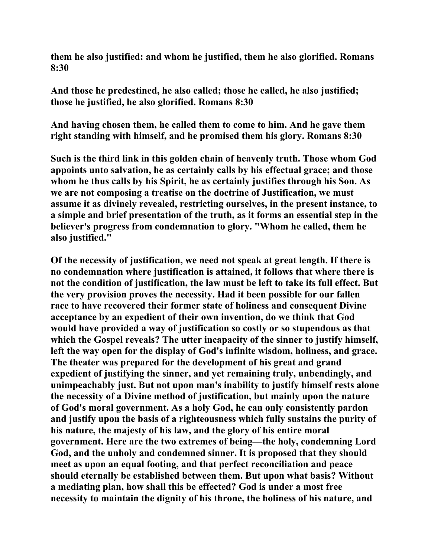**them he also justified: and whom he justified, them he also glorified. Romans 8:30** 

**And those he predestined, he also called; those he called, he also justified; those he justified, he also glorified. Romans 8:30** 

**And having chosen them, he called them to come to him. And he gave them right standing with himself, and he promised them his glory. Romans 8:30** 

**Such is the third link in this golden chain of heavenly truth. Those whom God appoints unto salvation, he as certainly calls by his effectual grace; and those whom he thus calls by his Spirit, he as certainly justifies through his Son. As we are not composing a treatise on the doctrine of Justification, we must assume it as divinely revealed, restricting ourselves, in the present instance, to a simple and brief presentation of the truth, as it forms an essential step in the believer's progress from condemnation to glory. "Whom he called, them he also justified."** 

**Of the necessity of justification, we need not speak at great length. If there is no condemnation where justification is attained, it follows that where there is not the condition of justification, the law must be left to take its full effect. But the very provision proves the necessity. Had it been possible for our fallen race to have recovered their former state of holiness and consequent Divine acceptance by an expedient of their own invention, do we think that God would have provided a way of justification so costly or so stupendous as that which the Gospel reveals? The utter incapacity of the sinner to justify himself, left the way open for the display of God's infinite wisdom, holiness, and grace. The theater was prepared for the development of his great and grand expedient of justifying the sinner, and yet remaining truly, unbendingly, and unimpeachably just. But not upon man's inability to justify himself rests alone the necessity of a Divine method of justification, but mainly upon the nature of God's moral government. As a holy God, he can only consistently pardon and justify upon the basis of a righteousness which fully sustains the purity of his nature, the majesty of his law, and the glory of his entire moral government. Here are the two extremes of being—the holy, condemning Lord God, and the unholy and condemned sinner. It is proposed that they should meet as upon an equal footing, and that perfect reconciliation and peace should eternally be established between them. But upon what basis? Without a mediating plan, how shall this be effected? God is under a most free necessity to maintain the dignity of his throne, the holiness of his nature, and**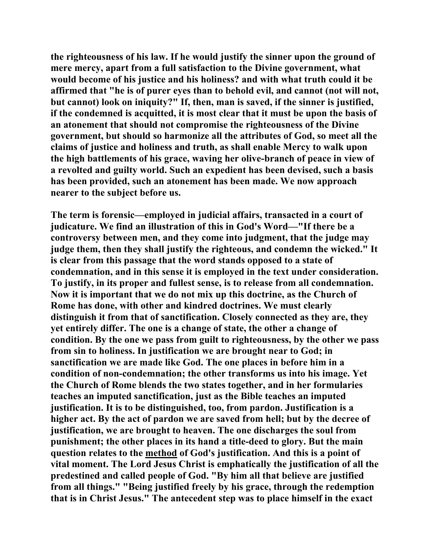**the righteousness of his law. If he would justify the sinner upon the ground of mere mercy, apart from a full satisfaction to the Divine government, what would become of his justice and his holiness? and with what truth could it be affirmed that "he is of purer eyes than to behold evil, and cannot (not will not, but cannot) look on iniquity?" If, then, man is saved, if the sinner is justified, if the condemned is acquitted, it is most clear that it must be upon the basis of an atonement that should not compromise the righteousness of the Divine government, but should so harmonize all the attributes of God, so meet all the claims of justice and holiness and truth, as shall enable Mercy to walk upon the high battlements of his grace, waving her olive-branch of peace in view of a revolted and guilty world. Such an expedient has been devised, such a basis has been provided, such an atonement has been made. We now approach nearer to the subject before us.** 

**The term is forensic—employed in judicial affairs, transacted in a court of judicature. We find an illustration of this in God's Word—"If there be a controversy between men, and they come into judgment, that the judge may judge them, then they shall justify the righteous, and condemn the wicked." It is clear from this passage that the word stands opposed to a state of condemnation, and in this sense it is employed in the text under consideration. To justify, in its proper and fullest sense, is to release from all condemnation. Now it is important that we do not mix up this doctrine, as the Church of Rome has done, with other and kindred doctrines. We must clearly distinguish it from that of sanctification. Closely connected as they are, they yet entirely differ. The one is a change of state, the other a change of condition. By the one we pass from guilt to righteousness, by the other we pass from sin to holiness. In justification we are brought near to God; in sanctification we are made like God. The one places in before him in a condition of non-condemnation; the other transforms us into his image. Yet the Church of Rome blends the two states together, and in her formularies teaches an imputed sanctification, just as the Bible teaches an imputed justification. It is to be distinguished, too, from pardon. Justification is a higher act. By the act of pardon we are saved from hell; but by the decree of justification, we are brought to heaven. The one discharges the soul from punishment; the other places in its hand a title-deed to glory. But the main question relates to the method of God's justification. And this is a point of vital moment. The Lord Jesus Christ is emphatically the justification of all the predestined and called people of God. "By him all that believe are justified from all things." "Being justified freely by his grace, through the redemption that is in Christ Jesus." The antecedent step was to place himself in the exact**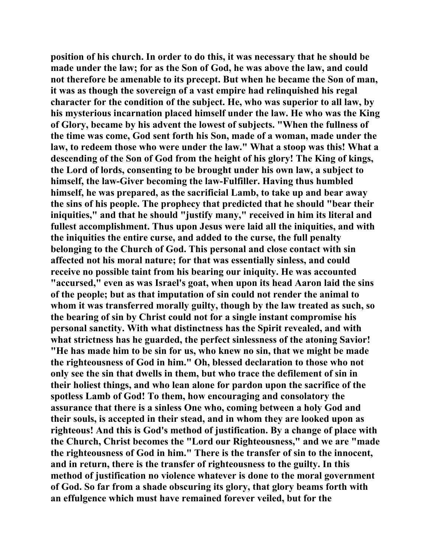**position of his church. In order to do this, it was necessary that he should be made under the law; for as the Son of God, he was above the law, and could not therefore be amenable to its precept. But when he became the Son of man, it was as though the sovereign of a vast empire had relinquished his regal character for the condition of the subject. He, who was superior to all law, by his mysterious incarnation placed himself under the law. He who was the King of Glory, became by his advent the lowest of subjects. "When the fullness of the time was come, God sent forth his Son, made of a woman, made under the law, to redeem those who were under the law." What a stoop was this! What a descending of the Son of God from the height of his glory! The King of kings, the Lord of lords, consenting to be brought under his own law, a subject to himself, the law-Giver becoming the law-Fulfiller. Having thus humbled himself, he was prepared, as the sacrificial Lamb, to take up and bear away the sins of his people. The prophecy that predicted that he should "bear their iniquities," and that he should "justify many," received in him its literal and fullest accomplishment. Thus upon Jesus were laid all the iniquities, and with the iniquities the entire curse, and added to the curse, the full penalty belonging to the Church of God. This personal and close contact with sin affected not his moral nature; for that was essentially sinless, and could receive no possible taint from his bearing our iniquity. He was accounted "accursed," even as was Israel's goat, when upon its head Aaron laid the sins of the people; but as that imputation of sin could not render the animal to whom it was transferred morally guilty, though by the law treated as such, so the bearing of sin by Christ could not for a single instant compromise his personal sanctity. With what distinctness has the Spirit revealed, and with what strictness has he guarded, the perfect sinlessness of the atoning Savior! "He has made him to be sin for us, who knew no sin, that we might be made the righteousness of God in him." Oh, blessed declaration to those who not only see the sin that dwells in them, but who trace the defilement of sin in their holiest things, and who lean alone for pardon upon the sacrifice of the spotless Lamb of God! To them, how encouraging and consolatory the assurance that there is a sinless One who, coming between a holy God and their souls, is accepted in their stead, and in whom they are looked upon as righteous! And this is God's method of justification. By a change of place with the Church, Christ becomes the "Lord our Righteousness," and we are "made the righteousness of God in him." There is the transfer of sin to the innocent, and in return, there is the transfer of righteousness to the guilty. In this method of justification no violence whatever is done to the moral government of God. So far from a shade obscuring its glory, that glory beams forth with an effulgence which must have remained forever veiled, but for the**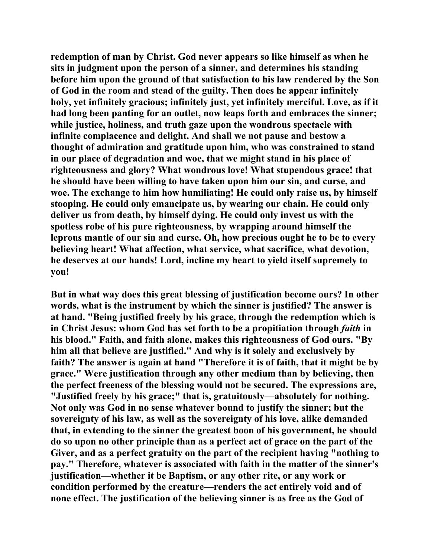**redemption of man by Christ. God never appears so like himself as when he sits in judgment upon the person of a sinner, and determines his standing before him upon the ground of that satisfaction to his law rendered by the Son of God in the room and stead of the guilty. Then does he appear infinitely holy, yet infinitely gracious; infinitely just, yet infinitely merciful. Love, as if it had long been panting for an outlet, now leaps forth and embraces the sinner; while justice, holiness, and truth gaze upon the wondrous spectacle with infinite complacence and delight. And shall we not pause and bestow a thought of admiration and gratitude upon him, who was constrained to stand in our place of degradation and woe, that we might stand in his place of righteousness and glory? What wondrous love! What stupendous grace! that he should have been willing to have taken upon him our sin, and curse, and woe. The exchange to him how humiliating! He could only raise us, by himself stooping. He could only emancipate us, by wearing our chain. He could only deliver us from death, by himself dying. He could only invest us with the spotless robe of his pure righteousness, by wrapping around himself the leprous mantle of our sin and curse. Oh, how precious ought he to be to every believing heart! What affection, what service, what sacrifice, what devotion, he deserves at our hands! Lord, incline my heart to yield itself supremely to you!** 

**But in what way does this great blessing of justification become ours? In other words, what is the instrument by which the sinner is justified? The answer is at hand. "Being justified freely by his grace, through the redemption which is in Christ Jesus: whom God has set forth to be a propitiation through** *faith* **in his blood." Faith, and faith alone, makes this righteousness of God ours. "By him all that believe are justified." And why is it solely and exclusively by faith? The answer is again at hand "Therefore it is of faith, that it might be by grace." Were justification through any other medium than by believing, then the perfect freeness of the blessing would not be secured. The expressions are, "Justified freely by his grace;" that is, gratuitously—absolutely for nothing. Not only was God in no sense whatever bound to justify the sinner; but the sovereignty of his law, as well as the sovereignty of his love, alike demanded that, in extending to the sinner the greatest boon of his government, he should do so upon no other principle than as a perfect act of grace on the part of the Giver, and as a perfect gratuity on the part of the recipient having "nothing to pay." Therefore, whatever is associated with faith in the matter of the sinner's justification—whether it be Baptism, or any other rite, or any work or condition performed by the creature—renders the act entirely void and of none effect. The justification of the believing sinner is as free as the God of**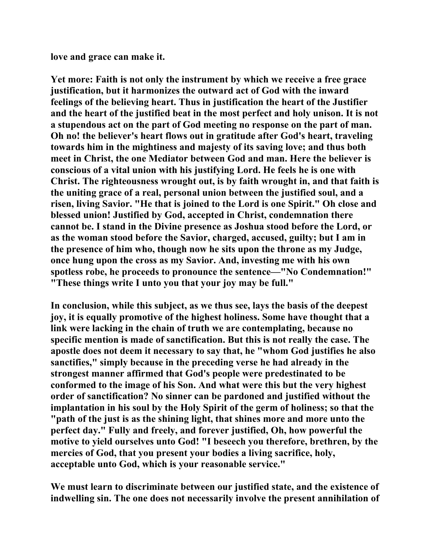**love and grace can make it.** 

**Yet more: Faith is not only the instrument by which we receive a free grace justification, but it harmonizes the outward act of God with the inward feelings of the believing heart. Thus in justification the heart of the Justifier and the heart of the justified beat in the most perfect and holy unison. It is not a stupendous act on the part of God meeting no response on the part of man. Oh no! the believer's heart flows out in gratitude after God's heart, traveling towards him in the mightiness and majesty of its saving love; and thus both meet in Christ, the one Mediator between God and man. Here the believer is conscious of a vital union with his justifying Lord. He feels he is one with Christ. The righteousness wrought out, is by faith wrought in, and that faith is the uniting grace of a real, personal union between the justified soul, and a risen, living Savior. "He that is joined to the Lord is one Spirit." Oh close and blessed union! Justified by God, accepted in Christ, condemnation there cannot be. I stand in the Divine presence as Joshua stood before the Lord, or as the woman stood before the Savior, charged, accused, guilty; but I am in the presence of him who, though now he sits upon the throne as my Judge, once hung upon the cross as my Savior. And, investing me with his own spotless robe, he proceeds to pronounce the sentence—"No Condemnation!" "These things write I unto you that your joy may be full."** 

**In conclusion, while this subject, as we thus see, lays the basis of the deepest joy, it is equally promotive of the highest holiness. Some have thought that a link were lacking in the chain of truth we are contemplating, because no specific mention is made of sanctification. But this is not really the case. The apostle does not deem it necessary to say that, he "whom God justifies he also sanctifies," simply because in the preceding verse he had already in the strongest manner affirmed that God's people were predestinated to be conformed to the image of his Son. And what were this but the very highest order of sanctification? No sinner can be pardoned and justified without the implantation in his soul by the Holy Spirit of the germ of holiness; so that the "path of the just is as the shining light, that shines more and more unto the perfect day." Fully and freely, and forever justified, Oh, how powerful the motive to yield ourselves unto God! "I beseech you therefore, brethren, by the mercies of God, that you present your bodies a living sacrifice, holy, acceptable unto God, which is your reasonable service."** 

**We must learn to discriminate between our justified state, and the existence of indwelling sin. The one does not necessarily involve the present annihilation of**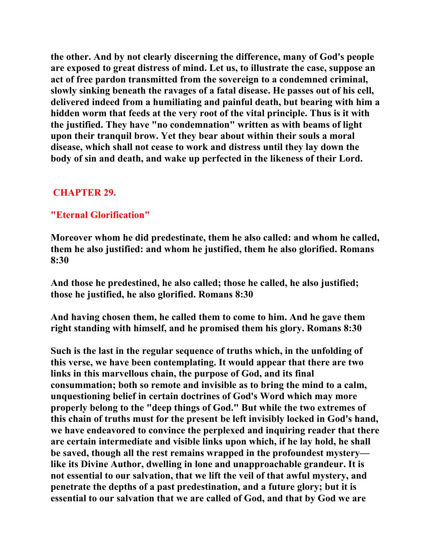**the other. And by not clearly discerning the difference, many of God's people are exposed to great distress of mind. Let us, to illustrate the case, suppose an act of free pardon transmitted from the sovereign to a condemned criminal, slowly sinking beneath the ravages of a fatal disease. He passes out of his cell, delivered indeed from a humiliating and painful death, but bearing with him a hidden worm that feeds at the very root of the vital principle. Thus is it with the justified. They have "no condemnation" written as with beams of light upon their tranquil brow. Yet they bear about within their souls a moral disease, which shall not cease to work and distress until they lay down the body of sin and death, and wake up perfected in the likeness of their Lord.** 

## **CHAPTER 29.**

# **"Eternal Glorification"**

**Moreover whom he did predestinate, them he also called: and whom he called, them he also justified: and whom he justified, them he also glorified. Romans 8:30** 

**And those he predestined, he also called; those he called, he also justified; those he justified, he also glorified. Romans 8:30** 

**And having chosen them, he called them to come to him. And he gave them right standing with himself, and he promised them his glory. Romans 8:30** 

**Such is the last in the regular sequence of truths which, in the unfolding of this verse, we have been contemplating. It would appear that there are two links in this marvellous chain, the purpose of God, and its final consummation; both so remote and invisible as to bring the mind to a calm, unquestioning belief in certain doctrines of God's Word which may more properly belong to the "deep things of God." But while the two extremes of this chain of truths must for the present be left invisibly locked in God's hand, we have endeavored to convince the perplexed and inquiring reader that there are certain intermediate and visible links upon which, if he lay hold, he shall be saved, though all the rest remains wrapped in the profoundest mystery like its Divine Author, dwelling in lone and unapproachable grandeur. It is not essential to our salvation, that we lift the veil of that awful mystery, and penetrate the depths of a past predestination, and a future glory; but it is essential to our salvation that we are called of God, and that by God we are**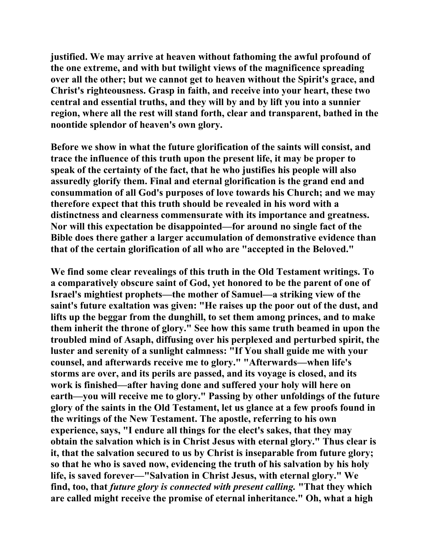**justified. We may arrive at heaven without fathoming the awful profound of the one extreme, and with but twilight views of the magnificence spreading over all the other; but we cannot get to heaven without the Spirit's grace, and Christ's righteousness. Grasp in faith, and receive into your heart, these two central and essential truths, and they will by and by lift you into a sunnier region, where all the rest will stand forth, clear and transparent, bathed in the noontide splendor of heaven's own glory.** 

**Before we show in what the future glorification of the saints will consist, and trace the influence of this truth upon the present life, it may be proper to speak of the certainty of the fact, that he who justifies his people will also assuredly glorify them. Final and eternal glorification is the grand end and consummation of all God's purposes of love towards his Church; and we may therefore expect that this truth should be revealed in his word with a distinctness and clearness commensurate with its importance and greatness. Nor will this expectation be disappointed—for around no single fact of the Bible does there gather a larger accumulation of demonstrative evidence than that of the certain glorification of all who are "accepted in the Beloved."** 

**We find some clear revealings of this truth in the Old Testament writings. To a comparatively obscure saint of God, yet honored to be the parent of one of Israel's mightiest prophets—the mother of Samuel—a striking view of the saint's future exaltation was given: "He raises up the poor out of the dust, and lifts up the beggar from the dunghill, to set them among princes, and to make them inherit the throne of glory." See how this same truth beamed in upon the troubled mind of Asaph, diffusing over his perplexed and perturbed spirit, the luster and serenity of a sunlight calmness: "If You shall guide me with your counsel, and afterwards receive me to glory." "Afterwards—when life's storms are over, and its perils are passed, and its voyage is closed, and its work is finished—after having done and suffered your holy will here on earth—you will receive me to glory." Passing by other unfoldings of the future glory of the saints in the Old Testament, let us glance at a few proofs found in the writings of the New Testament. The apostle, referring to his own experience, says, "I endure all things for the elect's sakes, that they may obtain the salvation which is in Christ Jesus with eternal glory." Thus clear is it, that the salvation secured to us by Christ is inseparable from future glory; so that he who is saved now, evidencing the truth of his salvation by his holy life, is saved forever—"Salvation in Christ Jesus, with eternal glory." We find, too, that** *future glory is connected with present calling.* **"That they which are called might receive the promise of eternal inheritance." Oh, what a high**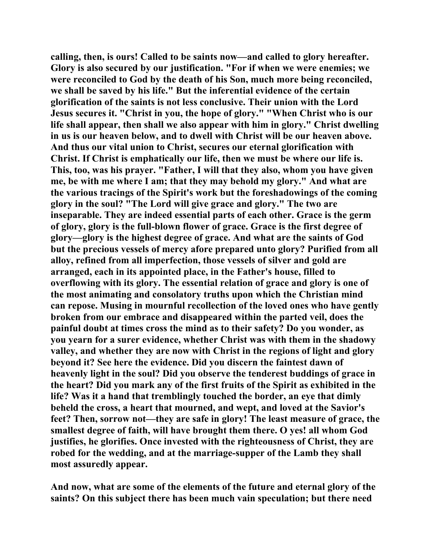**calling, then, is ours! Called to be saints now—and called to glory hereafter. Glory is also secured by our justification. "For if when we were enemies; we were reconciled to God by the death of his Son, much more being reconciled, we shall be saved by his life." But the inferential evidence of the certain glorification of the saints is not less conclusive. Their union with the Lord Jesus secures it. "Christ in you, the hope of glory." "When Christ who is our life shall appear, then shall we also appear with him in glory." Christ dwelling in us is our heaven below, and to dwell with Christ will be our heaven above. And thus our vital union to Christ, secures our eternal glorification with Christ. If Christ is emphatically our life, then we must be where our life is. This, too, was his prayer. "Father, I will that they also, whom you have given me, be with me where I am; that they may behold my glory." And what are the various tracings of the Spirit's work but the foreshadowings of the coming glory in the soul? "The Lord will give grace and glory." The two are inseparable. They are indeed essential parts of each other. Grace is the germ of glory, glory is the full-blown flower of grace. Grace is the first degree of glory—glory is the highest degree of grace. And what are the saints of God but the precious vessels of mercy afore prepared unto glory? Purified from all alloy, refined from all imperfection, those vessels of silver and gold are arranged, each in its appointed place, in the Father's house, filled to overflowing with its glory. The essential relation of grace and glory is one of the most animating and consolatory truths upon which the Christian mind can repose. Musing in mournful recollection of the loved ones who have gently broken from our embrace and disappeared within the parted veil, does the painful doubt at times cross the mind as to their safety? Do you wonder, as you yearn for a surer evidence, whether Christ was with them in the shadowy valley, and whether they are now with Christ in the regions of light and glory beyond it? See here the evidence. Did you discern the faintest dawn of heavenly light in the soul? Did you observe the tenderest buddings of grace in the heart? Did you mark any of the first fruits of the Spirit as exhibited in the life? Was it a hand that tremblingly touched the border, an eye that dimly beheld the cross, a heart that mourned, and wept, and loved at the Savior's feet? Then, sorrow not—they are safe in glory! The least measure of grace, the smallest degree of faith, will have brought them there. O yes! all whom God justifies, he glorifies. Once invested with the righteousness of Christ, they are robed for the wedding, and at the marriage-supper of the Lamb they shall most assuredly appear.** 

**And now, what are some of the elements of the future and eternal glory of the saints? On this subject there has been much vain speculation; but there need**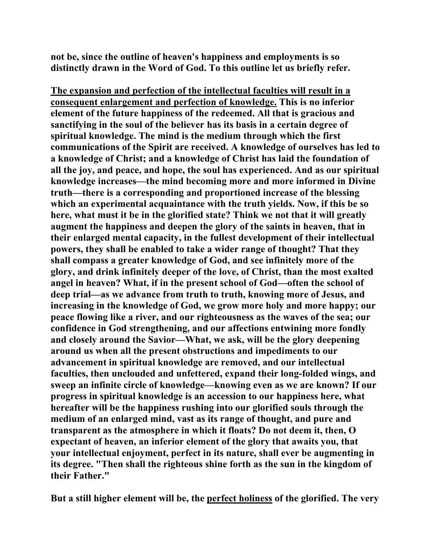**not be, since the outline of heaven's happiness and employments is so distinctly drawn in the Word of God. To this outline let us briefly refer.** 

**The expansion and perfection of the intellectual faculties will result in a consequent enlargement and perfection of knowledge. This is no inferior element of the future happiness of the redeemed. All that is gracious and sanctifying in the soul of the believer has its basis in a certain degree of spiritual knowledge. The mind is the medium through which the first communications of the Spirit are received. A knowledge of ourselves has led to a knowledge of Christ; and a knowledge of Christ has laid the foundation of all the joy, and peace, and hope, the soul has experienced. And as our spiritual knowledge increases—the mind becoming more and more informed in Divine truth—there is a corresponding and proportioned increase of the blessing which an experimental acquaintance with the truth yields. Now, if this be so here, what must it be in the glorified state? Think we not that it will greatly augment the happiness and deepen the glory of the saints in heaven, that in their enlarged mental capacity, in the fullest development of their intellectual powers, they shall be enabled to take a wider range of thought? That they shall compass a greater knowledge of God, and see infinitely more of the glory, and drink infinitely deeper of the love, of Christ, than the most exalted angel in heaven? What, if in the present school of God—often the school of deep trial—as we advance from truth to truth, knowing more of Jesus, and increasing in the knowledge of God, we grow more holy and more happy; our peace flowing like a river, and our righteousness as the waves of the sea; our confidence in God strengthening, and our affections entwining more fondly and closely around the Savior—What, we ask, will be the glory deepening around us when all the present obstructions and impediments to our advancement in spiritual knowledge are removed, and our intellectual faculties, then unclouded and unfettered, expand their long-folded wings, and sweep an infinite circle of knowledge—knowing even as we are known? If our progress in spiritual knowledge is an accession to our happiness here, what hereafter will be the happiness rushing into our glorified souls through the medium of an enlarged mind, vast as its range of thought, and pure and transparent as the atmosphere in which it floats? Do not deem it, then, O expectant of heaven, an inferior element of the glory that awaits you, that your intellectual enjoyment, perfect in its nature, shall ever be augmenting in its degree. "Then shall the righteous shine forth as the sun in the kingdom of their Father."** 

**But a still higher element will be, the perfect holiness of the glorified. The very**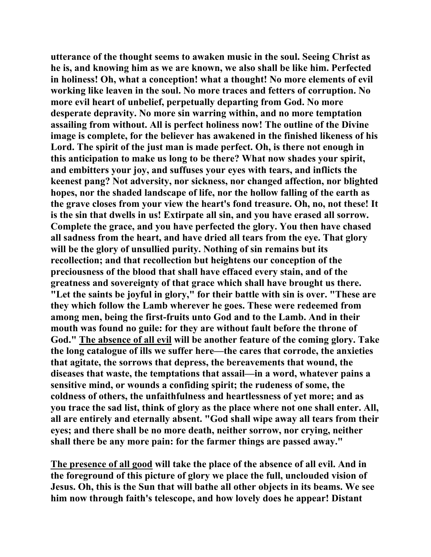**utterance of the thought seems to awaken music in the soul. Seeing Christ as he is, and knowing him as we are known, we also shall be like him. Perfected in holiness! Oh, what a conception! what a thought! No more elements of evil working like leaven in the soul. No more traces and fetters of corruption. No more evil heart of unbelief, perpetually departing from God. No more desperate depravity. No more sin warring within, and no more temptation assailing from without. All is perfect holiness now! The outline of the Divine image is complete, for the believer has awakened in the finished likeness of his Lord. The spirit of the just man is made perfect. Oh, is there not enough in this anticipation to make us long to be there? What now shades your spirit, and embitters your joy, and suffuses your eyes with tears, and inflicts the keenest pang? Not adversity, nor sickness, nor changed affection, nor blighted hopes, nor the shaded landscape of life, nor the hollow falling of the earth as the grave closes from your view the heart's fond treasure. Oh, no, not these! It is the sin that dwells in us! Extirpate all sin, and you have erased all sorrow. Complete the grace, and you have perfected the glory. You then have chased all sadness from the heart, and have dried all tears from the eye. That glory will be the glory of unsullied purity. Nothing of sin remains but its recollection; and that recollection but heightens our conception of the preciousness of the blood that shall have effaced every stain, and of the greatness and sovereignty of that grace which shall have brought us there. "Let the saints be joyful in glory," for their battle with sin is over. "These are they which follow the Lamb wherever he goes. These were redeemed from among men, being the first-fruits unto God and to the Lamb. And in their mouth was found no guile: for they are without fault before the throne of God." The absence of all evil will be another feature of the coming glory. Take the long catalogue of ills we suffer here—the cares that corrode, the anxieties that agitate, the sorrows that depress, the bereavements that wound, the diseases that waste, the temptations that assail—in a word, whatever pains a sensitive mind, or wounds a confiding spirit; the rudeness of some, the coldness of others, the unfaithfulness and heartlessness of yet more; and as you trace the sad list, think of glory as the place where not one shall enter. All, all are entirely and eternally absent. "God shall wipe away all tears from their eyes; and there shall be no more death, neither sorrow, nor crying, neither shall there be any more pain: for the farmer things are passed away."** 

**The presence of all good will take the place of the absence of all evil. And in the foreground of this picture of glory we place the full, unclouded vision of Jesus. Oh, this is the Sun that will bathe all other objects in its beams. We see him now through faith's telescope, and how lovely does he appear! Distant**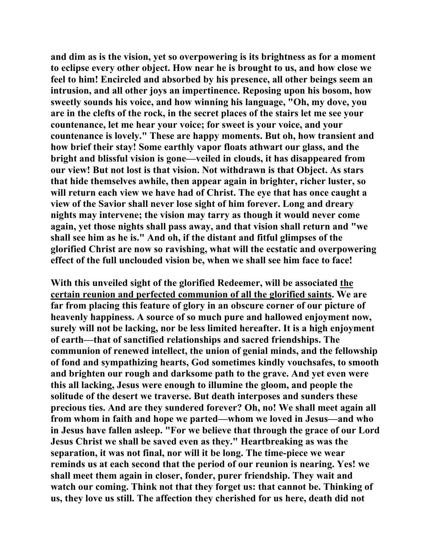**and dim as is the vision, yet so overpowering is its brightness as for a moment to eclipse every other object. How near he is brought to us, and how close we feel to him! Encircled and absorbed by his presence, all other beings seem an intrusion, and all other joys an impertinence. Reposing upon his bosom, how sweetly sounds his voice, and how winning his language, "Oh, my dove, you are in the clefts of the rock, in the secret places of the stairs let me see your countenance, let me hear your voice; for sweet is your voice, and your countenance is lovely." These are happy moments. But oh, how transient and how brief their stay! Some earthly vapor floats athwart our glass, and the bright and blissful vision is gone—veiled in clouds, it has disappeared from our view! But not lost is that vision. Not withdrawn is that Object. As stars that hide themselves awhile, then appear again in brighter, richer luster, so will return each view we have had of Christ. The eye that has once caught a view of the Savior shall never lose sight of him forever. Long and dreary nights may intervene; the vision may tarry as though it would never come again, yet those nights shall pass away, and that vision shall return and "we shall see him as he is." And oh, if the distant and fitful glimpses of the glorified Christ are now so ravishing, what will the ecstatic and overpowering effect of the full unclouded vision be, when we shall see him face to face!** 

**With this unveiled sight of the glorified Redeemer, will be associated the certain reunion and perfected communion of all the glorified saints. We are far from placing this feature of glory in an obscure corner of our picture of heavenly happiness. A source of so much pure and hallowed enjoyment now, surely will not be lacking, nor be less limited hereafter. It is a high enjoyment of earth—that of sanctified relationships and sacred friendships. The communion of renewed intellect, the union of genial minds, and the fellowship of fond and sympathizing hearts, God sometimes kindly vouchsafes, to smooth and brighten our rough and darksome path to the grave. And yet even were this all lacking, Jesus were enough to illumine the gloom, and people the solitude of the desert we traverse. But death interposes and sunders these precious ties. And are they sundered forever? Oh, no! We shall meet again all from whom in faith and hope we parted—whom we loved in Jesus—and who in Jesus have fallen asleep. "For we believe that through the grace of our Lord Jesus Christ we shall be saved even as they." Heartbreaking as was the separation, it was not final, nor will it be long. The time-piece we wear reminds us at each second that the period of our reunion is nearing. Yes! we shall meet them again in closer, fonder, purer friendship. They wait and watch our coming. Think not that they forget us: that cannot be. Thinking of us, they love us still. The affection they cherished for us here, death did not**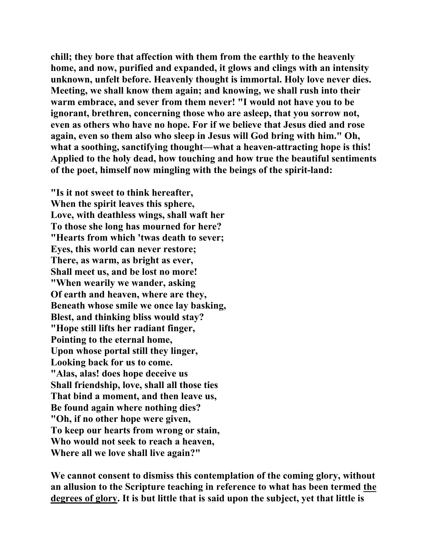**chill; they bore that affection with them from the earthly to the heavenly home, and now, purified and expanded, it glows and clings with an intensity unknown, unfelt before. Heavenly thought is immortal. Holy love never dies. Meeting, we shall know them again; and knowing, we shall rush into their warm embrace, and sever from them never! "I would not have you to be ignorant, brethren, concerning those who are asleep, that you sorrow not, even as others who have no hope. For if we believe that Jesus died and rose again, even so them also who sleep in Jesus will God bring with him." Oh, what a soothing, sanctifying thought—what a heaven-attracting hope is this! Applied to the holy dead, how touching and how true the beautiful sentiments of the poet, himself now mingling with the beings of the spirit-land:** 

**"Is it not sweet to think hereafter, When the spirit leaves this sphere, Love, with deathless wings, shall waft her To those she long has mourned for here? "Hearts from which 'twas death to sever; Eyes, this world can never restore; There, as warm, as bright as ever, Shall meet us, and be lost no more! "When wearily we wander, asking Of earth and heaven, where are they, Beneath whose smile we once lay basking, Blest, and thinking bliss would stay? "Hope still lifts her radiant finger, Pointing to the eternal home, Upon whose portal still they linger, Looking back for us to come. "Alas, alas! does hope deceive us Shall friendship, love, shall all those ties That bind a moment, and then leave us, Be found again where nothing dies? "Oh, if no other hope were given, To keep our hearts from wrong or stain, Who would not seek to reach a heaven, Where all we love shall live again?"** 

**We cannot consent to dismiss this contemplation of the coming glory, without an allusion to the Scripture teaching in reference to what has been termed the degrees of glory. It is but little that is said upon the subject, yet that little is**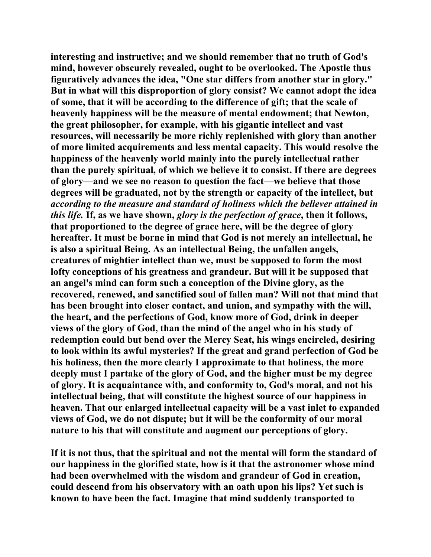**interesting and instructive; and we should remember that no truth of God's mind, however obscurely revealed, ought to be overlooked. The Apostle thus figuratively advances the idea, "One star differs from another star in glory." But in what will this disproportion of glory consist? We cannot adopt the idea of some, that it will be according to the difference of gift; that the scale of heavenly happiness will be the measure of mental endowment; that Newton, the great philosopher, for example, with his gigantic intellect and vast resources, will necessarily be more richly replenished with glory than another of more limited acquirements and less mental capacity. This would resolve the happiness of the heavenly world mainly into the purely intellectual rather than the purely spiritual, of which we believe it to consist. If there are degrees of glory—and we see no reason to question the fact—we believe that those degrees will be graduated, not by the strength or capacity of the intellect, but**  *according to the measure and standard of holiness which the believer attained in this life.* **If, as we have shown,** *glory is the perfection of grace***, then it follows, that proportioned to the degree of grace here, will be the degree of glory hereafter. It must be borne in mind that God is not merely an intellectual, he is also a spiritual Being. As an intellectual Being, the unfallen angels, creatures of mightier intellect than we, must be supposed to form the most lofty conceptions of his greatness and grandeur. But will it be supposed that an angel's mind can form such a conception of the Divine glory, as the recovered, renewed, and sanctified soul of fallen man? Will not that mind that has been brought into closer contact, and union, and sympathy with the will, the heart, and the perfections of God, know more of God, drink in deeper views of the glory of God, than the mind of the angel who in his study of redemption could but bend over the Mercy Seat, his wings encircled, desiring to look within its awful mysteries? If the great and grand perfection of God be his holiness, then the more clearly I approximate to that holiness, the more deeply must I partake of the glory of God, and the higher must be my degree of glory. It is acquaintance with, and conformity to, God's moral, and not his intellectual being, that will constitute the highest source of our happiness in heaven. That our enlarged intellectual capacity will be a vast inlet to expanded views of God, we do not dispute; but it will be the conformity of our moral nature to his that will constitute and augment our perceptions of glory.** 

**If it is not thus, that the spiritual and not the mental will form the standard of our happiness in the glorified state, how is it that the astronomer whose mind had been overwhelmed with the wisdom and grandeur of God in creation, could descend from his observatory with an oath upon his lips? Yet such is known to have been the fact. Imagine that mind suddenly transported to**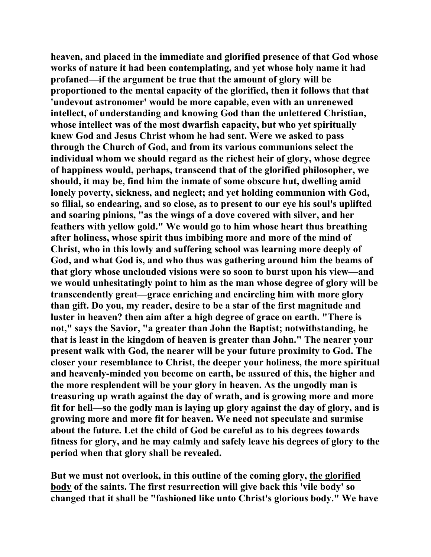**heaven, and placed in the immediate and glorified presence of that God whose works of nature it had been contemplating, and yet whose holy name it had profaned—if the argument be true that the amount of glory will be proportioned to the mental capacity of the glorified, then it follows that that 'undevout astronomer' would be more capable, even with an unrenewed intellect, of understanding and knowing God than the unlettered Christian, whose intellect was of the most dwarfish capacity, but who yet spiritually knew God and Jesus Christ whom he had sent. Were we asked to pass through the Church of God, and from its various communions select the individual whom we should regard as the richest heir of glory, whose degree of happiness would, perhaps, transcend that of the glorified philosopher, we should, it may be, find him the inmate of some obscure hut, dwelling amid lonely poverty, sickness, and neglect; and yet holding communion with God, so filial, so endearing, and so close, as to present to our eye his soul's uplifted and soaring pinions, "as the wings of a dove covered with silver, and her feathers with yellow gold." We would go to him whose heart thus breathing after holiness, whose spirit thus imbibing more and more of the mind of Christ, who in this lowly and suffering school was learning more deeply of God, and what God is, and who thus was gathering around him the beams of that glory whose unclouded visions were so soon to burst upon his view—and we would unhesitatingly point to him as the man whose degree of glory will be transcendently great—grace enriching and encircling him with more glory than gift. Do you, my reader, desire to be a star of the first magnitude and luster in heaven? then aim after a high degree of grace on earth. "There is not," says the Savior, "a greater than John the Baptist; notwithstanding, he that is least in the kingdom of heaven is greater than John." The nearer your present walk with God, the nearer will be your future proximity to God. The closer your resemblance to Christ, the deeper your holiness, the more spiritual and heavenly-minded you become on earth, be assured of this, the higher and the more resplendent will be your glory in heaven. As the ungodly man is treasuring up wrath against the day of wrath, and is growing more and more fit for hell—so the godly man is laying up glory against the day of glory, and is growing more and more fit for heaven. We need not speculate and surmise about the future. Let the child of God be careful as to his degrees towards fitness for glory, and he may calmly and safely leave his degrees of glory to the period when that glory shall be revealed.** 

**But we must not overlook, in this outline of the coming glory, the glorified body of the saints. The first resurrection will give back this 'vile body' so changed that it shall be "fashioned like unto Christ's glorious body." We have**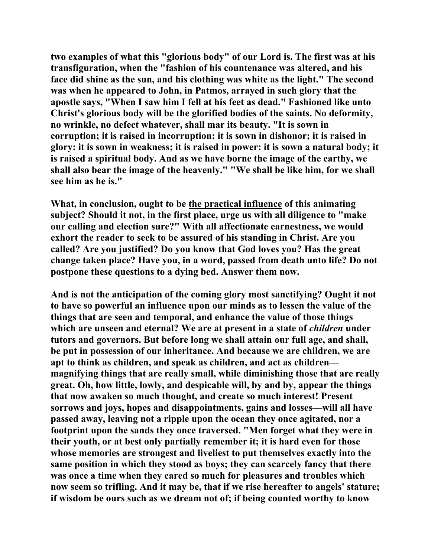**two examples of what this "glorious body" of our Lord is. The first was at his transfiguration, when the "fashion of his countenance was altered, and his face did shine as the sun, and his clothing was white as the light." The second was when he appeared to John, in Patmos, arrayed in such glory that the apostle says, "When I saw him I fell at his feet as dead." Fashioned like unto Christ's glorious body will be the glorified bodies of the saints. No deformity, no wrinkle, no defect whatever, shall mar its beauty. "It is sown in corruption; it is raised in incorruption: it is sown in dishonor; it is raised in glory: it is sown in weakness; it is raised in power: it is sown a natural body; it is raised a spiritual body. And as we have borne the image of the earthy, we shall also bear the image of the heavenly." "We shall be like him, for we shall see him as he is."** 

**What, in conclusion, ought to be the practical influence of this animating subject? Should it not, in the first place, urge us with all diligence to "make our calling and election sure?" With all affectionate earnestness, we would exhort the reader to seek to be assured of his standing in Christ. Are you called? Are you justified? Do you know that God loves you? Has the great change taken place? Have you, in a word, passed from death unto life? Do not postpone these questions to a dying bed. Answer them now.** 

**And is not the anticipation of the coming glory most sanctifying? Ought it not to have so powerful an influence upon our minds as to lessen the value of the things that are seen and temporal, and enhance the value of those things**  which are unseen and eternal? We are at present in a state of *children* under **tutors and governors. But before long we shall attain our full age, and shall, be put in possession of our inheritance. And because we are children, we are apt to think as children, and speak as children, and act as children magnifying things that are really small, while diminishing those that are really great. Oh, how little, lowly, and despicable will, by and by, appear the things that now awaken so much thought, and create so much interest! Present sorrows and joys, hopes and disappointments, gains and losses—will all have passed away, leaving not a ripple upon the ocean they once agitated, nor a footprint upon the sands they once traversed. "Men forget what they were in their youth, or at best only partially remember it; it is hard even for those whose memories are strongest and liveliest to put themselves exactly into the same position in which they stood as boys; they can scarcely fancy that there was once a time when they cared so much for pleasures and troubles which now seem so trifling. And it may be, that if we rise hereafter to angels' stature; if wisdom be ours such as we dream not of; if being counted worthy to know**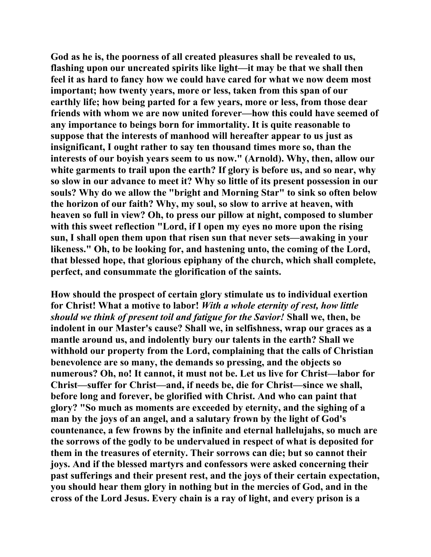**God as he is, the poorness of all created pleasures shall be revealed to us, flashing upon our uncreated spirits like light—it may be that we shall then feel it as hard to fancy how we could have cared for what we now deem most important; how twenty years, more or less, taken from this span of our earthly life; how being parted for a few years, more or less, from those dear friends with whom we are now united forever—how this could have seemed of any importance to beings born for immortality. It is quite reasonable to suppose that the interests of manhood will hereafter appear to us just as insignificant, I ought rather to say ten thousand times more so, than the interests of our boyish years seem to us now." (Arnold). Why, then, allow our white garments to trail upon the earth? If glory is before us, and so near, why so slow in our advance to meet it? Why so little of its present possession in our souls? Why do we allow the "bright and Morning Star" to sink so often below the horizon of our faith? Why, my soul, so slow to arrive at heaven, with heaven so full in view? Oh, to press our pillow at night, composed to slumber with this sweet reflection "Lord, if I open my eyes no more upon the rising sun, I shall open them upon that risen sun that never sets—awaking in your likeness." Oh, to be looking for, and hastening unto, the coming of the Lord, that blessed hope, that glorious epiphany of the church, which shall complete, perfect, and consummate the glorification of the saints.** 

**How should the prospect of certain glory stimulate us to individual exertion for Christ! What a motive to labor!** *With a whole eternity of rest, how little should we think of present toil and fatigue for the Savior!* **Shall we, then, be indolent in our Master's cause? Shall we, in selfishness, wrap our graces as a mantle around us, and indolently bury our talents in the earth? Shall we withhold our property from the Lord, complaining that the calls of Christian benevolence are so many, the demands so pressing, and the objects so numerous? Oh, no! It cannot, it must not be. Let us live for Christ—labor for Christ—suffer for Christ—and, if needs be, die for Christ—since we shall, before long and forever, be glorified with Christ. And who can paint that glory? "So much as moments are exceeded by eternity, and the sighing of a man by the joys of an angel, and a salutary frown by the light of God's countenance, a few frowns by the infinite and eternal hallelujahs, so much are the sorrows of the godly to be undervalued in respect of what is deposited for them in the treasures of eternity. Their sorrows can die; but so cannot their joys. And if the blessed martyrs and confessors were asked concerning their past sufferings and their present rest, and the joys of their certain expectation, you should hear them glory in nothing but in the mercies of God, and in the cross of the Lord Jesus. Every chain is a ray of light, and every prison is a**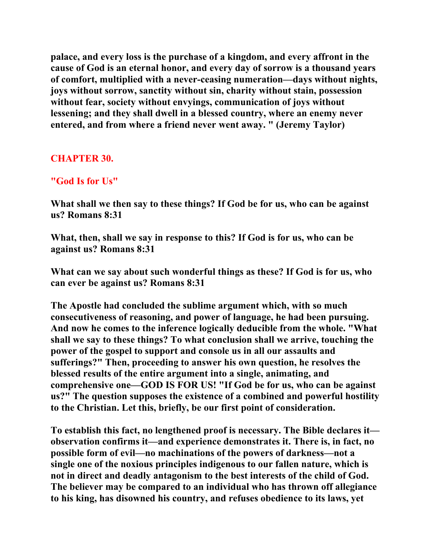**palace, and every loss is the purchase of a kingdom, and every affront in the cause of God is an eternal honor, and every day of sorrow is a thousand years of comfort, multiplied with a never-ceasing numeration—days without nights, joys without sorrow, sanctity without sin, charity without stain, possession without fear, society without envyings, communication of joys without lessening; and they shall dwell in a blessed country, where an enemy never entered, and from where a friend never went away. " (Jeremy Taylor)** 

# **CHAPTER 30.**

## **"God Is for Us"**

**What shall we then say to these things? If God be for us, who can be against us? Romans 8:31** 

**What, then, shall we say in response to this? If God is for us, who can be against us? Romans 8:31** 

**What can we say about such wonderful things as these? If God is for us, who can ever be against us? Romans 8:31** 

**The Apostle had concluded the sublime argument which, with so much consecutiveness of reasoning, and power of language, he had been pursuing. And now he comes to the inference logically deducible from the whole. "What shall we say to these things? To what conclusion shall we arrive, touching the power of the gospel to support and console us in all our assaults and sufferings?" Then, proceeding to answer his own question, he resolves the blessed results of the entire argument into a single, animating, and comprehensive one—GOD IS FOR US! "If God be for us, who can be against us?" The question supposes the existence of a combined and powerful hostility to the Christian. Let this, briefly, be our first point of consideration.** 

**To establish this fact, no lengthened proof is necessary. The Bible declares it observation confirms it—and experience demonstrates it. There is, in fact, no possible form of evil—no machinations of the powers of darkness—not a single one of the noxious principles indigenous to our fallen nature, which is not in direct and deadly antagonism to the best interests of the child of God. The believer may be compared to an individual who has thrown off allegiance to his king, has disowned his country, and refuses obedience to its laws, yet**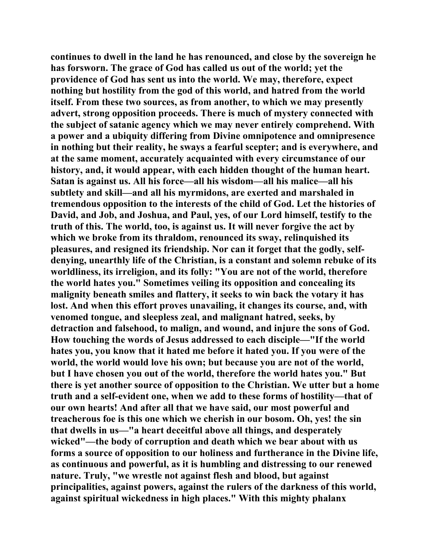**continues to dwell in the land he has renounced, and close by the sovereign he has forsworn. The grace of God has called us out of the world; yet the providence of God has sent us into the world. We may, therefore, expect nothing but hostility from the god of this world, and hatred from the world itself. From these two sources, as from another, to which we may presently advert, strong opposition proceeds. There is much of mystery connected with the subject of satanic agency which we may never entirely comprehend. With a power and a ubiquity differing from Divine omnipotence and omnipresence in nothing but their reality, he sways a fearful scepter; and is everywhere, and at the same moment, accurately acquainted with every circumstance of our history, and, it would appear, with each hidden thought of the human heart. Satan is against us. All his force—all his wisdom—all his malice—all his subtlety and skill—and all his myrmidons, are exerted and marshaled in tremendous opposition to the interests of the child of God. Let the histories of David, and Job, and Joshua, and Paul, yes, of our Lord himself, testify to the truth of this. The world, too, is against us. It will never forgive the act by which we broke from its thraldom, renounced its sway, relinquished its pleasures, and resigned its friendship. Nor can it forget that the godly, selfdenying, unearthly life of the Christian, is a constant and solemn rebuke of its worldliness, its irreligion, and its folly: "You are not of the world, therefore the world hates you." Sometimes veiling its opposition and concealing its malignity beneath smiles and flattery, it seeks to win back the votary it has lost. And when this effort proves unavailing, it changes its course, and, with venomed tongue, and sleepless zeal, and malignant hatred, seeks, by detraction and falsehood, to malign, and wound, and injure the sons of God. How touching the words of Jesus addressed to each disciple—"If the world hates you, you know that it hated me before it hated you. If you were of the world, the world would love his own; but because you are not of the world, but I have chosen you out of the world, therefore the world hates you." But there is yet another source of opposition to the Christian. We utter but a home truth and a self-evident one, when we add to these forms of hostility—that of our own hearts! And after all that we have said, our most powerful and treacherous foe is this one which we cherish in our bosom. Oh, yes! the sin that dwells in us—"a heart deceitful above all things, and desperately wicked"—the body of corruption and death which we bear about with us forms a source of opposition to our holiness and furtherance in the Divine life, as continuous and powerful, as it is humbling and distressing to our renewed nature. Truly, "we wrestle not against flesh and blood, but against principalities, against powers, against the rulers of the darkness of this world, against spiritual wickedness in high places." With this mighty phalanx**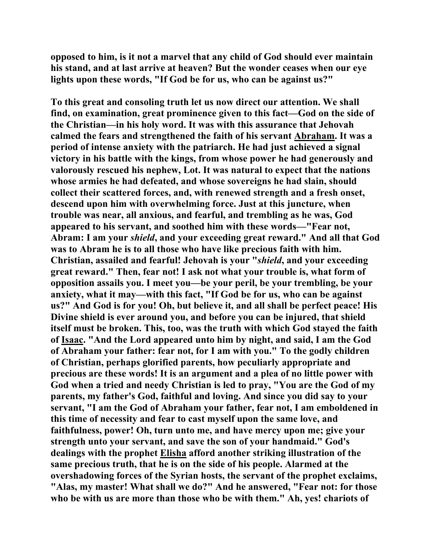**opposed to him, is it not a marvel that any child of God should ever maintain his stand, and at last arrive at heaven? But the wonder ceases when our eye lights upon these words, "If God be for us, who can be against us?"** 

**To this great and consoling truth let us now direct our attention. We shall find, on examination, great prominence given to this fact—God on the side of the Christian—in his holy word. It was with this assurance that Jehovah calmed the fears and strengthened the faith of his servant Abraham. It was a period of intense anxiety with the patriarch. He had just achieved a signal victory in his battle with the kings, from whose power he had generously and valorously rescued his nephew, Lot. It was natural to expect that the nations whose armies he had defeated, and whose sovereigns he had slain, should collect their scattered forces, and, with renewed strength and a fresh onset, descend upon him with overwhelming force. Just at this juncture, when trouble was near, all anxious, and fearful, and trembling as he was, God appeared to his servant, and soothed him with these words—"Fear not, Abram: I am your** *shield***, and your exceeding great reward." And all that God was to Abram he is to all those who have like precious faith with him. Christian, assailed and fearful! Jehovah is your "***shield***, and your exceeding great reward." Then, fear not! I ask not what your trouble is, what form of opposition assails you. I meet you—be your peril, be your trembling, be your anxiety, what it may—with this fact, "If God be for us, who can be against us?" And God is for you! Oh, but believe it, and all shall be perfect peace! His Divine shield is ever around you, and before you can be injured, that shield itself must be broken. This, too, was the truth with which God stayed the faith of Isaac. "And the Lord appeared unto him by night, and said, I am the God of Abraham your father: fear not, for I am with you." To the godly children of Christian, perhaps glorified parents, how peculiarly appropriate and precious are these words! It is an argument and a plea of no little power with God when a tried and needy Christian is led to pray, "You are the God of my parents, my father's God, faithful and loving. And since you did say to your servant, "I am the God of Abraham your father, fear not, I am emboldened in this time of necessity and fear to cast myself upon the same love, and faithfulness, power! Oh, turn unto me, and have mercy upon me; give your strength unto your servant, and save the son of your handmaid." God's dealings with the prophet Elisha afford another striking illustration of the same precious truth, that he is on the side of his people. Alarmed at the overshadowing forces of the Syrian hosts, the servant of the prophet exclaims, "Alas, my master! What shall we do?" And he answered, "Fear not: for those who be with us are more than those who be with them." Ah, yes! chariots of**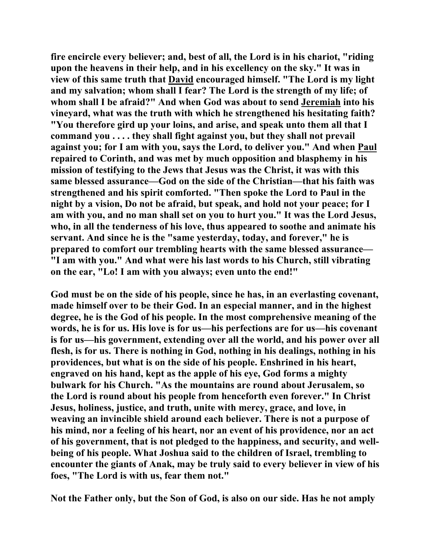**fire encircle every believer; and, best of all, the Lord is in his chariot, "riding upon the heavens in their help, and in his excellency on the sky." It was in view of this same truth that David encouraged himself. "The Lord is my light and my salvation; whom shall I fear? The Lord is the strength of my life; of whom shall I be afraid?" And when God was about to send Jeremiah into his vineyard, what was the truth with which he strengthened his hesitating faith? "You therefore gird up your loins, and arise, and speak unto them all that I command you . . . . they shall fight against you, but they shall not prevail against you; for I am with you, says the Lord, to deliver you." And when Paul repaired to Corinth, and was met by much opposition and blasphemy in his mission of testifying to the Jews that Jesus was the Christ, it was with this same blessed assurance—God on the side of the Christian—that his faith was strengthened and his spirit comforted. "Then spoke the Lord to Paul in the night by a vision, Do not be afraid, but speak, and hold not your peace; for I am with you, and no man shall set on you to hurt you." It was the Lord Jesus, who, in all the tenderness of his love, thus appeared to soothe and animate his servant. And since he is the "same yesterday, today, and forever," he is prepared to comfort our trembling hearts with the same blessed assurance— "I am with you." And what were his last words to his Church, still vibrating on the ear, "Lo! I am with you always; even unto the end!"** 

**God must be on the side of his people, since he has, in an everlasting covenant, made himself over to be their God. In an especial manner, and in the highest degree, he is the God of his people. In the most comprehensive meaning of the words, he is for us. His love is for us—his perfections are for us—his covenant is for us—his government, extending over all the world, and his power over all flesh, is for us. There is nothing in God, nothing in his dealings, nothing in his providences, but what is on the side of his people. Enshrined in his heart, engraved on his hand, kept as the apple of his eye, God forms a mighty bulwark for his Church. "As the mountains are round about Jerusalem, so the Lord is round about his people from henceforth even forever." In Christ Jesus, holiness, justice, and truth, unite with mercy, grace, and love, in weaving an invincible shield around each believer. There is not a purpose of his mind, nor a feeling of his heart, nor an event of his providence, nor an act of his government, that is not pledged to the happiness, and security, and wellbeing of his people. What Joshua said to the children of Israel, trembling to encounter the giants of Anak, may be truly said to every believer in view of his foes, "The Lord is with us, fear them not."** 

**Not the Father only, but the Son of God, is also on our side. Has he not amply**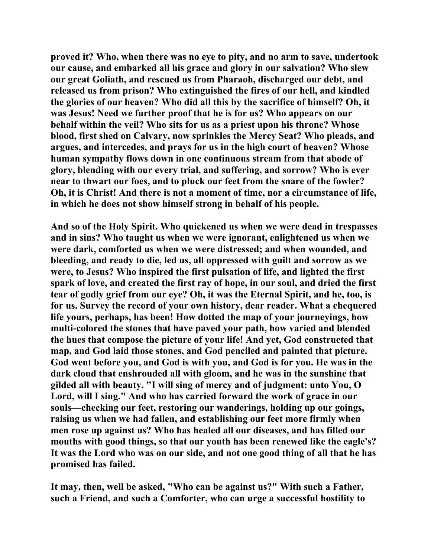**proved it? Who, when there was no eye to pity, and no arm to save, undertook our cause, and embarked all his grace and glory in our salvation? Who slew our great Goliath, and rescued us from Pharaoh, discharged our debt, and released us from prison? Who extinguished the fires of our hell, and kindled the glories of our heaven? Who did all this by the sacrifice of himself? Oh, it was Jesus! Need we further proof that he is for us? Who appears on our behalf within the veil? Who sits for us as a priest upon his throne? Whose blood, first shed on Calvary, now sprinkles the Mercy Seat? Who pleads, and argues, and intercedes, and prays for us in the high court of heaven? Whose human sympathy flows down in one continuous stream from that abode of glory, blending with our every trial, and suffering, and sorrow? Who is ever near to thwart our foes, and to pluck our feet from the snare of the fowler? Oh, it is Christ! And there is not a moment of time, nor a circumstance of life, in which he does not show himself strong in behalf of his people.** 

**And so of the Holy Spirit. Who quickened us when we were dead in trespasses and in sins? Who taught us when we were ignorant, enlightened us when we were dark, comforted us when we were distressed; and when wounded, and bleeding, and ready to die, led us, all oppressed with guilt and sorrow as we were, to Jesus? Who inspired the first pulsation of life, and lighted the first spark of love, and created the first ray of hope, in our soul, and dried the first tear of godly grief from our eye? Oh, it was the Eternal Spirit, and he, too, is for us. Survey the record of your own history, dear reader. What a chequered life yours, perhaps, has been! How dotted the map of your journeyings, how multi-colored the stones that have paved your path, how varied and blended the hues that compose the picture of your life! And yet, God constructed that map, and God laid those stones, and God penciled and painted that picture. God went before you, and God is with you, and God is for you. He was in the dark cloud that enshrouded all with gloom, and he was in the sunshine that gilded all with beauty. "I will sing of mercy and of judgment: unto You, O Lord, will I sing." And who has carried forward the work of grace in our souls—checking our feet, restoring our wanderings, holding up our goings, raising us when we had fallen, and establishing our feet more firmly when men rose up against us? Who has healed all our diseases, and has filled our mouths with good things, so that our youth has been renewed like the eagle's? It was the Lord who was on our side, and not one good thing of all that he has promised has failed.** 

**It may, then, well be asked, "Who can be against us?" With such a Father, such a Friend, and such a Comforter, who can urge a successful hostility to**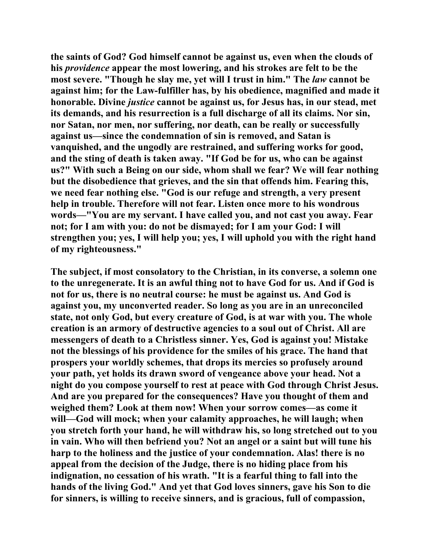**the saints of God? God himself cannot be against us, even when the clouds of his** *providence* **appear the most lowering, and his strokes are felt to be the most severe. "Though he slay me, yet will I trust in him." The** *law* **cannot be against him; for the Law-fulfiller has, by his obedience, magnified and made it honorable. Divine** *justice* **cannot be against us, for Jesus has, in our stead, met its demands, and his resurrection is a full discharge of all its claims. Nor sin, nor Satan, nor men, nor suffering, nor death, can be really or successfully against us—since the condemnation of sin is removed, and Satan is vanquished, and the ungodly are restrained, and suffering works for good, and the sting of death is taken away. "If God be for us, who can be against us?" With such a Being on our side, whom shall we fear? We will fear nothing but the disobedience that grieves, and the sin that offends him. Fearing this, we need fear nothing else. "God is our refuge and strength, a very present help in trouble. Therefore will not fear. Listen once more to his wondrous words—"You are my servant. I have called you, and not cast you away. Fear not; for I am with you: do not be dismayed; for I am your God: I will strengthen you; yes, I will help you; yes, I will uphold you with the right hand of my righteousness."** 

**The subject, if most consolatory to the Christian, in its converse, a solemn one to the unregenerate. It is an awful thing not to have God for us. And if God is not for us, there is no neutral course: he must be against us. And God is against you, my unconverted reader. So long as you are in an unreconciled state, not only God, but every creature of God, is at war with you. The whole creation is an armory of destructive agencies to a soul out of Christ. All are messengers of death to a Christless sinner. Yes, God is against you! Mistake not the blessings of his providence for the smiles of his grace. The hand that prospers your worldly schemes, that drops its mercies so profusely around your path, yet holds its drawn sword of vengeance above your head. Not a night do you compose yourself to rest at peace with God through Christ Jesus. And are you prepared for the consequences? Have you thought of them and weighed them? Look at them now! When your sorrow comes—as come it will—God will mock; when your calamity approaches, he will laugh; when you stretch forth your hand, he will withdraw his, so long stretched out to you in vain. Who will then befriend you? Not an angel or a saint but will tune his harp to the holiness and the justice of your condemnation. Alas! there is no appeal from the decision of the Judge, there is no hiding place from his indignation, no cessation of his wrath. "It is a fearful thing to fall into the hands of the living God." And yet that God loves sinners, gave his Son to die for sinners, is willing to receive sinners, and is gracious, full of compassion,**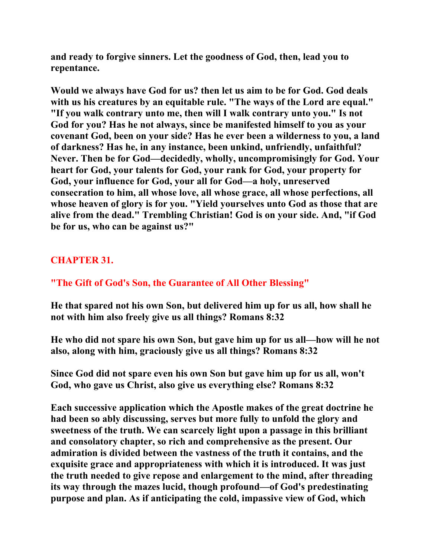**and ready to forgive sinners. Let the goodness of God, then, lead you to repentance.** 

**Would we always have God for us? then let us aim to be for God. God deals with us his creatures by an equitable rule. "The ways of the Lord are equal." "If you walk contrary unto me, then will I walk contrary unto you." Is not God for you? Has he not always, since be manifested himself to you as your covenant God, been on your side? Has he ever been a wilderness to you, a land of darkness? Has he, in any instance, been unkind, unfriendly, unfaithful? Never. Then be for God—decidedly, wholly, uncompromisingly for God. Your heart for God, your talents for God, your rank for God, your property for God, your influence for God, your all for God—a holy, unreserved consecration to him, all whose love, all whose grace, all whose perfections, all whose heaven of glory is for you. "Yield yourselves unto God as those that are alive from the dead." Trembling Christian! God is on your side. And, "if God be for us, who can be against us?"** 

# **CHAPTER 31.**

#### **"The Gift of God's Son, the Guarantee of All Other Blessing"**

**He that spared not his own Son, but delivered him up for us all, how shall he not with him also freely give us all things? Romans 8:32** 

**He who did not spare his own Son, but gave him up for us all—how will he not also, along with him, graciously give us all things? Romans 8:32** 

**Since God did not spare even his own Son but gave him up for us all, won't God, who gave us Christ, also give us everything else? Romans 8:32** 

**Each successive application which the Apostle makes of the great doctrine he had been so ably discussing, serves but more fully to unfold the glory and sweetness of the truth. We can scarcely light upon a passage in this brilliant and consolatory chapter, so rich and comprehensive as the present. Our admiration is divided between the vastness of the truth it contains, and the exquisite grace and appropriateness with which it is introduced. It was just the truth needed to give repose and enlargement to the mind, after threading its way through the mazes lucid, though profound—of God's predestinating purpose and plan. As if anticipating the cold, impassive view of God, which**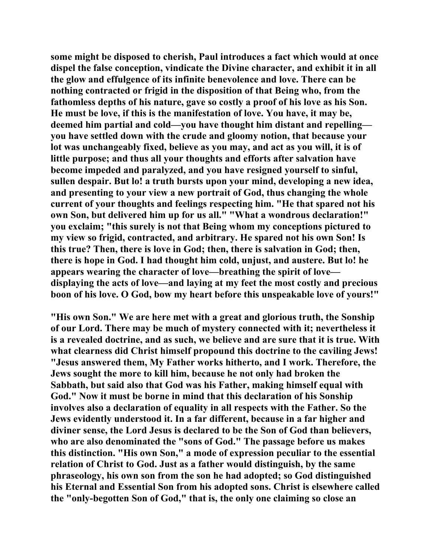**some might be disposed to cherish, Paul introduces a fact which would at once dispel the false conception, vindicate the Divine character, and exhibit it in all the glow and effulgence of its infinite benevolence and love. There can be nothing contracted or frigid in the disposition of that Being who, from the fathomless depths of his nature, gave so costly a proof of his love as his Son. He must be love, if this is the manifestation of love. You have, it may be, deemed him partial and cold—you have thought him distant and repelling you have settled down with the crude and gloomy notion, that because your lot was unchangeably fixed, believe as you may, and act as you will, it is of little purpose; and thus all your thoughts and efforts after salvation have become impeded and paralyzed, and you have resigned yourself to sinful, sullen despair. But lo! a truth bursts upon your mind, developing a new idea, and presenting to your view a new portrait of God, thus changing the whole current of your thoughts and feelings respecting him. "He that spared not his own Son, but delivered him up for us all." "What a wondrous declaration!" you exclaim; "this surely is not that Being whom my conceptions pictured to my view so frigid, contracted, and arbitrary. He spared not his own Son! Is this true? Then, there is love in God; then, there is salvation in God; then, there is hope in God. I had thought him cold, unjust, and austere. But lo! he appears wearing the character of love—breathing the spirit of love displaying the acts of love—and laying at my feet the most costly and precious boon of his love. O God, bow my heart before this unspeakable love of yours!"** 

**"His own Son." We are here met with a great and glorious truth, the Sonship of our Lord. There may be much of mystery connected with it; nevertheless it is a revealed doctrine, and as such, we believe and are sure that it is true. With what clearness did Christ himself propound this doctrine to the caviling Jews! "Jesus answered them, My Father works hitherto, and I work. Therefore, the Jews sought the more to kill him, because he not only had broken the Sabbath, but said also that God was his Father, making himself equal with God." Now it must be borne in mind that this declaration of his Sonship involves also a declaration of equality in all respects with the Father. So the Jews evidently understood it. In a far different, because in a far higher and diviner sense, the Lord Jesus is declared to be the Son of God than believers, who are also denominated the "sons of God." The passage before us makes this distinction. "His own Son," a mode of expression peculiar to the essential relation of Christ to God. Just as a father would distinguish, by the same phraseology, his own son from the son he had adopted; so God distinguished his Eternal and Essential Son from his adopted sons. Christ is elsewhere called the "only-begotten Son of God," that is, the only one claiming so close an**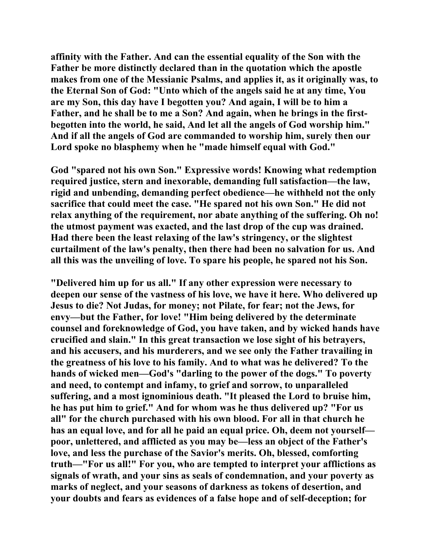**affinity with the Father. And can the essential equality of the Son with the Father be more distinctly declared than in the quotation which the apostle makes from one of the Messianic Psalms, and applies it, as it originally was, to the Eternal Son of God: "Unto which of the angels said he at any time, You are my Son, this day have I begotten you? And again, I will be to him a Father, and he shall be to me a Son? And again, when he brings in the firstbegotten into the world, he said, And let all the angels of God worship him." And if all the angels of God are commanded to worship him, surely then our Lord spoke no blasphemy when he "made himself equal with God."** 

**God "spared not his own Son." Expressive words! Knowing what redemption required justice, stern and inexorable, demanding full satisfaction—the law, rigid and unbending, demanding perfect obedience—he withheld not the only sacrifice that could meet the case. "He spared not his own Son." He did not relax anything of the requirement, nor abate anything of the suffering. Oh no! the utmost payment was exacted, and the last drop of the cup was drained. Had there been the least relaxing of the law's stringency, or the slightest curtailment of the law's penalty, then there had been no salvation for us. And all this was the unveiling of love. To spare his people, he spared not his Son.** 

**"Delivered him up for us all." If any other expression were necessary to deepen our sense of the vastness of his love, we have it here. Who delivered up Jesus to die? Not Judas, for money; not Pilate, for fear; not the Jews, for envy—but the Father, for love! "Him being delivered by the determinate counsel and foreknowledge of God, you have taken, and by wicked hands have crucified and slain." In this great transaction we lose sight of his betrayers, and his accusers, and his murderers, and we see only the Father travailing in the greatness of his love to his family. And to what was he delivered? To the hands of wicked men—God's "darling to the power of the dogs." To poverty and need, to contempt and infamy, to grief and sorrow, to unparalleled suffering, and a most ignominious death. "It pleased the Lord to bruise him, he has put him to grief." And for whom was he thus delivered up? "For us all" for the church purchased with his own blood. For all in that church he has an equal love, and for all he paid an equal price. Oh, deem not yourself poor, unlettered, and afflicted as you may be—less an object of the Father's love, and less the purchase of the Savior's merits. Oh, blessed, comforting truth—"For us all!" For you, who are tempted to interpret your afflictions as signals of wrath, and your sins as seals of condemnation, and your poverty as marks of neglect, and your seasons of darkness as tokens of desertion, and your doubts and fears as evidences of a false hope and of self-deception; for**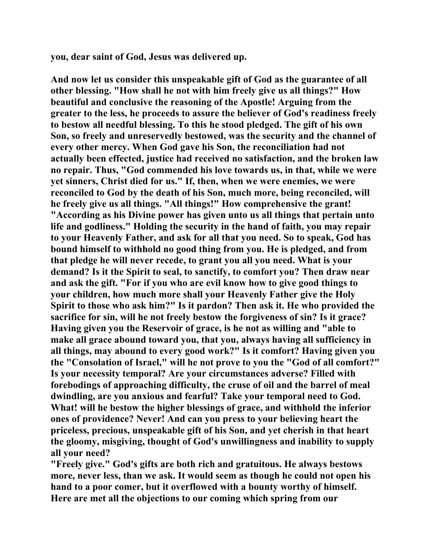**you, dear saint of God, Jesus was delivered up.** 

**And now let us consider this unspeakable gift of God as the guarantee of all other blessing. "How shall he not with him freely give us all things?" How beautiful and conclusive the reasoning of the Apostle! Arguing from the greater to the less, he proceeds to assure the believer of God's readiness freely to bestow all needful blessing. To this he stood pledged. The gift of his own Son, so freely and unreservedly bestowed, was the security and the channel of every other mercy. When God gave his Son, the reconciliation had not actually been effected, justice had received no satisfaction, and the broken law no repair. Thus, "God commended his love towards us, in that, while we were yet sinners, Christ died for us." If, then, when we were enemies, we were reconciled to God by the death of his Son, much more, being reconciled, will he freely give us all things. "All things!" How comprehensive the grant! "According as his Divine power has given unto us all things that pertain unto life and godliness." Holding the security in the hand of faith, you may repair to your Heavenly Father, and ask for all that you need. So to speak, God has bound himself to withhold no good thing from you. He is pledged, and from that pledge he will never recede, to grant you all you need. What is your demand? Is it the Spirit to seal, to sanctify, to comfort you? Then draw near and ask the gift. "For if you who are evil know how to give good things to your children, how much more shall your Heavenly Father give the Holy Spirit to those who ask him?" Is it pardon? Then ask it. He who provided the sacrifice for sin, will he not freely bestow the forgiveness of sin? Is it grace? Having given you the Reservoir of grace, is he not as willing and "able to make all grace abound toward you, that you, always having all sufficiency in all things, may abound to every good work?" Is it comfort? Having given you the "Consolation of Israel," will he not prove to you the "God of all comfort?" Is your necessity temporal? Are your circumstances adverse? Filled with forebodings of approaching difficulty, the cruse of oil and the barrel of meal dwindling, are you anxious and fearful? Take your temporal need to God. What! will he bestow the higher blessings of grace, and withhold the inferior ones of providence? Never! And can you press to your believing heart the priceless, precious, unspeakable gift of his Son, and yet cherish in that heart the gloomy, misgiving, thought of God's unwillingness and inability to supply all your need?** 

**"Freely give." God's gifts are both rich and gratuitous. He always bestows more, never less, than we ask. It would seem as though he could not open his hand to a poor comer, but it overflowed with a bounty worthy of himself. Here are met all the objections to our coming which spring from our**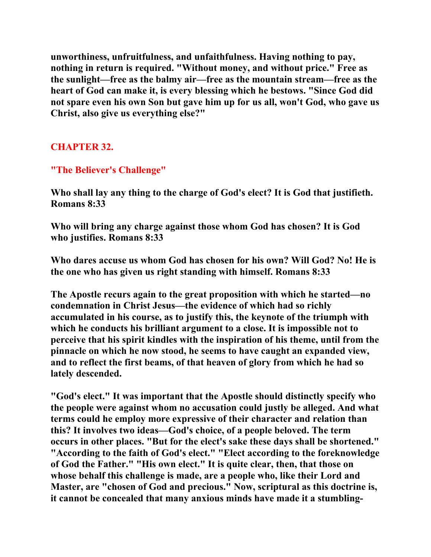**unworthiness, unfruitfulness, and unfaithfulness. Having nothing to pay, nothing in return is required. "Without money, and without price." Free as the sunlight—free as the balmy air—free as the mountain stream—free as the heart of God can make it, is every blessing which he bestows. "Since God did not spare even his own Son but gave him up for us all, won't God, who gave us Christ, also give us everything else?"** 

### **CHAPTER 32.**

### **"The Believer's Challenge"**

**Who shall lay any thing to the charge of God's elect? It is God that justifieth. Romans 8:33** 

**Who will bring any charge against those whom God has chosen? It is God who justifies. Romans 8:33** 

**Who dares accuse us whom God has chosen for his own? Will God? No! He is the one who has given us right standing with himself. Romans 8:33** 

**The Apostle recurs again to the great proposition with which he started—no condemnation in Christ Jesus—the evidence of which had so richly accumulated in his course, as to justify this, the keynote of the triumph with which he conducts his brilliant argument to a close. It is impossible not to perceive that his spirit kindles with the inspiration of his theme, until from the pinnacle on which he now stood, he seems to have caught an expanded view, and to reflect the first beams, of that heaven of glory from which he had so lately descended.** 

**"God's elect." It was important that the Apostle should distinctly specify who the people were against whom no accusation could justly be alleged. And what terms could he employ more expressive of their character and relation than this? It involves two ideas—God's choice, of a people beloved. The term occurs in other places. "But for the elect's sake these days shall be shortened." "According to the faith of God's elect." "Elect according to the foreknowledge of God the Father." "His own elect." It is quite clear, then, that those on whose behalf this challenge is made, are a people who, like their Lord and Master, are "chosen of God and precious." Now, scriptural as this doctrine is, it cannot be concealed that many anxious minds have made it a stumbling-**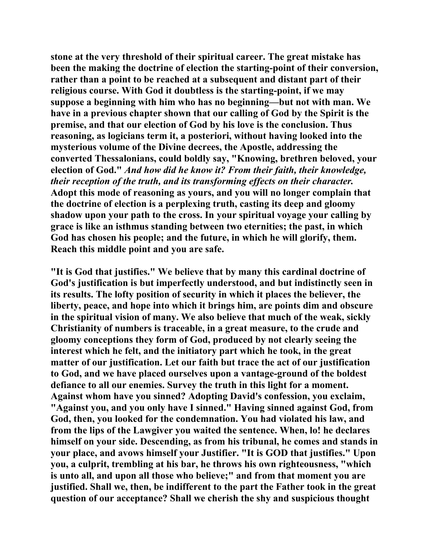**stone at the very threshold of their spiritual career. The great mistake has been the making the doctrine of election the starting-point of their conversion, rather than a point to be reached at a subsequent and distant part of their religious course. With God it doubtless is the starting-point, if we may suppose a beginning with him who has no beginning—but not with man. We have in a previous chapter shown that our calling of God by the Spirit is the premise, and that our election of God by his love is the conclusion. Thus reasoning, as logicians term it, a posteriori, without having looked into the mysterious volume of the Divine decrees, the Apostle, addressing the converted Thessalonians, could boldly say, "Knowing, brethren beloved, your election of God."** *And how did he know it? From their faith, their knowledge, their reception of the truth, and its transforming effects on their character.* **Adopt this mode of reasoning as yours, and you will no longer complain that the doctrine of election is a perplexing truth, casting its deep and gloomy shadow upon your path to the cross. In your spiritual voyage your calling by grace is like an isthmus standing between two eternities; the past, in which God has chosen his people; and the future, in which he will glorify, them. Reach this middle point and you are safe.** 

**"It is God that justifies." We believe that by many this cardinal doctrine of God's justification is but imperfectly understood, and but indistinctly seen in its results. The lofty position of security in which it places the believer, the liberty, peace, and hope into which it brings him, are points dim and obscure in the spiritual vision of many. We also believe that much of the weak, sickly Christianity of numbers is traceable, in a great measure, to the crude and gloomy conceptions they form of God, produced by not clearly seeing the interest which he felt, and the initiatory part which he took, in the great matter of our justification. Let our faith but trace the act of our justification to God, and we have placed ourselves upon a vantage-ground of the boldest defiance to all our enemies. Survey the truth in this light for a moment. Against whom have you sinned? Adopting David's confession, you exclaim, "Against you, and you only have I sinned." Having sinned against God, from God, then, you looked for the condemnation. You had violated his law, and from the lips of the Lawgiver you waited the sentence. When, lo! he declares himself on your side. Descending, as from his tribunal, he comes and stands in your place, and avows himself your Justifier. "It is GOD that justifies." Upon you, a culprit, trembling at his bar, he throws his own righteousness, "which is unto all, and upon all those who believe;" and from that moment you are justified. Shall we, then, be indifferent to the part the Father took in the great question of our acceptance? Shall we cherish the shy and suspicious thought**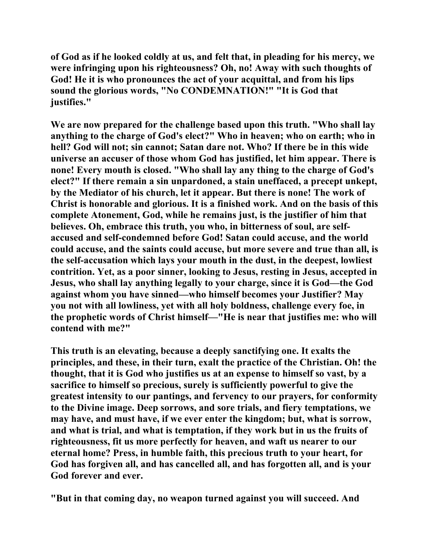**of God as if he looked coldly at us, and felt that, in pleading for his mercy, we were infringing upon his righteousness? Oh, no! Away with such thoughts of God! He it is who pronounces the act of your acquittal, and from his lips sound the glorious words, "No CONDEMNATION!" "It is God that justifies."** 

**We are now prepared for the challenge based upon this truth. "Who shall lay anything to the charge of God's elect?" Who in heaven; who on earth; who in hell? God will not; sin cannot; Satan dare not. Who? If there be in this wide universe an accuser of those whom God has justified, let him appear. There is none! Every mouth is closed. "Who shall lay any thing to the charge of God's elect?" If there remain a sin unpardoned, a stain uneffaced, a precept unkept, by the Mediator of his church, let it appear. But there is none! The work of Christ is honorable and glorious. It is a finished work. And on the basis of this complete Atonement, God, while he remains just, is the justifier of him that believes. Oh, embrace this truth, you who, in bitterness of soul, are selfaccused and self-condemned before God! Satan could accuse, and the world could accuse, and the saints could accuse, but more severe and true than all, is the self-accusation which lays your mouth in the dust, in the deepest, lowliest contrition. Yet, as a poor sinner, looking to Jesus, resting in Jesus, accepted in Jesus, who shall lay anything legally to your charge, since it is God—the God against whom you have sinned—who himself becomes your Justifier? May you not with all lowliness, yet with all holy boldness, challenge every foe, in the prophetic words of Christ himself—"He is near that justifies me: who will contend with me?"** 

**This truth is an elevating, because a deeply sanctifying one. It exalts the principles, and these, in their turn, exalt the practice of the Christian. Oh! the thought, that it is God who justifies us at an expense to himself so vast, by a sacrifice to himself so precious, surely is sufficiently powerful to give the greatest intensity to our pantings, and fervency to our prayers, for conformity to the Divine image. Deep sorrows, and sore trials, and fiery temptations, we may have, and must have, if we ever enter the kingdom; but, what is sorrow, and what is trial, and what is temptation, if they work but in us the fruits of righteousness, fit us more perfectly for heaven, and waft us nearer to our eternal home? Press, in humble faith, this precious truth to your heart, for God has forgiven all, and has cancelled all, and has forgotten all, and is your God forever and ever.** 

**"But in that coming day, no weapon turned against you will succeed. And**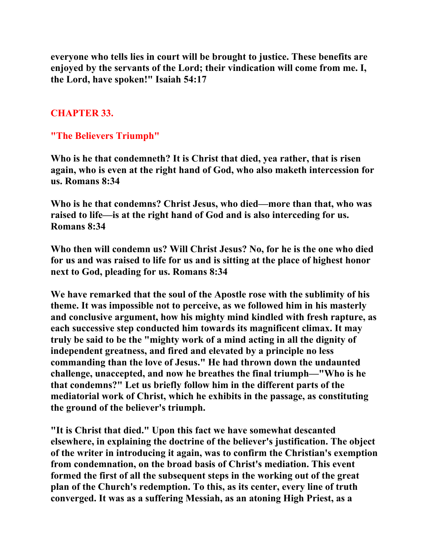**everyone who tells lies in court will be brought to justice. These benefits are enjoyed by the servants of the Lord; their vindication will come from me. I, the Lord, have spoken!" Isaiah 54:17** 

## **CHAPTER 33.**

### **"The Believers Triumph"**

**Who is he that condemneth? It is Christ that died, yea rather, that is risen again, who is even at the right hand of God, who also maketh intercession for us. Romans 8:34** 

**Who is he that condemns? Christ Jesus, who died—more than that, who was raised to life—is at the right hand of God and is also interceding for us. Romans 8:34** 

**Who then will condemn us? Will Christ Jesus? No, for he is the one who died for us and was raised to life for us and is sitting at the place of highest honor next to God, pleading for us. Romans 8:34** 

**We have remarked that the soul of the Apostle rose with the sublimity of his theme. It was impossible not to perceive, as we followed him in his masterly and conclusive argument, how his mighty mind kindled with fresh rapture, as each successive step conducted him towards its magnificent climax. It may truly be said to be the "mighty work of a mind acting in all the dignity of independent greatness, and fired and elevated by a principle no less commanding than the love of Jesus." He had thrown down the undaunted challenge, unaccepted, and now he breathes the final triumph—"Who is he that condemns?" Let us briefly follow him in the different parts of the mediatorial work of Christ, which he exhibits in the passage, as constituting the ground of the believer's triumph.** 

**"It is Christ that died." Upon this fact we have somewhat descanted elsewhere, in explaining the doctrine of the believer's justification. The object of the writer in introducing it again, was to confirm the Christian's exemption from condemnation, on the broad basis of Christ's mediation. This event formed the first of all the subsequent steps in the working out of the great plan of the Church's redemption. To this, as its center, every line of truth converged. It was as a suffering Messiah, as an atoning High Priest, as a**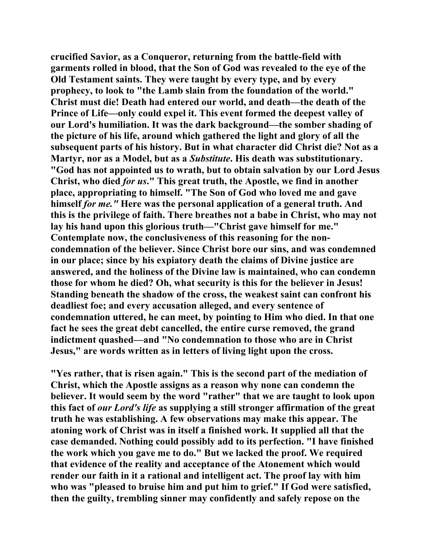**crucified Savior, as a Conqueror, returning from the battle-field with garments rolled in blood, that the Son of God was revealed to the eye of the Old Testament saints. They were taught by every type, and by every prophecy, to look to "the Lamb slain from the foundation of the world." Christ must die! Death had entered our world, and death—the death of the Prince of Life—only could expel it. This event formed the deepest valley of our Lord's humiliation. It was the dark background—the somber shading of the picture of his life, around which gathered the light and glory of all the subsequent parts of his history. But in what character did Christ die? Not as a Martyr, nor as a Model, but as a** *Substitute***. His death was substitutionary. "God has not appointed us to wrath, but to obtain salvation by our Lord Jesus Christ, who died** *for us***." This great truth, the Apostle, we find in another place, appropriating to himself. "The Son of God who loved me and gave himself** *for me."* **Here was the personal application of a general truth. And this is the privilege of faith. There breathes not a babe in Christ, who may not lay his hand upon this glorious truth—"Christ gave himself for me." Contemplate now, the conclusiveness of this reasoning for the noncondemnation of the believer. Since Christ bore our sins, and was condemned in our place; since by his expiatory death the claims of Divine justice are answered, and the holiness of the Divine law is maintained, who can condemn those for whom he died? Oh, what security is this for the believer in Jesus! Standing beneath the shadow of the cross, the weakest saint can confront his deadliest foe; and every accusation alleged, and every sentence of condemnation uttered, he can meet, by pointing to Him who died. In that one fact he sees the great debt cancelled, the entire curse removed, the grand indictment quashed—and "No condemnation to those who are in Christ Jesus," are words written as in letters of living light upon the cross.** 

**"Yes rather, that is risen again." This is the second part of the mediation of Christ, which the Apostle assigns as a reason why none can condemn the believer. It would seem by the word "rather" that we are taught to look upon this fact of** *our Lord's life* **as supplying a still stronger affirmation of the great truth he was establishing. A few observations may make this appear. The atoning work of Christ was in itself a finished work. It supplied all that the case demanded. Nothing could possibly add to its perfection. "I have finished the work which you gave me to do." But we lacked the proof. We required that evidence of the reality and acceptance of the Atonement which would render our faith in it a rational and intelligent act. The proof lay with him who was "pleased to bruise him and put him to grief." If God were satisfied, then the guilty, trembling sinner may confidently and safely repose on the**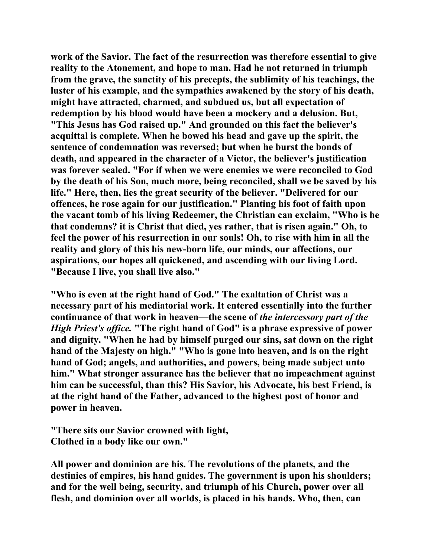**work of the Savior. The fact of the resurrection was therefore essential to give reality to the Atonement, and hope to man. Had he not returned in triumph from the grave, the sanctity of his precepts, the sublimity of his teachings, the luster of his example, and the sympathies awakened by the story of his death, might have attracted, charmed, and subdued us, but all expectation of redemption by his blood would have been a mockery and a delusion. But, "This Jesus has God raised up." And grounded on this fact the believer's acquittal is complete. When he bowed his head and gave up the spirit, the sentence of condemnation was reversed; but when he burst the bonds of death, and appeared in the character of a Victor, the believer's justification was forever sealed. "For if when we were enemies we were reconciled to God by the death of his Son, much more, being reconciled, shall we be saved by his life." Here, then, lies the great security of the believer. "Delivered for our offences, he rose again for our justification." Planting his foot of faith upon the vacant tomb of his living Redeemer, the Christian can exclaim, "Who is he that condemns? it is Christ that died, yes rather, that is risen again." Oh, to feel the power of his resurrection in our souls! Oh, to rise with him in all the reality and glory of this his new-born life, our minds, our affections, our aspirations, our hopes all quickened, and ascending with our living Lord. "Because I live, you shall live also."** 

**"Who is even at the right hand of God." The exaltation of Christ was a necessary part of his mediatorial work. It entered essentially into the further continuance of that work in heaven—the scene of** *the intercessory part of the High Priest's office.* **"The right hand of God" is a phrase expressive of power and dignity. "When he had by himself purged our sins, sat down on the right hand of the Majesty on high." "Who is gone into heaven, and is on the right hand of God; angels, and authorities, and powers, being made subject unto him." What stronger assurance has the believer that no impeachment against him can be successful, than this? His Savior, his Advocate, his best Friend, is at the right hand of the Father, advanced to the highest post of honor and power in heaven.** 

**"There sits our Savior crowned with light, Clothed in a body like our own."** 

**All power and dominion are his. The revolutions of the planets, and the destinies of empires, his hand guides. The government is upon his shoulders; and for the well being, security, and triumph of his Church, power over all flesh, and dominion over all worlds, is placed in his hands. Who, then, can**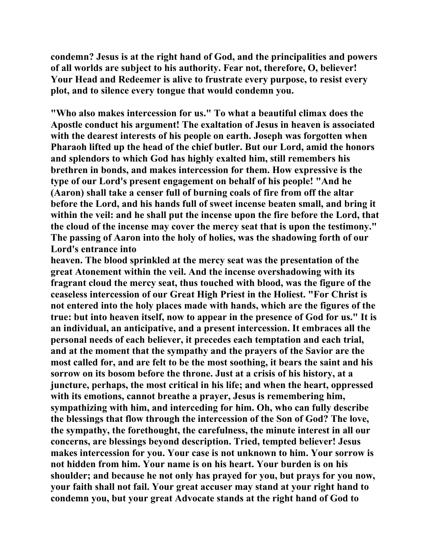**condemn? Jesus is at the right hand of God, and the principalities and powers of all worlds are subject to his authority. Fear not, therefore, O, believer! Your Head and Redeemer is alive to frustrate every purpose, to resist every plot, and to silence every tongue that would condemn you.** 

**"Who also makes intercession for us." To what a beautiful climax does the Apostle conduct his argument! The exaltation of Jesus in heaven is associated with the dearest interests of his people on earth. Joseph was forgotten when Pharaoh lifted up the head of the chief butler. But our Lord, amid the honors and splendors to which God has highly exalted him, still remembers his brethren in bonds, and makes intercession for them. How expressive is the type of our Lord's present engagement on behalf of his people! "And he (Aaron) shall take a censer full of burning coals of fire from off the altar before the Lord, and his hands full of sweet incense beaten small, and bring it within the veil: and he shall put the incense upon the fire before the Lord, that the cloud of the incense may cover the mercy seat that is upon the testimony." The passing of Aaron into the holy of holies, was the shadowing forth of our Lord's entrance into** 

**heaven. The blood sprinkled at the mercy seat was the presentation of the great Atonement within the veil. And the incense overshadowing with its fragrant cloud the mercy seat, thus touched with blood, was the figure of the ceaseless intercession of our Great High Priest in the Holiest. "For Christ is not entered into the holy places made with hands, which are the figures of the true: but into heaven itself, now to appear in the presence of God for us." It is an individual, an anticipative, and a present intercession. It embraces all the personal needs of each believer, it precedes each temptation and each trial, and at the moment that the sympathy and the prayers of the Savior are the most called for, and are felt to be the most soothing, it bears the saint and his sorrow on its bosom before the throne. Just at a crisis of his history, at a juncture, perhaps, the most critical in his life; and when the heart, oppressed with its emotions, cannot breathe a prayer, Jesus is remembering him, sympathizing with him, and interceding for him. Oh, who can fully describe the blessings that flow through the intercession of the Son of God? The love, the sympathy, the forethought, the carefulness, the minute interest in all our concerns, are blessings beyond description. Tried, tempted believer! Jesus makes intercession for you. Your case is not unknown to him. Your sorrow is not hidden from him. Your name is on his heart. Your burden is on his shoulder; and because he not only has prayed for you, but prays for you now, your faith shall not fail. Your great accuser may stand at your right hand to condemn you, but your great Advocate stands at the right hand of God to**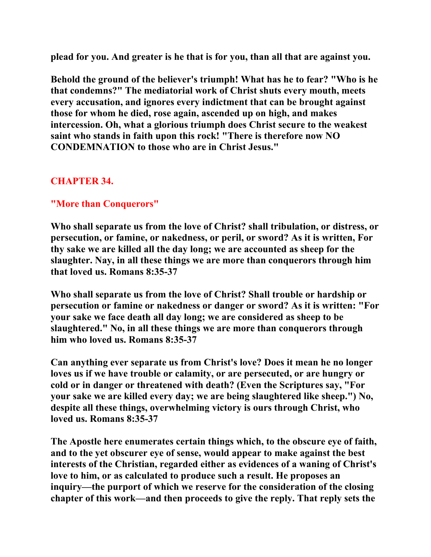**plead for you. And greater is he that is for you, than all that are against you.** 

**Behold the ground of the believer's triumph! What has he to fear? "Who is he that condemns?" The mediatorial work of Christ shuts every mouth, meets every accusation, and ignores every indictment that can be brought against those for whom he died, rose again, ascended up on high, and makes intercession. Oh, what a glorious triumph does Christ secure to the weakest saint who stands in faith upon this rock! "There is therefore now NO CONDEMNATION to those who are in Christ Jesus."** 

### **CHAPTER 34.**

#### **"More than Conquerors"**

**Who shall separate us from the love of Christ? shall tribulation, or distress, or persecution, or famine, or nakedness, or peril, or sword? As it is written, For thy sake we are killed all the day long; we are accounted as sheep for the slaughter. Nay, in all these things we are more than conquerors through him that loved us. Romans 8:35-37** 

**Who shall separate us from the love of Christ? Shall trouble or hardship or persecution or famine or nakedness or danger or sword? As it is written: "For your sake we face death all day long; we are considered as sheep to be slaughtered." No, in all these things we are more than conquerors through him who loved us. Romans 8:35-37** 

**Can anything ever separate us from Christ's love? Does it mean he no longer loves us if we have trouble or calamity, or are persecuted, or are hungry or cold or in danger or threatened with death? (Even the Scriptures say, "For your sake we are killed every day; we are being slaughtered like sheep.") No, despite all these things, overwhelming victory is ours through Christ, who loved us. Romans 8:35-37** 

**The Apostle here enumerates certain things which, to the obscure eye of faith, and to the yet obscurer eye of sense, would appear to make against the best interests of the Christian, regarded either as evidences of a waning of Christ's love to him, or as calculated to produce such a result. He proposes an inquiry—the purport of which we reserve for the consideration of the closing chapter of this work—and then proceeds to give the reply. That reply sets the**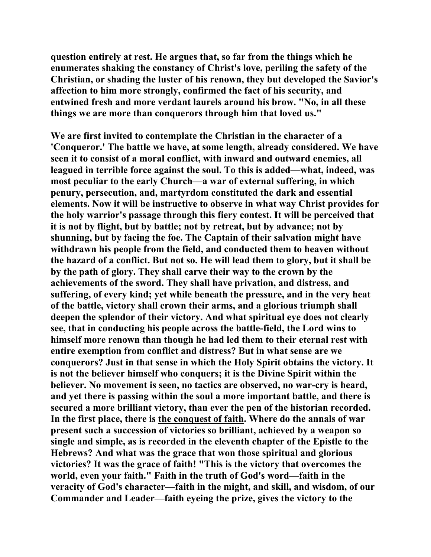**question entirely at rest. He argues that, so far from the things which he enumerates shaking the constancy of Christ's love, periling the safety of the Christian, or shading the luster of his renown, they but developed the Savior's affection to him more strongly, confirmed the fact of his security, and entwined fresh and more verdant laurels around his brow. "No, in all these things we are more than conquerors through him that loved us."** 

**We are first invited to contemplate the Christian in the character of a 'Conqueror.' The battle we have, at some length, already considered. We have seen it to consist of a moral conflict, with inward and outward enemies, all leagued in terrible force against the soul. To this is added—what, indeed, was most peculiar to the early Church—a war of external suffering, in which penury, persecution, and, martyrdom constituted the dark and essential elements. Now it will be instructive to observe in what way Christ provides for the holy warrior's passage through this fiery contest. It will be perceived that it is not by flight, but by battle; not by retreat, but by advance; not by shunning, but by facing the foe. The Captain of their salvation might have withdrawn his people from the field, and conducted them to heaven without the hazard of a conflict. But not so. He will lead them to glory, but it shall be by the path of glory. They shall carve their way to the crown by the achievements of the sword. They shall have privation, and distress, and suffering, of every kind; yet while beneath the pressure, and in the very heat of the battle, victory shall crown their arms, and a glorious triumph shall deepen the splendor of their victory. And what spiritual eye does not clearly see, that in conducting his people across the battle-field, the Lord wins to himself more renown than though he had led them to their eternal rest with entire exemption from conflict and distress? But in what sense are we conquerors? Just in that sense in which the Holy Spirit obtains the victory. It is not the believer himself who conquers; it is the Divine Spirit within the believer. No movement is seen, no tactics are observed, no war-cry is heard, and yet there is passing within the soul a more important battle, and there is secured a more brilliant victory, than ever the pen of the historian recorded. In the first place, there is the conquest of faith. Where do the annals of war present such a succession of victories so brilliant, achieved by a weapon so single and simple, as is recorded in the eleventh chapter of the Epistle to the Hebrews? And what was the grace that won those spiritual and glorious victories? It was the grace of faith! "This is the victory that overcomes the world, even your faith." Faith in the truth of God's word—faith in the veracity of God's character—faith in the might, and skill, and wisdom, of our Commander and Leader—faith eyeing the prize, gives the victory to the**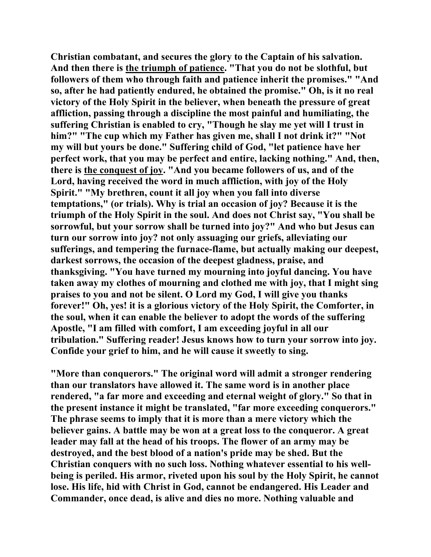**Christian combatant, and secures the glory to the Captain of his salvation. And then there is the triumph of patience. "That you do not be slothful, but followers of them who through faith and patience inherit the promises." "And so, after he had patiently endured, he obtained the promise." Oh, is it no real victory of the Holy Spirit in the believer, when beneath the pressure of great affliction, passing through a discipline the most painful and humiliating, the suffering Christian is enabled to cry, "Though he slay me yet will I trust in him?" "The cup which my Father has given me, shall I not drink it?" "Not my will but yours be done." Suffering child of God, "let patience have her perfect work, that you may be perfect and entire, lacking nothing." And, then, there is the conquest of joy. "And you became followers of us, and of the Lord, having received the word in much affliction, with joy of the Holy Spirit." "My brethren, count it all joy when you fall into diverse temptations," (or trials). Why is trial an occasion of joy? Because it is the triumph of the Holy Spirit in the soul. And does not Christ say, "You shall be sorrowful, but your sorrow shall be turned into joy?" And who but Jesus can turn our sorrow into joy? not only assuaging our griefs, alleviating our sufferings, and tempering the furnace-flame, but actually making our deepest, darkest sorrows, the occasion of the deepest gladness, praise, and thanksgiving. "You have turned my mourning into joyful dancing. You have taken away my clothes of mourning and clothed me with joy, that I might sing praises to you and not be silent. O Lord my God, I will give you thanks forever!" Oh, yes! it is a glorious victory of the Holy Spirit, the Comforter, in the soul, when it can enable the believer to adopt the words of the suffering Apostle, "I am filled with comfort, I am exceeding joyful in all our tribulation." Suffering reader! Jesus knows how to turn your sorrow into joy. Confide your grief to him, and he will cause it sweetly to sing.** 

**"More than conquerors." The original word will admit a stronger rendering than our translators have allowed it. The same word is in another place rendered, "a far more and exceeding and eternal weight of glory." So that in the present instance it might be translated, "far more exceeding conquerors." The phrase seems to imply that it is more than a mere victory which the believer gains. A battle may be won at a great loss to the conqueror. A great leader may fall at the head of his troops. The flower of an army may be destroyed, and the best blood of a nation's pride may be shed. But the Christian conquers with no such loss. Nothing whatever essential to his wellbeing is periled. His armor, riveted upon his soul by the Holy Spirit, he cannot lose. His life, hid with Christ in God, cannot be endangered. His Leader and Commander, once dead, is alive and dies no more. Nothing valuable and**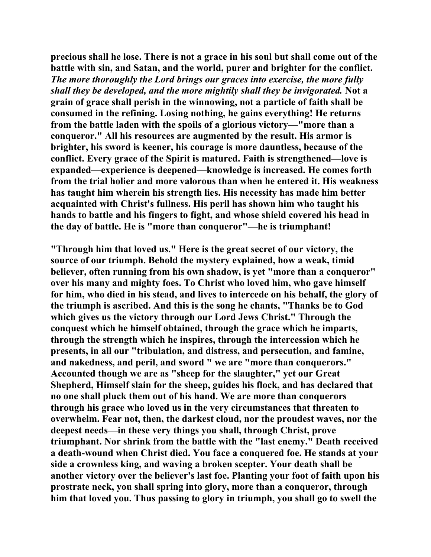**precious shall he lose. There is not a grace in his soul but shall come out of the battle with sin, and Satan, and the world, purer and brighter for the conflict.**  *The more thoroughly the Lord brings our graces into exercise, the more fully shall they be developed, and the more mightily shall they be invigorated.* **Not a grain of grace shall perish in the winnowing, not a particle of faith shall be consumed in the refining. Losing nothing, he gains everything! He returns from the battle laden with the spoils of a glorious victory—"more than a conqueror." All his resources are augmented by the result. His armor is brighter, his sword is keener, his courage is more dauntless, because of the conflict. Every grace of the Spirit is matured. Faith is strengthened—love is expanded—experience is deepened—knowledge is increased. He comes forth from the trial holier and more valorous than when he entered it. His weakness has taught him wherein his strength lies. His necessity has made him better acquainted with Christ's fullness. His peril has shown him who taught his hands to battle and his fingers to fight, and whose shield covered his head in the day of battle. He is "more than conqueror"—he is triumphant!** 

**"Through him that loved us." Here is the great secret of our victory, the source of our triumph. Behold the mystery explained, how a weak, timid believer, often running from his own shadow, is yet "more than a conqueror" over his many and mighty foes. To Christ who loved him, who gave himself for him, who died in his stead, and lives to intercede on his behalf, the glory of the triumph is ascribed. And this is the song he chants, "Thanks be to God which gives us the victory through our Lord Jews Christ." Through the conquest which he himself obtained, through the grace which he imparts, through the strength which he inspires, through the intercession which he presents, in all our "tribulation, and distress, and persecution, and famine, and nakedness, and peril, and sword " we are "more than conquerors." Accounted though we are as "sheep for the slaughter," yet our Great Shepherd, Himself slain for the sheep, guides his flock, and has declared that no one shall pluck them out of his hand. We are more than conquerors through his grace who loved us in the very circumstances that threaten to overwhelm. Fear not, then, the darkest cloud, nor the proudest waves, nor the deepest needs—in these very things you shall, through Christ, prove triumphant. Nor shrink from the battle with the "last enemy." Death received a death-wound when Christ died. You face a conquered foe. He stands at your side a crownless king, and waving a broken scepter. Your death shall be another victory over the believer's last foe. Planting your foot of faith upon his prostrate neck, you shall spring into glory, more than a conqueror, through him that loved you. Thus passing to glory in triumph, you shall go to swell the**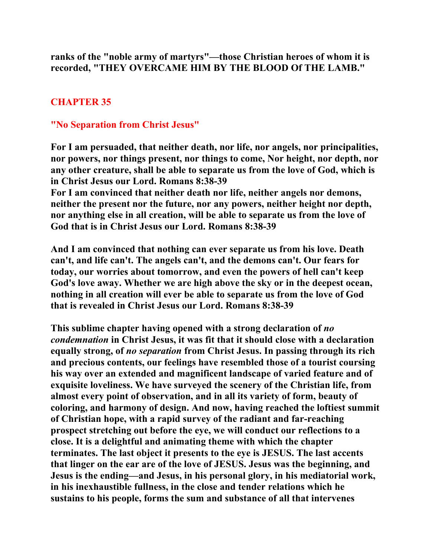**ranks of the "noble army of martyrs"—those Christian heroes of whom it is recorded, "THEY OVERCAME HIM BY THE BLOOD Of THE LAMB."** 

## **CHAPTER 35**

### **"No Separation from Christ Jesus"**

**For I am persuaded, that neither death, nor life, nor angels, nor principalities, nor powers, nor things present, nor things to come, Nor height, nor depth, nor any other creature, shall be able to separate us from the love of God, which is in Christ Jesus our Lord. Romans 8:38-39** 

**For I am convinced that neither death nor life, neither angels nor demons, neither the present nor the future, nor any powers, neither height nor depth, nor anything else in all creation, will be able to separate us from the love of God that is in Christ Jesus our Lord. Romans 8:38-39** 

**And I am convinced that nothing can ever separate us from his love. Death can't, and life can't. The angels can't, and the demons can't. Our fears for today, our worries about tomorrow, and even the powers of hell can't keep God's love away. Whether we are high above the sky or in the deepest ocean, nothing in all creation will ever be able to separate us from the love of God that is revealed in Christ Jesus our Lord. Romans 8:38-39** 

**This sublime chapter having opened with a strong declaration of** *no condemnation* **in Christ Jesus, it was fit that it should close with a declaration equally strong, of** *no separation* **from Christ Jesus. In passing through its rich and precious contents, our feelings have resembled those of a tourist coursing his way over an extended and magnificent landscape of varied feature and of exquisite loveliness. We have surveyed the scenery of the Christian life, from almost every point of observation, and in all its variety of form, beauty of coloring, and harmony of design. And now, having reached the loftiest summit of Christian hope, with a rapid survey of the radiant and far-reaching prospect stretching out before the eye, we will conduct our reflections to a close. It is a delightful and animating theme with which the chapter terminates. The last object it presents to the eye is JESUS. The last accents that linger on the ear are of the love of JESUS. Jesus was the beginning, and Jesus is the ending—and Jesus, in his personal glory, in his mediatorial work, in his inexhaustible fullness, in the close and tender relations which he sustains to his people, forms the sum and substance of all that intervenes**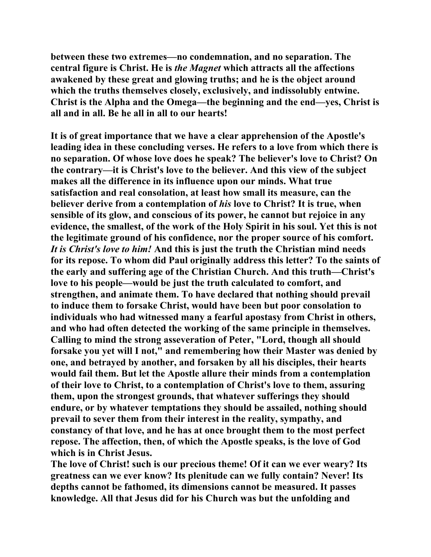**between these two extremes—no condemnation, and no separation. The central figure is Christ. He is** *the Magnet* **which attracts all the affections awakened by these great and glowing truths; and he is the object around which the truths themselves closely, exclusively, and indissolubly entwine. Christ is the Alpha and the Omega—the beginning and the end—yes, Christ is all and in all. Be he all in all to our hearts!** 

**It is of great importance that we have a clear apprehension of the Apostle's leading idea in these concluding verses. He refers to a love from which there is no separation. Of whose love does he speak? The believer's love to Christ? On the contrary—it is Christ's love to the believer. And this view of the subject makes all the difference in its influence upon our minds. What true satisfaction and real consolation, at least how small its measure, can the believer derive from a contemplation of** *his* **love to Christ? It is true, when sensible of its glow, and conscious of its power, he cannot but rejoice in any evidence, the smallest, of the work of the Holy Spirit in his soul. Yet this is not the legitimate ground of his confidence, nor the proper source of his comfort.**  *It is Christ's love to him!* **And this is just the truth the Christian mind needs for its repose. To whom did Paul originally address this letter? To the saints of the early and suffering age of the Christian Church. And this truth—Christ's love to his people—would be just the truth calculated to comfort, and strengthen, and animate them. To have declared that nothing should prevail to induce them to forsake Christ, would have been but poor consolation to individuals who had witnessed many a fearful apostasy from Christ in others, and who had often detected the working of the same principle in themselves. Calling to mind the strong asseveration of Peter, "Lord, though all should forsake you yet will I not," and remembering how their Master was denied by one, and betrayed by another, and forsaken by all his disciples, their hearts would fail them. But let the Apostle allure their minds from a contemplation of their love to Christ, to a contemplation of Christ's love to them, assuring them, upon the strongest grounds, that whatever sufferings they should endure, or by whatever temptations they should be assailed, nothing should prevail to sever them from their interest in the reality, sympathy, and constancy of that love, and he has at once brought them to the most perfect repose. The affection, then, of which the Apostle speaks, is the love of God which is in Christ Jesus.** 

**The love of Christ! such is our precious theme! Of it can we ever weary? Its greatness can we ever know? Its plenitude can we fully contain? Never! Its depths cannot be fathomed, its dimensions cannot be measured. It passes knowledge. All that Jesus did for his Church was but the unfolding and**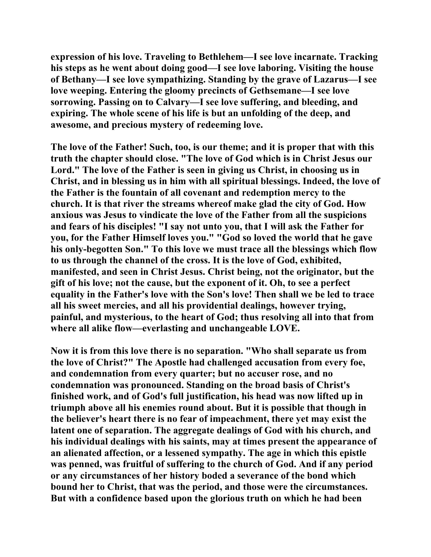**expression of his love. Traveling to Bethlehem—I see love incarnate. Tracking his steps as he went about doing good—I see love laboring. Visiting the house of Bethany—I see love sympathizing. Standing by the grave of Lazarus—I see love weeping. Entering the gloomy precincts of Gethsemane—I see love sorrowing. Passing on to Calvary—I see love suffering, and bleeding, and expiring. The whole scene of his life is but an unfolding of the deep, and awesome, and precious mystery of redeeming love.** 

**The love of the Father! Such, too, is our theme; and it is proper that with this truth the chapter should close. "The love of God which is in Christ Jesus our Lord." The love of the Father is seen in giving us Christ, in choosing us in Christ, and in blessing us in him with all spiritual blessings. Indeed, the love of the Father is the fountain of all covenant and redemption mercy to the church. It is that river the streams whereof make glad the city of God. How anxious was Jesus to vindicate the love of the Father from all the suspicions and fears of his disciples! "I say not unto you, that I will ask the Father for you, for the Father Himself loves you." "God so loved the world that he gave his only-begotten Son." To this love we must trace all the blessings which flow to us through the channel of the cross. It is the love of God, exhibited, manifested, and seen in Christ Jesus. Christ being, not the originator, but the gift of his love; not the cause, but the exponent of it. Oh, to see a perfect equality in the Father's love with the Son's love! Then shall we be led to trace all his sweet mercies, and all his providential dealings, however trying, painful, and mysterious, to the heart of God; thus resolving all into that from where all alike flow—everlasting and unchangeable LOVE.** 

**Now it is from this love there is no separation. "Who shall separate us from the love of Christ?" The Apostle had challenged accusation from every foe, and condemnation from every quarter; but no accuser rose, and no condemnation was pronounced. Standing on the broad basis of Christ's finished work, and of God's full justification, his head was now lifted up in triumph above all his enemies round about. But it is possible that though in the believer's heart there is no fear of impeachment, there yet may exist the latent one of separation. The aggregate dealings of God with his church, and his individual dealings with his saints, may at times present the appearance of an alienated affection, or a lessened sympathy. The age in which this epistle was penned, was fruitful of suffering to the church of God. And if any period or any circumstances of her history boded a severance of the bond which bound her to Christ, that was the period, and those were the circumstances. But with a confidence based upon the glorious truth on which he had been**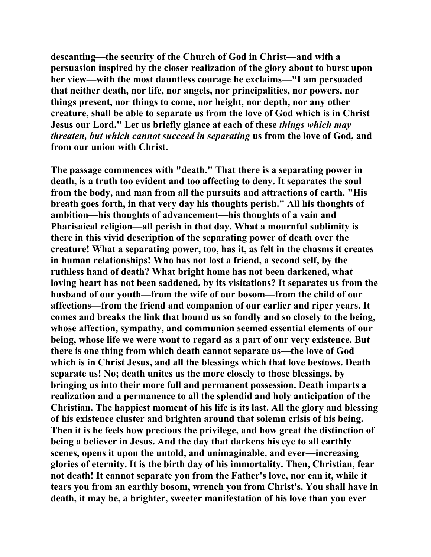**descanting—the security of the Church of God in Christ—and with a persuasion inspired by the closer realization of the glory about to burst upon her view—with the most dauntless courage he exclaims—"I am persuaded that neither death, nor life, nor angels, nor principalities, nor powers, nor things present, nor things to come, nor height, nor depth, nor any other creature, shall be able to separate us from the love of God which is in Christ Jesus our Lord." Let us briefly glance at each of these** *things which may threaten, but which cannot succeed in separating* **us from the love of God, and from our union with Christ.** 

**The passage commences with "death." That there is a separating power in death, is a truth too evident and too affecting to deny. It separates the soul from the body, and man from all the pursuits and attractions of earth. "His breath goes forth, in that very day his thoughts perish." All his thoughts of ambition—his thoughts of advancement—his thoughts of a vain and Pharisaical religion—all perish in that day. What a mournful sublimity is there in this vivid description of the separating power of death over the creature! What a separating power, too, has it, as felt in the chasms it creates in human relationships! Who has not lost a friend, a second self, by the ruthless hand of death? What bright home has not been darkened, what loving heart has not been saddened, by its visitations? It separates us from the husband of our youth—from the wife of our bosom—from the child of our affections—from the friend and companion of our earlier and riper years. It comes and breaks the link that bound us so fondly and so closely to the being, whose affection, sympathy, and communion seemed essential elements of our being, whose life we were wont to regard as a part of our very existence. But there is one thing from which death cannot separate us—the love of God which is in Christ Jesus, and all the blessings which that love bestows. Death separate us! No; death unites us the more closely to those blessings, by bringing us into their more full and permanent possession. Death imparts a realization and a permanence to all the splendid and holy anticipation of the Christian. The happiest moment of his life is its last. All the glory and blessing of his existence cluster and brighten around that solemn crisis of his being. Then it is he feels how precious the privilege, and how great the distinction of being a believer in Jesus. And the day that darkens his eye to all earthly scenes, opens it upon the untold, and unimaginable, and ever—increasing glories of eternity. It is the birth day of his immortality. Then, Christian, fear not death! It cannot separate you from the Father's love, nor can it, while it tears you from an earthly bosom, wrench you from Christ's. You shall have in death, it may be, a brighter, sweeter manifestation of his love than you ever**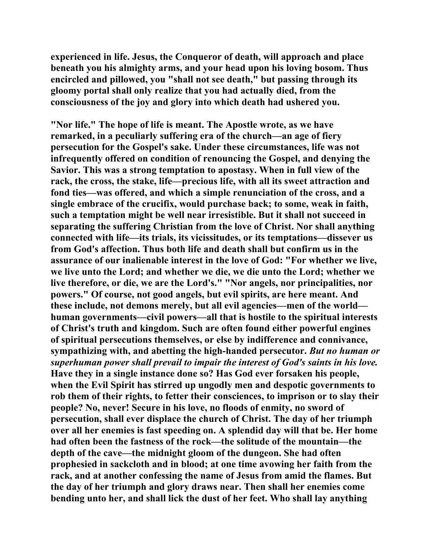**experienced in life. Jesus, the Conqueror of death, will approach and place beneath you his almighty arms, and your head upon his loving bosom. Thus encircled and pillowed, you "shall not see death," but passing through its gloomy portal shall only realize that you had actually died, from the consciousness of the joy and glory into which death had ushered you.** 

**"Nor life." The hope of life is meant. The Apostle wrote, as we have remarked, in a peculiarly suffering era of the church—an age of fiery persecution for the Gospel's sake. Under these circumstances, life was not infrequently offered on condition of renouncing the Gospel, and denying the Savior. This was a strong temptation to apostasy. When in full view of the rack, the cross, the stake, life—precious life, with all its sweet attraction and fond ties—was offered, and which a simple renunciation of the cross, and a single embrace of the crucifix, would purchase back; to some, weak in faith, such a temptation might be well near irresistible. But it shall not succeed in separating the suffering Christian from the love of Christ. Nor shall anything connected with life—its trials, its vicissitudes, or its temptations—dissever us from God's affection. Thus both life and death shall but confirm us in the assurance of our inalienable interest in the love of God: "For whether we live, we live unto the Lord; and whether we die, we die unto the Lord; whether we live therefore, or die, we are the Lord's." "Nor angels, nor principalities, nor powers." Of course, not good angels, but evil spirits, are here meant. And these include, not demons merely, but all evil agencies—men of the world human governments—civil powers—all that is hostile to the spiritual interests of Christ's truth and kingdom. Such are often found either powerful engines of spiritual persecutions themselves, or else by indifference and connivance, sympathizing with, and abetting the high-handed persecutor.** *But no human or superhuman power shall prevail to impair the interest of God's saints in his love.* **Have they in a single instance done so? Has God ever forsaken his people, when the Evil Spirit has stirred up ungodly men and despotic governments to rob them of their rights, to fetter their consciences, to imprison or to slay their people? No, never! Secure in his love, no floods of enmity, no sword of persecution, shall ever displace the church of Christ. The day of her triumph over all her enemies is fast speeding on. A splendid day will that be. Her home had often been the fastness of the rock—the solitude of the mountain—the depth of the cave—the midnight gloom of the dungeon. She had often prophesied in sackcloth and in blood; at one time avowing her faith from the rack, and at another confessing the name of Jesus from amid the flames. But the day of her triumph and glory draws near. Then shall her enemies come bending unto her, and shall lick the dust of her feet. Who shall lay anything**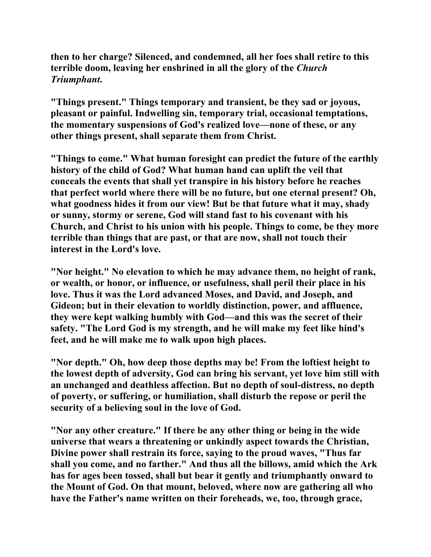**then to her charge? Silenced, and condemned, all her foes shall retire to this terrible doom, leaving her enshrined in all the glory of the** *Church Triumphant***.** 

**"Things present." Things temporary and transient, be they sad or joyous, pleasant or painful. Indwelling sin, temporary trial, occasional temptations, the momentary suspensions of God's realized love—none of these, or any other things present, shall separate them from Christ.** 

**"Things to come." What human foresight can predict the future of the earthly history of the child of God? What human hand can uplift the veil that conceals the events that shall yet transpire in his history before he reaches that perfect world where there will be no future, but one eternal present? Oh, what goodness hides it from our view! But be that future what it may, shady or sunny, stormy or serene, God will stand fast to his covenant with his Church, and Christ to his union with his people. Things to come, be they more terrible than things that are past, or that are now, shall not touch their interest in the Lord's love.** 

**"Nor height." No elevation to which he may advance them, no height of rank, or wealth, or honor, or influence, or usefulness, shall peril their place in his love. Thus it was the Lord advanced Moses, and David, and Joseph, and Gideon; but in their elevation to worldly distinction, power, and affluence, they were kept walking humbly with God—and this was the secret of their safety. "The Lord God is my strength, and he will make my feet like hind's feet, and he will make me to walk upon high places.** 

**"Nor depth." Oh, how deep those depths may be! From the loftiest height to the lowest depth of adversity, God can bring his servant, yet love him still with an unchanged and deathless affection. But no depth of soul-distress, no depth of poverty, or suffering, or humiliation, shall disturb the repose or peril the security of a believing soul in the love of God.** 

**"Nor any other creature." If there be any other thing or being in the wide universe that wears a threatening or unkindly aspect towards the Christian, Divine power shall restrain its force, saying to the proud waves, "Thus far shall you come, and no farther." And thus all the billows, amid which the Ark has for ages been tossed, shall but bear it gently and triumphantly onward to the Mount of God. On that mount, beloved, where now are gathering all who have the Father's name written on their foreheads, we, too, through grace,**